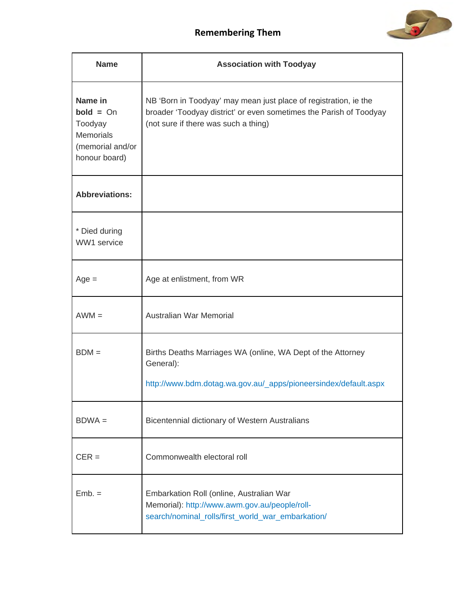

| <b>Name</b>                                                                                | <b>Association with Toodyay</b>                                                                                                                                                |
|--------------------------------------------------------------------------------------------|--------------------------------------------------------------------------------------------------------------------------------------------------------------------------------|
| Name in<br>$bold = On$<br>Toodyay<br><b>Memorials</b><br>(memorial and/or<br>honour board) | NB 'Born in Toodyay' may mean just place of registration, ie the<br>broader 'Toodyay district' or even sometimes the Parish of Toodyay<br>(not sure if there was such a thing) |
| <b>Abbreviations:</b>                                                                      |                                                                                                                                                                                |
| * Died during<br>WW1 service                                                               |                                                                                                                                                                                |
| $Age =$                                                                                    | Age at enlistment, from WR                                                                                                                                                     |
| $AWM =$                                                                                    | Australian War Memorial                                                                                                                                                        |
| $BDM =$                                                                                    | Births Deaths Marriages WA (online, WA Dept of the Attorney<br>General):<br>http://www.bdm.dotag.wa.gov.au/_apps/pioneersindex/default.aspx                                    |
| $BDWA =$                                                                                   | Bicentennial dictionary of Western Australians                                                                                                                                 |
| $CER =$                                                                                    | Commonwealth electoral roll                                                                                                                                                    |
| $Emb =$                                                                                    | Embarkation Roll (online, Australian War<br>Memorial): http://www.awm.gov.au/people/roll-<br>search/nominal_rolls/first_world_war_embarkation/                                 |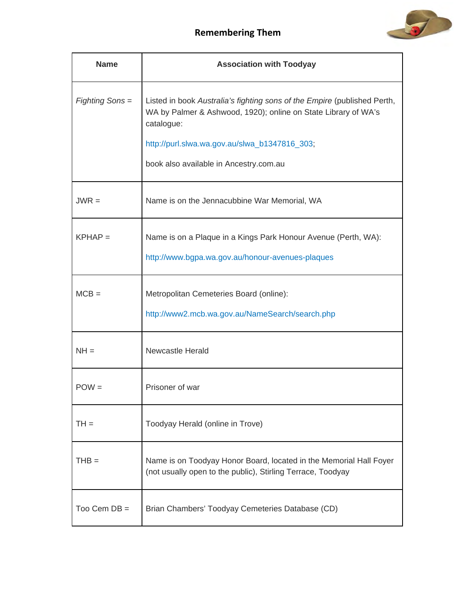

| <b>Name</b>     | <b>Association with Toodyay</b>                                                                                                                                                                                                                     |
|-----------------|-----------------------------------------------------------------------------------------------------------------------------------------------------------------------------------------------------------------------------------------------------|
| Fighting Sons = | Listed in book Australia's fighting sons of the Empire (published Perth,<br>WA by Palmer & Ashwood, 1920); online on State Library of WA's<br>catalogue:<br>http://purl.slwa.wa.gov.au/slwa_b1347816_303;<br>book also available in Ancestry.com.au |
| $JWR =$         | Name is on the Jennacubbine War Memorial, WA                                                                                                                                                                                                        |
| $KPHAP =$       | Name is on a Plaque in a Kings Park Honour Avenue (Perth, WA):<br>http://www.bgpa.wa.gov.au/honour-avenues-plaques                                                                                                                                  |
| $MCB =$         | Metropolitan Cemeteries Board (online):<br>http://www2.mcb.wa.gov.au/NameSearch/search.php                                                                                                                                                          |
| $NH =$          | Newcastle Herald                                                                                                                                                                                                                                    |
| $POW =$         | Prisoner of war                                                                                                                                                                                                                                     |
| $TH =$          | Toodyay Herald (online in Trove)                                                                                                                                                                                                                    |
| $THB =$         | Name is on Toodyay Honor Board, located in the Memorial Hall Foyer<br>(not usually open to the public), Stirling Terrace, Toodyay                                                                                                                   |
| Too Cem $DB =$  | Brian Chambers' Toodyay Cemeteries Database (CD)                                                                                                                                                                                                    |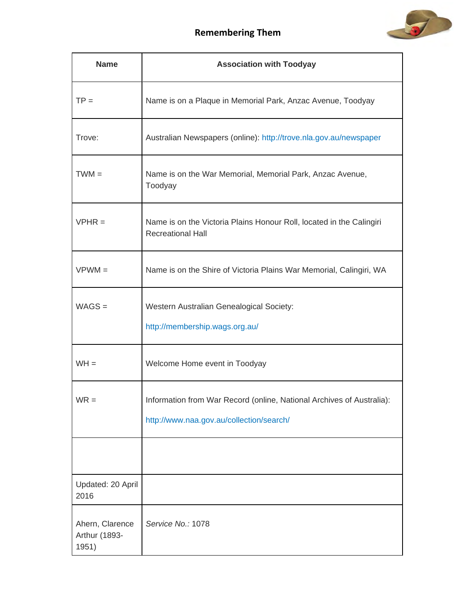

| <b>Name</b>                               | <b>Association with Toodyay</b>                                                                                   |
|-------------------------------------------|-------------------------------------------------------------------------------------------------------------------|
| $TP =$                                    | Name is on a Plaque in Memorial Park, Anzac Avenue, Toodyay                                                       |
| Trove:                                    | Australian Newspapers (online): http://trove.nla.gov.au/newspaper                                                 |
| $TWM =$                                   | Name is on the War Memorial, Memorial Park, Anzac Avenue,<br>Toodyay                                              |
| $VPHR =$                                  | Name is on the Victoria Plains Honour Roll, located in the Calingiri<br><b>Recreational Hall</b>                  |
| $VPWM =$                                  | Name is on the Shire of Victoria Plains War Memorial, Calingiri, WA                                               |
| $WAGS =$                                  | Western Australian Genealogical Society:<br>http://membership.wags.org.au/                                        |
| $WH =$                                    | Welcome Home event in Toodyay                                                                                     |
| $WR =$                                    | Information from War Record (online, National Archives of Australia):<br>http://www.naa.gov.au/collection/search/ |
| Updated: 20 April                         |                                                                                                                   |
| 2016                                      |                                                                                                                   |
| Ahern, Clarence<br>Arthur (1893-<br>1951) | Service No.: 1078                                                                                                 |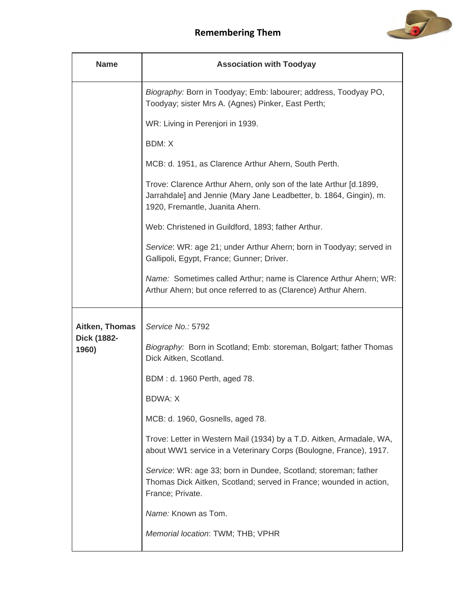

| <b>Name</b>          | <b>Association with Toodyay</b>                                                                                                                                             |
|----------------------|-----------------------------------------------------------------------------------------------------------------------------------------------------------------------------|
|                      | Biography: Born in Toodyay; Emb: labourer; address, Toodyay PO,<br>Toodyay; sister Mrs A. (Agnes) Pinker, East Perth;                                                       |
|                      | WR: Living in Perenjori in 1939.                                                                                                                                            |
|                      | <b>BDM: X</b>                                                                                                                                                               |
|                      | MCB: d. 1951, as Clarence Arthur Ahern, South Perth.                                                                                                                        |
|                      | Trove: Clarence Arthur Ahern, only son of the late Arthur [d.1899,<br>Jarrahdale] and Jennie (Mary Jane Leadbetter, b. 1864, Gingin), m.<br>1920, Fremantle, Juanita Ahern. |
|                      | Web: Christened in Guildford, 1893; father Arthur.                                                                                                                          |
|                      | Service: WR: age 21; under Arthur Ahern; born in Toodyay; served in<br>Gallipoli, Egypt, France; Gunner; Driver.                                                            |
|                      | Name: Sometimes called Arthur; name is Clarence Arthur Ahern; WR:<br>Arthur Ahern; but once referred to as (Clarence) Arthur Ahern.                                         |
| Aitken, Thomas       | Service No.: 5792                                                                                                                                                           |
| Dick (1882-<br>1960) | Biography: Born in Scotland; Emb: storeman, Bolgart; father Thomas<br>Dick Aitken, Scotland.                                                                                |
|                      | BDM: d. 1960 Perth, aged 78.                                                                                                                                                |
|                      | <b>BDWA: X</b>                                                                                                                                                              |
|                      | MCB: d. 1960, Gosnells, aged 78.                                                                                                                                            |
|                      | Trove: Letter in Western Mail (1934) by a T.D. Aitken, Armadale, WA,<br>about WW1 service in a Veterinary Corps (Boulogne, France), 1917.                                   |
|                      | Service: WR: age 33; born in Dundee, Scotland; storeman; father<br>Thomas Dick Aitken, Scotland; served in France; wounded in action,<br>France; Private.                   |
|                      | Name: Known as Tom.                                                                                                                                                         |
|                      | Memorial location: TWM; THB; VPHR                                                                                                                                           |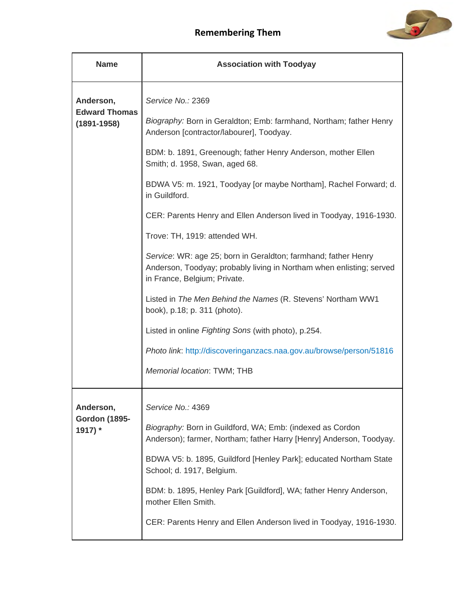

| <b>Name</b>                                  | <b>Association with Toodyay</b>                                                                                                                                        |
|----------------------------------------------|------------------------------------------------------------------------------------------------------------------------------------------------------------------------|
| Anderson,                                    | Service No.: 2369                                                                                                                                                      |
| <b>Edward Thomas</b><br>$(1891 - 1958)$      | Biography: Born in Geraldton; Emb: farmhand, Northam; father Henry<br>Anderson [contractor/labourer], Toodyay.                                                         |
|                                              | BDM: b. 1891, Greenough; father Henry Anderson, mother Ellen<br>Smith; d. 1958, Swan, aged 68.                                                                         |
|                                              | BDWA V5: m. 1921, Toodyay [or maybe Northam], Rachel Forward; d.<br>in Guildford.                                                                                      |
|                                              | CER: Parents Henry and Ellen Anderson lived in Toodyay, 1916-1930.                                                                                                     |
|                                              | Trove: TH, 1919: attended WH.                                                                                                                                          |
|                                              | Service: WR: age 25; born in Geraldton; farmhand; father Henry<br>Anderson, Toodyay; probably living in Northam when enlisting; served<br>in France, Belgium; Private. |
|                                              | Listed in The Men Behind the Names (R. Stevens' Northam WW1<br>book), p.18; p. 311 (photo).                                                                            |
|                                              | Listed in online Fighting Sons (with photo), p.254.                                                                                                                    |
|                                              | Photo link: http://discoveringanzacs.naa.gov.au/browse/person/51816                                                                                                    |
|                                              | Memorial location: TWM; THB                                                                                                                                            |
| Anderson,<br><b>Gordon (1895-</b><br>1917) * | Service No.: 4369                                                                                                                                                      |
|                                              | Biography: Born in Guildford, WA; Emb: (indexed as Cordon<br>Anderson); farmer, Northam; father Harry [Henry] Anderson, Toodyay.                                       |
|                                              | BDWA V5: b. 1895, Guildford [Henley Park]; educated Northam State<br>School; d. 1917, Belgium.                                                                         |
|                                              | BDM: b. 1895, Henley Park [Guildford], WA; father Henry Anderson,<br>mother Ellen Smith.                                                                               |
|                                              | CER: Parents Henry and Ellen Anderson lived in Toodyay, 1916-1930.                                                                                                     |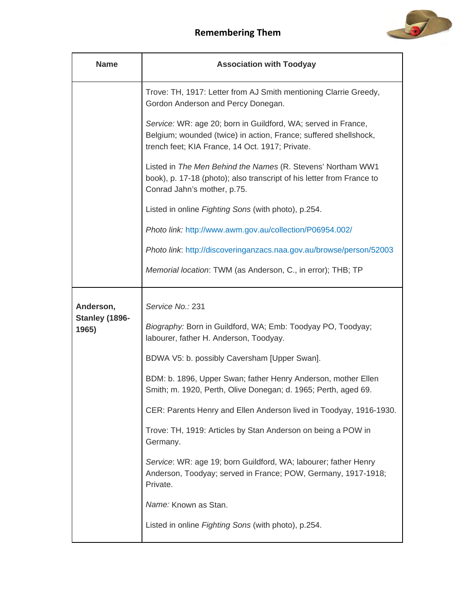

| <b>Name</b>                          | <b>Association with Toodyay</b>                                                                                                                                                      |
|--------------------------------------|--------------------------------------------------------------------------------------------------------------------------------------------------------------------------------------|
|                                      | Trove: TH, 1917: Letter from AJ Smith mentioning Clarrie Greedy,<br>Gordon Anderson and Percy Donegan.                                                                               |
|                                      | Service: WR: age 20; born in Guildford, WA; served in France,<br>Belgium; wounded (twice) in action, France; suffered shellshock,<br>trench feet; KIA France, 14 Oct. 1917; Private. |
|                                      | Listed in The Men Behind the Names (R. Stevens' Northam WW1<br>book), p. 17-18 (photo); also transcript of his letter from France to<br>Conrad Jahn's mother, p.75.                  |
|                                      | Listed in online Fighting Sons (with photo), p.254.                                                                                                                                  |
|                                      | Photo link: http://www.awm.gov.au/collection/P06954.002/                                                                                                                             |
|                                      | Photo link: http://discoveringanzacs.naa.gov.au/browse/person/52003                                                                                                                  |
|                                      | Memorial location: TWM (as Anderson, C., in error); THB; TP                                                                                                                          |
| Anderson,<br>Stanley (1896-<br>1965) | Service No.: 231                                                                                                                                                                     |
|                                      | Biography: Born in Guildford, WA; Emb: Toodyay PO, Toodyay;<br>labourer, father H. Anderson, Toodyay.                                                                                |
|                                      | BDWA V5: b. possibly Caversham [Upper Swan].                                                                                                                                         |
|                                      | BDM: b. 1896, Upper Swan; father Henry Anderson, mother Ellen<br>Smith; m. 1920, Perth, Olive Donegan; d. 1965; Perth, aged 69.                                                      |
|                                      | CER: Parents Henry and Ellen Anderson lived in Toodyay, 1916-1930.                                                                                                                   |
|                                      | Trove: TH, 1919: Articles by Stan Anderson on being a POW in<br>Germany.                                                                                                             |
|                                      | Service: WR: age 19; born Guildford, WA; labourer; father Henry<br>Anderson, Toodyay; served in France; POW, Germany, 1917-1918;<br>Private.                                         |
|                                      | Name: Known as Stan.                                                                                                                                                                 |
|                                      | Listed in online Fighting Sons (with photo), p.254.                                                                                                                                  |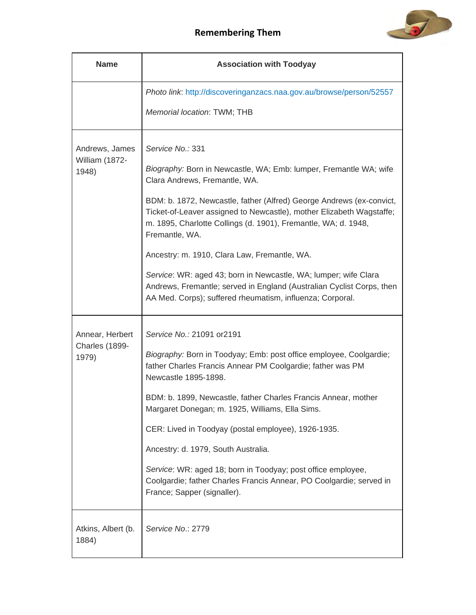



| <b>Name</b>                                | <b>Association with Toodyay</b>                                                                                                                                                                                                                                                                                                                                                                                                                                                                                                                                                                                     |
|--------------------------------------------|---------------------------------------------------------------------------------------------------------------------------------------------------------------------------------------------------------------------------------------------------------------------------------------------------------------------------------------------------------------------------------------------------------------------------------------------------------------------------------------------------------------------------------------------------------------------------------------------------------------------|
|                                            | Photo link: http://discoveringanzacs.naa.gov.au/browse/person/52557<br>Memorial location: TWM; THB                                                                                                                                                                                                                                                                                                                                                                                                                                                                                                                  |
| Andrews, James<br>William (1872-<br>1948)  | Service No.: 331<br>Biography: Born in Newcastle, WA; Emb: lumper, Fremantle WA; wife<br>Clara Andrews, Fremantle, WA.<br>BDM: b. 1872, Newcastle, father (Alfred) George Andrews (ex-convict,<br>Ticket-of-Leaver assigned to Newcastle), mother Elizabeth Wagstaffe;<br>m. 1895, Charlotte Collings (d. 1901), Fremantle, WA; d. 1948,<br>Fremantle, WA.<br>Ancestry: m. 1910, Clara Law, Fremantle, WA.<br>Service: WR: aged 43; born in Newcastle, WA; lumper; wife Clara<br>Andrews, Fremantle; served in England (Australian Cyclist Corps, then<br>AA Med. Corps); suffered rheumatism, influenza; Corporal. |
| Annear, Herbert<br>Charles (1899-<br>1979) | Service No.: 21091 or 2191<br>Biography: Born in Toodyay; Emb: post office employee, Coolgardie;<br>father Charles Francis Annear PM Coolgardie; father was PM<br>Newcastle 1895-1898.<br>BDM: b. 1899, Newcastle, father Charles Francis Annear, mother<br>Margaret Donegan; m. 1925, Williams, Ella Sims.<br>CER: Lived in Toodyay (postal employee), 1926-1935.<br>Ancestry: d. 1979, South Australia.<br>Service: WR: aged 18; born in Toodyay; post office employee,<br>Coolgardie; father Charles Francis Annear, PO Coolgardie; served in<br>France; Sapper (signaller).                                     |
| Atkins, Albert (b.<br>1884)                | Service No.: 2779                                                                                                                                                                                                                                                                                                                                                                                                                                                                                                                                                                                                   |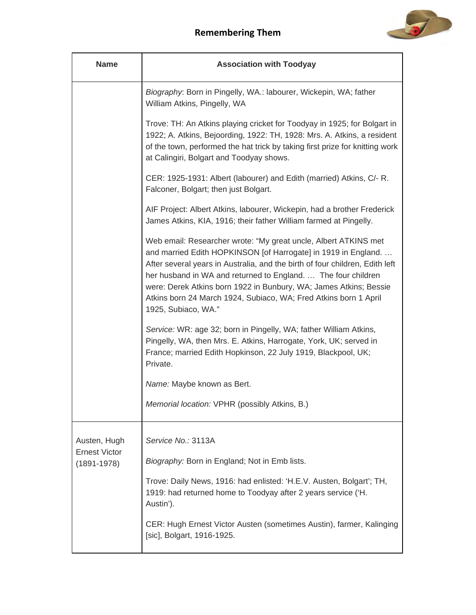

| <b>Name</b>                                             | <b>Association with Toodyay</b>                                                                                                                                                                                                                                                                                                                                                                                                                    |
|---------------------------------------------------------|----------------------------------------------------------------------------------------------------------------------------------------------------------------------------------------------------------------------------------------------------------------------------------------------------------------------------------------------------------------------------------------------------------------------------------------------------|
|                                                         | Biography: Born in Pingelly, WA.: labourer, Wickepin, WA; father<br>William Atkins, Pingelly, WA                                                                                                                                                                                                                                                                                                                                                   |
|                                                         | Trove: TH: An Atkins playing cricket for Toodyay in 1925; for Bolgart in<br>1922; A. Atkins, Bejoording, 1922: TH, 1928: Mrs. A. Atkins, a resident<br>of the town, performed the hat trick by taking first prize for knitting work<br>at Calingiri, Bolgart and Toodyay shows.                                                                                                                                                                    |
|                                                         | CER: 1925-1931: Albert (labourer) and Edith (married) Atkins, C/- R.<br>Falconer, Bolgart; then just Bolgart.                                                                                                                                                                                                                                                                                                                                      |
|                                                         | AIF Project: Albert Atkins, labourer, Wickepin, had a brother Frederick<br>James Atkins, KIA, 1916; their father William farmed at Pingelly.                                                                                                                                                                                                                                                                                                       |
|                                                         | Web email: Researcher wrote: "My great uncle, Albert ATKINS met<br>and married Edith HOPKINSON [of Harrogate] in 1919 in England.<br>After several years in Australia, and the birth of four children, Edith left<br>her husband in WA and returned to England.  The four children<br>were: Derek Atkins born 1922 in Bunbury, WA; James Atkins; Bessie<br>Atkins born 24 March 1924, Subiaco, WA; Fred Atkins born 1 April<br>1925, Subiaco, WA." |
|                                                         | Service: WR: age 32; born in Pingelly, WA; father William Atkins,<br>Pingelly, WA, then Mrs. E. Atkins, Harrogate, York, UK; served in<br>France; married Edith Hopkinson, 22 July 1919, Blackpool, UK;<br>Private.                                                                                                                                                                                                                                |
|                                                         | Name: Maybe known as Bert.                                                                                                                                                                                                                                                                                                                                                                                                                         |
|                                                         | Memorial location: VPHR (possibly Atkins, B.)                                                                                                                                                                                                                                                                                                                                                                                                      |
| Austen, Hugh<br><b>Ernest Victor</b><br>$(1891 - 1978)$ | Service No.: 3113A<br>Biography: Born in England; Not in Emb lists.                                                                                                                                                                                                                                                                                                                                                                                |
|                                                         | Trove: Daily News, 1916: had enlisted: 'H.E.V. Austen, Bolgart'; TH,<br>1919: had returned home to Toodyay after 2 years service ('H.<br>Austin').                                                                                                                                                                                                                                                                                                 |
|                                                         | CER: Hugh Ernest Victor Austen (sometimes Austin), farmer, Kalinging<br>[sic], Bolgart, 1916-1925.                                                                                                                                                                                                                                                                                                                                                 |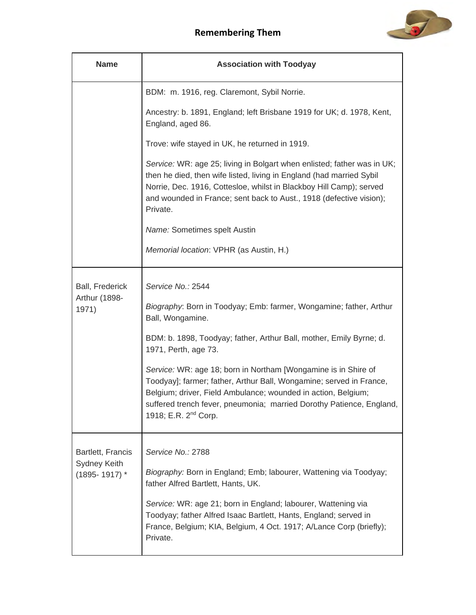

| <b>Name</b>                             | <b>Association with Toodyay</b>                                                                                                                                                                                                                                                                                    |
|-----------------------------------------|--------------------------------------------------------------------------------------------------------------------------------------------------------------------------------------------------------------------------------------------------------------------------------------------------------------------|
|                                         | BDM: m. 1916, reg. Claremont, Sybil Norrie.                                                                                                                                                                                                                                                                        |
|                                         | Ancestry: b. 1891, England; left Brisbane 1919 for UK; d. 1978, Kent,<br>England, aged 86.                                                                                                                                                                                                                         |
|                                         | Trove: wife stayed in UK, he returned in 1919.                                                                                                                                                                                                                                                                     |
|                                         | Service: WR: age 25; living in Bolgart when enlisted; father was in UK;<br>then he died, then wife listed, living in England (had married Sybil<br>Norrie, Dec. 1916, Cottesloe, whilst in Blackboy Hill Camp); served<br>and wounded in France; sent back to Aust., 1918 (defective vision);<br>Private.          |
|                                         | Name: Sometimes spelt Austin                                                                                                                                                                                                                                                                                       |
|                                         | Memorial location: VPHR (as Austin, H.)                                                                                                                                                                                                                                                                            |
| <b>Ball, Frederick</b><br>Arthur (1898- | Service No.: 2544                                                                                                                                                                                                                                                                                                  |
| 1971)                                   | Biography: Born in Toodyay; Emb: farmer, Wongamine; father, Arthur<br>Ball, Wongamine.                                                                                                                                                                                                                             |
|                                         | BDM: b. 1898, Toodyay; father, Arthur Ball, mother, Emily Byrne; d.<br>1971, Perth, age 73.                                                                                                                                                                                                                        |
|                                         | Service: WR: age 18; born in Northam [Wongamine is in Shire of<br>Toodyay]; farmer; father, Arthur Ball, Wongamine; served in France,<br>Belgium; driver, Field Ambulance; wounded in action, Belgium;<br>suffered trench fever, pneumonia; married Dorothy Patience, England,<br>1918; E.R. 2 <sup>nd</sup> Corp. |
| Bartlett, Francis                       | Service No.: 2788                                                                                                                                                                                                                                                                                                  |
| Sydney Keith<br>$(1895 - 1917)$ *       | Biography: Born in England; Emb; labourer, Wattening via Toodyay;<br>father Alfred Bartlett, Hants, UK.                                                                                                                                                                                                            |
|                                         | Service: WR: age 21; born in England; labourer, Wattening via<br>Toodyay; father Alfred Isaac Bartlett, Hants, England; served in<br>France, Belgium; KIA, Belgium, 4 Oct. 1917; A/Lance Corp (briefly);<br>Private.                                                                                               |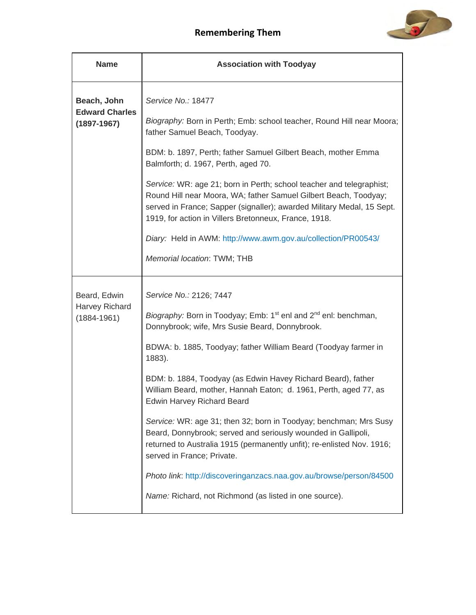

| <b>Name</b>                          | <b>Association with Toodyay</b>                                                                                                                                                                                                                                             |
|--------------------------------------|-----------------------------------------------------------------------------------------------------------------------------------------------------------------------------------------------------------------------------------------------------------------------------|
| Beach, John<br><b>Edward Charles</b> | Service No.: 18477<br>Biography: Born in Perth; Emb: school teacher, Round Hill near Moora;                                                                                                                                                                                 |
| $(1897 - 1967)$                      | father Samuel Beach, Toodyay.                                                                                                                                                                                                                                               |
|                                      | BDM: b. 1897, Perth; father Samuel Gilbert Beach, mother Emma<br>Balmforth; d. 1967, Perth, aged 70.                                                                                                                                                                        |
|                                      | Service: WR: age 21; born in Perth; school teacher and telegraphist;<br>Round Hill near Moora, WA; father Samuel Gilbert Beach, Toodyay;<br>served in France; Sapper (signaller); awarded Military Medal, 15 Sept.<br>1919, for action in Villers Bretonneux, France, 1918. |
|                                      | Diary: Held in AWM: http://www.awm.gov.au/collection/PR00543/                                                                                                                                                                                                               |
|                                      | Memorial location: TWM; THB                                                                                                                                                                                                                                                 |
| Beard, Edwin                         | Service No.: 2126; 7447                                                                                                                                                                                                                                                     |
| Harvey Richard<br>$(1884 - 1961)$    | Biography: Born in Toodyay; Emb: 1 <sup>st</sup> enl and 2 <sup>nd</sup> enl: benchman,<br>Donnybrook; wife, Mrs Susie Beard, Donnybrook.                                                                                                                                   |
|                                      | BDWA: b. 1885, Toodyay; father William Beard (Toodyay farmer in<br>1883).                                                                                                                                                                                                   |
|                                      | BDM: b. 1884, Toodyay (as Edwin Havey Richard Beard), father<br>William Beard, mother, Hannah Eaton; d. 1961, Perth, aged 77, as<br><b>Edwin Harvey Richard Beard</b>                                                                                                       |
|                                      | Service: WR: age 31; then 32; born in Toodyay; benchman; Mrs Susy<br>Beard, Donnybrook; served and seriously wounded in Gallipoli,<br>returned to Australia 1915 (permanently unfit); re-enlisted Nov. 1916;<br>served in France; Private.                                  |
|                                      | Photo link: http://discoveringanzacs.naa.gov.au/browse/person/84500                                                                                                                                                                                                         |
|                                      | Name: Richard, not Richmond (as listed in one source).                                                                                                                                                                                                                      |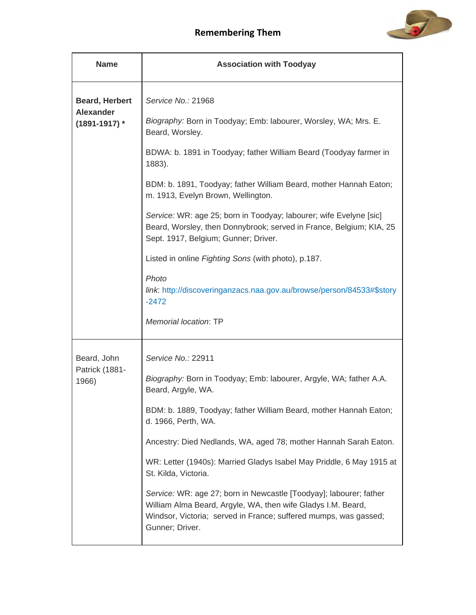

| <b>Name</b>                                                    | <b>Association with Toodyay</b>                                                                                                                                                                                           |
|----------------------------------------------------------------|---------------------------------------------------------------------------------------------------------------------------------------------------------------------------------------------------------------------------|
| <b>Beard, Herbert</b><br><b>Alexander</b><br>$(1891 - 1917)$ * | Service No.: 21968<br>Biography: Born in Toodyay; Emb: labourer, Worsley, WA; Mrs. E.                                                                                                                                     |
|                                                                | Beard, Worsley.                                                                                                                                                                                                           |
|                                                                | BDWA: b. 1891 in Toodyay; father William Beard (Toodyay farmer in<br>1883).                                                                                                                                               |
|                                                                | BDM: b. 1891, Toodyay; father William Beard, mother Hannah Eaton;<br>m. 1913, Evelyn Brown, Wellington.                                                                                                                   |
|                                                                | Service: WR: age 25; born in Toodyay; labourer; wife Evelyne [sic]<br>Beard, Worsley, then Donnybrook; served in France, Belgium; KIA, 25<br>Sept. 1917, Belgium; Gunner; Driver.                                         |
|                                                                | Listed in online Fighting Sons (with photo), p.187.                                                                                                                                                                       |
|                                                                | Photo<br>link: http://discoveringanzacs.naa.gov.au/browse/person/84533#\$story<br>$-2472$                                                                                                                                 |
|                                                                | Memorial location: TP                                                                                                                                                                                                     |
| Beard, John                                                    | Service No.: 22911                                                                                                                                                                                                        |
| Patrick (1881-<br>1966)                                        | Biography: Born in Toodyay; Emb: labourer, Argyle, WA; father A.A.<br>Beard, Argyle, WA.                                                                                                                                  |
|                                                                | BDM: b. 1889, Toodyay; father William Beard, mother Hannah Eaton;<br>d. 1966, Perth, WA.                                                                                                                                  |
|                                                                | Ancestry: Died Nedlands, WA, aged 78; mother Hannah Sarah Eaton.                                                                                                                                                          |
|                                                                | WR: Letter (1940s): Married Gladys Isabel May Priddle, 6 May 1915 at<br>St. Kilda, Victoria.                                                                                                                              |
|                                                                | Service: WR: age 27; born in Newcastle [Toodyay]; labourer; father<br>William Alma Beard, Argyle, WA, then wife Gladys I.M. Beard,<br>Windsor, Victoria; served in France; suffered mumps, was gassed;<br>Gunner; Driver. |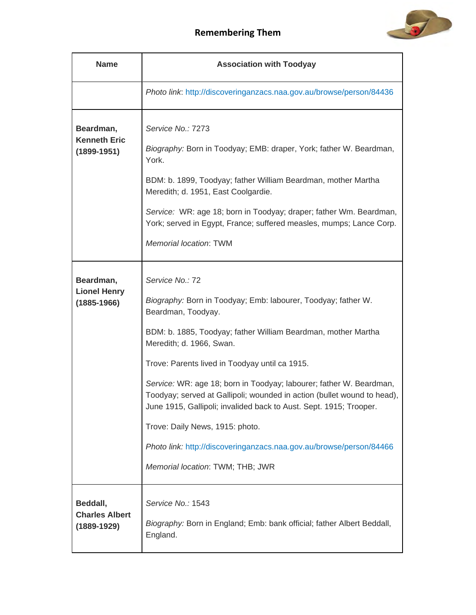



| <b>Name</b>                                          | <b>Association with Toodyay</b>                                                                                                                                                                                                                                                                                                                                                                                                                                                                                                                                                                                             |
|------------------------------------------------------|-----------------------------------------------------------------------------------------------------------------------------------------------------------------------------------------------------------------------------------------------------------------------------------------------------------------------------------------------------------------------------------------------------------------------------------------------------------------------------------------------------------------------------------------------------------------------------------------------------------------------------|
|                                                      | Photo link: http://discoveringanzacs.naa.gov.au/browse/person/84436                                                                                                                                                                                                                                                                                                                                                                                                                                                                                                                                                         |
| Beardman,<br><b>Kenneth Eric</b><br>$(1899 - 1951)$  | Service No.: 7273<br>Biography: Born in Toodyay; EMB: draper, York; father W. Beardman,<br>York.<br>BDM: b. 1899, Toodyay; father William Beardman, mother Martha<br>Meredith; d. 1951, East Coolgardie.<br>Service: WR: age 18; born in Toodyay; draper; father Wm. Beardman,<br>York; served in Egypt, France; suffered measles, mumps; Lance Corp.<br><b>Memorial location: TWM</b>                                                                                                                                                                                                                                      |
| Beardman,<br><b>Lionel Henry</b><br>$(1885 - 1966)$  | Service No.: 72<br>Biography: Born in Toodyay; Emb: labourer, Toodyay; father W.<br>Beardman, Toodyay.<br>BDM: b. 1885, Toodyay; father William Beardman, mother Martha<br>Meredith; d. 1966, Swan.<br>Trove: Parents lived in Toodyay until ca 1915.<br>Service: WR: age 18; born in Toodyay; labourer; father W. Beardman,<br>Toodyay; served at Gallipoli; wounded in action (bullet wound to head),<br>June 1915, Gallipoli; invalided back to Aust. Sept. 1915; Trooper.<br>Trove: Daily News, 1915: photo.<br>Photo link: http://discoveringanzacs.naa.gov.au/browse/person/84466<br>Memorial location: TWM; THB; JWR |
| Beddall,<br><b>Charles Albert</b><br>$(1889 - 1929)$ | Service No.: 1543<br>Biography: Born in England; Emb: bank official; father Albert Beddall,<br>England.                                                                                                                                                                                                                                                                                                                                                                                                                                                                                                                     |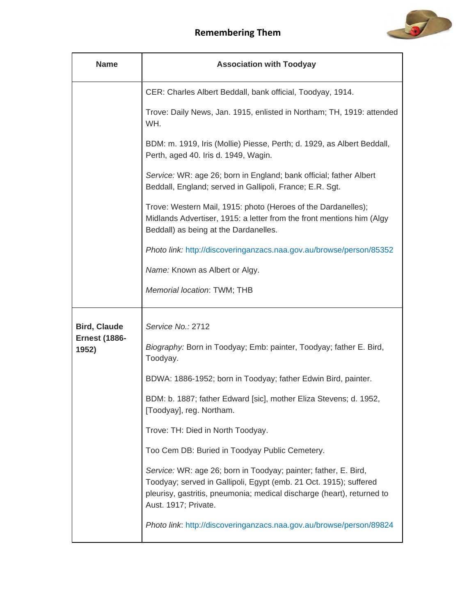

| <b>Name</b>                   | <b>Association with Toodyay</b>                                                                                                                                                                                                        |
|-------------------------------|----------------------------------------------------------------------------------------------------------------------------------------------------------------------------------------------------------------------------------------|
|                               | CER: Charles Albert Beddall, bank official, Toodyay, 1914.                                                                                                                                                                             |
|                               | Trove: Daily News, Jan. 1915, enlisted in Northam; TH, 1919: attended<br>WH.                                                                                                                                                           |
|                               | BDM: m. 1919, Iris (Mollie) Piesse, Perth; d. 1929, as Albert Beddall,<br>Perth, aged 40. Iris d. 1949, Wagin.                                                                                                                         |
|                               | Service: WR: age 26; born in England; bank official; father Albert<br>Beddall, England; served in Gallipoli, France; E.R. Sgt.                                                                                                         |
|                               | Trove: Western Mail, 1915: photo (Heroes of the Dardanelles);<br>Midlands Advertiser, 1915: a letter from the front mentions him (Algy<br>Beddall) as being at the Dardanelles.                                                        |
|                               | Photo link: http://discoveringanzacs.naa.gov.au/browse/person/85352                                                                                                                                                                    |
|                               | Name: Known as Albert or Algy.                                                                                                                                                                                                         |
|                               | Memorial location: TWM; THB                                                                                                                                                                                                            |
| <b>Bird, Claude</b>           | Service No.: 2712                                                                                                                                                                                                                      |
| <b>Ernest (1886-</b><br>1952) | Biography: Born in Toodyay; Emb: painter, Toodyay; father E. Bird,<br>Toodyay.                                                                                                                                                         |
|                               | BDWA: 1886-1952; born in Toodyay; father Edwin Bird, painter.                                                                                                                                                                          |
|                               | BDM: b. 1887; father Edward [sic], mother Eliza Stevens; d. 1952,<br>[Toodyay], reg. Northam.                                                                                                                                          |
|                               | Trove: TH: Died in North Toodyay.                                                                                                                                                                                                      |
|                               | Too Cem DB: Buried in Toodyay Public Cemetery.                                                                                                                                                                                         |
|                               | Service: WR: age 26; born in Toodyay; painter; father, E. Bird,<br>Toodyay; served in Gallipoli, Egypt (emb. 21 Oct. 1915); suffered<br>pleurisy, gastritis, pneumonia; medical discharge (heart), returned to<br>Aust. 1917; Private. |
|                               | Photo link: http://discoveringanzacs.naa.gov.au/browse/person/89824                                                                                                                                                                    |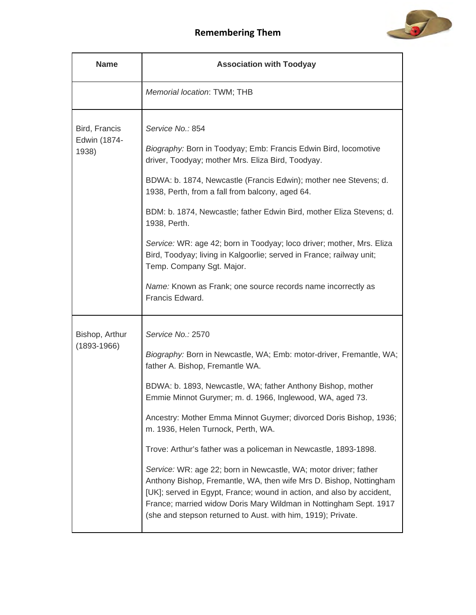

| <b>Name</b>                            | <b>Association with Toodyay</b>                                                                                                                                                                                                                                                                                                                                                                                                                                                                                                                                                                                                                                                                                                                                                               |
|----------------------------------------|-----------------------------------------------------------------------------------------------------------------------------------------------------------------------------------------------------------------------------------------------------------------------------------------------------------------------------------------------------------------------------------------------------------------------------------------------------------------------------------------------------------------------------------------------------------------------------------------------------------------------------------------------------------------------------------------------------------------------------------------------------------------------------------------------|
|                                        | Memorial location: TWM; THB                                                                                                                                                                                                                                                                                                                                                                                                                                                                                                                                                                                                                                                                                                                                                                   |
| Bird, Francis<br>Edwin (1874-<br>1938) | Service No.: 854<br>Biography: Born in Toodyay; Emb: Francis Edwin Bird, locomotive<br>driver, Toodyay; mother Mrs. Eliza Bird, Toodyay.<br>BDWA: b. 1874, Newcastle (Francis Edwin); mother nee Stevens; d.<br>1938, Perth, from a fall from balcony, aged 64.<br>BDM: b. 1874, Newcastle; father Edwin Bird, mother Eliza Stevens; d.<br>1938, Perth.<br>Service: WR: age 42; born in Toodyay; loco driver; mother, Mrs. Eliza<br>Bird, Toodyay; living in Kalgoorlie; served in France; railway unit;<br>Temp. Company Sgt. Major.<br>Name: Known as Frank; one source records name incorrectly as<br>Francis Edward.                                                                                                                                                                      |
| Bishop, Arthur<br>$(1893 - 1966)$      | Service No.: 2570<br>Biography: Born in Newcastle, WA; Emb: motor-driver, Fremantle, WA;<br>father A. Bishop, Fremantle WA.<br>BDWA: b. 1893, Newcastle, WA; father Anthony Bishop, mother<br>Emmie Minnot Gurymer; m. d. 1966, Inglewood, WA, aged 73.<br>Ancestry: Mother Emma Minnot Guymer; divorced Doris Bishop, 1936;<br>m. 1936, Helen Turnock, Perth, WA.<br>Trove: Arthur's father was a policeman in Newcastle, 1893-1898.<br>Service: WR: age 22; born in Newcastle, WA; motor driver; father<br>Anthony Bishop, Fremantle, WA, then wife Mrs D. Bishop, Nottingham<br>[UK]; served in Egypt, France; wound in action, and also by accident,<br>France; married widow Doris Mary Wildman in Nottingham Sept. 1917<br>(she and stepson returned to Aust. with him, 1919); Private. |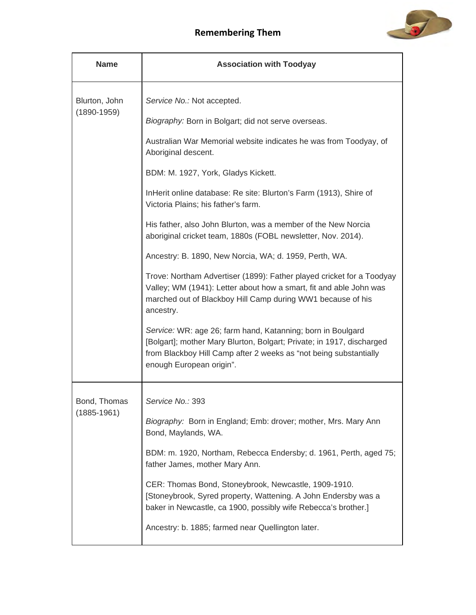



| <b>Name</b>                      | <b>Association with Toodyay</b>                                                                                                                                                                                                       |
|----------------------------------|---------------------------------------------------------------------------------------------------------------------------------------------------------------------------------------------------------------------------------------|
| Blurton, John<br>$(1890 - 1959)$ | Service No.: Not accepted.                                                                                                                                                                                                            |
|                                  | Biography: Born in Bolgart; did not serve overseas.                                                                                                                                                                                   |
|                                  | Australian War Memorial website indicates he was from Toodyay, of<br>Aboriginal descent.                                                                                                                                              |
|                                  | BDM: M. 1927, York, Gladys Kickett.                                                                                                                                                                                                   |
|                                  | InHerit online database: Re site: Blurton's Farm (1913), Shire of<br>Victoria Plains; his father's farm.                                                                                                                              |
|                                  | His father, also John Blurton, was a member of the New Norcia<br>aboriginal cricket team, 1880s (FOBL newsletter, Nov. 2014).                                                                                                         |
|                                  | Ancestry: B. 1890, New Norcia, WA; d. 1959, Perth, WA.                                                                                                                                                                                |
|                                  | Trove: Northam Advertiser (1899): Father played cricket for a Toodyay<br>Valley; WM (1941): Letter about how a smart, fit and able John was<br>marched out of Blackboy Hill Camp during WW1 because of his<br>ancestry.               |
|                                  | Service: WR: age 26; farm hand, Katanning; born in Boulgard<br>[Bolgart]; mother Mary Blurton, Bolgart; Private; in 1917, discharged<br>from Blackboy Hill Camp after 2 weeks as "not being substantially<br>enough European origin". |
| Bond, Thomas                     | Service No.: 393                                                                                                                                                                                                                      |
| $(1885 - 1961)$                  | Biography: Born in England; Emb: drover; mother, Mrs. Mary Ann<br>Bond, Maylands, WA.                                                                                                                                                 |
|                                  | BDM: m. 1920, Northam, Rebecca Endersby; d. 1961, Perth, aged 75;<br>father James, mother Mary Ann.                                                                                                                                   |
|                                  | CER: Thomas Bond, Stoneybrook, Newcastle, 1909-1910.<br>[Stoneybrook, Syred property, Wattening. A John Endersby was a<br>baker in Newcastle, ca 1900, possibly wife Rebecca's brother.]                                              |
|                                  | Ancestry: b. 1885; farmed near Quellington later.                                                                                                                                                                                     |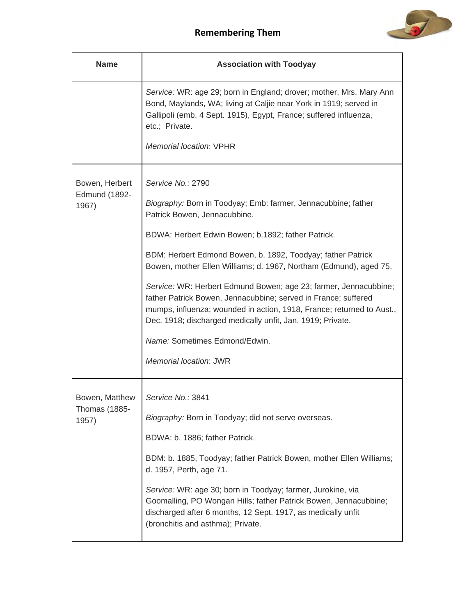

| <b>Name</b>                                     | <b>Association with Toodyay</b>                                                                                                                                                                                                                                                                                                                                                                                                                                                                                                                                                                                                                      |
|-------------------------------------------------|------------------------------------------------------------------------------------------------------------------------------------------------------------------------------------------------------------------------------------------------------------------------------------------------------------------------------------------------------------------------------------------------------------------------------------------------------------------------------------------------------------------------------------------------------------------------------------------------------------------------------------------------------|
|                                                 | Service: WR: age 29; born in England; drover; mother, Mrs. Mary Ann<br>Bond, Maylands, WA; living at Caljie near York in 1919; served in<br>Gallipoli (emb. 4 Sept. 1915), Egypt, France; suffered influenza,<br>etc.; Private.<br>Memorial location; VPHR                                                                                                                                                                                                                                                                                                                                                                                           |
| Bowen, Herbert<br>Edmund (1892-<br>1967)        | Service No.: 2790<br>Biography: Born in Toodyay; Emb: farmer, Jennacubbine; father<br>Patrick Bowen, Jennacubbine.<br>BDWA: Herbert Edwin Bowen; b.1892; father Patrick.<br>BDM: Herbert Edmond Bowen, b. 1892, Toodyay; father Patrick<br>Bowen, mother Ellen Williams; d. 1967, Northam (Edmund), aged 75.<br>Service: WR: Herbert Edmund Bowen; age 23; farmer, Jennacubbine;<br>father Patrick Bowen, Jennacubbine; served in France; suffered<br>mumps, influenza; wounded in action, 1918, France; returned to Aust.,<br>Dec. 1918; discharged medically unfit, Jan. 1919; Private.<br>Name: Sometimes Edmond/Edwin.<br>Memorial location: JWR |
| Bowen, Matthew<br><b>Thomas (1885-</b><br>1957) | Service No.: 3841<br>Biography: Born in Toodyay; did not serve overseas.<br>BDWA: b. 1886; father Patrick.<br>BDM: b. 1885, Toodyay; father Patrick Bowen, mother Ellen Williams;<br>d. 1957, Perth, age 71.<br>Service: WR: age 30; born in Toodyay; farmer, Jurokine, via<br>Goomalling, PO Wongan Hills; father Patrick Bowen, Jennacubbine;<br>discharged after 6 months, 12 Sept. 1917, as medically unfit<br>(bronchitis and asthma); Private.                                                                                                                                                                                                 |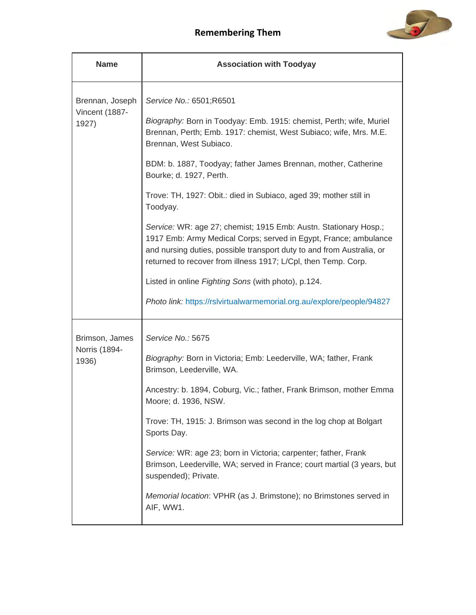

| <b>Name</b>                                | <b>Association with Toodyay</b>                                                                                                                                                                                                                                                                                                                                                                                                                                                                                                                                                                                                                                                                                                                                                                |
|--------------------------------------------|------------------------------------------------------------------------------------------------------------------------------------------------------------------------------------------------------------------------------------------------------------------------------------------------------------------------------------------------------------------------------------------------------------------------------------------------------------------------------------------------------------------------------------------------------------------------------------------------------------------------------------------------------------------------------------------------------------------------------------------------------------------------------------------------|
| Brennan, Joseph<br>Vincent (1887-<br>1927) | Service No.: 6501;R6501<br>Biography: Born in Toodyay: Emb. 1915: chemist, Perth; wife, Muriel<br>Brennan, Perth; Emb. 1917: chemist, West Subiaco; wife, Mrs. M.E.<br>Brennan, West Subiaco.<br>BDM: b. 1887, Toodyay; father James Brennan, mother, Catherine<br>Bourke; d. 1927, Perth.<br>Trove: TH, 1927: Obit.: died in Subiaco, aged 39; mother still in<br>Toodyay.<br>Service: WR: age 27; chemist; 1915 Emb: Austn. Stationary Hosp.;<br>1917 Emb: Army Medical Corps; served in Egypt, France; ambulance<br>and nursing duties, possible transport duty to and from Australia, or<br>returned to recover from illness 1917; L/Cpl, then Temp. Corp.<br>Listed in online Fighting Sons (with photo), p.124.<br>Photo link: https://rslvirtualwarmemorial.org.au/explore/people/94827 |
| Brimson, James<br>Norris (1894-<br>1936)   | Service No.: 5675<br>Biography: Born in Victoria; Emb: Leederville, WA; father, Frank<br>Brimson, Leederville, WA.<br>Ancestry: b. 1894, Coburg, Vic.; father, Frank Brimson, mother Emma<br>Moore; d. 1936, NSW.<br>Trove: TH, 1915: J. Brimson was second in the log chop at Bolgart<br>Sports Day.<br>Service: WR: age 23; born in Victoria; carpenter; father, Frank<br>Brimson, Leederville, WA; served in France; court martial (3 years, but<br>suspended); Private.<br>Memorial location: VPHR (as J. Brimstone); no Brimstones served in<br>AIF, WW1.                                                                                                                                                                                                                                 |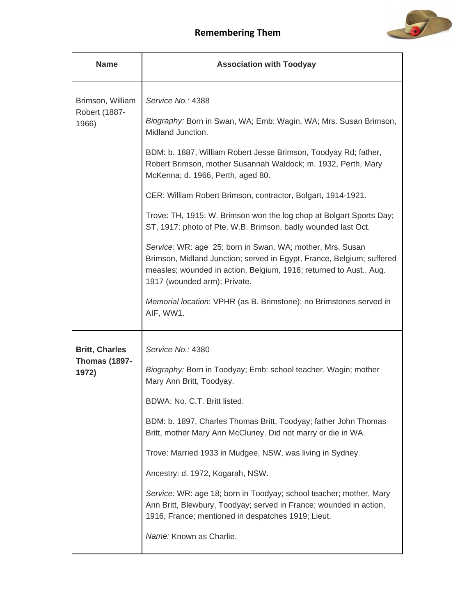

| <b>Name</b>                       | <b>Association with Toodyay</b>                                                                                                                                                                                                          |
|-----------------------------------|------------------------------------------------------------------------------------------------------------------------------------------------------------------------------------------------------------------------------------------|
| Brimson, William<br>Robert (1887- | Service No.: 4388<br>Biography: Born in Swan, WA; Emb: Wagin, WA; Mrs. Susan Brimson,                                                                                                                                                    |
| 1966)                             | Midland Junction.                                                                                                                                                                                                                        |
|                                   | BDM: b. 1887, William Robert Jesse Brimson, Toodyay Rd; father,<br>Robert Brimson, mother Susannah Waldock; m. 1932, Perth, Mary<br>McKenna; d. 1966, Perth, aged 80.                                                                    |
|                                   | CER: William Robert Brimson, contractor, Bolgart, 1914-1921.                                                                                                                                                                             |
|                                   | Trove: TH, 1915: W. Brimson won the log chop at Bolgart Sports Day;<br>ST, 1917: photo of Pte. W.B. Brimson, badly wounded last Oct.                                                                                                     |
|                                   | Service: WR: age 25; born in Swan, WA; mother, Mrs. Susan<br>Brimson, Midland Junction; served in Egypt, France, Belgium; suffered<br>measles; wounded in action, Belgium, 1916; returned to Aust., Aug.<br>1917 (wounded arm); Private. |
|                                   | Memorial location: VPHR (as B. Brimstone); no Brimstones served in<br>AIF, WW1.                                                                                                                                                          |
| <b>Britt, Charles</b>             | Service No.: 4380                                                                                                                                                                                                                        |
| <b>Thomas (1897-</b><br>1972)     | Biography: Born in Toodyay; Emb: school teacher, Wagin; mother<br>Mary Ann Britt, Toodyay.                                                                                                                                               |
|                                   | BDWA: No. C.T. Britt listed.                                                                                                                                                                                                             |
|                                   | BDM: b. 1897, Charles Thomas Britt, Toodyay; father John Thomas<br>Britt, mother Mary Ann McCluney. Did not marry or die in WA.                                                                                                          |
|                                   | Trove: Married 1933 in Mudgee, NSW, was living in Sydney.                                                                                                                                                                                |
|                                   | Ancestry: d. 1972, Kogarah, NSW.                                                                                                                                                                                                         |
|                                   | Service: WR: age 18; born in Toodyay; school teacher; mother, Mary<br>Ann Britt, Blewbury, Toodyay; served in France; wounded in action,<br>1916, France; mentioned in despatches 1919; Lieut.                                           |
|                                   | Name: Known as Charlie.                                                                                                                                                                                                                  |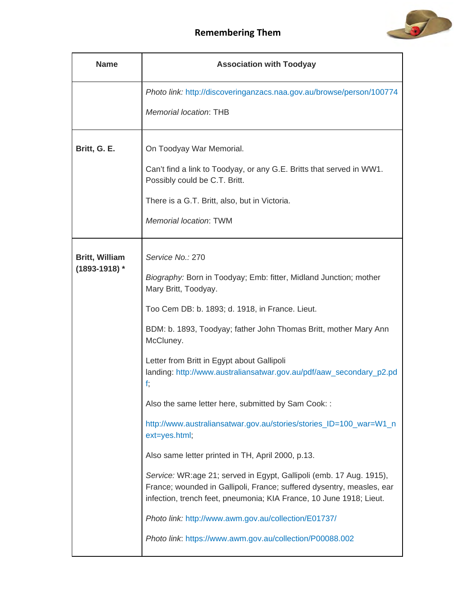



| <b>Name</b>           | <b>Association with Toodyay</b>                                                                                                                                                                                     |
|-----------------------|---------------------------------------------------------------------------------------------------------------------------------------------------------------------------------------------------------------------|
|                       | Photo link: http://discoveringanzacs.naa.gov.au/browse/person/100774                                                                                                                                                |
|                       | Memorial location: THB                                                                                                                                                                                              |
| Britt, G. E.          | On Toodyay War Memorial.                                                                                                                                                                                            |
|                       | Can't find a link to Toodyay, or any G.E. Britts that served in WW1.<br>Possibly could be C.T. Britt.                                                                                                               |
|                       | There is a G.T. Britt, also, but in Victoria.                                                                                                                                                                       |
|                       | <b>Memorial location: TWM</b>                                                                                                                                                                                       |
| <b>Britt, William</b> | Service No.: 270                                                                                                                                                                                                    |
| $(1893 - 1918)$ *     | Biography: Born in Toodyay; Emb: fitter, Midland Junction; mother<br>Mary Britt, Toodyay.                                                                                                                           |
|                       | Too Cem DB: b. 1893; d. 1918, in France. Lieut.                                                                                                                                                                     |
|                       | BDM: b. 1893, Toodyay; father John Thomas Britt, mother Mary Ann<br>McCluney.                                                                                                                                       |
|                       | Letter from Britt in Egypt about Gallipoli<br>landing: http://www.australiansatwar.gov.au/pdf/aaw_secondary_p2.pd<br>f;                                                                                             |
|                       | Also the same letter here, submitted by Sam Cook: :                                                                                                                                                                 |
|                       | http://www.australiansatwar.gov.au/stories/stories_ID=100_war=W1_n<br>ext=yes.html;                                                                                                                                 |
|                       | Also same letter printed in TH, April 2000, p.13.                                                                                                                                                                   |
|                       | Service: WR:age 21; served in Egypt, Gallipoli (emb. 17 Aug. 1915),<br>France; wounded in Gallipoli, France; suffered dysentry, measles, ear<br>infection, trench feet, pneumonia; KIA France, 10 June 1918; Lieut. |
|                       | Photo link: http://www.awm.gov.au/collection/E01737/                                                                                                                                                                |
|                       | Photo link: https://www.awm.gov.au/collection/P00088.002                                                                                                                                                            |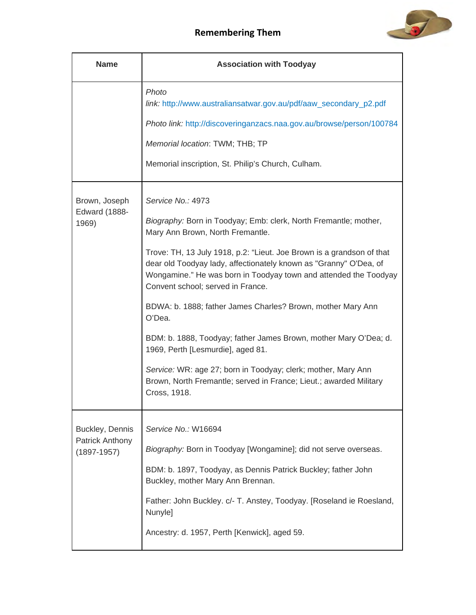

| <b>Name</b>                                                  | <b>Association with Toodyay</b>                                                                                                                                                                                                                                                                                                                                                                                                                                                                                                                                                                                                                                                                                           |
|--------------------------------------------------------------|---------------------------------------------------------------------------------------------------------------------------------------------------------------------------------------------------------------------------------------------------------------------------------------------------------------------------------------------------------------------------------------------------------------------------------------------------------------------------------------------------------------------------------------------------------------------------------------------------------------------------------------------------------------------------------------------------------------------------|
|                                                              | Photo<br>link: http://www.australiansatwar.gov.au/pdf/aaw_secondary_p2.pdf<br>Photo link: http://discoveringanzacs.naa.gov.au/browse/person/100784                                                                                                                                                                                                                                                                                                                                                                                                                                                                                                                                                                        |
|                                                              | Memorial location: TWM; THB; TP<br>Memorial inscription, St. Philip's Church, Culham.                                                                                                                                                                                                                                                                                                                                                                                                                                                                                                                                                                                                                                     |
| Brown, Joseph<br><b>Edward (1888-</b><br>1969)               | Service No.: 4973<br>Biography: Born in Toodyay; Emb: clerk, North Fremantle; mother,<br>Mary Ann Brown, North Fremantle.<br>Trove: TH, 13 July 1918, p.2: "Lieut. Joe Brown is a grandson of that<br>dear old Toodyay lady, affectionately known as "Granny" O'Dea, of<br>Wongamine." He was born in Toodyay town and attended the Toodyay<br>Convent school; served in France.<br>BDWA: b. 1888; father James Charles? Brown, mother Mary Ann<br>O'Dea.<br>BDM: b. 1888, Toodyay; father James Brown, mother Mary O'Dea; d.<br>1969, Perth [Lesmurdie], aged 81.<br>Service: WR: age 27; born in Toodyay; clerk; mother, Mary Ann<br>Brown, North Fremantle; served in France; Lieut.; awarded Military<br>Cross, 1918. |
| Buckley, Dennis<br><b>Patrick Anthony</b><br>$(1897 - 1957)$ | Service No.: W16694<br>Biography: Born in Toodyay [Wongamine]; did not serve overseas.<br>BDM: b. 1897, Toodyay, as Dennis Patrick Buckley; father John<br>Buckley, mother Mary Ann Brennan.<br>Father: John Buckley. c/- T. Anstey, Toodyay. [Roseland ie Roesland,<br>Nunyle]<br>Ancestry: d. 1957, Perth [Kenwick], aged 59.                                                                                                                                                                                                                                                                                                                                                                                           |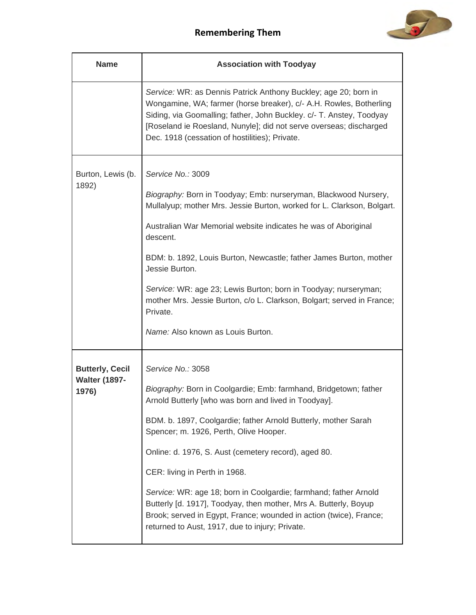

| <b>Name</b>                   | <b>Association with Toodyay</b>                                                                                                                                                                                                                                                                                                       |
|-------------------------------|---------------------------------------------------------------------------------------------------------------------------------------------------------------------------------------------------------------------------------------------------------------------------------------------------------------------------------------|
|                               | Service: WR: as Dennis Patrick Anthony Buckley; age 20; born in<br>Wongamine, WA; farmer (horse breaker), c/- A.H. Rowles, Botherling<br>Siding, via Goomalling; father, John Buckley. c/- T. Anstey, Toodyay<br>[Roseland ie Roesland, Nunyle]; did not serve overseas; discharged<br>Dec. 1918 (cessation of hostilities); Private. |
| Burton, Lewis (b.<br>1892)    | Service No.: 3009                                                                                                                                                                                                                                                                                                                     |
|                               | Biography: Born in Toodyay; Emb: nurseryman, Blackwood Nursery,<br>Mullalyup; mother Mrs. Jessie Burton, worked for L. Clarkson, Bolgart.                                                                                                                                                                                             |
|                               | Australian War Memorial website indicates he was of Aboriginal<br>descent.                                                                                                                                                                                                                                                            |
|                               | BDM: b. 1892, Louis Burton, Newcastle; father James Burton, mother<br>Jessie Burton.                                                                                                                                                                                                                                                  |
|                               | Service: WR: age 23; Lewis Burton; born in Toodyay; nurseryman;<br>mother Mrs. Jessie Burton, c/o L. Clarkson, Bolgart; served in France;<br>Private.                                                                                                                                                                                 |
|                               | Name: Also known as Louis Burton.                                                                                                                                                                                                                                                                                                     |
| <b>Butterly, Cecil</b>        | Service No.: 3058                                                                                                                                                                                                                                                                                                                     |
| <b>Walter (1897-</b><br>1976) | Biography: Born in Coolgardie; Emb: farmhand, Bridgetown; father<br>Arnold Butterly [who was born and lived in Toodyay].                                                                                                                                                                                                              |
|                               | BDM. b. 1897, Coolgardie; father Arnold Butterly, mother Sarah<br>Spencer; m. 1926, Perth, Olive Hooper.                                                                                                                                                                                                                              |
|                               | Online: d. 1976, S. Aust (cemetery record), aged 80.                                                                                                                                                                                                                                                                                  |
|                               | CER: living in Perth in 1968.                                                                                                                                                                                                                                                                                                         |
|                               | Service: WR: age 18; born in Coolgardie; farmhand; father Arnold<br>Butterly [d. 1917], Toodyay, then mother, Mrs A. Butterly, Boyup<br>Brook; served in Egypt, France; wounded in action (twice), France;<br>returned to Aust, 1917, due to injury; Private.                                                                         |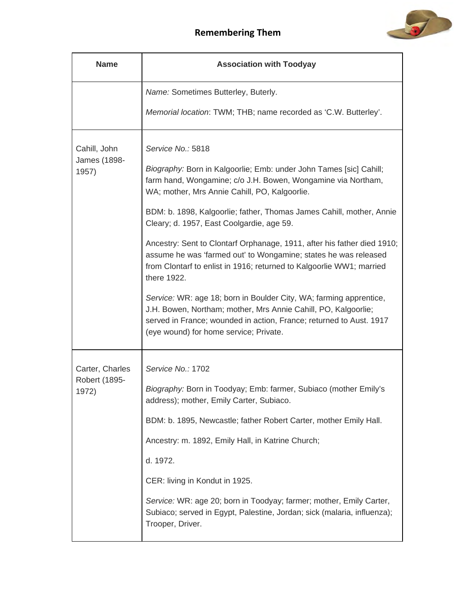

| <b>Name</b>                           | <b>Association with Toodyay</b>                                                                                                                                                                                                                       |
|---------------------------------------|-------------------------------------------------------------------------------------------------------------------------------------------------------------------------------------------------------------------------------------------------------|
|                                       | Name: Sometimes Butterley, Buterly.                                                                                                                                                                                                                   |
|                                       | Memorial location: TWM; THB; name recorded as 'C.W. Butterley'.                                                                                                                                                                                       |
| Cahill, John<br>James (1898-<br>1957) | Service No.: 5818<br>Biography: Born in Kalgoorlie; Emb: under John Tames [sic] Cahill;<br>farm hand, Wongamine; c/o J.H. Bowen, Wongamine via Northam,<br>WA; mother, Mrs Annie Cahill, PO, Kalgoorlie.                                              |
|                                       | BDM: b. 1898, Kalgoorlie; father, Thomas James Cahill, mother, Annie<br>Cleary; d. 1957, East Coolgardie, age 59.                                                                                                                                     |
|                                       | Ancestry: Sent to Clontarf Orphanage, 1911, after his father died 1910;<br>assume he was 'farmed out' to Wongamine; states he was released<br>from Clontarf to enlist in 1916; returned to Kalgoorlie WW1; married<br>there 1922.                     |
|                                       | Service: WR: age 18; born in Boulder City, WA; farming apprentice,<br>J.H. Bowen, Northam; mother, Mrs Annie Cahill, PO, Kalgoorlie;<br>served in France; wounded in action, France; returned to Aust. 1917<br>(eye wound) for home service; Private. |
| Carter, Charles                       | Service No.: 1702                                                                                                                                                                                                                                     |
| Robert (1895-<br>1972)                | Biography: Born in Toodyay; Emb: farmer, Subiaco (mother Emily's<br>address); mother, Emily Carter, Subiaco.                                                                                                                                          |
|                                       | BDM: b. 1895, Newcastle; father Robert Carter, mother Emily Hall.                                                                                                                                                                                     |
|                                       | Ancestry: m. 1892, Emily Hall, in Katrine Church;                                                                                                                                                                                                     |
|                                       | d. 1972.                                                                                                                                                                                                                                              |
|                                       | CER: living in Kondut in 1925.                                                                                                                                                                                                                        |
|                                       | Service: WR: age 20; born in Toodyay; farmer; mother, Emily Carter,<br>Subiaco; served in Egypt, Palestine, Jordan; sick (malaria, influenza);<br>Trooper, Driver.                                                                                    |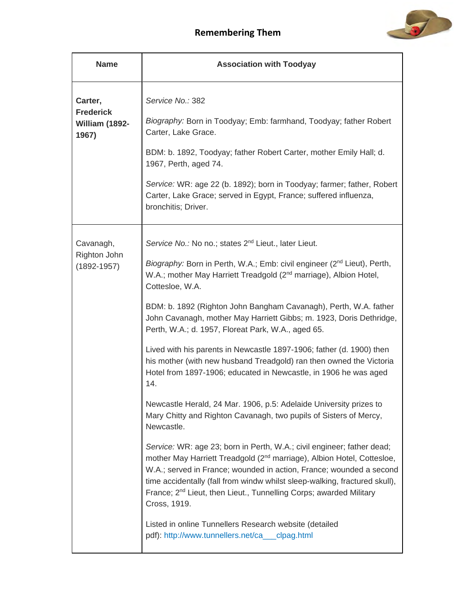

| <b>Name</b>                                            | <b>Association with Toodyay</b>                                                                                                                                                                                                                                                                                                                                                                                                                                                                                                                                                                                                                                                                                                                                                                                                                                                                                                                                                                                                                                                                                                                                                                                                                                                                                                                                                     |
|--------------------------------------------------------|-------------------------------------------------------------------------------------------------------------------------------------------------------------------------------------------------------------------------------------------------------------------------------------------------------------------------------------------------------------------------------------------------------------------------------------------------------------------------------------------------------------------------------------------------------------------------------------------------------------------------------------------------------------------------------------------------------------------------------------------------------------------------------------------------------------------------------------------------------------------------------------------------------------------------------------------------------------------------------------------------------------------------------------------------------------------------------------------------------------------------------------------------------------------------------------------------------------------------------------------------------------------------------------------------------------------------------------------------------------------------------------|
| Carter,<br><b>Frederick</b><br>William (1892-<br>1967) | Service No.: 382<br>Biography: Born in Toodyay; Emb: farmhand, Toodyay; father Robert<br>Carter, Lake Grace.<br>BDM: b. 1892, Toodyay; father Robert Carter, mother Emily Hall; d.<br>1967, Perth, aged 74.<br>Service: WR: age 22 (b. 1892); born in Toodyay; farmer; father, Robert<br>Carter, Lake Grace; served in Egypt, France; suffered influenza,<br>bronchitis; Driver.                                                                                                                                                                                                                                                                                                                                                                                                                                                                                                                                                                                                                                                                                                                                                                                                                                                                                                                                                                                                    |
| Cavanagh,<br>Righton John<br>$(1892 - 1957)$           | Service No.: No no.; states 2 <sup>nd</sup> Lieut., later Lieut.<br>Biography: Born in Perth, W.A.; Emb: civil engineer (2 <sup>nd</sup> Lieut), Perth,<br>W.A.; mother May Harriett Treadgold (2 <sup>nd</sup> marriage), Albion Hotel,<br>Cottesloe, W.A.<br>BDM: b. 1892 (Righton John Bangham Cavanagh), Perth, W.A. father<br>John Cavanagh, mother May Harriett Gibbs; m. 1923, Doris Dethridge,<br>Perth, W.A.; d. 1957, Floreat Park, W.A., aged 65.<br>Lived with his parents in Newcastle 1897-1906; father (d. 1900) then<br>his mother (with new husband Treadgold) ran then owned the Victoria<br>Hotel from 1897-1906; educated in Newcastle, in 1906 he was aged<br>14.<br>Newcastle Herald, 24 Mar. 1906, p.5: Adelaide University prizes to<br>Mary Chitty and Righton Cavanagh, two pupils of Sisters of Mercy,<br>Newcastle.<br>Service: WR: age 23; born in Perth, W.A.; civil engineer; father dead;<br>mother May Harriett Treadgold (2 <sup>nd</sup> marriage), Albion Hotel, Cottesloe,<br>W.A.; served in France; wounded in action, France; wounded a second<br>time accidentally (fall from windw whilst sleep-walking, fractured skull),<br>France; 2 <sup>nd</sup> Lieut, then Lieut., Tunnelling Corps; awarded Military<br>Cross, 1919.<br>Listed in online Tunnellers Research website (detailed<br>pdf): http://www.tunnellers.net/ca___clpag.html |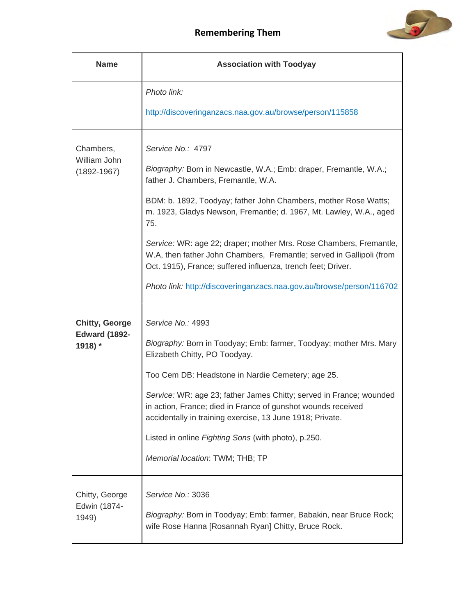

| <b>Name</b>                                              | <b>Association with Toodyay</b>                                                                                                                                                                                                                                                                                                                                                                                                                                                                                                                                     |
|----------------------------------------------------------|---------------------------------------------------------------------------------------------------------------------------------------------------------------------------------------------------------------------------------------------------------------------------------------------------------------------------------------------------------------------------------------------------------------------------------------------------------------------------------------------------------------------------------------------------------------------|
|                                                          | Photo link:                                                                                                                                                                                                                                                                                                                                                                                                                                                                                                                                                         |
|                                                          | http://discoveringanzacs.naa.gov.au/browse/person/115858                                                                                                                                                                                                                                                                                                                                                                                                                                                                                                            |
| Chambers,<br>William John<br>$(1892 - 1967)$             | Service No.: 4797<br>Biography: Born in Newcastle, W.A.; Emb: draper, Fremantle, W.A.;<br>father J. Chambers, Fremantle, W.A.<br>BDM: b. 1892, Toodyay; father John Chambers, mother Rose Watts;<br>m. 1923, Gladys Newson, Fremantle; d. 1967, Mt. Lawley, W.A., aged<br>75.<br>Service: WR: age 22; draper; mother Mrs. Rose Chambers, Fremantle,<br>W.A, then father John Chambers, Fremantle; served in Gallipoli (from<br>Oct. 1915), France; suffered influenza, trench feet; Driver.<br>Photo link: http://discoveringanzacs.naa.gov.au/browse/person/116702 |
| <b>Chitty, George</b><br><b>Edward (1892-</b><br>1918) * | Service No.: 4993<br>Biography: Born in Toodyay; Emb: farmer, Toodyay; mother Mrs. Mary<br>Elizabeth Chitty, PO Toodyay.<br>Too Cem DB: Headstone in Nardie Cemetery; age 25.<br>Service: WR: age 23; father James Chitty; served in France; wounded<br>in action, France; died in France of gunshot wounds received<br>accidentally in training exercise, 13 June 1918; Private.<br>Listed in online Fighting Sons (with photo), p.250.<br>Memorial location: TWM; THB; TP                                                                                         |
| Chitty, George<br>Edwin (1874-<br>1949)                  | Service No.: 3036<br>Biography: Born in Toodyay; Emb: farmer, Babakin, near Bruce Rock;<br>wife Rose Hanna [Rosannah Ryan] Chitty, Bruce Rock.                                                                                                                                                                                                                                                                                                                                                                                                                      |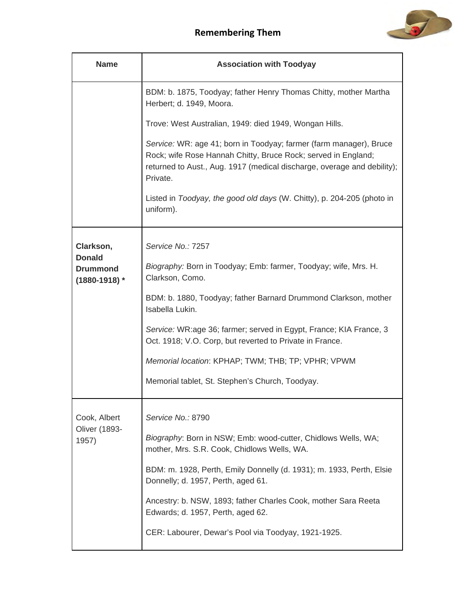

| <b>Name</b>                                           | <b>Association with Toodyay</b>                                                                                                                                                                                            |
|-------------------------------------------------------|----------------------------------------------------------------------------------------------------------------------------------------------------------------------------------------------------------------------------|
|                                                       | BDM: b. 1875, Toodyay; father Henry Thomas Chitty, mother Martha<br>Herbert; d. 1949, Moora.                                                                                                                               |
|                                                       | Trove: West Australian, 1949: died 1949, Wongan Hills.                                                                                                                                                                     |
|                                                       | Service: WR: age 41; born in Toodyay; farmer (farm manager), Bruce<br>Rock; wife Rose Hannah Chitty, Bruce Rock; served in England;<br>returned to Aust., Aug. 1917 (medical discharge, overage and debility);<br>Private. |
|                                                       | Listed in Toodyay, the good old days (W. Chitty), p. 204-205 (photo in<br>uniform).                                                                                                                                        |
| Clarkson,                                             | Service No.: 7257                                                                                                                                                                                                          |
| <b>Donald</b><br><b>Drummond</b><br>$(1880 - 1918)$ * | Biography: Born in Toodyay; Emb: farmer, Toodyay; wife, Mrs. H.<br>Clarkson, Como.                                                                                                                                         |
|                                                       | BDM: b. 1880, Toodyay; father Barnard Drummond Clarkson, mother<br>Isabella Lukin.                                                                                                                                         |
|                                                       | Service: WR:age 36; farmer; served in Egypt, France; KIA France, 3<br>Oct. 1918; V.O. Corp, but reverted to Private in France.                                                                                             |
|                                                       | Memorial location: KPHAP; TWM; THB; TP; VPHR; VPWM                                                                                                                                                                         |
|                                                       | Memorial tablet, St. Stephen's Church, Toodyay.                                                                                                                                                                            |
| Cook, Albert<br><b>Oliver (1893-</b><br>1957)         | Service No.: 8790                                                                                                                                                                                                          |
|                                                       | Biography: Born in NSW; Emb: wood-cutter, Chidlows Wells, WA;<br>mother, Mrs. S.R. Cook, Chidlows Wells, WA.                                                                                                               |
|                                                       | BDM: m. 1928, Perth, Emily Donnelly (d. 1931); m. 1933, Perth, Elsie<br>Donnelly; d. 1957, Perth, aged 61.                                                                                                                 |
|                                                       | Ancestry: b. NSW, 1893; father Charles Cook, mother Sara Reeta<br>Edwards; d. 1957, Perth, aged 62.                                                                                                                        |
|                                                       | CER: Labourer, Dewar's Pool via Toodyay, 1921-1925.                                                                                                                                                                        |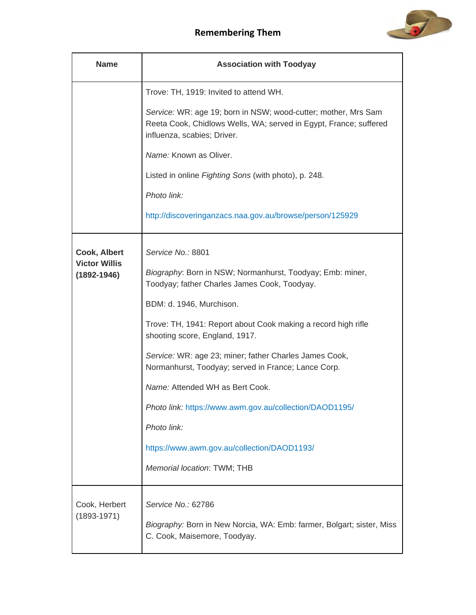

| <b>Name</b>                                             | <b>Association with Toodyay</b>                                                                                                                                                                                                                                                                                                                                                                                                                                                             |
|---------------------------------------------------------|---------------------------------------------------------------------------------------------------------------------------------------------------------------------------------------------------------------------------------------------------------------------------------------------------------------------------------------------------------------------------------------------------------------------------------------------------------------------------------------------|
|                                                         | Trove: TH, 1919: Invited to attend WH.                                                                                                                                                                                                                                                                                                                                                                                                                                                      |
|                                                         | Service: WR: age 19; born in NSW; wood-cutter; mother, Mrs Sam<br>Reeta Cook, Chidlows Wells, WA; served in Egypt, France; suffered<br>influenza, scabies; Driver.                                                                                                                                                                                                                                                                                                                          |
|                                                         | Name: Known as Oliver.                                                                                                                                                                                                                                                                                                                                                                                                                                                                      |
|                                                         | Listed in online Fighting Sons (with photo), p. 248.                                                                                                                                                                                                                                                                                                                                                                                                                                        |
|                                                         | Photo link:                                                                                                                                                                                                                                                                                                                                                                                                                                                                                 |
|                                                         | http://discoveringanzacs.naa.gov.au/browse/person/125929                                                                                                                                                                                                                                                                                                                                                                                                                                    |
| Cook, Albert<br><b>Victor Willis</b><br>$(1892 - 1946)$ | Service No.: 8801<br>Biography: Born in NSW; Normanhurst, Toodyay; Emb: miner,<br>Toodyay; father Charles James Cook, Toodyay.<br>BDM: d. 1946, Murchison.<br>Trove: TH, 1941: Report about Cook making a record high rifle<br>shooting score, England, 1917.<br>Service: WR: age 23; miner; father Charles James Cook,<br>Normanhurst, Toodyay; served in France; Lance Corp.<br>Name: Attended WH as Bert Cook.<br>Photo link: https://www.awm.gov.au/collection/DAOD1195/<br>Photo link: |
|                                                         | https://www.awm.gov.au/collection/DAOD1193/<br>Memorial location: TWM; THB                                                                                                                                                                                                                                                                                                                                                                                                                  |
| Cook, Herbert<br>$(1893 - 1971)$                        | Service No.: 62786<br>Biography: Born in New Norcia, WA: Emb: farmer, Bolgart; sister, Miss<br>C. Cook, Maisemore, Toodyay.                                                                                                                                                                                                                                                                                                                                                                 |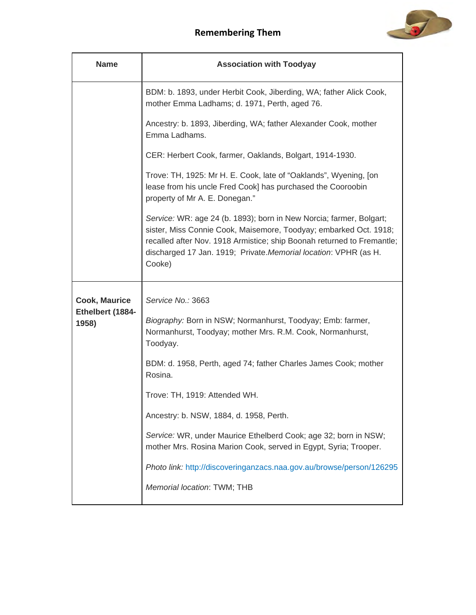

| <b>Name</b>                                       | <b>Association with Toodyay</b>                                                                                                                                                                                                                                                                                                                                                                                                                                                                                                                                  |
|---------------------------------------------------|------------------------------------------------------------------------------------------------------------------------------------------------------------------------------------------------------------------------------------------------------------------------------------------------------------------------------------------------------------------------------------------------------------------------------------------------------------------------------------------------------------------------------------------------------------------|
|                                                   | BDM: b. 1893, under Herbit Cook, Jiberding, WA; father Alick Cook,<br>mother Emma Ladhams; d. 1971, Perth, aged 76.                                                                                                                                                                                                                                                                                                                                                                                                                                              |
|                                                   | Ancestry: b. 1893, Jiberding, WA; father Alexander Cook, mother<br>Emma Ladhams.                                                                                                                                                                                                                                                                                                                                                                                                                                                                                 |
|                                                   | CER: Herbert Cook, farmer, Oaklands, Bolgart, 1914-1930.                                                                                                                                                                                                                                                                                                                                                                                                                                                                                                         |
|                                                   | Trove: TH, 1925: Mr H. E. Cook, late of "Oaklands", Wyening, [on<br>lease from his uncle Fred Cook] has purchased the Cooroobin<br>property of Mr A. E. Donegan."                                                                                                                                                                                                                                                                                                                                                                                                |
|                                                   | Service: WR: age 24 (b. 1893); born in New Norcia; farmer, Bolgart;<br>sister, Miss Connie Cook, Maisemore, Toodyay; embarked Oct. 1918;<br>recalled after Nov. 1918 Armistice; ship Boonah returned to Fremantle;<br>discharged 17 Jan. 1919; Private. Memorial location: VPHR (as H.<br>Cooke)                                                                                                                                                                                                                                                                 |
| <b>Cook, Maurice</b><br>Ethelbert (1884-<br>1958) | Service No.: 3663<br>Biography: Born in NSW; Normanhurst, Toodyay; Emb: farmer,<br>Normanhurst, Toodyay; mother Mrs. R.M. Cook, Normanhurst,<br>Toodyay.<br>BDM: d. 1958, Perth, aged 74; father Charles James Cook; mother<br>Rosina.<br>Trove: TH, 1919: Attended WH.<br>Ancestry: b. NSW, 1884, d. 1958, Perth.<br>Service: WR, under Maurice Ethelberd Cook; age 32; born in NSW;<br>mother Mrs. Rosina Marion Cook, served in Egypt, Syria; Trooper.<br>Photo link: http://discoveringanzacs.naa.gov.au/browse/person/126295<br>Memorial location: TWM; THB |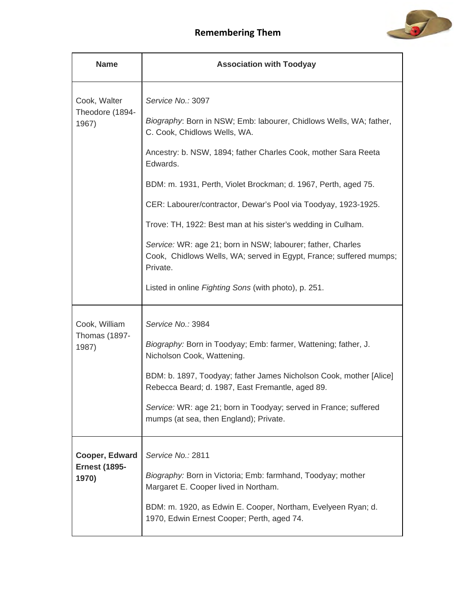

| <b>Name</b>                                     | <b>Association with Toodyay</b>                                                                                                                                                                                                                                                                                                                                                                                                                                                                                                                                                                                    |
|-------------------------------------------------|--------------------------------------------------------------------------------------------------------------------------------------------------------------------------------------------------------------------------------------------------------------------------------------------------------------------------------------------------------------------------------------------------------------------------------------------------------------------------------------------------------------------------------------------------------------------------------------------------------------------|
| Cook, Walter<br>Theodore (1894-<br>1967)        | Service No.: 3097<br>Biography: Born in NSW; Emb: labourer, Chidlows Wells, WA; father,<br>C. Cook, Chidlows Wells, WA.<br>Ancestry: b. NSW, 1894; father Charles Cook, mother Sara Reeta<br>Edwards.<br>BDM: m. 1931, Perth, Violet Brockman; d. 1967, Perth, aged 75.<br>CER: Labourer/contractor, Dewar's Pool via Toodyay, 1923-1925.<br>Trove: TH, 1922: Best man at his sister's wedding in Culham.<br>Service: WR: age 21; born in NSW; labourer; father, Charles<br>Cook, Chidlows Wells, WA; served in Egypt, France; suffered mumps;<br>Private.<br>Listed in online Fighting Sons (with photo), p. 251. |
| Cook, William<br><b>Thomas (1897-</b><br>1987)  | Service No.: 3984<br>Biography: Born in Toodyay; Emb: farmer, Wattening; father, J.<br>Nicholson Cook, Wattening.<br>BDM: b. 1897, Toodyay; father James Nicholson Cook, mother [Alice]<br>Rebecca Beard; d. 1987, East Fremantle, aged 89.<br>Service: WR: age 21; born in Toodyay; served in France; suffered<br>mumps (at sea, then England); Private.                                                                                                                                                                                                                                                          |
| Cooper, Edward<br><b>Ernest (1895-</b><br>1970) | Service No.: 2811<br>Biography: Born in Victoria; Emb: farmhand, Toodyay; mother<br>Margaret E. Cooper lived in Northam.<br>BDM: m. 1920, as Edwin E. Cooper, Northam, Evelyeen Ryan; d.<br>1970, Edwin Ernest Cooper; Perth, aged 74.                                                                                                                                                                                                                                                                                                                                                                             |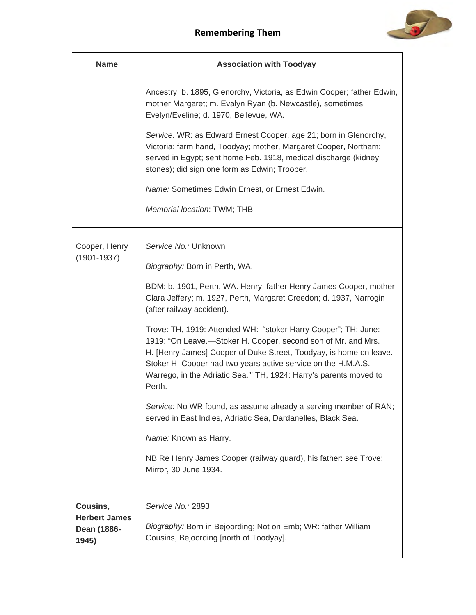

| <b>Name</b>                                              | <b>Association with Toodyay</b>                                                                                                                                                                                                                                                                                                                       |
|----------------------------------------------------------|-------------------------------------------------------------------------------------------------------------------------------------------------------------------------------------------------------------------------------------------------------------------------------------------------------------------------------------------------------|
|                                                          | Ancestry: b. 1895, Glenorchy, Victoria, as Edwin Cooper; father Edwin,<br>mother Margaret; m. Evalyn Ryan (b. Newcastle), sometimes<br>Evelyn/Eveline; d. 1970, Bellevue, WA.                                                                                                                                                                         |
|                                                          | Service: WR: as Edward Ernest Cooper, age 21; born in Glenorchy,<br>Victoria; farm hand, Toodyay; mother, Margaret Cooper, Northam;<br>served in Egypt; sent home Feb. 1918, medical discharge (kidney<br>stones); did sign one form as Edwin; Trooper.                                                                                               |
|                                                          | Name: Sometimes Edwin Ernest, or Ernest Edwin.                                                                                                                                                                                                                                                                                                        |
|                                                          | Memorial location: TWM; THB                                                                                                                                                                                                                                                                                                                           |
| Cooper, Henry<br>$(1901 - 1937)$                         | Service No.: Unknown<br>Biography: Born in Perth, WA.                                                                                                                                                                                                                                                                                                 |
|                                                          | BDM: b. 1901, Perth, WA. Henry; father Henry James Cooper, mother<br>Clara Jeffery; m. 1927, Perth, Margaret Creedon; d. 1937, Narrogin<br>(after railway accident).                                                                                                                                                                                  |
|                                                          | Trove: TH, 1919: Attended WH: "stoker Harry Cooper"; TH: June:<br>1919: "On Leave.—Stoker H. Cooper, second son of Mr. and Mrs.<br>H. [Henry James] Cooper of Duke Street, Toodyay, is home on leave.<br>Stoker H. Cooper had two years active service on the H.M.A.S.<br>Warrego, in the Adriatic Sea." TH, 1924: Harry's parents moved to<br>Perth. |
|                                                          | Service: No WR found, as assume already a serving member of RAN;<br>served in East Indies, Adriatic Sea, Dardanelles, Black Sea.                                                                                                                                                                                                                      |
|                                                          | Name: Known as Harry.                                                                                                                                                                                                                                                                                                                                 |
|                                                          | NB Re Henry James Cooper (railway guard), his father: see Trove:<br>Mirror, 30 June 1934.                                                                                                                                                                                                                                                             |
| Cousins,<br><b>Herbert James</b><br>Dean (1886-<br>1945) | Service No.: 2893<br>Biography: Born in Bejoording; Not on Emb; WR: father William<br>Cousins, Bejoording [north of Toodyay].                                                                                                                                                                                                                         |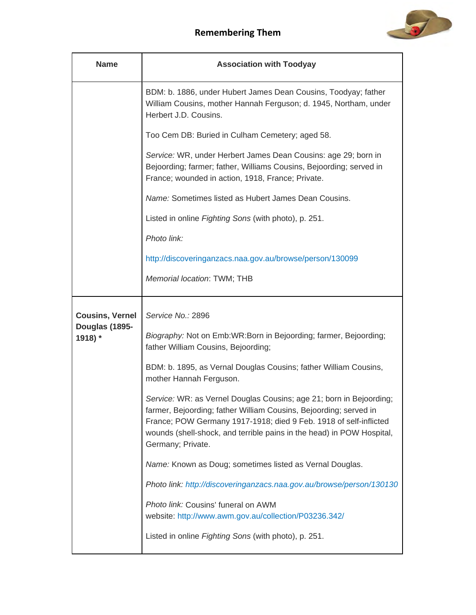

| <b>Name</b>               | <b>Association with Toodyay</b>                                                                                                                                                                                                                                                                             |
|---------------------------|-------------------------------------------------------------------------------------------------------------------------------------------------------------------------------------------------------------------------------------------------------------------------------------------------------------|
|                           | BDM: b. 1886, under Hubert James Dean Cousins, Toodyay; father<br>William Cousins, mother Hannah Ferguson; d. 1945, Northam, under<br>Herbert J.D. Cousins.                                                                                                                                                 |
|                           | Too Cem DB: Buried in Culham Cemetery; aged 58.                                                                                                                                                                                                                                                             |
|                           | Service: WR, under Herbert James Dean Cousins: age 29; born in<br>Bejoording; farmer; father, Williams Cousins, Bejoording; served in<br>France; wounded in action, 1918, France; Private.                                                                                                                  |
|                           | Name: Sometimes listed as Hubert James Dean Cousins.                                                                                                                                                                                                                                                        |
|                           | Listed in online Fighting Sons (with photo), p. 251.                                                                                                                                                                                                                                                        |
|                           | Photo link:                                                                                                                                                                                                                                                                                                 |
|                           | http://discoveringanzacs.naa.gov.au/browse/person/130099                                                                                                                                                                                                                                                    |
|                           | Memorial location: TWM; THB                                                                                                                                                                                                                                                                                 |
| <b>Cousins, Vernel</b>    | Service No.: 2896                                                                                                                                                                                                                                                                                           |
| Douglas (1895-<br>1918) * | Biography: Not on Emb:WR:Born in Bejoording; farmer, Bejoording;<br>father William Cousins, Bejoording;                                                                                                                                                                                                     |
|                           | BDM: b. 1895, as Vernal Douglas Cousins; father William Cousins,<br>mother Hannah Ferguson.                                                                                                                                                                                                                 |
|                           | Service: WR: as Vernel Douglas Cousins; age 21; born in Bejoording;<br>farmer, Bejoording; father William Cousins, Bejoording; served in<br>France; POW Germany 1917-1918; died 9 Feb. 1918 of self-inflicted<br>wounds (shell-shock, and terrible pains in the head) in POW Hospital,<br>Germany; Private. |
|                           | Name: Known as Doug; sometimes listed as Vernal Douglas.                                                                                                                                                                                                                                                    |
|                           | Photo link: http://discoveringanzacs.naa.gov.au/browse/person/130130                                                                                                                                                                                                                                        |
|                           | Photo link: Cousins' funeral on AWM<br>website: http://www.awm.gov.au/collection/P03236.342/                                                                                                                                                                                                                |
|                           | Listed in online Fighting Sons (with photo), p. 251.                                                                                                                                                                                                                                                        |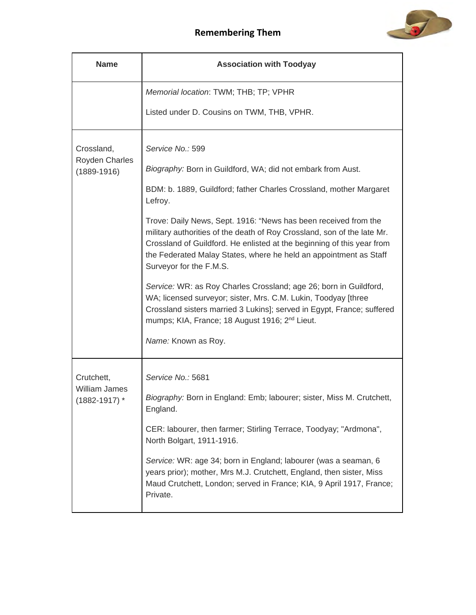



| <b>Name</b>                                             | <b>Association with Toodyay</b>                                                                                                                                                                                                                                                                                      |
|---------------------------------------------------------|----------------------------------------------------------------------------------------------------------------------------------------------------------------------------------------------------------------------------------------------------------------------------------------------------------------------|
|                                                         | Memorial location: TWM; THB; TP; VPHR                                                                                                                                                                                                                                                                                |
|                                                         | Listed under D. Cousins on TWM, THB, VPHR.                                                                                                                                                                                                                                                                           |
| Crossland,                                              | Service No.: 599                                                                                                                                                                                                                                                                                                     |
| <b>Royden Charles</b><br>$(1889 - 1916)$                | Biography: Born in Guildford, WA; did not embark from Aust.                                                                                                                                                                                                                                                          |
|                                                         | BDM: b. 1889, Guildford; father Charles Crossland, mother Margaret<br>Lefroy.                                                                                                                                                                                                                                        |
|                                                         | Trove: Daily News, Sept. 1916: "News has been received from the<br>military authorities of the death of Roy Crossland, son of the late Mr.<br>Crossland of Guildford. He enlisted at the beginning of this year from<br>the Federated Malay States, where he held an appointment as Staff<br>Surveyor for the F.M.S. |
|                                                         | Service: WR: as Roy Charles Crossland; age 26; born in Guildford,<br>WA; licensed surveyor; sister, Mrs. C.M. Lukin, Toodyay [three<br>Crossland sisters married 3 Lukins]; served in Egypt, France; suffered<br>mumps; KIA, France; 18 August 1916; 2 <sup>nd</sup> Lieut.                                          |
|                                                         | Name: Known as Roy.                                                                                                                                                                                                                                                                                                  |
| Crutchett,<br><b>William James</b><br>$(1882 - 1917)$ * | Service No.: 5681                                                                                                                                                                                                                                                                                                    |
|                                                         | Biography: Born in England: Emb; labourer; sister, Miss M. Crutchett,<br>England.                                                                                                                                                                                                                                    |
|                                                         | CER: labourer, then farmer; Stirling Terrace, Toodyay; "Ardmona",<br>North Bolgart, 1911-1916.                                                                                                                                                                                                                       |
|                                                         | Service: WR: age 34; born in England; labourer (was a seaman, 6<br>years prior); mother, Mrs M.J. Crutchett, England, then sister, Miss<br>Maud Crutchett, London; served in France; KIA, 9 April 1917, France;<br>Private.                                                                                          |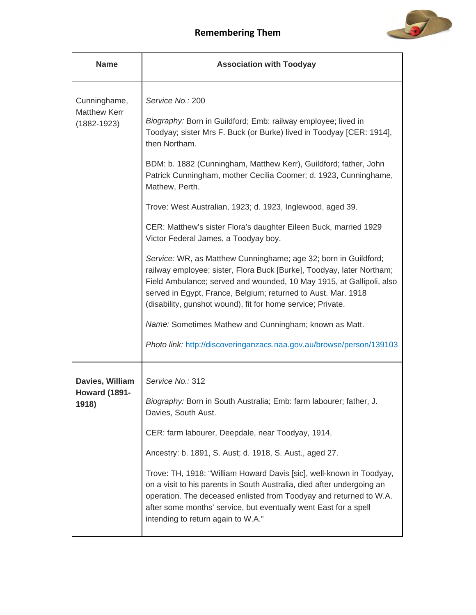

| <b>Name</b>                                      | <b>Association with Toodyay</b>                                                                                                                                                                                                                                                                                                                  |
|--------------------------------------------------|--------------------------------------------------------------------------------------------------------------------------------------------------------------------------------------------------------------------------------------------------------------------------------------------------------------------------------------------------|
| Cunninghame,                                     | Service No.: 200                                                                                                                                                                                                                                                                                                                                 |
| <b>Matthew Kerr</b><br>$(1882 - 1923)$           | Biography: Born in Guildford; Emb: railway employee; lived in<br>Toodyay; sister Mrs F. Buck (or Burke) lived in Toodyay [CER: 1914],<br>then Northam.                                                                                                                                                                                           |
|                                                  | BDM: b. 1882 (Cunningham, Matthew Kerr), Guildford; father, John<br>Patrick Cunningham, mother Cecilia Coomer; d. 1923, Cunninghame,<br>Mathew, Perth.                                                                                                                                                                                           |
|                                                  | Trove: West Australian, 1923; d. 1923, Inglewood, aged 39.                                                                                                                                                                                                                                                                                       |
|                                                  | CER: Matthew's sister Flora's daughter Eileen Buck, married 1929<br>Victor Federal James, a Toodyay boy.                                                                                                                                                                                                                                         |
|                                                  | Service: WR, as Matthew Cunninghame; age 32; born in Guildford;<br>railway employee; sister, Flora Buck [Burke], Toodyay, later Northam;<br>Field Ambulance; served and wounded, 10 May 1915, at Gallipoli, also<br>served in Egypt, France, Belgium; returned to Aust. Mar. 1918<br>(disability, gunshot wound), fit for home service; Private. |
|                                                  | Name: Sometimes Mathew and Cunningham; known as Matt.                                                                                                                                                                                                                                                                                            |
|                                                  | Photo link: http://discoveringanzacs.naa.gov.au/browse/person/139103                                                                                                                                                                                                                                                                             |
| Davies, William<br><b>Howard (1891-</b><br>1918) | Service No.: 312                                                                                                                                                                                                                                                                                                                                 |
|                                                  | Biography: Born in South Australia; Emb: farm labourer; father, J.<br>Davies, South Aust.                                                                                                                                                                                                                                                        |
|                                                  | CER: farm labourer, Deepdale, near Toodyay, 1914.                                                                                                                                                                                                                                                                                                |
|                                                  | Ancestry: b. 1891, S. Aust; d. 1918, S. Aust., aged 27.                                                                                                                                                                                                                                                                                          |
|                                                  | Trove: TH, 1918: "William Howard Davis [sic], well-known in Toodyay,<br>on a visit to his parents in South Australia, died after undergoing an<br>operation. The deceased enlisted from Toodyay and returned to W.A.<br>after some months' service, but eventually went East for a spell<br>intending to return again to W.A."                   |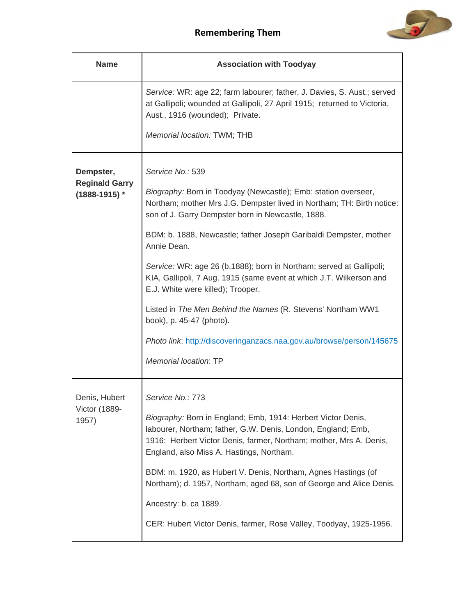

| <b>Name</b>                                             | <b>Association with Toodyay</b>                                                                                                                                                                                                                                                                                                                                                                                                                                                                                                                                                                                                                                                     |
|---------------------------------------------------------|-------------------------------------------------------------------------------------------------------------------------------------------------------------------------------------------------------------------------------------------------------------------------------------------------------------------------------------------------------------------------------------------------------------------------------------------------------------------------------------------------------------------------------------------------------------------------------------------------------------------------------------------------------------------------------------|
|                                                         | Service: WR: age 22; farm labourer; father, J. Davies, S. Aust.; served<br>at Gallipoli; wounded at Gallipoli, 27 April 1915; returned to Victoria,<br>Aust., 1916 (wounded); Private.<br>Memorial location: TWM; THB                                                                                                                                                                                                                                                                                                                                                                                                                                                               |
| Dempster,<br><b>Reginald Garry</b><br>$(1888 - 1915)$ * | Service No.: 539<br>Biography: Born in Toodyay (Newcastle); Emb: station overseer,<br>Northam; mother Mrs J.G. Dempster lived in Northam; TH: Birth notice:<br>son of J. Garry Dempster born in Newcastle, 1888.<br>BDM: b. 1888, Newcastle; father Joseph Garibaldi Dempster, mother<br>Annie Dean.<br>Service: WR: age 26 (b.1888); born in Northam; served at Gallipoli;<br>KIA, Gallipoli, 7 Aug. 1915 (same event at which J.T. Wilkerson and<br>E.J. White were killed); Trooper.<br>Listed in The Men Behind the Names (R. Stevens' Northam WW1<br>book), p. 45-47 (photo).<br>Photo link: http://discoveringanzacs.naa.gov.au/browse/person/145675<br>Memorial location: TP |
| Denis, Hubert<br>Victor (1889-<br>1957)                 | Service No.: 773<br>Biography: Born in England; Emb, 1914: Herbert Victor Denis,<br>labourer, Northam; father, G.W. Denis, London, England; Emb,<br>1916: Herbert Victor Denis, farmer, Northam; mother, Mrs A. Denis,<br>England, also Miss A. Hastings, Northam.<br>BDM: m. 1920, as Hubert V. Denis, Northam, Agnes Hastings (of<br>Northam); d. 1957, Northam, aged 68, son of George and Alice Denis.<br>Ancestry: b. ca 1889.<br>CER: Hubert Victor Denis, farmer, Rose Valley, Toodyay, 1925-1956.                                                                                                                                                                           |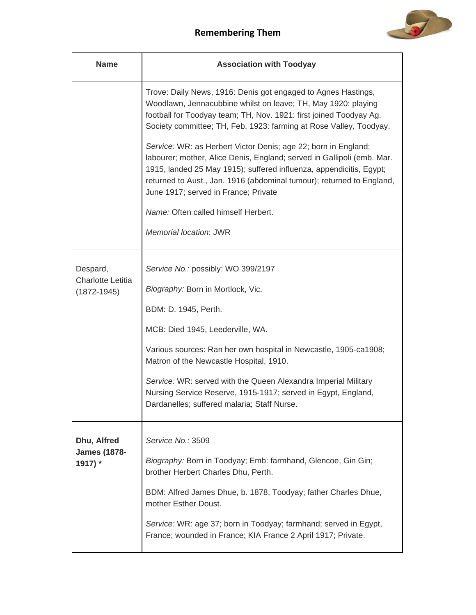

| <b>Name</b>                                 | <b>Association with Toodyay</b>                                                                                                                                                                                                                                                                                                  |
|---------------------------------------------|----------------------------------------------------------------------------------------------------------------------------------------------------------------------------------------------------------------------------------------------------------------------------------------------------------------------------------|
|                                             | Trove: Daily News, 1916: Denis got engaged to Agnes Hastings,<br>Woodlawn, Jennacubbine whilst on leave; TH, May 1920: playing<br>football for Toodyay team; TH, Nov. 1921: first joined Toodyay Ag.<br>Society committee; TH, Feb. 1923: farming at Rose Valley, Toodyay.                                                       |
|                                             | Service: WR: as Herbert Victor Denis; age 22; born in England;<br>labourer; mother, Alice Denis, England; served in Gallipoli (emb. Mar.<br>1915, landed 25 May 1915); suffered influenza, appendicitis, Egypt;<br>returned to Aust., Jan. 1916 (abdominal tumour); returned to England,<br>June 1917; served in France; Private |
|                                             | Name: Often called himself Herbert.                                                                                                                                                                                                                                                                                              |
|                                             | Memorial location: JWR                                                                                                                                                                                                                                                                                                           |
| Despard,                                    | Service No.: possibly: WO 399/2197                                                                                                                                                                                                                                                                                               |
| <b>Charlotte Letitia</b><br>$(1872 - 1945)$ | Biography: Born in Mortlock, Vic.                                                                                                                                                                                                                                                                                                |
|                                             | BDM: D. 1945, Perth.                                                                                                                                                                                                                                                                                                             |
|                                             | MCB: Died 1945, Leederville, WA.                                                                                                                                                                                                                                                                                                 |
|                                             | Various sources: Ran her own hospital in Newcastle, 1905-ca1908;<br>Matron of the Newcastle Hospital, 1910.                                                                                                                                                                                                                      |
|                                             | Service: WR: served with the Queen Alexandra Imperial Military<br>Nursing Service Reserve, 1915-1917; served in Egypt, England,<br>Dardanelles; suffered malaria; Staff Nurse.                                                                                                                                                   |
| Dhu, Alfred                                 | Service No.: 3509                                                                                                                                                                                                                                                                                                                |
| <b>James (1878-</b><br>1917) *              | Biography: Born in Toodyay; Emb: farmhand, Glencoe, Gin Gin;<br>brother Herbert Charles Dhu, Perth.                                                                                                                                                                                                                              |
|                                             | BDM: Alfred James Dhue, b. 1878, Toodyay; father Charles Dhue,<br>mother Esther Doust.                                                                                                                                                                                                                                           |
|                                             | Service: WR: age 37; born in Toodyay; farmhand; served in Egypt,<br>France; wounded in France; KIA France 2 April 1917; Private.                                                                                                                                                                                                 |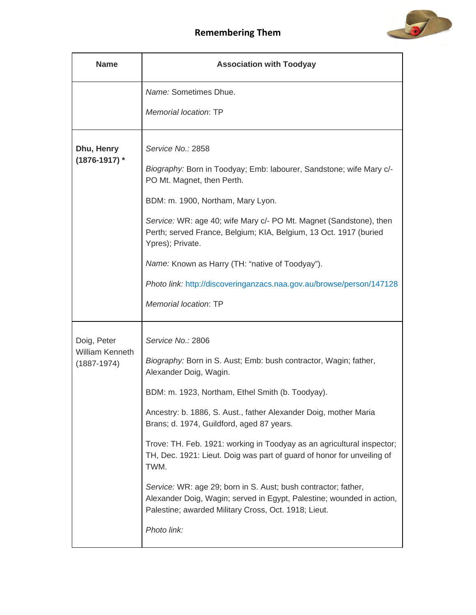



| <b>Name</b>                               | <b>Association with Toodyay</b>                                                                                                                                                                 |
|-------------------------------------------|-------------------------------------------------------------------------------------------------------------------------------------------------------------------------------------------------|
|                                           | Name: Sometimes Dhue.                                                                                                                                                                           |
|                                           | Memorial location: TP                                                                                                                                                                           |
| Dhu, Henry<br>$(1876 - 1917)$ *           | Service No.: 2858                                                                                                                                                                               |
|                                           | Biography: Born in Toodyay; Emb: labourer, Sandstone; wife Mary c/-<br>PO Mt. Magnet, then Perth.                                                                                               |
|                                           | BDM: m. 1900, Northam, Mary Lyon.                                                                                                                                                               |
|                                           | Service: WR: age 40; wife Mary c/- PO Mt. Magnet (Sandstone), then<br>Perth; served France, Belgium; KIA, Belgium, 13 Oct. 1917 (buried<br>Ypres); Private.                                     |
|                                           | Name: Known as Harry (TH: "native of Toodyay").                                                                                                                                                 |
|                                           | Photo link: http://discoveringanzacs.naa.gov.au/browse/person/147128                                                                                                                            |
|                                           | Memorial location: TP                                                                                                                                                                           |
| Doig, Peter                               | Service No.: 2806                                                                                                                                                                               |
| <b>William Kenneth</b><br>$(1887 - 1974)$ | Biography: Born in S. Aust; Emb: bush contractor, Wagin; father,<br>Alexander Doig, Wagin.                                                                                                      |
|                                           | BDM: m. 1923, Northam, Ethel Smith (b. Toodyay).                                                                                                                                                |
|                                           | Ancestry: b. 1886, S. Aust., father Alexander Doig, mother Maria<br>Brans; d. 1974, Guildford, aged 87 years.                                                                                   |
|                                           | Trove: TH. Feb. 1921: working in Toodyay as an agricultural inspector;<br>TH, Dec. 1921: Lieut. Doig was part of guard of honor for unveiling of<br>TWM.                                        |
|                                           | Service: WR: age 29; born in S. Aust; bush contractor; father,<br>Alexander Doig, Wagin; served in Egypt, Palestine; wounded in action,<br>Palestine; awarded Military Cross, Oct. 1918; Lieut. |
|                                           | Photo link:                                                                                                                                                                                     |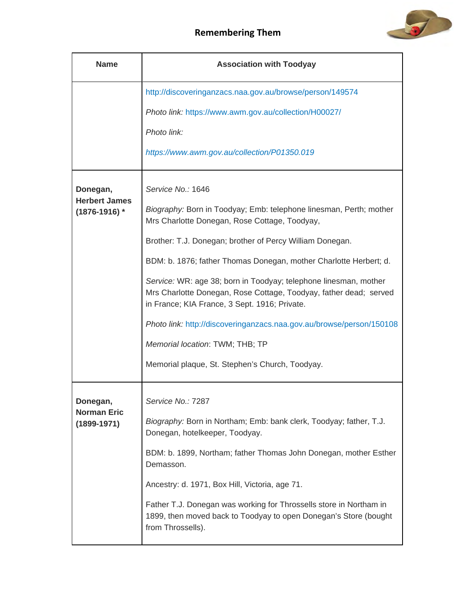

| <b>Name</b>                               | <b>Association with Toodyay</b>                                                                                                                                                        |
|-------------------------------------------|----------------------------------------------------------------------------------------------------------------------------------------------------------------------------------------|
|                                           | http://discoveringanzacs.naa.gov.au/browse/person/149574                                                                                                                               |
|                                           | Photo link: https://www.awm.gov.au/collection/H00027/                                                                                                                                  |
|                                           | Photo link:                                                                                                                                                                            |
|                                           | https://www.awm.gov.au/collection/P01350.019                                                                                                                                           |
| Donegan,                                  | Service No.: 1646                                                                                                                                                                      |
| <b>Herbert James</b><br>$(1876 - 1916)$ * | Biography: Born in Toodyay; Emb: telephone linesman, Perth; mother<br>Mrs Charlotte Donegan, Rose Cottage, Toodyay,                                                                    |
|                                           | Brother: T.J. Donegan; brother of Percy William Donegan.                                                                                                                               |
|                                           | BDM: b. 1876; father Thomas Donegan, mother Charlotte Herbert; d.                                                                                                                      |
|                                           | Service: WR: age 38; born in Toodyay; telephone linesman, mother<br>Mrs Charlotte Donegan, Rose Cottage, Toodyay, father dead; served<br>in France; KIA France, 3 Sept. 1916; Private. |
|                                           | Photo link: http://discoveringanzacs.naa.gov.au/browse/person/150108                                                                                                                   |
|                                           | Memorial location: TWM; THB; TP                                                                                                                                                        |
|                                           | Memorial plaque, St. Stephen's Church, Toodyay.                                                                                                                                        |
| Donegan,                                  | Service No.: 7287                                                                                                                                                                      |
| <b>Norman Eric</b><br>$(1899 - 1971)$     | Biography: Born in Northam; Emb: bank clerk, Toodyay; father, T.J.<br>Donegan, hotelkeeper, Toodyay.                                                                                   |
|                                           | BDM: b. 1899, Northam; father Thomas John Donegan, mother Esther<br>Demasson.                                                                                                          |
|                                           | Ancestry: d. 1971, Box Hill, Victoria, age 71.                                                                                                                                         |
|                                           | Father T.J. Donegan was working for Throssells store in Northam in<br>1899, then moved back to Toodyay to open Donegan's Store (bought<br>from Throssells).                            |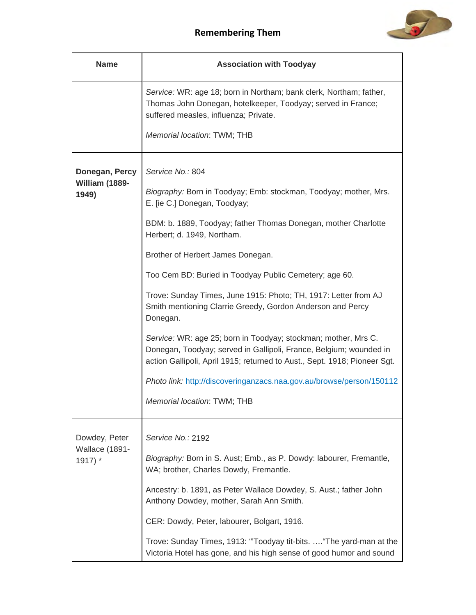

| <b>Name</b>                                | <b>Association with Toodyay</b>                                                                                                                                                                                   |
|--------------------------------------------|-------------------------------------------------------------------------------------------------------------------------------------------------------------------------------------------------------------------|
|                                            | Service: WR: age 18; born in Northam; bank clerk, Northam; father,<br>Thomas John Donegan, hotelkeeper, Toodyay; served in France;<br>suffered measles, influenza; Private.                                       |
|                                            | Memorial location: TWM; THB                                                                                                                                                                                       |
| Donegan, Percy<br>William (1889-           | Service No.: 804                                                                                                                                                                                                  |
| 1949)                                      | Biography: Born in Toodyay; Emb: stockman, Toodyay; mother, Mrs.<br>E. [ie C.] Donegan, Toodyay;                                                                                                                  |
|                                            | BDM: b. 1889, Toodyay; father Thomas Donegan, mother Charlotte<br>Herbert; d. 1949, Northam.                                                                                                                      |
|                                            | Brother of Herbert James Donegan.                                                                                                                                                                                 |
|                                            | Too Cem BD: Buried in Toodyay Public Cemetery; age 60.                                                                                                                                                            |
|                                            | Trove: Sunday Times, June 1915: Photo; TH, 1917: Letter from AJ<br>Smith mentioning Clarrie Greedy, Gordon Anderson and Percy<br>Donegan.                                                                         |
|                                            | Service: WR: age 25; born in Toodyay; stockman; mother, Mrs C.<br>Donegan, Toodyay; served in Gallipoli, France, Belgium; wounded in<br>action Gallipoli, April 1915; returned to Aust., Sept. 1918; Pioneer Sgt. |
|                                            | Photo link: http://discoveringanzacs.naa.gov.au/browse/person/150112                                                                                                                                              |
|                                            | Memorial location: TWM; THB                                                                                                                                                                                       |
| Dowdey, Peter<br>Wallace (1891-<br>1917) * | Service No.: 2192                                                                                                                                                                                                 |
|                                            | Biography: Born in S. Aust; Emb., as P. Dowdy: labourer, Fremantle,<br>WA; brother, Charles Dowdy, Fremantle.                                                                                                     |
|                                            | Ancestry: b. 1891, as Peter Wallace Dowdey, S. Aust.; father John<br>Anthony Dowdey, mother, Sarah Ann Smith.                                                                                                     |
|                                            | CER: Dowdy, Peter, labourer, Bolgart, 1916.                                                                                                                                                                       |
|                                            | Trove: Sunday Times, 1913: "Toodyay tit-bits.  "The yard-man at the<br>Victoria Hotel has gone, and his high sense of good humor and sound                                                                        |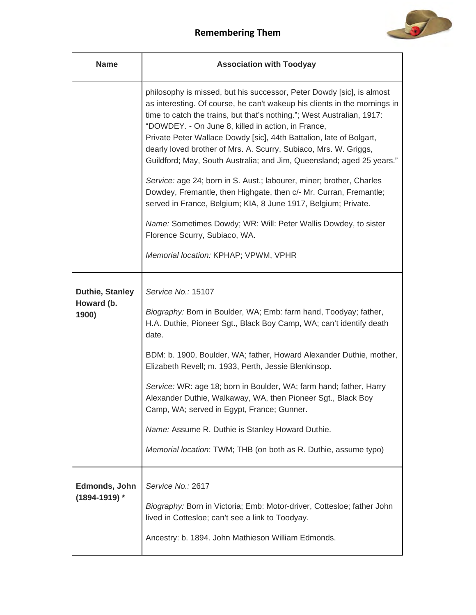

| <b>Name</b>                                   | <b>Association with Toodyay</b>                                                                                                                                                                                                                                                                                                                                                                                                                                                                                                                                                                                                                                                                                                                                                                                                                                   |
|-----------------------------------------------|-------------------------------------------------------------------------------------------------------------------------------------------------------------------------------------------------------------------------------------------------------------------------------------------------------------------------------------------------------------------------------------------------------------------------------------------------------------------------------------------------------------------------------------------------------------------------------------------------------------------------------------------------------------------------------------------------------------------------------------------------------------------------------------------------------------------------------------------------------------------|
|                                               | philosophy is missed, but his successor, Peter Dowdy [sic], is almost<br>as interesting. Of course, he can't wakeup his clients in the mornings in<br>time to catch the trains, but that's nothing."; West Australian, 1917:<br>"DOWDEY. - On June 8, killed in action, in France,<br>Private Peter Wallace Dowdy [sic], 44th Battalion, late of Bolgart,<br>dearly loved brother of Mrs. A. Scurry, Subiaco, Mrs. W. Griggs,<br>Guildford; May, South Australia; and Jim, Queensland; aged 25 years."<br>Service: age 24; born in S. Aust.; labourer, miner; brother, Charles<br>Dowdey, Fremantle, then Highgate, then c/- Mr. Curran, Fremantle;<br>served in France, Belgium; KIA, 8 June 1917, Belgium; Private.<br>Name: Sometimes Dowdy; WR: Will: Peter Wallis Dowdey, to sister<br>Florence Scurry, Subiaco, WA.<br>Memorial location: KPHAP; VPWM, VPHR |
| <b>Duthie, Stanley</b><br>Howard (b.<br>1900) | Service No.: 15107<br>Biography: Born in Boulder, WA; Emb: farm hand, Toodyay; father,<br>H.A. Duthie, Pioneer Sgt., Black Boy Camp, WA; can't identify death<br>date.<br>BDM: b. 1900, Boulder, WA; father, Howard Alexander Duthie, mother,<br>Elizabeth Revell; m. 1933, Perth, Jessie Blenkinsop.<br>Service: WR: age 18; born in Boulder, WA; farm hand; father, Harry<br>Alexander Duthie, Walkaway, WA, then Pioneer Sgt., Black Boy<br>Camp, WA; served in Egypt, France; Gunner.<br>Name: Assume R. Duthie is Stanley Howard Duthie.<br>Memorial location: TWM; THB (on both as R. Duthie, assume typo)                                                                                                                                                                                                                                                  |
| Edmonds, John<br>$(1894 - 1919)$ *            | Service No.: 2617<br>Biography: Born in Victoria; Emb: Motor-driver, Cottesloe; father John<br>lived in Cottesloe; can't see a link to Toodyay.<br>Ancestry: b. 1894. John Mathieson William Edmonds.                                                                                                                                                                                                                                                                                                                                                                                                                                                                                                                                                                                                                                                             |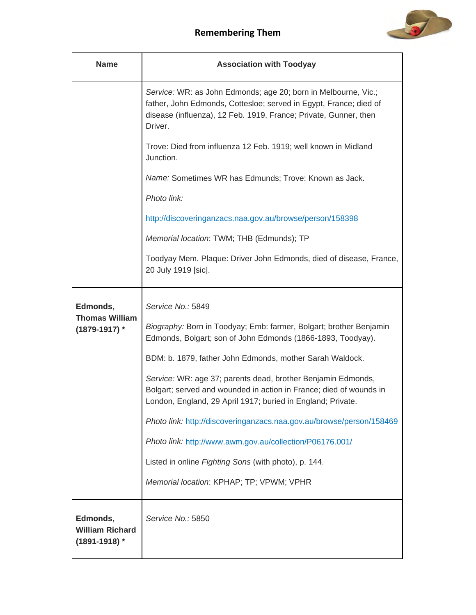

| <b>Name</b>                                             | <b>Association with Toodyay</b>                                                                                                                                                                                    |
|---------------------------------------------------------|--------------------------------------------------------------------------------------------------------------------------------------------------------------------------------------------------------------------|
|                                                         | Service: WR: as John Edmonds; age 20; born in Melbourne, Vic.;<br>father, John Edmonds, Cottesloe; served in Egypt, France; died of<br>disease (influenza), 12 Feb. 1919, France; Private, Gunner, then<br>Driver. |
|                                                         | Trove: Died from influenza 12 Feb. 1919; well known in Midland<br>Junction.                                                                                                                                        |
|                                                         | Name: Sometimes WR has Edmunds; Trove: Known as Jack.                                                                                                                                                              |
|                                                         | Photo link:                                                                                                                                                                                                        |
|                                                         | http://discoveringanzacs.naa.gov.au/browse/person/158398                                                                                                                                                           |
|                                                         | Memorial location: TWM; THB (Edmunds); TP                                                                                                                                                                          |
|                                                         | Toodyay Mem. Plaque: Driver John Edmonds, died of disease, France,<br>20 July 1919 [sic].                                                                                                                          |
| Edmonds,<br><b>Thomas William</b>                       | Service No.: 5849                                                                                                                                                                                                  |
| (1879-1917) *                                           | Biography: Born in Toodyay; Emb: farmer, Bolgart; brother Benjamin<br>Edmonds, Bolgart; son of John Edmonds (1866-1893, Toodyay).                                                                                  |
|                                                         | BDM: b. 1879, father John Edmonds, mother Sarah Waldock.                                                                                                                                                           |
|                                                         | Service: WR: age 37; parents dead, brother Benjamin Edmonds,<br>Bolgart; served and wounded in action in France; died of wounds in<br>London, England, 29 April 1917; buried in England; Private.                  |
|                                                         | Photo link: http://discoveringanzacs.naa.gov.au/browse/person/158469                                                                                                                                               |
|                                                         | Photo link: http://www.awm.gov.au/collection/P06176.001/                                                                                                                                                           |
|                                                         | Listed in online Fighting Sons (with photo), p. 144.                                                                                                                                                               |
|                                                         | Memorial location: KPHAP; TP; VPWM; VPHR                                                                                                                                                                           |
| Edmonds,<br><b>William Richard</b><br>$(1891 - 1918)$ * | Service No.: 5850                                                                                                                                                                                                  |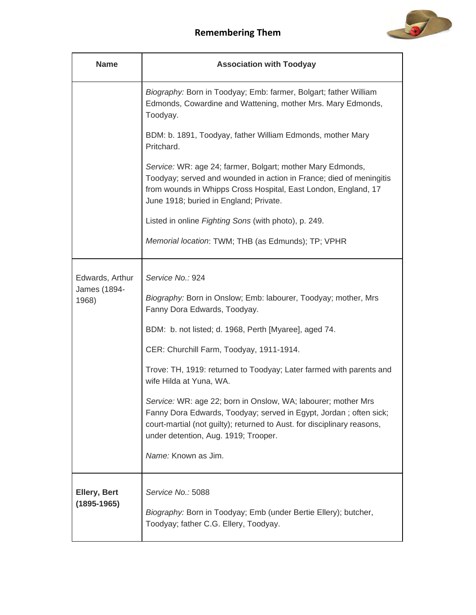

| <b>Name</b>                              | <b>Association with Toodyay</b>                                                                                                                                                                                                                       |
|------------------------------------------|-------------------------------------------------------------------------------------------------------------------------------------------------------------------------------------------------------------------------------------------------------|
|                                          | Biography: Born in Toodyay; Emb: farmer, Bolgart; father William<br>Edmonds, Cowardine and Wattening, mother Mrs. Mary Edmonds,<br>Toodyay.                                                                                                           |
|                                          | BDM: b. 1891, Toodyay, father William Edmonds, mother Mary<br>Pritchard.                                                                                                                                                                              |
|                                          | Service: WR: age 24; farmer, Bolgart; mother Mary Edmonds,<br>Toodyay; served and wounded in action in France; died of meningitis<br>from wounds in Whipps Cross Hospital, East London, England, 17<br>June 1918; buried in England; Private.         |
|                                          | Listed in online Fighting Sons (with photo), p. 249.                                                                                                                                                                                                  |
|                                          | Memorial location: TWM; THB (as Edmunds); TP; VPHR                                                                                                                                                                                                    |
| Edwards, Arthur<br>James (1894-<br>1968) | Service No.: 924<br>Biography: Born in Onslow; Emb: labourer, Toodyay; mother, Mrs<br>Fanny Dora Edwards, Toodyay.                                                                                                                                    |
|                                          | BDM: b. not listed; d. 1968, Perth [Myaree], aged 74.                                                                                                                                                                                                 |
|                                          | CER: Churchill Farm, Toodyay, 1911-1914.                                                                                                                                                                                                              |
|                                          | Trove: TH, 1919: returned to Toodyay; Later farmed with parents and<br>wife Hilda at Yuna, WA.                                                                                                                                                        |
|                                          | Service: WR: age 22; born in Onslow, WA; labourer; mother Mrs<br>Fanny Dora Edwards, Toodyay; served in Egypt, Jordan; often sick;<br>court-martial (not guilty); returned to Aust. for disciplinary reasons,<br>under detention, Aug. 1919; Trooper. |
|                                          | Name: Known as Jim.                                                                                                                                                                                                                                   |
| <b>Ellery, Bert</b><br>$(1895 - 1965)$   | Service No.: 5088<br>Biography: Born in Toodyay; Emb (under Bertie Ellery); butcher,                                                                                                                                                                  |
|                                          | Toodyay; father C.G. Ellery, Toodyay.                                                                                                                                                                                                                 |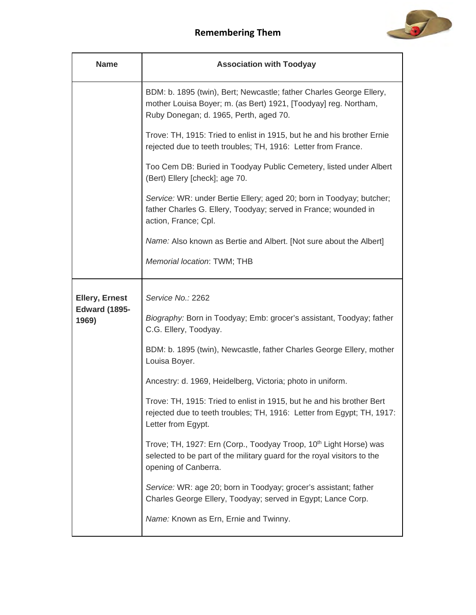

| <b>Name</b>                   | <b>Association with Toodyay</b>                                                                                                                                                  |
|-------------------------------|----------------------------------------------------------------------------------------------------------------------------------------------------------------------------------|
|                               | BDM: b. 1895 (twin), Bert; Newcastle; father Charles George Ellery,<br>mother Louisa Boyer; m. (as Bert) 1921, [Toodyay] reg. Northam,<br>Ruby Donegan; d. 1965, Perth, aged 70. |
|                               | Trove: TH, 1915: Tried to enlist in 1915, but he and his brother Ernie<br>rejected due to teeth troubles; TH, 1916: Letter from France.                                          |
|                               | Too Cem DB: Buried in Toodyay Public Cemetery, listed under Albert<br>(Bert) Ellery [check]; age 70.                                                                             |
|                               | Service: WR: under Bertie Ellery; aged 20; born in Toodyay; butcher;<br>father Charles G. Ellery, Toodyay; served in France; wounded in<br>action, France; Cpl.                  |
|                               | Name: Also known as Bertie and Albert. [Not sure about the Albert]                                                                                                               |
|                               | Memorial location: TWM; THB                                                                                                                                                      |
| <b>Ellery, Ernest</b>         | Service No.: 2262                                                                                                                                                                |
| <b>Edward (1895-</b><br>1969) | Biography: Born in Toodyay; Emb: grocer's assistant, Toodyay; father<br>C.G. Ellery, Toodyay.                                                                                    |
|                               | BDM: b. 1895 (twin), Newcastle, father Charles George Ellery, mother<br>Louisa Boyer.                                                                                            |
|                               | Ancestry: d. 1969, Heidelberg, Victoria; photo in uniform.                                                                                                                       |
|                               | Trove: TH, 1915: Tried to enlist in 1915, but he and his brother Bert<br>rejected due to teeth troubles; TH, 1916: Letter from Egypt; TH, 1917:<br>Letter from Egypt.            |
|                               | Trove; TH, 1927: Ern (Corp., Toodyay Troop, 10 <sup>th</sup> Light Horse) was<br>selected to be part of the military guard for the royal visitors to the<br>opening of Canberra. |
|                               | Service: WR: age 20; born in Toodyay; grocer's assistant; father<br>Charles George Ellery, Toodyay; served in Egypt; Lance Corp.                                                 |
|                               | Name: Known as Ern, Ernie and Twinny.                                                                                                                                            |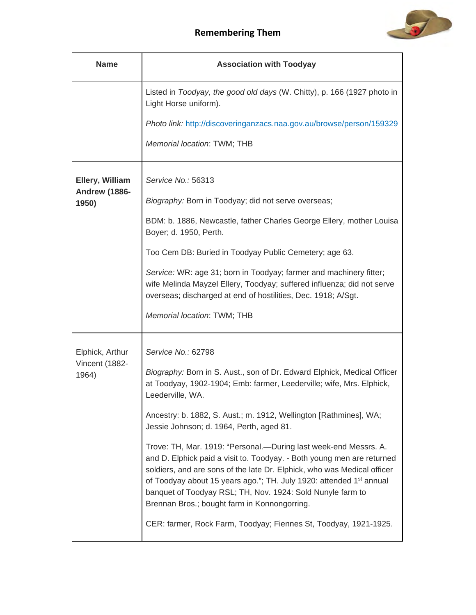

| <b>Name</b>                   | <b>Association with Toodyay</b>                                                                                                                                                                                                                                                                                                                                                                                         |
|-------------------------------|-------------------------------------------------------------------------------------------------------------------------------------------------------------------------------------------------------------------------------------------------------------------------------------------------------------------------------------------------------------------------------------------------------------------------|
|                               | Listed in Toodyay, the good old days (W. Chitty), p. 166 (1927 photo in<br>Light Horse uniform).                                                                                                                                                                                                                                                                                                                        |
|                               | Photo link: http://discoveringanzacs.naa.gov.au/browse/person/159329                                                                                                                                                                                                                                                                                                                                                    |
|                               | Memorial location: TWM; THB                                                                                                                                                                                                                                                                                                                                                                                             |
| Ellery, William               | Service No.: 56313                                                                                                                                                                                                                                                                                                                                                                                                      |
| <b>Andrew (1886-</b><br>1950) | Biography: Born in Toodyay; did not serve overseas;                                                                                                                                                                                                                                                                                                                                                                     |
|                               | BDM: b. 1886, Newcastle, father Charles George Ellery, mother Louisa<br>Boyer; d. 1950, Perth.                                                                                                                                                                                                                                                                                                                          |
|                               | Too Cem DB: Buried in Toodyay Public Cemetery; age 63.                                                                                                                                                                                                                                                                                                                                                                  |
|                               | Service: WR: age 31; born in Toodyay; farmer and machinery fitter;<br>wife Melinda Mayzel Ellery, Toodyay; suffered influenza; did not serve<br>overseas; discharged at end of hostilities, Dec. 1918; A/Sgt.                                                                                                                                                                                                           |
|                               | Memorial location: TWM; THB                                                                                                                                                                                                                                                                                                                                                                                             |
| Elphick, Arthur               | Service No.: 62798                                                                                                                                                                                                                                                                                                                                                                                                      |
| Vincent (1882-<br>1964)       | Biography: Born in S. Aust., son of Dr. Edward Elphick, Medical Officer<br>at Toodyay, 1902-1904; Emb: farmer, Leederville; wife, Mrs. Elphick,<br>Leederville, WA.                                                                                                                                                                                                                                                     |
|                               | Ancestry: b. 1882, S. Aust.; m. 1912, Wellington [Rathmines], WA;<br>Jessie Johnson; d. 1964, Perth, aged 81.                                                                                                                                                                                                                                                                                                           |
|                               | Trove: TH, Mar. 1919: "Personal.- During last week-end Messrs. A.<br>and D. Elphick paid a visit to. Toodyay. - Both young men are returned<br>soldiers, and are sons of the late Dr. Elphick, who was Medical officer<br>of Toodyay about 15 years ago."; TH. July 1920: attended 1 <sup>st</sup> annual<br>banquet of Toodyay RSL; TH, Nov. 1924: Sold Nunyle farm to<br>Brennan Bros.; bought farm in Konnongorring. |
|                               | CER: farmer, Rock Farm, Toodyay; Fiennes St, Toodyay, 1921-1925.                                                                                                                                                                                                                                                                                                                                                        |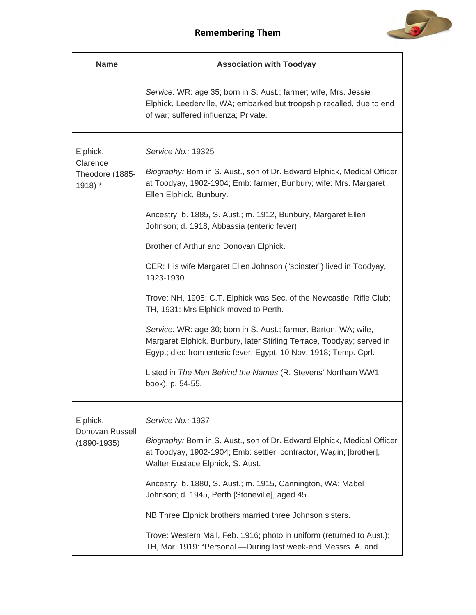

| <b>Name</b>                                                    | <b>Association with Toodyay</b>                                                                                                                                                                                                                                                                                                                                                                                                                                                                                                                                                                                                                                                                                                                                                                                                                                 |
|----------------------------------------------------------------|-----------------------------------------------------------------------------------------------------------------------------------------------------------------------------------------------------------------------------------------------------------------------------------------------------------------------------------------------------------------------------------------------------------------------------------------------------------------------------------------------------------------------------------------------------------------------------------------------------------------------------------------------------------------------------------------------------------------------------------------------------------------------------------------------------------------------------------------------------------------|
|                                                                | Service: WR: age 35; born in S. Aust.; farmer; wife, Mrs. Jessie<br>Elphick, Leederville, WA; embarked but troopship recalled, due to end<br>of war; suffered influenza; Private.                                                                                                                                                                                                                                                                                                                                                                                                                                                                                                                                                                                                                                                                               |
| Elphick,<br>Clarence<br>Theodore (1885-<br>$1918$ <sup>*</sup> | Service No.: 19325<br>Biography: Born in S. Aust., son of Dr. Edward Elphick, Medical Officer<br>at Toodyay, 1902-1904; Emb: farmer, Bunbury; wife: Mrs. Margaret<br>Ellen Elphick, Bunbury.<br>Ancestry: b. 1885, S. Aust.; m. 1912, Bunbury, Margaret Ellen<br>Johnson; d. 1918, Abbassia (enteric fever).<br>Brother of Arthur and Donovan Elphick.<br>CER: His wife Margaret Ellen Johnson ("spinster") lived in Toodyay,<br>1923-1930.<br>Trove: NH, 1905: C.T. Elphick was Sec. of the Newcastle Rifle Club;<br>TH, 1931: Mrs Elphick moved to Perth.<br>Service: WR: age 30; born in S. Aust.; farmer, Barton, WA; wife,<br>Margaret Elphick, Bunbury, later Stirling Terrace, Toodyay; served in<br>Egypt; died from enteric fever, Egypt, 10 Nov. 1918; Temp. Cprl.<br>Listed in The Men Behind the Names (R. Stevens' Northam WW1<br>book), p. 54-55. |
| Elphick,<br>Donovan Russell<br>$(1890 - 1935)$                 | Service No.: 1937<br>Biography: Born in S. Aust., son of Dr. Edward Elphick, Medical Officer<br>at Toodyay, 1902-1904; Emb: settler, contractor, Wagin; [brother],<br>Walter Eustace Elphick, S. Aust.<br>Ancestry: b. 1880, S. Aust.; m. 1915, Cannington, WA; Mabel<br>Johnson; d. 1945, Perth [Stoneville], aged 45.<br>NB Three Elphick brothers married three Johnson sisters.<br>Trove: Western Mail, Feb. 1916; photo in uniform (returned to Aust.);<br>TH, Mar. 1919: "Personal.—During last week-end Messrs. A. and                                                                                                                                                                                                                                                                                                                                   |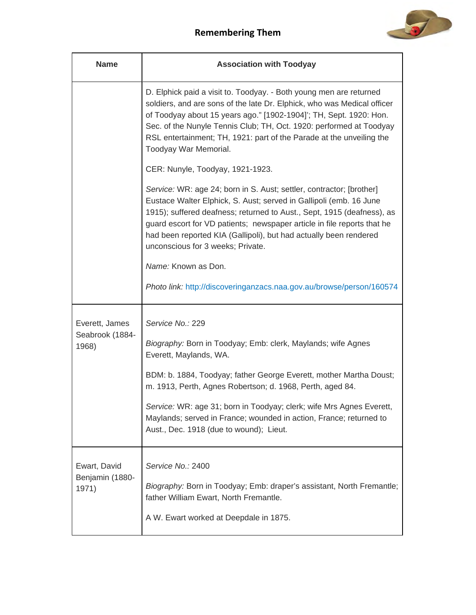

| <b>Name</b>                       | <b>Association with Toodyay</b>                                                                                                                                                                                                                                                                                                                                                                           |
|-----------------------------------|-----------------------------------------------------------------------------------------------------------------------------------------------------------------------------------------------------------------------------------------------------------------------------------------------------------------------------------------------------------------------------------------------------------|
|                                   | D. Elphick paid a visit to. Toodyay. - Both young men are returned<br>soldiers, and are sons of the late Dr. Elphick, who was Medical officer<br>of Toodyay about 15 years ago." [1902-1904]'; TH, Sept. 1920: Hon.<br>Sec. of the Nunyle Tennis Club; TH, Oct. 1920: performed at Toodyay<br>RSL entertainment; TH, 1921: part of the Parade at the unveiling the<br>Toodyay War Memorial.               |
|                                   | CER: Nunyle, Toodyay, 1921-1923.                                                                                                                                                                                                                                                                                                                                                                          |
|                                   | Service: WR: age 24; born in S. Aust; settler, contractor; [brother]<br>Eustace Walter Elphick, S. Aust; served in Gallipoli (emb. 16 June<br>1915); suffered deafness; returned to Aust., Sept, 1915 (deafness), as<br>guard escort for VD patients; newspaper article in file reports that he<br>had been reported KIA (Gallipoli), but had actually been rendered<br>unconscious for 3 weeks; Private. |
|                                   | Name: Known as Don.                                                                                                                                                                                                                                                                                                                                                                                       |
|                                   | Photo link: http://discoveringanzacs.naa.gov.au/browse/person/160574                                                                                                                                                                                                                                                                                                                                      |
| Everett, James<br>Seabrook (1884- | Service No.: 229                                                                                                                                                                                                                                                                                                                                                                                          |
| 1968)                             | Biography: Born in Toodyay; Emb: clerk, Maylands; wife Agnes<br>Everett, Maylands, WA.                                                                                                                                                                                                                                                                                                                    |
|                                   | BDM: b. 1884, Toodyay; father George Everett, mother Martha Doust;<br>m. 1913, Perth, Agnes Robertson; d. 1968, Perth, aged 84.                                                                                                                                                                                                                                                                           |
|                                   | Service: WR: age 31; born in Toodyay; clerk; wife Mrs Agnes Everett,<br>Maylands; served in France; wounded in action, France; returned to<br>Aust., Dec. 1918 (due to wound); Lieut.                                                                                                                                                                                                                     |
| Ewart, David                      | Service No.: 2400                                                                                                                                                                                                                                                                                                                                                                                         |
| Benjamin (1880-<br>1971)          | Biography: Born in Toodyay; Emb: draper's assistant, North Fremantle;<br>father William Ewart, North Fremantle.                                                                                                                                                                                                                                                                                           |
|                                   | A W. Ewart worked at Deepdale in 1875.                                                                                                                                                                                                                                                                                                                                                                    |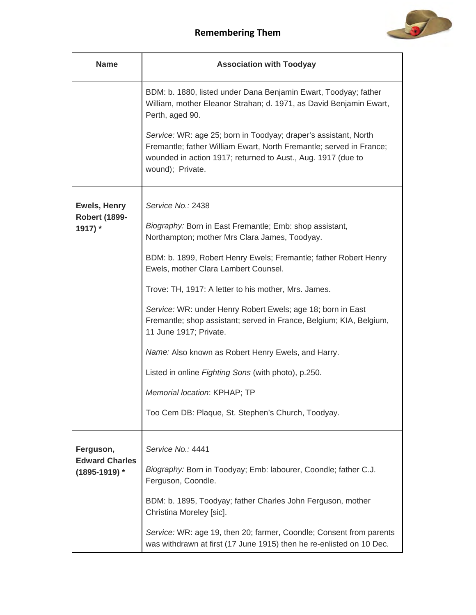

| <b>Name</b>                                | <b>Association with Toodyay</b>                                                                                                                                                                                            |
|--------------------------------------------|----------------------------------------------------------------------------------------------------------------------------------------------------------------------------------------------------------------------------|
|                                            | BDM: b. 1880, listed under Dana Benjamin Ewart, Toodyay; father<br>William, mother Eleanor Strahan; d. 1971, as David Benjamin Ewart,<br>Perth, aged 90.                                                                   |
|                                            | Service: WR: age 25; born in Toodyay; draper's assistant, North<br>Fremantle; father William Ewart, North Fremantle; served in France;<br>wounded in action 1917; returned to Aust., Aug. 1917 (due to<br>wound); Private. |
| Ewels, Henry                               | Service No.: 2438                                                                                                                                                                                                          |
| <b>Robert (1899-</b><br>1917) *            | Biography: Born in East Fremantle; Emb: shop assistant,<br>Northampton; mother Mrs Clara James, Toodyay.                                                                                                                   |
|                                            | BDM: b. 1899, Robert Henry Ewels; Fremantle; father Robert Henry<br>Ewels, mother Clara Lambert Counsel.                                                                                                                   |
|                                            | Trove: TH, 1917: A letter to his mother, Mrs. James.                                                                                                                                                                       |
|                                            | Service: WR: under Henry Robert Ewels; age 18; born in East<br>Fremantle; shop assistant; served in France, Belgium; KIA, Belgium,<br>11 June 1917; Private.                                                               |
|                                            | Name: Also known as Robert Henry Ewels, and Harry.                                                                                                                                                                         |
|                                            | Listed in online Fighting Sons (with photo), p.250.                                                                                                                                                                        |
|                                            | Memorial location: KPHAP; TP                                                                                                                                                                                               |
|                                            | Too Cem DB: Plaque, St. Stephen's Church, Toodyay.                                                                                                                                                                         |
| Ferguson,                                  | Service No.: 4441                                                                                                                                                                                                          |
| <b>Edward Charles</b><br>$(1895 - 1919)$ * | Biography: Born in Toodyay; Emb: labourer, Coondle; father C.J.<br>Ferguson, Coondle.                                                                                                                                      |
|                                            | BDM: b. 1895, Toodyay; father Charles John Ferguson, mother<br>Christina Moreley [sic].                                                                                                                                    |
|                                            | Service: WR: age 19, then 20; farmer, Coondle; Consent from parents<br>was withdrawn at first (17 June 1915) then he re-enlisted on 10 Dec.                                                                                |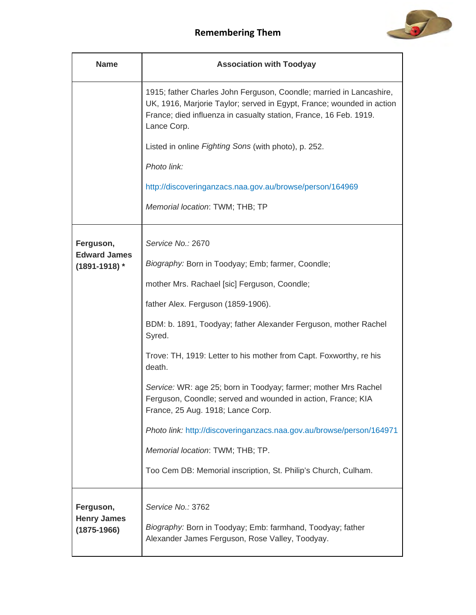

| <b>Name</b>                                        | <b>Association with Toodyay</b>                                                                                                                                                                                                  |
|----------------------------------------------------|----------------------------------------------------------------------------------------------------------------------------------------------------------------------------------------------------------------------------------|
|                                                    | 1915; father Charles John Ferguson, Coondle; married in Lancashire,<br>UK, 1916, Marjorie Taylor; served in Egypt, France; wounded in action<br>France; died influenza in casualty station, France, 16 Feb. 1919.<br>Lance Corp. |
|                                                    | Listed in online Fighting Sons (with photo), p. 252.                                                                                                                                                                             |
|                                                    | Photo link:                                                                                                                                                                                                                      |
|                                                    | http://discoveringanzacs.naa.gov.au/browse/person/164969                                                                                                                                                                         |
|                                                    | Memorial location: TWM; THB; TP                                                                                                                                                                                                  |
| Ferguson,<br><b>Edward James</b>                   | Service No.: 2670<br>Biography: Born in Toodyay; Emb; farmer, Coondle;                                                                                                                                                           |
| $(1891 - 1918)$ *                                  | mother Mrs. Rachael [sic] Ferguson, Coondle;                                                                                                                                                                                     |
|                                                    | father Alex. Ferguson (1859-1906).                                                                                                                                                                                               |
|                                                    | BDM: b. 1891, Toodyay; father Alexander Ferguson, mother Rachel<br>Syred.                                                                                                                                                        |
|                                                    | Trove: TH, 1919: Letter to his mother from Capt. Foxworthy, re his<br>death.                                                                                                                                                     |
|                                                    | Service: WR: age 25; born in Toodyay; farmer; mother Mrs Rachel<br>Ferguson, Coondle; served and wounded in action, France; KIA<br>France, 25 Aug. 1918; Lance Corp.                                                             |
|                                                    | Photo link: http://discoveringanzacs.naa.gov.au/browse/person/164971                                                                                                                                                             |
|                                                    | Memorial location: TWM; THB; TP.                                                                                                                                                                                                 |
|                                                    | Too Cem DB: Memorial inscription, St. Philip's Church, Culham.                                                                                                                                                                   |
| Ferguson,<br><b>Henry James</b><br>$(1875 - 1966)$ | Service No.: 3762<br>Biography: Born in Toodyay; Emb: farmhand, Toodyay; father<br>Alexander James Ferguson, Rose Valley, Toodyay.                                                                                               |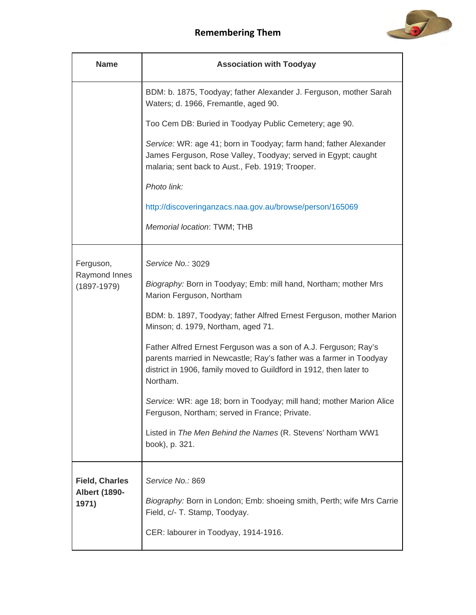

| <b>Name</b>                      | <b>Association with Toodyay</b>                                                                                                                                                                                         |
|----------------------------------|-------------------------------------------------------------------------------------------------------------------------------------------------------------------------------------------------------------------------|
|                                  | BDM: b. 1875, Toodyay; father Alexander J. Ferguson, mother Sarah<br>Waters; d. 1966, Fremantle, aged 90.                                                                                                               |
|                                  | Too Cem DB: Buried in Toodyay Public Cemetery; age 90.                                                                                                                                                                  |
|                                  | Service: WR: age 41; born in Toodyay; farm hand; father Alexander<br>James Ferguson, Rose Valley, Toodyay; served in Egypt; caught<br>malaria; sent back to Aust., Feb. 1919; Trooper.                                  |
|                                  | Photo link:                                                                                                                                                                                                             |
|                                  | http://discoveringanzacs.naa.gov.au/browse/person/165069                                                                                                                                                                |
|                                  | Memorial location: TWM; THB                                                                                                                                                                                             |
| Ferguson,                        | Service No.: 3029                                                                                                                                                                                                       |
| Raymond Innes<br>$(1897 - 1979)$ | Biography: Born in Toodyay; Emb: mill hand, Northam; mother Mrs<br>Marion Ferguson, Northam                                                                                                                             |
|                                  | BDM: b. 1897, Toodyay; father Alfred Ernest Ferguson, mother Marion<br>Minson; d. 1979, Northam, aged 71.                                                                                                               |
|                                  | Father Alfred Ernest Ferguson was a son of A.J. Ferguson; Ray's<br>parents married in Newcastle; Ray's father was a farmer in Toodyay<br>district in 1906, family moved to Guildford in 1912, then later to<br>Northam. |
|                                  | Service: WR: age 18; born in Toodyay; mill hand; mother Marion Alice<br>Ferguson, Northam; served in France; Private.                                                                                                   |
|                                  | Listed in The Men Behind the Names (R. Stevens' Northam WW1<br>book), p. 321.                                                                                                                                           |
| <b>Field, Charles</b>            | Service No.: 869                                                                                                                                                                                                        |
| <b>Albert (1890-</b><br>1971)    | Biography: Born in London; Emb: shoeing smith, Perth; wife Mrs Carrie<br>Field, c/- T. Stamp, Toodyay.                                                                                                                  |
|                                  | CER: labourer in Toodyay, 1914-1916.                                                                                                                                                                                    |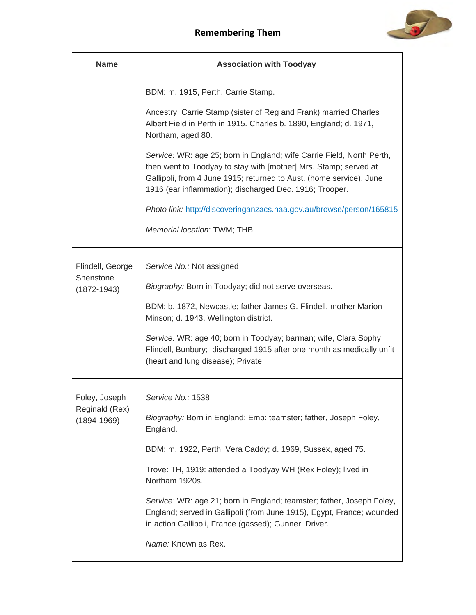

| <b>Name</b>                       | <b>Association with Toodyay</b>                                                                                                                                                                                                                                             |
|-----------------------------------|-----------------------------------------------------------------------------------------------------------------------------------------------------------------------------------------------------------------------------------------------------------------------------|
|                                   | BDM: m. 1915, Perth, Carrie Stamp.                                                                                                                                                                                                                                          |
|                                   | Ancestry: Carrie Stamp (sister of Reg and Frank) married Charles<br>Albert Field in Perth in 1915. Charles b. 1890, England; d. 1971,<br>Northam, aged 80.                                                                                                                  |
|                                   | Service: WR: age 25; born in England; wife Carrie Field, North Perth,<br>then went to Toodyay to stay with [mother] Mrs. Stamp; served at<br>Gallipoli, from 4 June 1915; returned to Aust. (home service), June<br>1916 (ear inflammation); discharged Dec. 1916; Trooper. |
|                                   | Photo link: http://discoveringanzacs.naa.gov.au/browse/person/165815                                                                                                                                                                                                        |
|                                   | Memorial location: TWM; THB.                                                                                                                                                                                                                                                |
| Flindell, George<br>Shenstone     | Service No.: Not assigned                                                                                                                                                                                                                                                   |
| $(1872 - 1943)$                   | Biography: Born in Toodyay; did not serve overseas.                                                                                                                                                                                                                         |
|                                   | BDM: b. 1872, Newcastle; father James G. Flindell, mother Marion<br>Minson; d. 1943, Wellington district.                                                                                                                                                                   |
|                                   | Service: WR: age 40; born in Toodyay; barman; wife, Clara Sophy<br>Flindell, Bunbury; discharged 1915 after one month as medically unfit<br>(heart and lung disease); Private.                                                                                              |
| Foley, Joseph                     | Service No.: 1538                                                                                                                                                                                                                                                           |
| Reginald (Rex)<br>$(1894 - 1969)$ | Biography: Born in England; Emb: teamster; father, Joseph Foley,<br>England.                                                                                                                                                                                                |
|                                   | BDM: m. 1922, Perth, Vera Caddy; d. 1969, Sussex, aged 75.                                                                                                                                                                                                                  |
|                                   | Trove: TH, 1919: attended a Toodyay WH (Rex Foley); lived in<br>Northam 1920s.                                                                                                                                                                                              |
|                                   | Service: WR: age 21; born in England; teamster; father, Joseph Foley,<br>England; served in Gallipoli (from June 1915), Egypt, France; wounded<br>in action Gallipoli, France (gassed); Gunner, Driver.                                                                     |
|                                   | Name: Known as Rex.                                                                                                                                                                                                                                                         |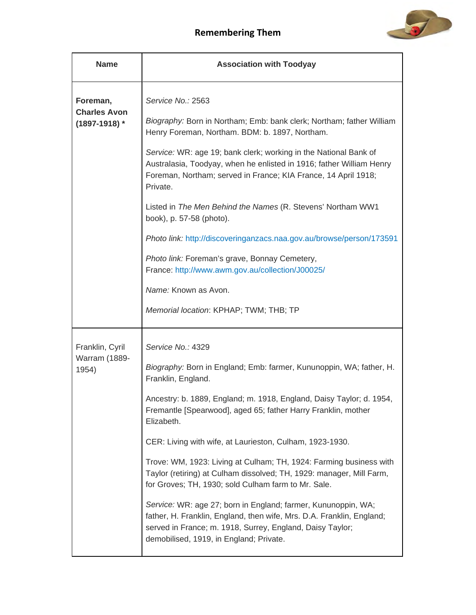

| <b>Name</b>                                        | <b>Association with Toodyay</b>                                                                                                                                                                                                                |
|----------------------------------------------------|------------------------------------------------------------------------------------------------------------------------------------------------------------------------------------------------------------------------------------------------|
| Foreman,<br><b>Charles Avon</b><br>$(1897-1918)$ * | Service No.: 2563<br>Biography: Born in Northam; Emb: bank clerk; Northam; father William                                                                                                                                                      |
|                                                    | Henry Foreman, Northam. BDM: b. 1897, Northam.                                                                                                                                                                                                 |
|                                                    | Service: WR: age 19; bank clerk; working in the National Bank of<br>Australasia, Toodyay, when he enlisted in 1916; father William Henry<br>Foreman, Northam; served in France; KIA France, 14 April 1918;<br>Private.                         |
|                                                    | Listed in The Men Behind the Names (R. Stevens' Northam WW1<br>book), p. 57-58 (photo).                                                                                                                                                        |
|                                                    | Photo link: http://discoveringanzacs.naa.gov.au/browse/person/173591                                                                                                                                                                           |
|                                                    | Photo link: Foreman's grave, Bonnay Cemetery,<br>France: http://www.awm.gov.au/collection/J00025/                                                                                                                                              |
|                                                    | Name: Known as Avon.                                                                                                                                                                                                                           |
|                                                    | Memorial location: KPHAP; TWM; THB; TP                                                                                                                                                                                                         |
| Franklin, Cyril                                    | Service No.: 4329                                                                                                                                                                                                                              |
| <b>Warram (1889-</b><br>1954)                      | Biography: Born in England; Emb: farmer, Kununoppin, WA; father, H.<br>Franklin, England.                                                                                                                                                      |
|                                                    | Ancestry: b. 1889, England; m. 1918, England, Daisy Taylor; d. 1954,<br>Fremantle [Spearwood], aged 65; father Harry Franklin, mother<br>Elizabeth.                                                                                            |
|                                                    | CER: Living with wife, at Laurieston, Culham, 1923-1930.                                                                                                                                                                                       |
|                                                    | Trove: WM, 1923: Living at Culham; TH, 1924: Farming business with<br>Taylor (retiring) at Culham dissolved; TH, 1929: manager, Mill Farm,<br>for Groves; TH, 1930; sold Culham farm to Mr. Sale.                                              |
|                                                    | Service: WR: age 27; born in England; farmer, Kununoppin, WA;<br>father, H. Franklin, England, then wife, Mrs. D.A. Franklin, England;<br>served in France; m. 1918, Surrey, England, Daisy Taylor;<br>demobilised, 1919, in England; Private. |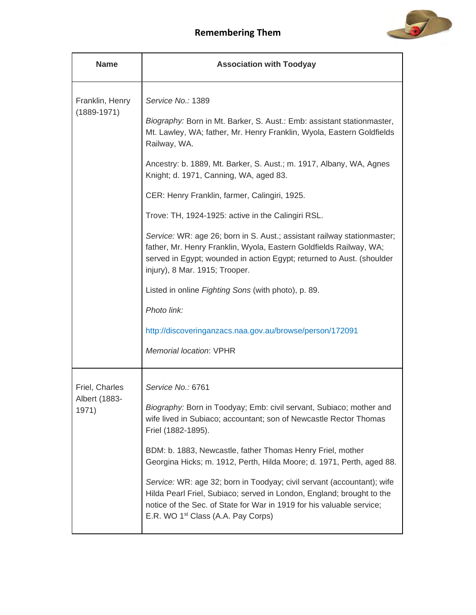

| <b>Name</b>                             | <b>Association with Toodyay</b>                                                                                                                                                                                                                                                                                                                                                                                                                                                                                                                                                                                                                                                                                                                                                                                                       |
|-----------------------------------------|---------------------------------------------------------------------------------------------------------------------------------------------------------------------------------------------------------------------------------------------------------------------------------------------------------------------------------------------------------------------------------------------------------------------------------------------------------------------------------------------------------------------------------------------------------------------------------------------------------------------------------------------------------------------------------------------------------------------------------------------------------------------------------------------------------------------------------------|
| Franklin, Henry<br>$(1889 - 1971)$      | Service No.: 1389<br>Biography: Born in Mt. Barker, S. Aust.: Emb: assistant stationmaster,<br>Mt. Lawley, WA; father, Mr. Henry Franklin, Wyola, Eastern Goldfields<br>Railway, WA.<br>Ancestry: b. 1889, Mt. Barker, S. Aust.; m. 1917, Albany, WA, Agnes<br>Knight; d. 1971, Canning, WA, aged 83.<br>CER: Henry Franklin, farmer, Calingiri, 1925.<br>Trove: TH, 1924-1925: active in the Calingiri RSL.<br>Service: WR: age 26; born in S. Aust.; assistant railway stationmaster;<br>father, Mr. Henry Franklin, Wyola, Eastern Goldfields Railway, WA;<br>served in Egypt; wounded in action Egypt; returned to Aust. (shoulder<br>injury), 8 Mar. 1915; Trooper.<br>Listed in online Fighting Sons (with photo), p. 89.<br>Photo link:<br>http://discoveringanzacs.naa.gov.au/browse/person/172091<br>Memorial location: VPHR |
| Friel, Charles<br>Albert (1883<br>1971) | Service No.: 6761<br>Biography: Born in Toodyay; Emb: civil servant, Subiaco; mother and<br>wife lived in Subiaco; accountant; son of Newcastle Rector Thomas<br>Friel (1882-1895).<br>BDM: b. 1883, Newcastle, father Thomas Henry Friel, mother<br>Georgina Hicks; m. 1912, Perth, Hilda Moore; d. 1971, Perth, aged 88.<br>Service: WR: age 32; born in Toodyay; civil servant (accountant); wife<br>Hilda Pearl Friel, Subiaco; served in London, England; brought to the<br>notice of the Sec. of State for War in 1919 for his valuable service;<br>E.R. WO 1 <sup>st</sup> Class (A.A. Pay Corps)                                                                                                                                                                                                                              |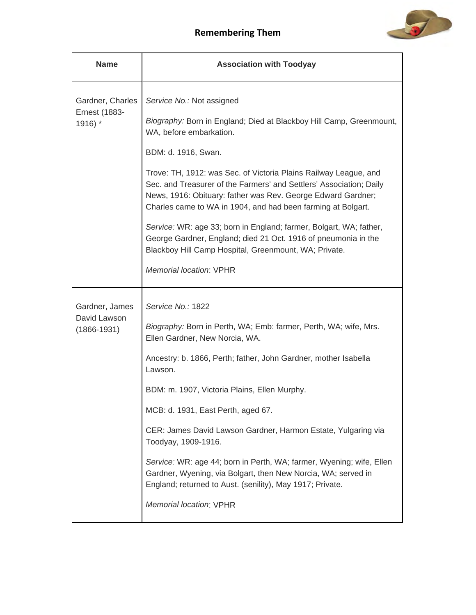

| <b>Name</b>                                                     | <b>Association with Toodyay</b>                                                                                                                                                                                                                                                                                                                                                                                                                                                                                                                                                                                                                                  |
|-----------------------------------------------------------------|------------------------------------------------------------------------------------------------------------------------------------------------------------------------------------------------------------------------------------------------------------------------------------------------------------------------------------------------------------------------------------------------------------------------------------------------------------------------------------------------------------------------------------------------------------------------------------------------------------------------------------------------------------------|
| Gardner, Charles<br><b>Ernest (1883-</b><br>$1916$ <sup>*</sup> | Service No.: Not assigned<br>Biography: Born in England; Died at Blackboy Hill Camp, Greenmount,<br>WA, before embarkation.<br>BDM: d. 1916, Swan.<br>Trove: TH, 1912: was Sec. of Victoria Plains Railway League, and<br>Sec. and Treasurer of the Farmers' and Settlers' Association; Daily<br>News, 1916: Obituary: father was Rev. George Edward Gardner;<br>Charles came to WA in 1904, and had been farming at Bolgart.<br>Service: WR: age 33; born in England; farmer, Bolgart, WA; father,<br>George Gardner, England; died 21 Oct. 1916 of pneumonia in the<br>Blackboy Hill Camp Hospital, Greenmount, WA; Private.<br><b>Memorial location: VPHR</b> |
| Gardner, James<br>David Lawson<br>$(1866 - 1931)$               | Service No.: 1822<br>Biography: Born in Perth, WA; Emb: farmer, Perth, WA; wife, Mrs.<br>Ellen Gardner, New Norcia, WA.<br>Ancestry: b. 1866, Perth; father, John Gardner, mother Isabella<br>Lawson.<br>BDM: m. 1907, Victoria Plains, Ellen Murphy.<br>MCB: d. 1931, East Perth, aged 67.<br>CER: James David Lawson Gardner, Harmon Estate, Yulgaring via<br>Toodyay, 1909-1916.<br>Service: WR: age 44; born in Perth, WA; farmer, Wyening; wife, Ellen<br>Gardner, Wyening, via Bolgart, then New Norcia, WA; served in<br>England; returned to Aust. (senility), May 1917; Private.<br>Memorial location: VPHR                                             |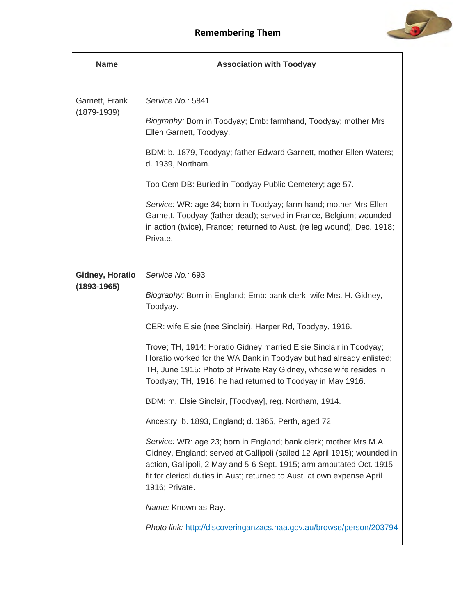

| <b>Name</b>                               | <b>Association with Toodyay</b>                                                                                                                                                                                                                                                                                                                                                                                                                                                                                                                                                                                                                                                                                                                                                                                                                                                                                                                                                       |
|-------------------------------------------|---------------------------------------------------------------------------------------------------------------------------------------------------------------------------------------------------------------------------------------------------------------------------------------------------------------------------------------------------------------------------------------------------------------------------------------------------------------------------------------------------------------------------------------------------------------------------------------------------------------------------------------------------------------------------------------------------------------------------------------------------------------------------------------------------------------------------------------------------------------------------------------------------------------------------------------------------------------------------------------|
| Garnett, Frank<br>$(1879 - 1939)$         | Service No.: 5841<br>Biography: Born in Toodyay; Emb: farmhand, Toodyay; mother Mrs<br>Ellen Garnett, Toodyay.<br>BDM: b. 1879, Toodyay; father Edward Garnett, mother Ellen Waters;<br>d. 1939, Northam.<br>Too Cem DB: Buried in Toodyay Public Cemetery; age 57.<br>Service: WR: age 34; born in Toodyay; farm hand; mother Mrs Ellen<br>Garnett, Toodyay (father dead); served in France, Belgium; wounded<br>in action (twice), France; returned to Aust. (re leg wound), Dec. 1918;<br>Private.                                                                                                                                                                                                                                                                                                                                                                                                                                                                                 |
| <b>Gidney, Horatio</b><br>$(1893 - 1965)$ | Service No.: 693<br>Biography: Born in England; Emb: bank clerk; wife Mrs. H. Gidney,<br>Toodyay.<br>CER: wife Elsie (nee Sinclair), Harper Rd, Toodyay, 1916.<br>Trove; TH, 1914: Horatio Gidney married Elsie Sinclair in Toodyay;<br>Horatio worked for the WA Bank in Toodyay but had already enlisted;<br>TH, June 1915: Photo of Private Ray Gidney, whose wife resides in<br>Toodyay; TH, 1916: he had returned to Toodyay in May 1916.<br>BDM: m. Elsie Sinclair, [Toodyay], reg. Northam, 1914.<br>Ancestry: b. 1893, England; d. 1965, Perth, aged 72.<br>Service: WR: age 23; born in England; bank clerk; mother Mrs M.A.<br>Gidney, England; served at Gallipoli (sailed 12 April 1915); wounded in<br>action, Gallipoli, 2 May and 5-6 Sept. 1915; arm amputated Oct. 1915;<br>fit for clerical duties in Aust; returned to Aust. at own expense April<br>1916; Private.<br>Name: Known as Ray.<br>Photo link: http://discoveringanzacs.naa.gov.au/browse/person/203794 |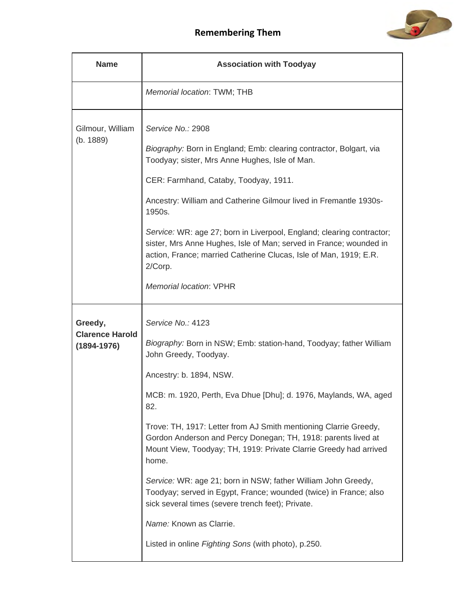

| <b>Name</b>                                          | <b>Association with Toodyay</b>                                                                                                                                                                                                                                                                                                                                                                                                                                                                                                                                                                                                                                                                                        |
|------------------------------------------------------|------------------------------------------------------------------------------------------------------------------------------------------------------------------------------------------------------------------------------------------------------------------------------------------------------------------------------------------------------------------------------------------------------------------------------------------------------------------------------------------------------------------------------------------------------------------------------------------------------------------------------------------------------------------------------------------------------------------------|
|                                                      | Memorial location: TWM; THB                                                                                                                                                                                                                                                                                                                                                                                                                                                                                                                                                                                                                                                                                            |
| Gilmour, William<br>(b. 1889)                        | Service No.: 2908<br>Biography: Born in England; Emb: clearing contractor, Bolgart, via<br>Toodyay; sister, Mrs Anne Hughes, Isle of Man.<br>CER: Farmhand, Cataby, Toodyay, 1911.<br>Ancestry: William and Catherine Gilmour lived in Fremantle 1930s-<br>1950s.<br>Service: WR: age 27; born in Liverpool, England; clearing contractor;<br>sister, Mrs Anne Hughes, Isle of Man; served in France; wounded in<br>action, France; married Catherine Clucas, Isle of Man, 1919; E.R.<br>2/Corp.<br><b>Memorial location: VPHR</b>                                                                                                                                                                                     |
| Greedy,<br><b>Clarence Harold</b><br>$(1894 - 1976)$ | Service No.: 4123<br>Biography: Born in NSW; Emb: station-hand, Toodyay; father William<br>John Greedy, Toodyay.<br>Ancestry: b. 1894, NSW.<br>MCB: m. 1920, Perth, Eva Dhue [Dhu]; d. 1976, Maylands, WA, aged<br>82.<br>Trove: TH, 1917: Letter from AJ Smith mentioning Clarrie Greedy,<br>Gordon Anderson and Percy Donegan; TH, 1918: parents lived at<br>Mount View, Toodyay; TH, 1919: Private Clarrie Greedy had arrived<br>home.<br>Service: WR: age 21; born in NSW; father William John Greedy,<br>Toodyay; served in Egypt, France; wounded (twice) in France; also<br>sick several times (severe trench feet); Private.<br>Name: Known as Clarrie.<br>Listed in online Fighting Sons (with photo), p.250. |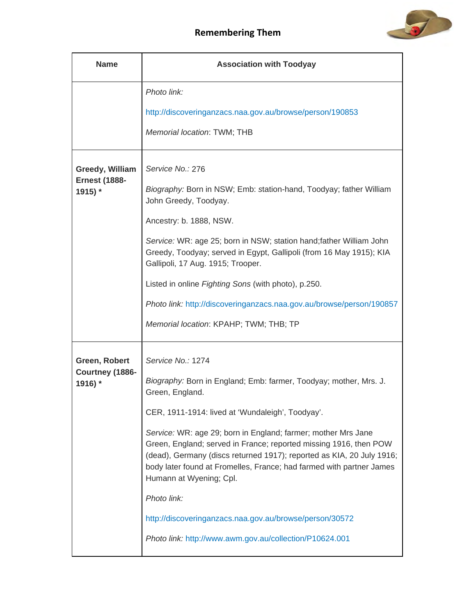

| <b>Name</b>                             | <b>Association with Toodyay</b>                                                                                                                                                                                                                                                                                |
|-----------------------------------------|----------------------------------------------------------------------------------------------------------------------------------------------------------------------------------------------------------------------------------------------------------------------------------------------------------------|
|                                         | Photo link:                                                                                                                                                                                                                                                                                                    |
|                                         | http://discoveringanzacs.naa.gov.au/browse/person/190853                                                                                                                                                                                                                                                       |
|                                         | Memorial location: TWM; THB                                                                                                                                                                                                                                                                                    |
| Greedy, William<br><b>Ernest (1888-</b> | Service No.: 276                                                                                                                                                                                                                                                                                               |
| 1915) *                                 | Biography: Born in NSW; Emb: station-hand, Toodyay; father William<br>John Greedy, Toodyay.                                                                                                                                                                                                                    |
|                                         | Ancestry: b. 1888, NSW.                                                                                                                                                                                                                                                                                        |
|                                         | Service: WR: age 25; born in NSW; station hand; father William John<br>Greedy, Toodyay; served in Egypt, Gallipoli (from 16 May 1915); KIA<br>Gallipoli, 17 Aug. 1915; Trooper.                                                                                                                                |
|                                         | Listed in online Fighting Sons (with photo), p.250.                                                                                                                                                                                                                                                            |
|                                         | Photo link: http://discoveringanzacs.naa.gov.au/browse/person/190857                                                                                                                                                                                                                                           |
|                                         | Memorial location: KPAHP; TWM; THB; TP                                                                                                                                                                                                                                                                         |
| Green, Robert                           | Service No.: 1274                                                                                                                                                                                                                                                                                              |
| Courtney (1886-<br>1916) *              | Biography: Born in England; Emb: farmer, Toodyay; mother, Mrs. J.<br>Green, England.                                                                                                                                                                                                                           |
|                                         | CER, 1911-1914: lived at 'Wundaleigh', Toodyay'.                                                                                                                                                                                                                                                               |
|                                         | Service: WR: age 29; born in England; farmer; mother Mrs Jane<br>Green, England; served in France; reported missing 1916, then POW<br>(dead), Germany (discs returned 1917); reported as KIA, 20 July 1916;<br>body later found at Fromelles, France; had farmed with partner James<br>Humann at Wyening; Cpl. |
|                                         | Photo link:                                                                                                                                                                                                                                                                                                    |
|                                         | http://discoveringanzacs.naa.gov.au/browse/person/30572                                                                                                                                                                                                                                                        |
|                                         | Photo link: http://www.awm.gov.au/collection/P10624.001                                                                                                                                                                                                                                                        |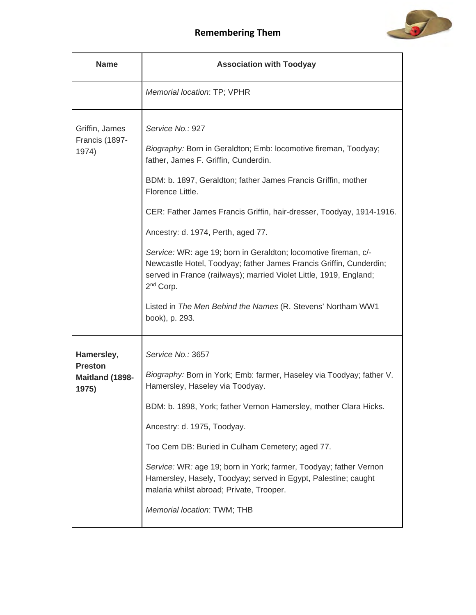

| <b>Name</b>                                              | <b>Association with Toodyay</b>                                                                                                                                                                                                                                                                                                                                                                                                                                                                                                                                                                                                                         |
|----------------------------------------------------------|---------------------------------------------------------------------------------------------------------------------------------------------------------------------------------------------------------------------------------------------------------------------------------------------------------------------------------------------------------------------------------------------------------------------------------------------------------------------------------------------------------------------------------------------------------------------------------------------------------------------------------------------------------|
|                                                          | Memorial location: TP; VPHR                                                                                                                                                                                                                                                                                                                                                                                                                                                                                                                                                                                                                             |
| Griffin, James<br>Francis (1897-<br>1974)                | Service No.: 927<br>Biography: Born in Geraldton; Emb: locomotive fireman, Toodyay;<br>father, James F. Griffin, Cunderdin.<br>BDM: b. 1897, Geraldton; father James Francis Griffin, mother<br>Florence Little.<br>CER: Father James Francis Griffin, hair-dresser, Toodyay, 1914-1916.<br>Ancestry: d. 1974, Perth, aged 77.<br>Service: WR: age 19; born in Geraldton; locomotive fireman, c/-<br>Newcastle Hotel, Toodyay; father James Francis Griffin, Cunderdin;<br>served in France (railways); married Violet Little, 1919, England;<br>2 <sup>nd</sup> Corp.<br>Listed in The Men Behind the Names (R. Stevens' Northam WW1<br>book), p. 293. |
| Hamersley,<br><b>Preston</b><br>Maitland (1898-<br>1975) | Service No.: 3657<br>Biography: Born in York; Emb: farmer, Haseley via Toodyay; father V.<br>Hamersley, Haseley via Toodyay.<br>BDM: b. 1898, York; father Vernon Hamersley, mother Clara Hicks.<br>Ancestry: d. 1975, Toodyay.<br>Too Cem DB: Buried in Culham Cemetery; aged 77.<br>Service: WR: age 19; born in York; farmer, Toodyay; father Vernon<br>Hamersley, Hasely, Toodyay; served in Egypt, Palestine; caught<br>malaria whilst abroad; Private, Trooper.<br>Memorial location: TWM; THB                                                                                                                                                    |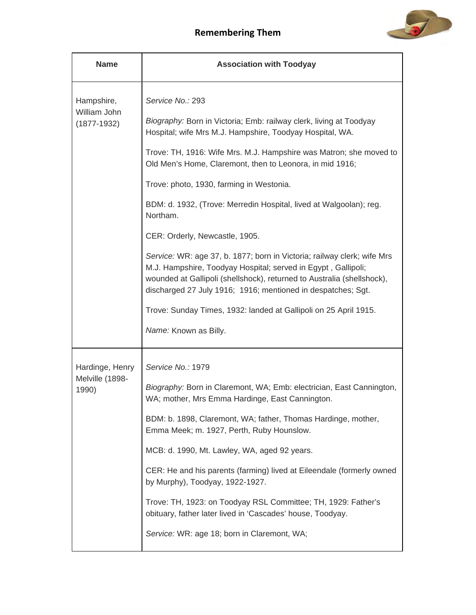

| <b>Name</b>                | <b>Association with Toodyay</b>                                                                                                                                                                                                                                                    |
|----------------------------|------------------------------------------------------------------------------------------------------------------------------------------------------------------------------------------------------------------------------------------------------------------------------------|
| Hampshire,<br>William John | Service No.: 293                                                                                                                                                                                                                                                                   |
| $(1877-1932)$              | Biography: Born in Victoria; Emb: railway clerk, living at Toodyay<br>Hospital; wife Mrs M.J. Hampshire, Toodyay Hospital, WA.                                                                                                                                                     |
|                            | Trove: TH, 1916: Wife Mrs. M.J. Hampshire was Matron; she moved to<br>Old Men's Home, Claremont, then to Leonora, in mid 1916;                                                                                                                                                     |
|                            | Trove: photo, 1930, farming in Westonia.                                                                                                                                                                                                                                           |
|                            | BDM: d. 1932, (Trove: Merredin Hospital, lived at Walgoolan); reg.<br>Northam.                                                                                                                                                                                                     |
|                            | CER: Orderly, Newcastle, 1905.                                                                                                                                                                                                                                                     |
|                            | Service: WR: age 37, b. 1877; born in Victoria; railway clerk; wife Mrs<br>M.J. Hampshire, Toodyay Hospital; served in Egypt, Gallipoli;<br>wounded at Gallipoli (shellshock), returned to Australia (shellshock),<br>discharged 27 July 1916; 1916; mentioned in despatches; Sgt. |
|                            | Trove: Sunday Times, 1932: landed at Gallipoli on 25 April 1915.                                                                                                                                                                                                                   |
|                            | Name: Known as Billy.                                                                                                                                                                                                                                                              |
| Hardinge, Henry            | Service No.: 1979                                                                                                                                                                                                                                                                  |
| Melville (1898-<br>1990)   | Biography: Born in Claremont, WA; Emb: electrician, East Cannington,<br>WA; mother, Mrs Emma Hardinge, East Cannington.                                                                                                                                                            |
|                            | BDM: b. 1898, Claremont, WA; father, Thomas Hardinge, mother,<br>Emma Meek; m. 1927, Perth, Ruby Hounslow.                                                                                                                                                                         |
|                            | MCB: d. 1990, Mt. Lawley, WA, aged 92 years.                                                                                                                                                                                                                                       |
|                            | CER: He and his parents (farming) lived at Eileendale (formerly owned<br>by Murphy), Toodyay, 1922-1927.                                                                                                                                                                           |
|                            | Trove: TH, 1923: on Toodyay RSL Committee; TH, 1929: Father's<br>obituary, father later lived in 'Cascades' house, Toodyay.                                                                                                                                                        |
|                            | Service: WR: age 18; born in Claremont, WA;                                                                                                                                                                                                                                        |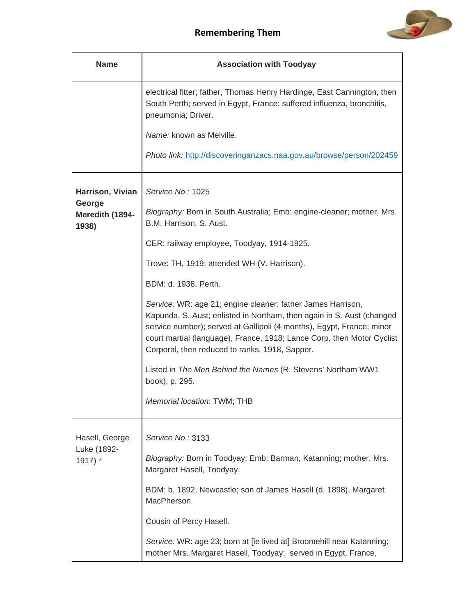

| <b>Name</b>                               | <b>Association with Toodyay</b>                                                                                                                                                                                                                                                                                                           |
|-------------------------------------------|-------------------------------------------------------------------------------------------------------------------------------------------------------------------------------------------------------------------------------------------------------------------------------------------------------------------------------------------|
|                                           | electrical fitter; father, Thomas Henry Hardinge, East Cannington, then<br>South Perth; served in Egypt, France; suffered influenza, bronchitis,<br>pneumonia; Driver.                                                                                                                                                                    |
|                                           | Name: known as Melville.                                                                                                                                                                                                                                                                                                                  |
|                                           | Photo link: http://discoveringanzacs.naa.gov.au/browse/person/202459                                                                                                                                                                                                                                                                      |
| Harrison, Vivian                          | Service No.: 1025                                                                                                                                                                                                                                                                                                                         |
| George<br>Meredith (1894-<br>1938)        | Biography: Born in South Australia; Emb: engine-cleaner; mother, Mrs.<br>B.M. Harrison, S. Aust.                                                                                                                                                                                                                                          |
|                                           | CER: railway employee, Toodyay, 1914-1925.                                                                                                                                                                                                                                                                                                |
|                                           | Trove: TH, 1919: attended WH (V. Harrison).                                                                                                                                                                                                                                                                                               |
|                                           | BDM: d. 1938, Perth.                                                                                                                                                                                                                                                                                                                      |
|                                           | Service: WR: age 21; engine cleaner; father James Harrison,<br>Kapunda, S. Aust; enlisted in Northam, then again in S. Aust (changed<br>service number); served at Gallipoli (4 months), Egypt, France; minor<br>court martial (language), France, 1918; Lance Corp, then Motor Cyclist<br>Corporal, then reduced to ranks, 1918, Sapper. |
|                                           | Listed in The Men Behind the Names (R. Stevens' Northam WW1<br>book), p. 295.                                                                                                                                                                                                                                                             |
|                                           | Memorial location: TWM; THB                                                                                                                                                                                                                                                                                                               |
| Hasell, George<br>Luke (1892-<br>$1917$ * | Service No.: 3133                                                                                                                                                                                                                                                                                                                         |
|                                           | Biography: Born in Toodyay; Emb: Barman, Katanning; mother, Mrs.<br>Margaret Hasell, Toodyay.                                                                                                                                                                                                                                             |
|                                           | BDM: b. 1892, Newcastle; son of James Hasell (d. 1898), Margaret<br>MacPherson.                                                                                                                                                                                                                                                           |
|                                           | Cousin of Percy Hasell.                                                                                                                                                                                                                                                                                                                   |
|                                           | Service: WR: age 23; born at [ie lived at] Broomehill near Katanning;<br>mother Mrs. Margaret Hasell, Toodyay; served in Egypt, France,                                                                                                                                                                                                   |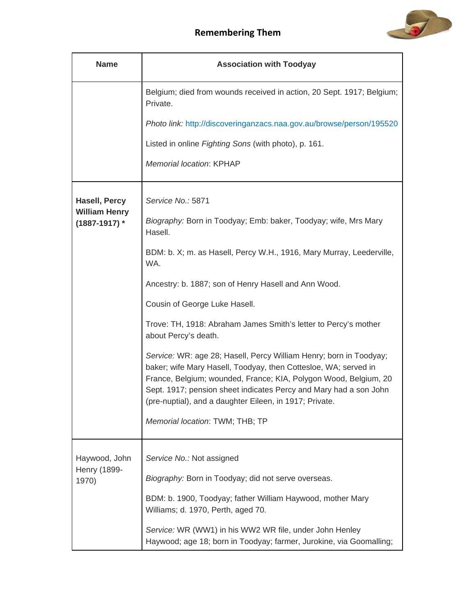

| <b>Name</b>                               | <b>Association with Toodyay</b>                                                                                                                                                                                                                                                                                                           |
|-------------------------------------------|-------------------------------------------------------------------------------------------------------------------------------------------------------------------------------------------------------------------------------------------------------------------------------------------------------------------------------------------|
|                                           | Belgium; died from wounds received in action, 20 Sept. 1917; Belgium;<br>Private.                                                                                                                                                                                                                                                         |
|                                           | Photo link: http://discoveringanzacs.naa.gov.au/browse/person/195520                                                                                                                                                                                                                                                                      |
|                                           | Listed in online Fighting Sons (with photo), p. 161.                                                                                                                                                                                                                                                                                      |
|                                           | Memorial location: KPHAP                                                                                                                                                                                                                                                                                                                  |
| <b>Hasell, Percy</b>                      | Service No.: 5871                                                                                                                                                                                                                                                                                                                         |
| <b>William Henry</b><br>$(1887 - 1917)$ * | Biography: Born in Toodyay; Emb: baker, Toodyay; wife, Mrs Mary<br>Hasell.                                                                                                                                                                                                                                                                |
|                                           | BDM: b. X; m. as Hasell, Percy W.H., 1916, Mary Murray, Leederville,<br>WA.                                                                                                                                                                                                                                                               |
|                                           | Ancestry: b. 1887; son of Henry Hasell and Ann Wood.                                                                                                                                                                                                                                                                                      |
|                                           | Cousin of George Luke Hasell.                                                                                                                                                                                                                                                                                                             |
|                                           | Trove: TH, 1918: Abraham James Smith's letter to Percy's mother<br>about Percy's death.                                                                                                                                                                                                                                                   |
|                                           | Service: WR: age 28; Hasell, Percy William Henry; born in Toodyay;<br>baker; wife Mary Hasell, Toodyay, then Cottesloe, WA; served in<br>France, Belgium; wounded, France; KIA, Polygon Wood, Belgium, 20<br>Sept. 1917; pension sheet indicates Percy and Mary had a son John<br>(pre-nuptial), and a daughter Eileen, in 1917; Private. |
|                                           | Memorial location: TWM; THB; TP                                                                                                                                                                                                                                                                                                           |
| Haywood, John                             | Service No.: Not assigned                                                                                                                                                                                                                                                                                                                 |
| Henry (1899-<br>1970)                     | Biography: Born in Toodyay; did not serve overseas.                                                                                                                                                                                                                                                                                       |
|                                           | BDM: b. 1900, Toodyay; father William Haywood, mother Mary<br>Williams; d. 1970, Perth, aged 70.                                                                                                                                                                                                                                          |
|                                           | Service: WR (WW1) in his WW2 WR file, under John Henley<br>Haywood; age 18; born in Toodyay; farmer, Jurokine, via Goomalling;                                                                                                                                                                                                            |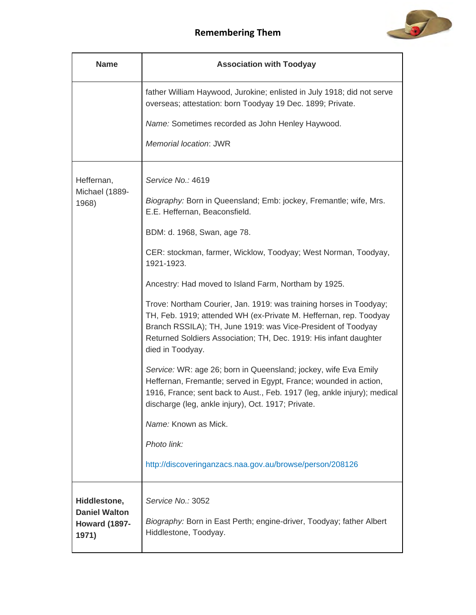

| <b>Name</b>                          | <b>Association with Toodyay</b>                                                                                                                                                                                                                                                                  |
|--------------------------------------|--------------------------------------------------------------------------------------------------------------------------------------------------------------------------------------------------------------------------------------------------------------------------------------------------|
|                                      | father William Haywood, Jurokine; enlisted in July 1918; did not serve<br>overseas; attestation: born Toodyay 19 Dec. 1899; Private.                                                                                                                                                             |
|                                      | Name: Sometimes recorded as John Henley Haywood.                                                                                                                                                                                                                                                 |
|                                      | Memorial location: JWR                                                                                                                                                                                                                                                                           |
| Heffernan,                           | Service No.: 4619                                                                                                                                                                                                                                                                                |
| Michael (1889-<br>1968)              | Biography: Born in Queensland; Emb: jockey, Fremantle; wife, Mrs.<br>E.E. Heffernan, Beaconsfield.                                                                                                                                                                                               |
|                                      | BDM: d. 1968, Swan, age 78.                                                                                                                                                                                                                                                                      |
|                                      | CER: stockman, farmer, Wicklow, Toodyay; West Norman, Toodyay,<br>1921-1923.                                                                                                                                                                                                                     |
|                                      | Ancestry: Had moved to Island Farm, Northam by 1925.                                                                                                                                                                                                                                             |
|                                      | Trove: Northam Courier, Jan. 1919: was training horses in Toodyay;<br>TH, Feb. 1919; attended WH (ex-Private M. Heffernan, rep. Toodyay<br>Branch RSSILA); TH, June 1919: was Vice-President of Toodyay<br>Returned Soldiers Association; TH, Dec. 1919: His infant daughter<br>died in Toodyay. |
|                                      | Service: WR: age 26; born in Queensland; jockey, wife Eva Emily<br>Heffernan, Fremantle; served in Egypt, France; wounded in action,<br>1916, France; sent back to Aust., Feb. 1917 (leg, ankle injury); medical<br>discharge (leg, ankle injury), Oct. 1917; Private.                           |
|                                      | Name: Known as Mick.                                                                                                                                                                                                                                                                             |
|                                      | Photo link:                                                                                                                                                                                                                                                                                      |
|                                      | http://discoveringanzacs.naa.gov.au/browse/person/208126                                                                                                                                                                                                                                         |
| Hiddlestone,<br><b>Daniel Walton</b> | Service No.: 3052                                                                                                                                                                                                                                                                                |
| <b>Howard (1897-</b><br>1971)        | Biography: Born in East Perth; engine-driver, Toodyay; father Albert<br>Hiddlestone, Toodyay.                                                                                                                                                                                                    |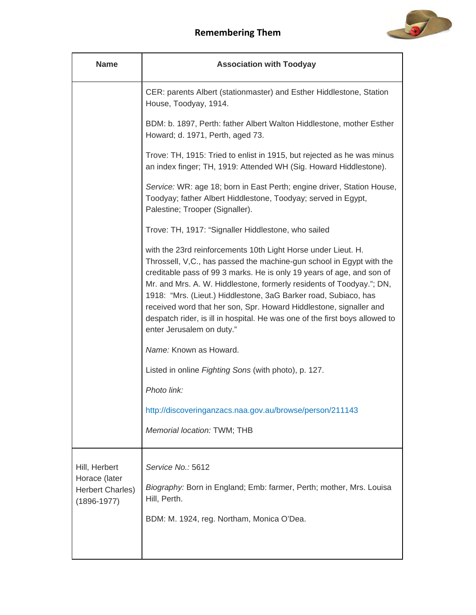

| <b>Name</b>                                                                  | <b>Association with Toodyay</b>                                                                                                                                                                                                                                                                                                                                                                                                                                                                                                             |
|------------------------------------------------------------------------------|---------------------------------------------------------------------------------------------------------------------------------------------------------------------------------------------------------------------------------------------------------------------------------------------------------------------------------------------------------------------------------------------------------------------------------------------------------------------------------------------------------------------------------------------|
|                                                                              | CER: parents Albert (stationmaster) and Esther Hiddlestone, Station<br>House, Toodyay, 1914.                                                                                                                                                                                                                                                                                                                                                                                                                                                |
|                                                                              | BDM: b. 1897, Perth: father Albert Walton Hiddlestone, mother Esther<br>Howard; d. 1971, Perth, aged 73.                                                                                                                                                                                                                                                                                                                                                                                                                                    |
|                                                                              | Trove: TH, 1915: Tried to enlist in 1915, but rejected as he was minus<br>an index finger; TH, 1919: Attended WH (Sig. Howard Hiddlestone).                                                                                                                                                                                                                                                                                                                                                                                                 |
|                                                                              | Service: WR: age 18; born in East Perth; engine driver, Station House,<br>Toodyay; father Albert Hiddlestone, Toodyay; served in Egypt,<br>Palestine; Trooper (Signaller).                                                                                                                                                                                                                                                                                                                                                                  |
|                                                                              | Trove: TH, 1917: "Signaller Hiddlestone, who sailed                                                                                                                                                                                                                                                                                                                                                                                                                                                                                         |
|                                                                              | with the 23rd reinforcements 10th Light Horse under Lieut. H.<br>Throssell, V,C., has passed the machine-gun school in Egypt with the<br>creditable pass of 99 3 marks. He is only 19 years of age, and son of<br>Mr. and Mrs. A. W. Hiddlestone, formerly residents of Toodyay."; DN,<br>1918: "Mrs. (Lieut.) Hiddlestone, 3aG Barker road, Subiaco, has<br>received word that her son, Spr. Howard Hiddlestone, signaller and<br>despatch rider, is ill in hospital. He was one of the first boys allowed to<br>enter Jerusalem on duty." |
|                                                                              | Name: Known as Howard.                                                                                                                                                                                                                                                                                                                                                                                                                                                                                                                      |
|                                                                              | Listed in online Fighting Sons (with photo), p. 127.                                                                                                                                                                                                                                                                                                                                                                                                                                                                                        |
|                                                                              | Photo link:                                                                                                                                                                                                                                                                                                                                                                                                                                                                                                                                 |
|                                                                              | http://discoveringanzacs.naa.gov.au/browse/person/211143                                                                                                                                                                                                                                                                                                                                                                                                                                                                                    |
|                                                                              | Memorial location: TWM; THB                                                                                                                                                                                                                                                                                                                                                                                                                                                                                                                 |
| Hill, Herbert<br>Horace (later<br><b>Herbert Charles)</b><br>$(1896 - 1977)$ | Service No.: 5612<br>Biography: Born in England; Emb: farmer, Perth; mother, Mrs. Louisa<br>Hill, Perth.<br>BDM: M. 1924, reg. Northam, Monica O'Dea.                                                                                                                                                                                                                                                                                                                                                                                       |
|                                                                              |                                                                                                                                                                                                                                                                                                                                                                                                                                                                                                                                             |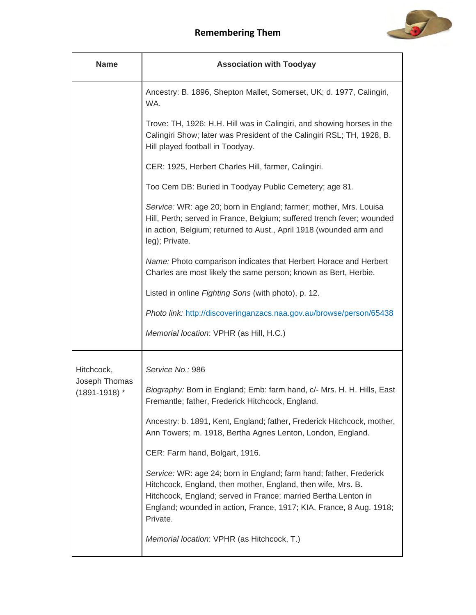

| <b>Name</b>                        | <b>Association with Toodyay</b>                                                                                                                                                                                                                                                         |
|------------------------------------|-----------------------------------------------------------------------------------------------------------------------------------------------------------------------------------------------------------------------------------------------------------------------------------------|
|                                    | Ancestry: B. 1896, Shepton Mallet, Somerset, UK; d. 1977, Calingiri,<br>WA.                                                                                                                                                                                                             |
|                                    | Trove: TH, 1926: H.H. Hill was in Calingiri, and showing horses in the<br>Calingiri Show; later was President of the Calingiri RSL; TH, 1928, B.<br>Hill played football in Toodyay.                                                                                                    |
|                                    | CER: 1925, Herbert Charles Hill, farmer, Calingiri.                                                                                                                                                                                                                                     |
|                                    | Too Cem DB: Buried in Toodyay Public Cemetery; age 81.                                                                                                                                                                                                                                  |
|                                    | Service: WR: age 20; born in England; farmer; mother, Mrs. Louisa<br>Hill, Perth; served in France, Belgium; suffered trench fever; wounded<br>in action, Belgium; returned to Aust., April 1918 (wounded arm and<br>leg); Private.                                                     |
|                                    | Name: Photo comparison indicates that Herbert Horace and Herbert<br>Charles are most likely the same person; known as Bert, Herbie.                                                                                                                                                     |
|                                    | Listed in online Fighting Sons (with photo), p. 12.                                                                                                                                                                                                                                     |
|                                    | Photo link: http://discoveringanzacs.naa.gov.au/browse/person/65438                                                                                                                                                                                                                     |
|                                    | Memorial location: VPHR (as Hill, H.C.)                                                                                                                                                                                                                                                 |
| Hitchcock,                         | Service No.: 986                                                                                                                                                                                                                                                                        |
| Joseph Thomas<br>$(1891 - 1918)$ * | Biography: Born in England; Emb: farm hand, c/- Mrs. H. H. Hills, East<br>Fremantle; father, Frederick Hitchcock, England.                                                                                                                                                              |
|                                    | Ancestry: b. 1891, Kent, England; father, Frederick Hitchcock, mother,<br>Ann Towers; m. 1918, Bertha Agnes Lenton, London, England.                                                                                                                                                    |
|                                    | CER: Farm hand, Bolgart, 1916.                                                                                                                                                                                                                                                          |
|                                    | Service: WR: age 24; born in England; farm hand; father, Frederick<br>Hitchcock, England, then mother, England, then wife, Mrs. B.<br>Hitchcock, England; served in France; married Bertha Lenton in<br>England; wounded in action, France, 1917; KIA, France, 8 Aug. 1918;<br>Private. |
|                                    | Memorial location: VPHR (as Hitchcock, T.)                                                                                                                                                                                                                                              |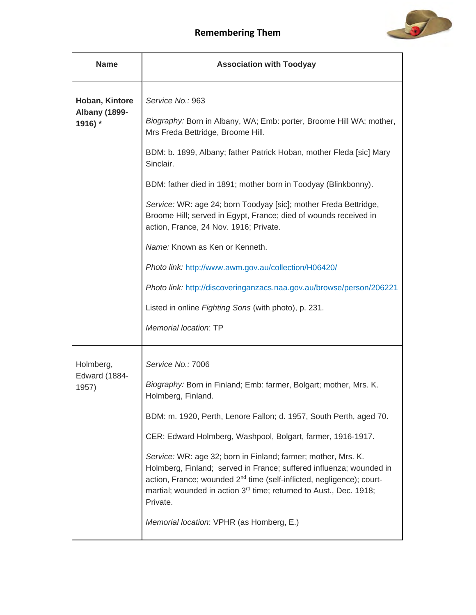

| <b>Name</b>                     | <b>Association with Toodyay</b>                                                                                                                                                                                                                                                                                         |
|---------------------------------|-------------------------------------------------------------------------------------------------------------------------------------------------------------------------------------------------------------------------------------------------------------------------------------------------------------------------|
| Hoban, Kintore                  | Service No.: 963                                                                                                                                                                                                                                                                                                        |
| <b>Albany (1899-</b><br>1916) * | Biography: Born in Albany, WA; Emb: porter, Broome Hill WA; mother,<br>Mrs Freda Bettridge, Broome Hill.                                                                                                                                                                                                                |
|                                 | BDM: b. 1899, Albany; father Patrick Hoban, mother Fleda [sic] Mary<br>Sinclair.                                                                                                                                                                                                                                        |
|                                 | BDM: father died in 1891; mother born in Toodyay (Blinkbonny).                                                                                                                                                                                                                                                          |
|                                 | Service: WR: age 24; born Toodyay [sic]; mother Freda Bettridge,<br>Broome Hill; served in Egypt, France; died of wounds received in<br>action, France, 24 Nov. 1916; Private.                                                                                                                                          |
|                                 | Name: Known as Ken or Kenneth.                                                                                                                                                                                                                                                                                          |
|                                 | Photo link: http://www.awm.gov.au/collection/H06420/                                                                                                                                                                                                                                                                    |
|                                 | Photo link: http://discoveringanzacs.naa.gov.au/browse/person/206221                                                                                                                                                                                                                                                    |
|                                 | Listed in online Fighting Sons (with photo), p. 231.                                                                                                                                                                                                                                                                    |
|                                 | Memorial location: TP                                                                                                                                                                                                                                                                                                   |
| Holmberg,                       | Service No.: 7006                                                                                                                                                                                                                                                                                                       |
| <b>Edward (1884-</b><br>1957)   | Biography: Born in Finland; Emb: farmer, Bolgart; mother, Mrs. K.<br>Holmberg, Finland.                                                                                                                                                                                                                                 |
|                                 | BDM: m. 1920, Perth, Lenore Fallon; d. 1957, South Perth, aged 70.                                                                                                                                                                                                                                                      |
|                                 | CER: Edward Holmberg, Washpool, Bolgart, farmer, 1916-1917.                                                                                                                                                                                                                                                             |
|                                 | Service: WR: age 32; born in Finland; farmer; mother, Mrs. K.<br>Holmberg, Finland; served in France; suffered influenza; wounded in<br>action, France; wounded 2 <sup>nd</sup> time (self-inflicted, negligence); court-<br>martial; wounded in action 3 <sup>rd</sup> time; returned to Aust., Dec. 1918;<br>Private. |
|                                 | Memorial location: VPHR (as Homberg, E.)                                                                                                                                                                                                                                                                                |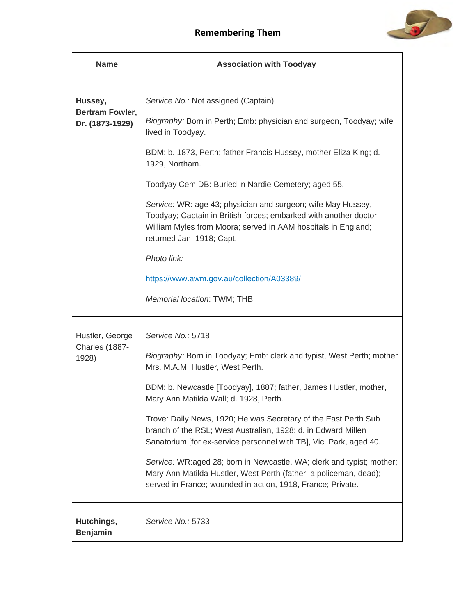

| <b>Name</b>                       | <b>Association with Toodyay</b>                                                                                                                                                                                                |
|-----------------------------------|--------------------------------------------------------------------------------------------------------------------------------------------------------------------------------------------------------------------------------|
| Hussey,<br><b>Bertram Fowler,</b> | Service No.: Not assigned (Captain)<br>Biography: Born in Perth; Emb: physician and surgeon, Toodyay; wife                                                                                                                     |
| Dr. (1873-1929)                   | lived in Toodyay.                                                                                                                                                                                                              |
|                                   | BDM: b. 1873, Perth; father Francis Hussey, mother Eliza King; d.<br>1929, Northam.                                                                                                                                            |
|                                   | Toodyay Cem DB: Buried in Nardie Cemetery; aged 55.                                                                                                                                                                            |
|                                   | Service: WR: age 43; physician and surgeon; wife May Hussey,<br>Toodyay; Captain in British forces; embarked with another doctor<br>William Myles from Moora; served in AAM hospitals in England;<br>returned Jan. 1918; Capt. |
|                                   | Photo link:                                                                                                                                                                                                                    |
|                                   | https://www.awm.gov.au/collection/A03389/                                                                                                                                                                                      |
|                                   | Memorial location: TWM; THB                                                                                                                                                                                                    |
| Hustler, George                   | Service No.: 5718                                                                                                                                                                                                              |
| Charles (1887-<br>1928)           | Biography: Born in Toodyay; Emb: clerk and typist, West Perth; mother<br>Mrs. M.A.M. Hustler, West Perth.                                                                                                                      |
|                                   | BDM: b. Newcastle [Toodyay], 1887; father, James Hustler, mother,<br>Mary Ann Matilda Wall; d. 1928, Perth.                                                                                                                    |
|                                   | Trove: Daily News, 1920; He was Secretary of the East Perth Sub<br>branch of the RSL; West Australian, 1928: d. in Edward Millen<br>Sanatorium [for ex-service personnel with TB], Vic. Park, aged 40.                         |
|                                   | Service: WR:aged 28; born in Newcastle, WA; clerk and typist; mother;<br>Mary Ann Matilda Hustler, West Perth (father, a policeman, dead);<br>served in France; wounded in action, 1918, France; Private.                      |
| Hutchings,<br><b>Benjamin</b>     | Service No.: 5733                                                                                                                                                                                                              |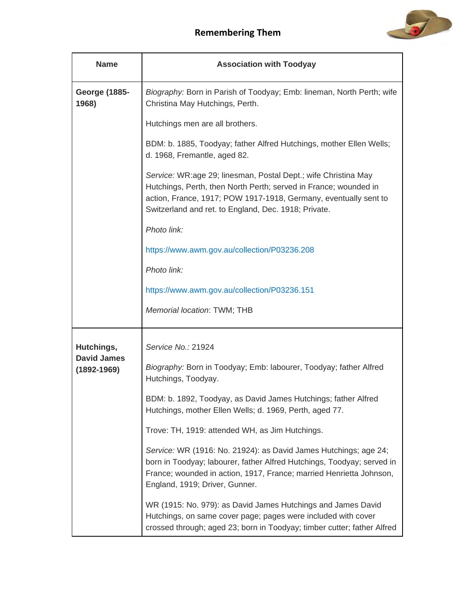



| <b>Name</b>                           | <b>Association with Toodyay</b>                                                                                                                                                                                                                                |
|---------------------------------------|----------------------------------------------------------------------------------------------------------------------------------------------------------------------------------------------------------------------------------------------------------------|
| <b>George (1885-</b><br>1968)         | Biography: Born in Parish of Toodyay; Emb: lineman, North Perth; wife<br>Christina May Hutchings, Perth.                                                                                                                                                       |
|                                       | Hutchings men are all brothers.                                                                                                                                                                                                                                |
|                                       | BDM: b. 1885, Toodyay; father Alfred Hutchings, mother Ellen Wells;<br>d. 1968, Fremantle, aged 82.                                                                                                                                                            |
|                                       | Service: WR:age 29; linesman, Postal Dept.; wife Christina May<br>Hutchings, Perth, then North Perth; served in France; wounded in<br>action, France, 1917; POW 1917-1918, Germany, eventually sent to<br>Switzerland and ret. to England, Dec. 1918; Private. |
|                                       | Photo link:                                                                                                                                                                                                                                                    |
|                                       | https://www.awm.gov.au/collection/P03236.208                                                                                                                                                                                                                   |
|                                       | Photo link:                                                                                                                                                                                                                                                    |
|                                       | https://www.awm.gov.au/collection/P03236.151                                                                                                                                                                                                                   |
|                                       | Memorial location: TWM; THB                                                                                                                                                                                                                                    |
| Hutchings,                            | Service No.: 21924                                                                                                                                                                                                                                             |
| <b>David James</b><br>$(1892 - 1969)$ | Biography: Born in Toodyay; Emb: labourer, Toodyay; father Alfred<br>Hutchings, Toodyay.                                                                                                                                                                       |
|                                       | BDM: b. 1892, Toodyay, as David James Hutchings; father Alfred<br>Hutchings, mother Ellen Wells; d. 1969, Perth, aged 77.                                                                                                                                      |
|                                       | Trove: TH, 1919: attended WH, as Jim Hutchings.                                                                                                                                                                                                                |
|                                       | Service: WR (1916: No. 21924): as David James Hutchings; age 24;<br>born in Toodyay; labourer, father Alfred Hutchings, Toodyay; served in<br>France; wounded in action, 1917, France; married Henrietta Johnson,<br>England, 1919; Driver, Gunner.            |
|                                       | WR (1915: No. 979): as David James Hutchings and James David<br>Hutchings, on same cover page; pages were included with cover<br>crossed through; aged 23; born in Toodyay; timber cutter; father Alfred                                                       |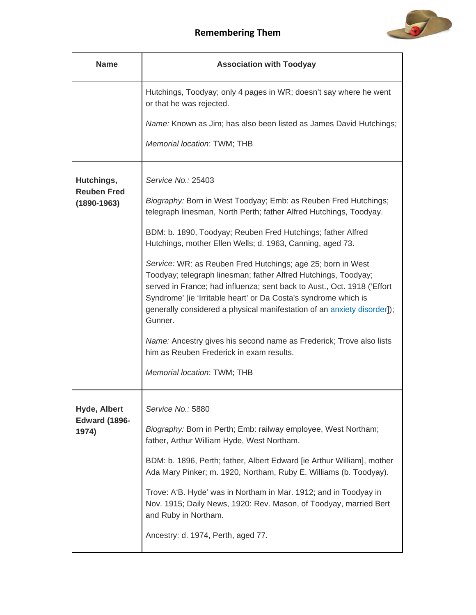

| <b>Name</b>                                   | <b>Association with Toodyay</b>                                                                                                                                                                                                                                                                                                                                   |
|-----------------------------------------------|-------------------------------------------------------------------------------------------------------------------------------------------------------------------------------------------------------------------------------------------------------------------------------------------------------------------------------------------------------------------|
|                                               | Hutchings, Toodyay; only 4 pages in WR; doesn't say where he went<br>or that he was rejected.                                                                                                                                                                                                                                                                     |
|                                               | Name: Known as Jim; has also been listed as James David Hutchings;                                                                                                                                                                                                                                                                                                |
|                                               | Memorial location: TWM; THB                                                                                                                                                                                                                                                                                                                                       |
| Hutchings,                                    | Service No.: 25403                                                                                                                                                                                                                                                                                                                                                |
| <b>Reuben Fred</b><br>$(1890 - 1963)$         | Biography: Born in West Toodyay; Emb: as Reuben Fred Hutchings;<br>telegraph linesman, North Perth; father Alfred Hutchings, Toodyay.                                                                                                                                                                                                                             |
|                                               | BDM: b. 1890, Toodyay; Reuben Fred Hutchings; father Alfred<br>Hutchings, mother Ellen Wells; d. 1963, Canning, aged 73.                                                                                                                                                                                                                                          |
|                                               | Service: WR: as Reuben Fred Hutchings; age 25; born in West<br>Toodyay; telegraph linesman; father Alfred Hutchings, Toodyay;<br>served in France; had influenza; sent back to Aust., Oct. 1918 ('Effort<br>Syndrome' [ie 'Irritable heart' or Da Costa's syndrome which is<br>generally considered a physical manifestation of an anxiety disorder]);<br>Gunner. |
|                                               | Name: Ancestry gives his second name as Frederick; Trove also lists<br>him as Reuben Frederick in exam results.                                                                                                                                                                                                                                                   |
|                                               | Memorial location: TWM; THB                                                                                                                                                                                                                                                                                                                                       |
| Hyde, Albert<br><b>Edward (1896-</b><br>1974) | Service No.: 5880                                                                                                                                                                                                                                                                                                                                                 |
|                                               | Biography: Born in Perth; Emb: railway employee, West Northam;<br>father, Arthur William Hyde, West Northam.                                                                                                                                                                                                                                                      |
|                                               | BDM: b. 1896, Perth; father, Albert Edward [ie Arthur William], mother<br>Ada Mary Pinker; m. 1920, Northam, Ruby E. Williams (b. Toodyay).                                                                                                                                                                                                                       |
|                                               | Trove: A'B. Hyde' was in Northam in Mar. 1912; and in Toodyay in<br>Nov. 1915; Daily News, 1920: Rev. Mason, of Toodyay, married Bert<br>and Ruby in Northam.                                                                                                                                                                                                     |
|                                               | Ancestry: d. 1974, Perth, aged 77.                                                                                                                                                                                                                                                                                                                                |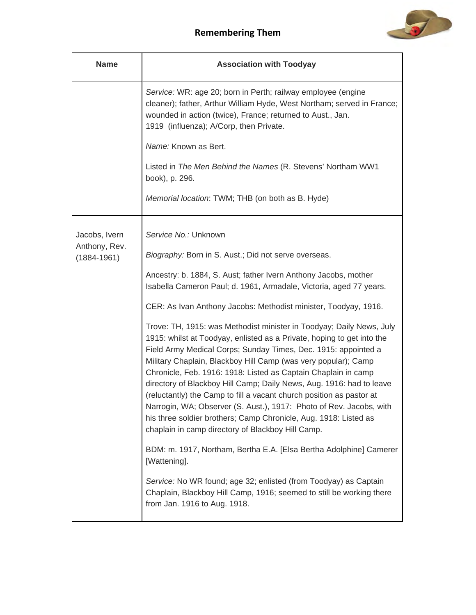

| <b>Name</b>                    | <b>Association with Toodyay</b>                                                                                                                                                                                                                                                                                                                                                                                                                                                                                                                                                                                                                                                                      |
|--------------------------------|------------------------------------------------------------------------------------------------------------------------------------------------------------------------------------------------------------------------------------------------------------------------------------------------------------------------------------------------------------------------------------------------------------------------------------------------------------------------------------------------------------------------------------------------------------------------------------------------------------------------------------------------------------------------------------------------------|
|                                | Service: WR: age 20; born in Perth; railway employee (engine<br>cleaner); father, Arthur William Hyde, West Northam; served in France;<br>wounded in action (twice), France; returned to Aust., Jan.<br>1919 (influenza); A/Corp, then Private.                                                                                                                                                                                                                                                                                                                                                                                                                                                      |
|                                | Name: Known as Bert.                                                                                                                                                                                                                                                                                                                                                                                                                                                                                                                                                                                                                                                                                 |
|                                | Listed in The Men Behind the Names (R. Stevens' Northam WW1<br>book), p. 296.                                                                                                                                                                                                                                                                                                                                                                                                                                                                                                                                                                                                                        |
|                                | Memorial location: TWM; THB (on both as B. Hyde)                                                                                                                                                                                                                                                                                                                                                                                                                                                                                                                                                                                                                                                     |
| Jacobs, Ivern<br>Anthony, Rev. | Service No.: Unknown                                                                                                                                                                                                                                                                                                                                                                                                                                                                                                                                                                                                                                                                                 |
| $(1884 - 1961)$                | Biography: Born in S. Aust.; Did not serve overseas.                                                                                                                                                                                                                                                                                                                                                                                                                                                                                                                                                                                                                                                 |
|                                | Ancestry: b. 1884, S. Aust; father Ivern Anthony Jacobs, mother<br>Isabella Cameron Paul; d. 1961, Armadale, Victoria, aged 77 years.                                                                                                                                                                                                                                                                                                                                                                                                                                                                                                                                                                |
|                                | CER: As Ivan Anthony Jacobs: Methodist minister, Toodyay, 1916.                                                                                                                                                                                                                                                                                                                                                                                                                                                                                                                                                                                                                                      |
|                                | Trove: TH, 1915: was Methodist minister in Toodyay; Daily News, July<br>1915: whilst at Toodyay, enlisted as a Private, hoping to get into the<br>Field Army Medical Corps; Sunday Times, Dec. 1915: appointed a<br>Military Chaplain, Blackboy Hill Camp (was very popular); Camp<br>Chronicle, Feb. 1916: 1918: Listed as Captain Chaplain in camp<br>directory of Blackboy Hill Camp; Daily News, Aug. 1916: had to leave<br>(reluctantly) the Camp to fill a vacant church position as pastor at<br>Narrogin, WA; Observer (S. Aust.), 1917: Photo of Rev. Jacobs, with<br>his three soldier brothers; Camp Chronicle, Aug. 1918: Listed as<br>chaplain in camp directory of Blackboy Hill Camp. |
|                                | BDM: m. 1917, Northam, Bertha E.A. [Elsa Bertha Adolphine] Camerer<br>[Wattening].                                                                                                                                                                                                                                                                                                                                                                                                                                                                                                                                                                                                                   |
|                                | Service: No WR found; age 32; enlisted (from Toodyay) as Captain<br>Chaplain, Blackboy Hill Camp, 1916; seemed to still be working there<br>from Jan. 1916 to Aug. 1918.                                                                                                                                                                                                                                                                                                                                                                                                                                                                                                                             |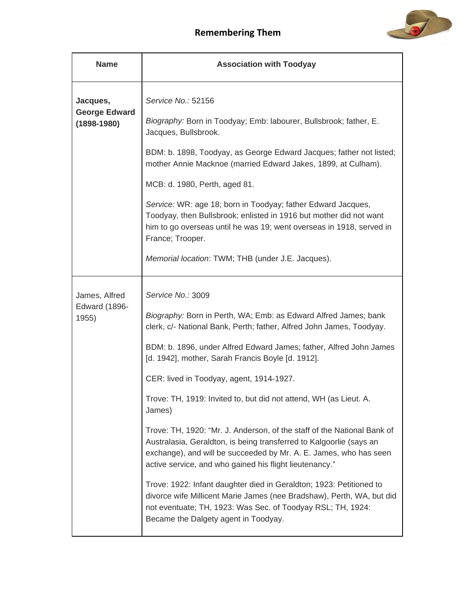

| <b>Name</b>                                         | <b>Association with Toodyay</b>                                                                                                                                                                                                                                                                                                                                                                                                                                                                                                                                                                                                                                                                      |
|-----------------------------------------------------|------------------------------------------------------------------------------------------------------------------------------------------------------------------------------------------------------------------------------------------------------------------------------------------------------------------------------------------------------------------------------------------------------------------------------------------------------------------------------------------------------------------------------------------------------------------------------------------------------------------------------------------------------------------------------------------------------|
| Jacques,<br><b>George Edward</b><br>$(1898 - 1980)$ | Service No.: 52156<br>Biography: Born in Toodyay; Emb: labourer, Bullsbrook; father, E.<br>Jacques, Bullsbrook.<br>BDM: b. 1898, Toodyay, as George Edward Jacques; father not listed;<br>mother Annie Macknoe (married Edward Jakes, 1899, at Culham).<br>MCB: d. 1980, Perth, aged 81.<br>Service: WR: age 18; born in Toodyay; father Edward Jacques,<br>Toodyay, then Bullsbrook; enlisted in 1916 but mother did not want<br>him to go overseas until he was 19; went overseas in 1918, served in<br>France; Trooper.<br>Memorial location: TWM; THB (under J.E. Jacques).                                                                                                                      |
| James, Alfred<br><b>Edward (1896-</b><br>1955)      | Service No.: 3009<br>Biography: Born in Perth, WA; Emb: as Edward Alfred James; bank<br>clerk, c/- National Bank, Perth; father, Alfred John James, Toodyay.<br>BDM: b. 1896, under Alfred Edward James; father, Alfred John James<br>[d. 1942], mother, Sarah Francis Boyle [d. 1912].<br>CER: lived in Toodyay, agent, 1914-1927.<br>Trove: TH, 1919: Invited to, but did not attend, WH (as Lieut. A.<br>James)<br>Trove: TH, 1920: "Mr. J. Anderson, of the staff of the National Bank of<br>Australasia, Geraldton, is being transferred to Kalgoorlie (says an<br>exchange), and will be succeeded by Mr. A. E. James, who has seen<br>active service, and who gained his flight lieutenancy." |
|                                                     | Trove: 1922: Infant daughter died in Geraldton; 1923: Petitioned to<br>divorce wife Millicent Marie James (nee Bradshaw), Perth, WA, but did<br>not eventuate; TH, 1923: Was Sec. of Toodyay RSL; TH, 1924:<br>Became the Dalgety agent in Toodyay.                                                                                                                                                                                                                                                                                                                                                                                                                                                  |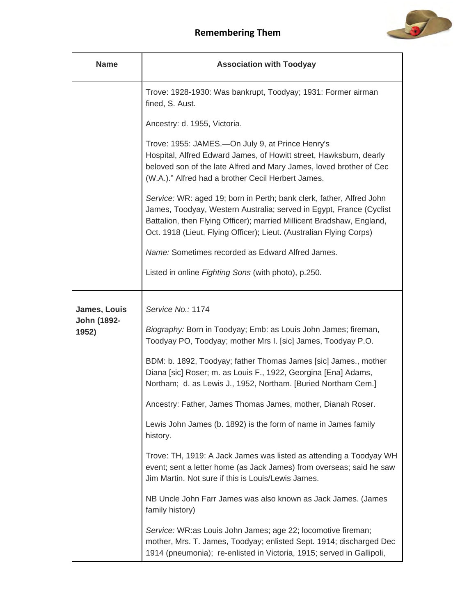

| <b>Name</b>                          | <b>Association with Toodyay</b>                                                                                                                                                                                                                                                                                                                                                                                                                                                                                                                                                                                                                                                                                                                                                                                                                                                                                                                                                                                |
|--------------------------------------|----------------------------------------------------------------------------------------------------------------------------------------------------------------------------------------------------------------------------------------------------------------------------------------------------------------------------------------------------------------------------------------------------------------------------------------------------------------------------------------------------------------------------------------------------------------------------------------------------------------------------------------------------------------------------------------------------------------------------------------------------------------------------------------------------------------------------------------------------------------------------------------------------------------------------------------------------------------------------------------------------------------|
|                                      | Trove: 1928-1930: Was bankrupt, Toodyay; 1931: Former airman<br>fined, S. Aust.                                                                                                                                                                                                                                                                                                                                                                                                                                                                                                                                                                                                                                                                                                                                                                                                                                                                                                                                |
|                                      | Ancestry: d. 1955, Victoria.                                                                                                                                                                                                                                                                                                                                                                                                                                                                                                                                                                                                                                                                                                                                                                                                                                                                                                                                                                                   |
|                                      | Trove: 1955: JAMES.—On July 9, at Prince Henry's<br>Hospital, Alfred Edward James, of Howitt street, Hawksburn, dearly<br>beloved son of the late Alfred and Mary James, loved brother of Cec<br>(W.A.)." Alfred had a brother Cecil Herbert James.                                                                                                                                                                                                                                                                                                                                                                                                                                                                                                                                                                                                                                                                                                                                                            |
|                                      | Service: WR: aged 19; born in Perth; bank clerk, father, Alfred John<br>James, Toodyay, Western Australia; served in Egypt, France (Cyclist<br>Battalion, then Flying Officer); married Millicent Bradshaw, England,<br>Oct. 1918 (Lieut. Flying Officer); Lieut. (Australian Flying Corps)                                                                                                                                                                                                                                                                                                                                                                                                                                                                                                                                                                                                                                                                                                                    |
|                                      | Name: Sometimes recorded as Edward Alfred James.                                                                                                                                                                                                                                                                                                                                                                                                                                                                                                                                                                                                                                                                                                                                                                                                                                                                                                                                                               |
|                                      | Listed in online Fighting Sons (with photo), p.250.                                                                                                                                                                                                                                                                                                                                                                                                                                                                                                                                                                                                                                                                                                                                                                                                                                                                                                                                                            |
| James, Louis<br>John (1892-<br>1952) | Service No.: 1174<br>Biography: Born in Toodyay; Emb: as Louis John James; fireman,<br>Toodyay PO, Toodyay; mother Mrs I. [sic] James, Toodyay P.O.<br>BDM: b. 1892, Toodyay; father Thomas James [sic] James., mother<br>Diana [sic] Roser; m. as Louis F., 1922, Georgina [Ena] Adams,<br>Northam; d. as Lewis J., 1952, Northam. [Buried Northam Cem.]<br>Ancestry: Father, James Thomas James, mother, Dianah Roser.<br>Lewis John James (b. 1892) is the form of name in James family<br>history.<br>Trove: TH, 1919: A Jack James was listed as attending a Toodyay WH<br>event; sent a letter home (as Jack James) from overseas; said he saw<br>Jim Martin. Not sure if this is Louis/Lewis James.<br>NB Uncle John Farr James was also known as Jack James. (James<br>family history)<br>Service: WR:as Louis John James; age 22; locomotive fireman;<br>mother, Mrs. T. James, Toodyay; enlisted Sept. 1914; discharged Dec<br>1914 (pneumonia); re-enlisted in Victoria, 1915; served in Gallipoli, |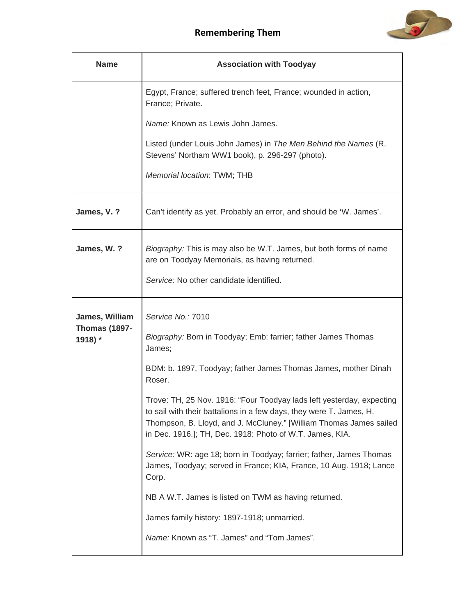

| <b>Name</b>                            | <b>Association with Toodyay</b>                                                                                                                                                                                                                                                |
|----------------------------------------|--------------------------------------------------------------------------------------------------------------------------------------------------------------------------------------------------------------------------------------------------------------------------------|
|                                        | Egypt, France; suffered trench feet, France; wounded in action,<br>France; Private.                                                                                                                                                                                            |
|                                        | Name: Known as Lewis John James.                                                                                                                                                                                                                                               |
|                                        | Listed (under Louis John James) in The Men Behind the Names (R.<br>Stevens' Northam WW1 book), p. 296-297 (photo).                                                                                                                                                             |
|                                        | Memorial location: TWM; THB                                                                                                                                                                                                                                                    |
| James, V. ?                            | Can't identify as yet. Probably an error, and should be 'W. James'.                                                                                                                                                                                                            |
| James, W. ?                            | Biography: This is may also be W.T. James, but both forms of name<br>are on Toodyay Memorials, as having returned.                                                                                                                                                             |
|                                        | Service: No other candidate identified.                                                                                                                                                                                                                                        |
| James, William<br><b>Thomas (1897-</b> | Service No.: 7010                                                                                                                                                                                                                                                              |
| 1918) *                                | Biography: Born in Toodyay; Emb: farrier; father James Thomas<br>James;                                                                                                                                                                                                        |
|                                        | BDM: b. 1897, Toodyay; father James Thomas James, mother Dinah<br>Roser.                                                                                                                                                                                                       |
|                                        | Trove: TH, 25 Nov. 1916: "Four Toodyay lads left yesterday, expecting<br>to sail with their battalions in a few days, they were T. James, H.<br>Thompson, B. Lloyd, and J. McCluney." [William Thomas James sailed<br>in Dec. 1916.]; TH, Dec. 1918: Photo of W.T. James, KIA. |
|                                        | Service: WR: age 18; born in Toodyay; farrier; father, James Thomas<br>James, Toodyay; served in France; KIA, France, 10 Aug. 1918; Lance<br>Corp.                                                                                                                             |
|                                        | NB A W.T. James is listed on TWM as having returned.                                                                                                                                                                                                                           |
|                                        | James family history: 1897-1918; unmarried.                                                                                                                                                                                                                                    |
|                                        | Name: Known as "T. James" and "Tom James".                                                                                                                                                                                                                                     |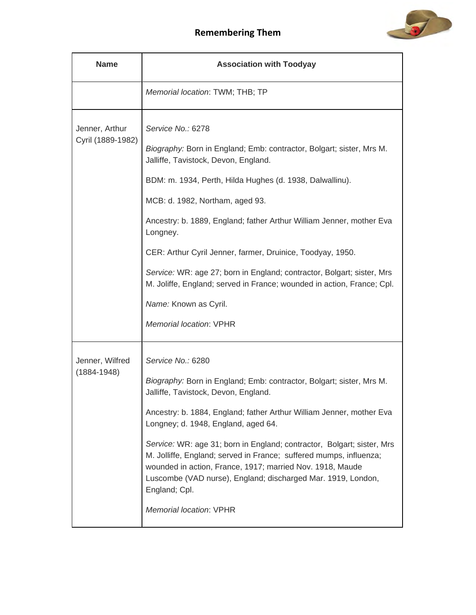

| <b>Name</b>                         | <b>Association with Toodyay</b>                                                                                                                                                                                                                                                                                                                                                                                                                                                                                                                                                            |
|-------------------------------------|--------------------------------------------------------------------------------------------------------------------------------------------------------------------------------------------------------------------------------------------------------------------------------------------------------------------------------------------------------------------------------------------------------------------------------------------------------------------------------------------------------------------------------------------------------------------------------------------|
|                                     | Memorial location: TWM; THB; TP                                                                                                                                                                                                                                                                                                                                                                                                                                                                                                                                                            |
| Jenner, Arthur<br>Cyril (1889-1982) | Service No.: 6278<br>Biography: Born in England; Emb: contractor, Bolgart; sister, Mrs M.<br>Jalliffe, Tavistock, Devon, England.<br>BDM: m. 1934, Perth, Hilda Hughes (d. 1938, Dalwallinu).<br>MCB: d. 1982, Northam, aged 93.<br>Ancestry: b. 1889, England; father Arthur William Jenner, mother Eva<br>Longney.<br>CER: Arthur Cyril Jenner, farmer, Druinice, Toodyay, 1950.<br>Service: WR: age 27; born in England; contractor, Bolgart; sister, Mrs<br>M. Joliffe, England; served in France; wounded in action, France; Cpl.<br>Name: Known as Cyril.<br>Memorial location: VPHR |
| Jenner, Wilfred<br>$(1884 - 1948)$  | Service No.: 6280<br>Biography: Born in England; Emb: contractor, Bolgart; sister, Mrs M.<br>Jalliffe, Tavistock, Devon, England.<br>Ancestry: b. 1884, England; father Arthur William Jenner, mother Eva<br>Longney; d. 1948, England, aged 64.<br>Service: WR: age 31; born in England; contractor, Bolgart; sister, Mrs<br>M. Jolliffe, England; served in France; suffered mumps, influenza;<br>wounded in action, France, 1917; married Nov. 1918, Maude<br>Luscombe (VAD nurse), England; discharged Mar. 1919, London,<br>England; Cpl.<br>Memorial location: VPHR                  |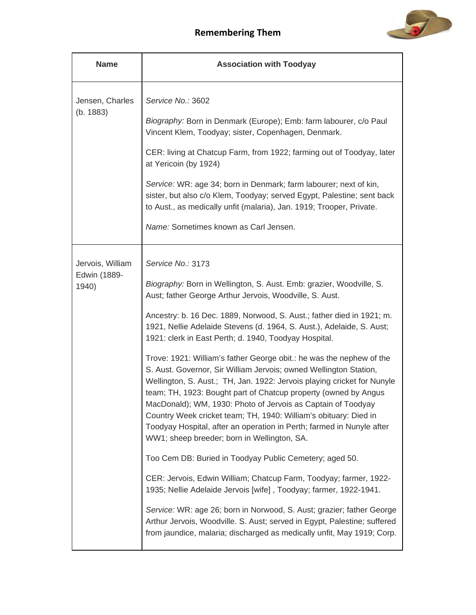

| <b>Name</b>                               | <b>Association with Toodyay</b>                                                                                                                                                                                                                                                                                                                                                                                                                                                                                                                                                                                                                                                                                                                                                                                                                                                                                                                                                                                                                                                                                                                                                                                                                                                                                                                           |
|-------------------------------------------|-----------------------------------------------------------------------------------------------------------------------------------------------------------------------------------------------------------------------------------------------------------------------------------------------------------------------------------------------------------------------------------------------------------------------------------------------------------------------------------------------------------------------------------------------------------------------------------------------------------------------------------------------------------------------------------------------------------------------------------------------------------------------------------------------------------------------------------------------------------------------------------------------------------------------------------------------------------------------------------------------------------------------------------------------------------------------------------------------------------------------------------------------------------------------------------------------------------------------------------------------------------------------------------------------------------------------------------------------------------|
| Jensen, Charles<br>(b. 1883)              | Service No.: 3602<br>Biography: Born in Denmark (Europe); Emb: farm labourer, c/o Paul<br>Vincent Klem, Toodyay; sister, Copenhagen, Denmark.<br>CER: living at Chatcup Farm, from 1922; farming out of Toodyay, later<br>at Yericoin (by 1924)<br>Service: WR: age 34; born in Denmark; farm labourer; next of kin,<br>sister, but also c/o Klem, Toodyay; served Egypt, Palestine; sent back<br>to Aust., as medically unfit (malaria), Jan. 1919; Trooper, Private.<br>Name: Sometimes known as Carl Jensen.                                                                                                                                                                                                                                                                                                                                                                                                                                                                                                                                                                                                                                                                                                                                                                                                                                           |
| Jervois, William<br>Edwin (1889-<br>1940) | Service No.: 3173<br>Biography: Born in Wellington, S. Aust. Emb: grazier, Woodville, S.<br>Aust; father George Arthur Jervois, Woodville, S. Aust.<br>Ancestry: b. 16 Dec. 1889, Norwood, S. Aust.; father died in 1921; m.<br>1921, Nellie Adelaide Stevens (d. 1964, S. Aust.), Adelaide, S. Aust;<br>1921: clerk in East Perth; d. 1940, Toodyay Hospital.<br>Trove: 1921: William's father George obit.: he was the nephew of the<br>S. Aust. Governor, Sir William Jervois; owned Wellington Station,<br>Wellington, S. Aust.; TH, Jan. 1922: Jervois playing cricket for Nunyle<br>team; TH, 1923: Bought part of Chatcup property (owned by Angus<br>MacDonald); WM, 1930: Photo of Jervois as Captain of Toodyay<br>Country Week cricket team; TH, 1940: William's obituary: Died in<br>Toodyay Hospital, after an operation in Perth; farmed in Nunyle after<br>WW1; sheep breeder; born in Wellington, SA.<br>Too Cem DB: Buried in Toodyay Public Cemetery; aged 50.<br>CER: Jervois, Edwin William; Chatcup Farm, Toodyay; farmer, 1922-<br>1935; Nellie Adelaide Jervois [wife], Toodyay; farmer, 1922-1941.<br>Service: WR: age 26; born in Norwood, S. Aust; grazier; father George<br>Arthur Jervois, Woodville. S. Aust; served in Egypt, Palestine; suffered<br>from jaundice, malaria; discharged as medically unfit, May 1919; Corp. |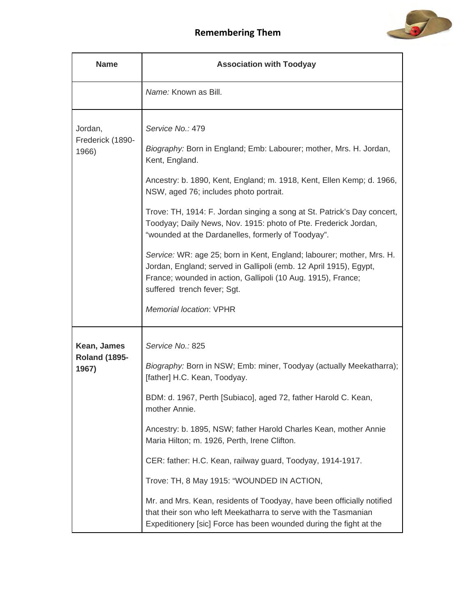

| <b>Name</b>                                  | <b>Association with Toodyay</b>                                                                                                                                                                                                                                                                                                                                                                                                                                                                                                                                                                                                                                                                         |
|----------------------------------------------|---------------------------------------------------------------------------------------------------------------------------------------------------------------------------------------------------------------------------------------------------------------------------------------------------------------------------------------------------------------------------------------------------------------------------------------------------------------------------------------------------------------------------------------------------------------------------------------------------------------------------------------------------------------------------------------------------------|
|                                              | Name: Known as Bill.                                                                                                                                                                                                                                                                                                                                                                                                                                                                                                                                                                                                                                                                                    |
| Jordan,<br>Frederick (1890-<br>1966)         | Service No.: 479<br>Biography: Born in England; Emb: Labourer; mother, Mrs. H. Jordan,<br>Kent, England.<br>Ancestry: b. 1890, Kent, England; m. 1918, Kent, Ellen Kemp; d. 1966,<br>NSW, aged 76; includes photo portrait.<br>Trove: TH, 1914: F. Jordan singing a song at St. Patrick's Day concert,<br>Toodyay; Daily News, Nov. 1915: photo of Pte. Frederick Jordan,<br>"wounded at the Dardanelles, formerly of Toodyay".<br>Service: WR: age 25; born in Kent, England; labourer; mother, Mrs. H.<br>Jordan, England; served in Gallipoli (emb. 12 April 1915), Egypt,<br>France; wounded in action, Gallipoli (10 Aug. 1915), France;<br>suffered trench fever; Sgt.<br>Memorial location: VPHR |
| Kean, James<br><b>Roland (1895-</b><br>1967) | Service No.: 825<br>Biography: Born in NSW; Emb: miner, Toodyay (actually Meekatharra);<br>[father] H.C. Kean, Toodyay.<br>BDM: d. 1967, Perth [Subiaco], aged 72, father Harold C. Kean,<br>mother Annie.<br>Ancestry: b. 1895, NSW; father Harold Charles Kean, mother Annie<br>Maria Hilton; m. 1926, Perth, Irene Clifton.<br>CER: father: H.C. Kean, railway guard, Toodyay, 1914-1917.<br>Trove: TH, 8 May 1915: "WOUNDED IN ACTION,<br>Mr. and Mrs. Kean, residents of Toodyay, have been officially notified<br>that their son who left Meekatharra to serve with the Tasmanian<br>Expeditionery [sic] Force has been wounded during the fight at the                                           |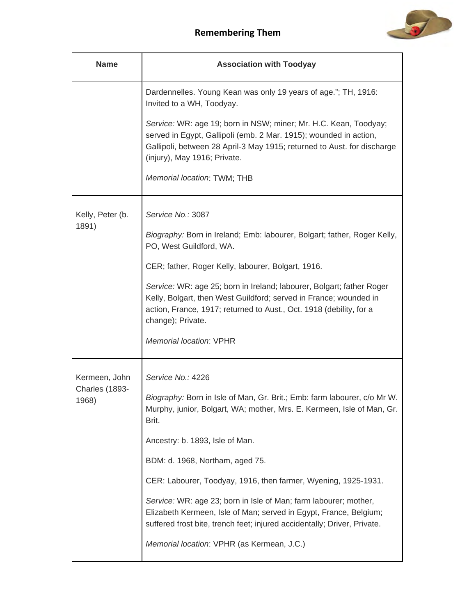

| <b>Name</b>                    | <b>Association with Toodyay</b>                                                                                                                                                                                                                  |
|--------------------------------|--------------------------------------------------------------------------------------------------------------------------------------------------------------------------------------------------------------------------------------------------|
|                                | Dardennelles. Young Kean was only 19 years of age."; TH, 1916:<br>Invited to a WH, Toodyay.                                                                                                                                                      |
|                                | Service: WR: age 19; born in NSW; miner; Mr. H.C. Kean, Toodyay;<br>served in Egypt, Gallipoli (emb. 2 Mar. 1915); wounded in action,<br>Gallipoli, between 28 April-3 May 1915; returned to Aust. for discharge<br>(injury), May 1916; Private. |
|                                | Memorial location: TWM; THB                                                                                                                                                                                                                      |
| Kelly, Peter (b.               | Service No.: 3087                                                                                                                                                                                                                                |
| 1891)                          | Biography: Born in Ireland; Emb: labourer, Bolgart; father, Roger Kelly,<br>PO, West Guildford, WA.                                                                                                                                              |
|                                | CER; father, Roger Kelly, labourer, Bolgart, 1916.                                                                                                                                                                                               |
|                                | Service: WR: age 25; born in Ireland; labourer, Bolgart; father Roger<br>Kelly, Bolgart, then West Guildford; served in France; wounded in<br>action, France, 1917; returned to Aust., Oct. 1918 (debility, for a<br>change); Private.           |
|                                | Memorial location: VPHR                                                                                                                                                                                                                          |
| Kermeen, John                  | Service No.: 4226                                                                                                                                                                                                                                |
| <b>Charles (1893-</b><br>1968) | Biography: Born in Isle of Man, Gr. Brit.; Emb: farm labourer, c/o Mr W.<br>Murphy, junior, Bolgart, WA; mother, Mrs. E. Kermeen, Isle of Man, Gr.<br>Brit.                                                                                      |
|                                | Ancestry: b. 1893, Isle of Man.                                                                                                                                                                                                                  |
|                                | BDM: d. 1968, Northam, aged 75.                                                                                                                                                                                                                  |
|                                | CER: Labourer, Toodyay, 1916, then farmer, Wyening, 1925-1931.                                                                                                                                                                                   |
|                                | Service: WR: age 23; born in Isle of Man; farm labourer; mother,<br>Elizabeth Kermeen, Isle of Man; served in Egypt, France, Belgium;<br>suffered frost bite, trench feet; injured accidentally; Driver, Private.                                |
|                                | Memorial location: VPHR (as Kermean, J.C.)                                                                                                                                                                                                       |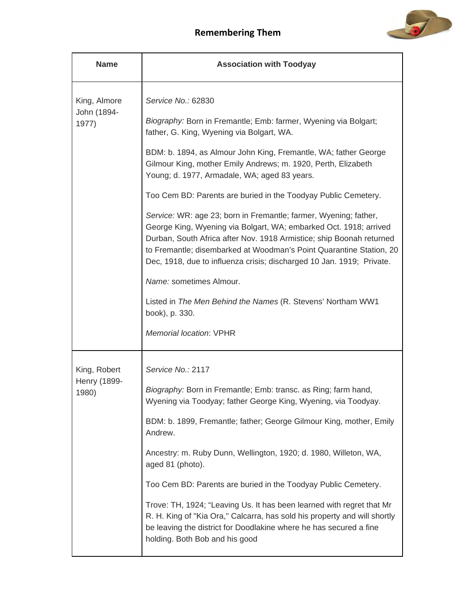

| <b>Name</b>                          | <b>Association with Toodyay</b>                                                                                                                                                                                                                                                                                                                               |
|--------------------------------------|---------------------------------------------------------------------------------------------------------------------------------------------------------------------------------------------------------------------------------------------------------------------------------------------------------------------------------------------------------------|
| King, Almore<br>John (1894-<br>1977) | Service No.: 62830                                                                                                                                                                                                                                                                                                                                            |
|                                      | Biography: Born in Fremantle; Emb: farmer, Wyening via Bolgart;<br>father, G. King, Wyening via Bolgart, WA.                                                                                                                                                                                                                                                  |
|                                      | BDM: b. 1894, as Almour John King, Fremantle, WA; father George<br>Gilmour King, mother Emily Andrews; m. 1920, Perth, Elizabeth<br>Young; d. 1977, Armadale, WA; aged 83 years.                                                                                                                                                                              |
|                                      | Too Cem BD: Parents are buried in the Toodyay Public Cemetery.                                                                                                                                                                                                                                                                                                |
|                                      | Service: WR: age 23; born in Fremantle; farmer, Wyening; father,<br>George King, Wyening via Bolgart, WA; embarked Oct. 1918; arrived<br>Durban, South Africa after Nov. 1918 Armistice; ship Boonah returned<br>to Fremantle; disembarked at Woodman's Point Quarantine Station, 20<br>Dec, 1918, due to influenza crisis; discharged 10 Jan. 1919; Private. |
|                                      | Name: sometimes Almour.                                                                                                                                                                                                                                                                                                                                       |
|                                      | Listed in The Men Behind the Names (R. Stevens' Northam WW1<br>book), p. 330.                                                                                                                                                                                                                                                                                 |
|                                      | Memorial location: VPHR                                                                                                                                                                                                                                                                                                                                       |
| King, Robert                         | Service No.: 2117                                                                                                                                                                                                                                                                                                                                             |
| Henry (1899-<br>1980)                | Biography: Born in Fremantle; Emb: transc. as Ring; farm hand,<br>Wyening via Toodyay; father George King, Wyening, via Toodyay.                                                                                                                                                                                                                              |
|                                      | BDM: b. 1899, Fremantle; father; George Gilmour King, mother, Emily<br>Andrew.                                                                                                                                                                                                                                                                                |
|                                      | Ancestry: m. Ruby Dunn, Wellington, 1920; d. 1980, Willeton, WA,<br>aged 81 (photo).                                                                                                                                                                                                                                                                          |
|                                      | Too Cem BD: Parents are buried in the Toodyay Public Cemetery.                                                                                                                                                                                                                                                                                                |
|                                      | Trove: TH, 1924; "Leaving Us. It has been learned with regret that Mr<br>R. H. King of "Kia Ora," Calcarra, has sold his property and will shortly<br>be leaving the district for Doodlakine where he has secured a fine<br>holding. Both Bob and his good                                                                                                    |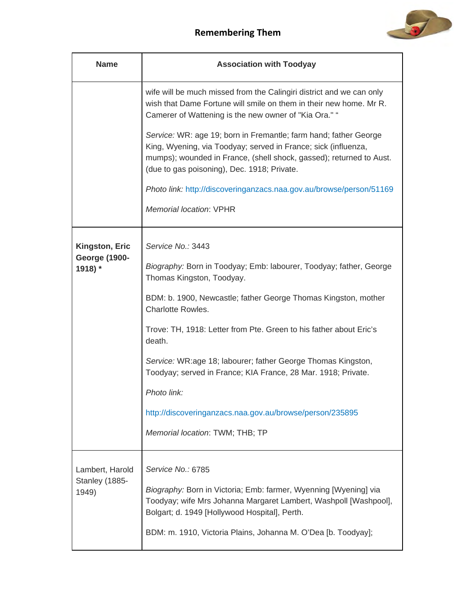

| <b>Name</b>                                              | <b>Association with Toodyay</b>                                                                                                                                                                                                                                                                                                                                                                                                                                                                                                                   |
|----------------------------------------------------------|---------------------------------------------------------------------------------------------------------------------------------------------------------------------------------------------------------------------------------------------------------------------------------------------------------------------------------------------------------------------------------------------------------------------------------------------------------------------------------------------------------------------------------------------------|
|                                                          | wife will be much missed from the Calingiri district and we can only<br>wish that Dame Fortune will smile on them in their new home. Mr R.<br>Camerer of Wattening is the new owner of "Kia Ora." "<br>Service: WR: age 19; born in Fremantle; farm hand; father George<br>King, Wyening, via Toodyay; served in France; sick (influenza,<br>mumps); wounded in France, (shell shock, gassed); returned to Aust.<br>(due to gas poisoning), Dec. 1918; Private.<br>Photo link: http://discoveringanzacs.naa.gov.au/browse/person/51169            |
|                                                          | <b>Memorial location: VPHR</b>                                                                                                                                                                                                                                                                                                                                                                                                                                                                                                                    |
| <b>Kingston, Eric</b><br><b>George (1900-</b><br>1918) * | Service No.: 3443<br>Biography: Born in Toodyay; Emb: labourer, Toodyay; father, George<br>Thomas Kingston, Toodyay.<br>BDM: b. 1900, Newcastle; father George Thomas Kingston, mother<br><b>Charlotte Rowles.</b><br>Trove: TH, 1918: Letter from Pte. Green to his father about Eric's<br>death.<br>Service: WR:age 18; labourer; father George Thomas Kingston,<br>Toodyay; served in France; KIA France, 28 Mar. 1918; Private.<br>Photo link:<br>http://discoveringanzacs.naa.gov.au/browse/person/235895<br>Memorial location: TWM; THB; TP |
| Lambert, Harold<br>Stanley (1885-<br>1949)               | Service No.: 6785<br>Biography: Born in Victoria; Emb: farmer, Wyenning [Wyening] via<br>Toodyay; wife Mrs Johanna Margaret Lambert, Washpoll [Washpool],<br>Bolgart; d. 1949 [Hollywood Hospital], Perth.<br>BDM: m. 1910, Victoria Plains, Johanna M. O'Dea [b. Toodyay];                                                                                                                                                                                                                                                                       |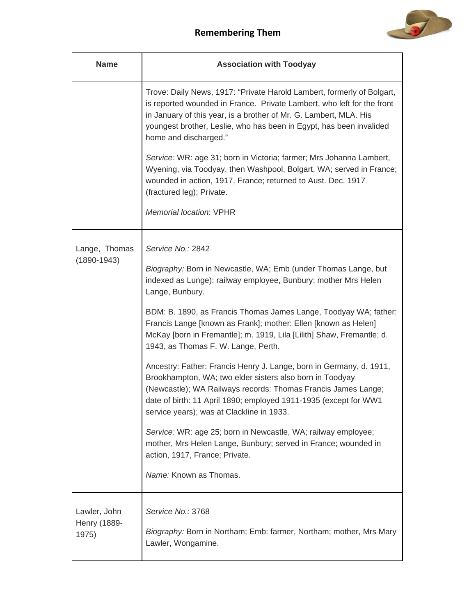

| <b>Name</b>                           | <b>Association with Toodyay</b>                                                                                                                                                                                                                                                                                       |
|---------------------------------------|-----------------------------------------------------------------------------------------------------------------------------------------------------------------------------------------------------------------------------------------------------------------------------------------------------------------------|
|                                       | Trove: Daily News, 1917: "Private Harold Lambert, formerly of Bolgart,<br>is reported wounded in France. Private Lambert, who left for the front<br>in January of this year, is a brother of Mr. G. Lambert, MLA. His<br>youngest brother, Leslie, who has been in Egypt, has been invalided<br>home and discharged." |
|                                       | Service: WR: age 31; born in Victoria; farmer; Mrs Johanna Lambert,<br>Wyening, via Toodyay, then Washpool, Bolgart, WA; served in France;<br>wounded in action, 1917, France; returned to Aust. Dec. 1917<br>(fractured leg); Private.                                                                               |
|                                       | Memorial location: VPHR                                                                                                                                                                                                                                                                                               |
| Lange, Thomas                         | Service No.: 2842                                                                                                                                                                                                                                                                                                     |
| $(1890 - 1943)$                       | Biography: Born in Newcastle, WA; Emb (under Thomas Lange, but<br>indexed as Lunge): railway employee, Bunbury; mother Mrs Helen<br>Lange, Bunbury.                                                                                                                                                                   |
|                                       | BDM: B. 1890, as Francis Thomas James Lange, Toodyay WA; father:<br>Francis Lange [known as Frank]; mother: Ellen [known as Helen]<br>McKay [born in Fremantle]; m. 1919, Lila [Lilith] Shaw, Fremantle; d.<br>1943, as Thomas F. W. Lange, Perth.                                                                    |
|                                       | Ancestry: Father: Francis Henry J. Lange, born in Germany, d. 1911,<br>Brookhampton, WA; two elder sisters also born in Toodyay<br>(Newcastle); WA Railways records: Thomas Francis James Lange;<br>date of birth: 11 April 1890; employed 1911-1935 (except for WW1<br>service years); was at Clackline in 1933.     |
|                                       | Service: WR: age 25; born in Newcastle, WA; railway employee;<br>mother, Mrs Helen Lange, Bunbury; served in France; wounded in<br>action, 1917, France; Private.                                                                                                                                                     |
|                                       | Name: Known as Thomas.                                                                                                                                                                                                                                                                                                |
| Lawler, John<br>Henry (1889-<br>1975) | Service No.: 3768<br>Biography: Born in Northam; Emb: farmer, Northam; mother, Mrs Mary<br>Lawler, Wongamine.                                                                                                                                                                                                         |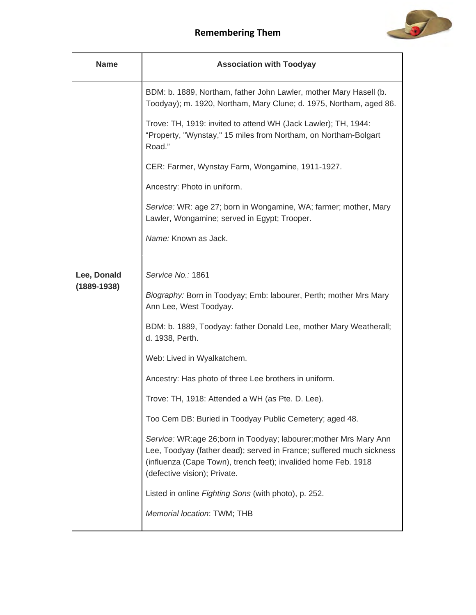

| <b>Name</b>     | <b>Association with Toodyay</b>                                                                                                                                                                                                             |
|-----------------|---------------------------------------------------------------------------------------------------------------------------------------------------------------------------------------------------------------------------------------------|
|                 | BDM: b. 1889, Northam, father John Lawler, mother Mary Hasell (b.<br>Toodyay); m. 1920, Northam, Mary Clune; d. 1975, Northam, aged 86.                                                                                                     |
|                 | Trove: TH, 1919: invited to attend WH (Jack Lawler); TH, 1944:<br>"Property, "Wynstay," 15 miles from Northam, on Northam-Bolgart<br>Road."                                                                                                 |
|                 | CER: Farmer, Wynstay Farm, Wongamine, 1911-1927.                                                                                                                                                                                            |
|                 | Ancestry: Photo in uniform.                                                                                                                                                                                                                 |
|                 | Service: WR: age 27; born in Wongamine, WA; farmer; mother, Mary<br>Lawler, Wongamine; served in Egypt; Trooper.                                                                                                                            |
|                 | Name: Known as Jack.                                                                                                                                                                                                                        |
| Lee, Donald     | Service No.: 1861                                                                                                                                                                                                                           |
| $(1889 - 1938)$ | Biography: Born in Toodyay; Emb: labourer, Perth; mother Mrs Mary<br>Ann Lee, West Toodyay.                                                                                                                                                 |
|                 | BDM: b. 1889, Toodyay: father Donald Lee, mother Mary Weatherall;<br>d. 1938, Perth.                                                                                                                                                        |
|                 | Web: Lived in Wyalkatchem.                                                                                                                                                                                                                  |
|                 | Ancestry: Has photo of three Lee brothers in uniform.                                                                                                                                                                                       |
|                 | Trove: TH, 1918: Attended a WH (as Pte. D. Lee).                                                                                                                                                                                            |
|                 | Too Cem DB: Buried in Toodyay Public Cemetery; aged 48.                                                                                                                                                                                     |
|                 | Service: WR:age 26;born in Toodyay; labourer; mother Mrs Mary Ann<br>Lee, Toodyay (father dead); served in France; suffered much sickness<br>(influenza (Cape Town), trench feet); invalided home Feb. 1918<br>(defective vision); Private. |
|                 | Listed in online Fighting Sons (with photo), p. 252.                                                                                                                                                                                        |
|                 | Memorial location: TWM; THB                                                                                                                                                                                                                 |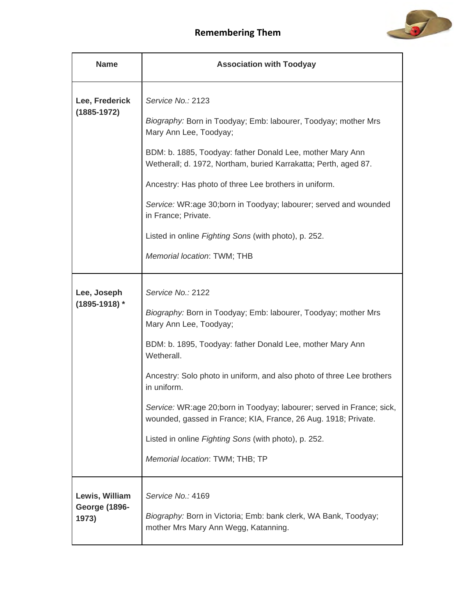

| <b>Name</b>                                     | <b>Association with Toodyay</b>                                                                                                                                                                                                                                                                                                                                                                                                                                                                                        |
|-------------------------------------------------|------------------------------------------------------------------------------------------------------------------------------------------------------------------------------------------------------------------------------------------------------------------------------------------------------------------------------------------------------------------------------------------------------------------------------------------------------------------------------------------------------------------------|
| Lee, Frederick<br>$(1885 - 1972)$               | Service No.: 2123<br>Biography: Born in Toodyay; Emb: labourer, Toodyay; mother Mrs<br>Mary Ann Lee, Toodyay;<br>BDM: b. 1885, Toodyay: father Donald Lee, mother Mary Ann<br>Wetherall; d. 1972, Northam, buried Karrakatta; Perth, aged 87.<br>Ancestry: Has photo of three Lee brothers in uniform.<br>Service: WR:age 30;born in Toodyay; labourer; served and wounded<br>in France; Private.<br>Listed in online Fighting Sons (with photo), p. 252.<br>Memorial location: TWM; THB                               |
| Lee, Joseph<br>$(1895 - 1918)$ *                | Service No.: 2122<br>Biography: Born in Toodyay; Emb: labourer, Toodyay; mother Mrs<br>Mary Ann Lee, Toodyay;<br>BDM: b. 1895, Toodyay: father Donald Lee, mother Mary Ann<br>Wetherall.<br>Ancestry: Solo photo in uniform, and also photo of three Lee brothers<br>in uniform.<br>Service: WR:age 20;born in Toodyay; labourer; served in France; sick,<br>wounded, gassed in France; KIA, France, 26 Aug. 1918; Private.<br>Listed in online Fighting Sons (with photo), p. 252.<br>Memorial location: TWM; THB; TP |
| Lewis, William<br><b>George (1896-</b><br>1973) | Service No.: 4169<br>Biography: Born in Victoria; Emb: bank clerk, WA Bank, Toodyay;<br>mother Mrs Mary Ann Wegg, Katanning.                                                                                                                                                                                                                                                                                                                                                                                           |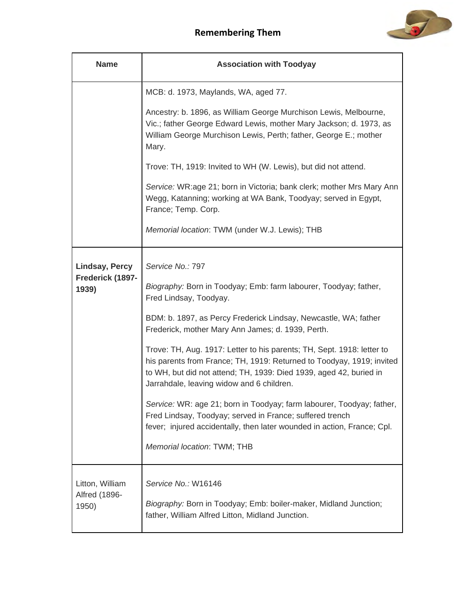

| <b>Name</b>                               | <b>Association with Toodyay</b>                                                                                                                                                                                                                                    |
|-------------------------------------------|--------------------------------------------------------------------------------------------------------------------------------------------------------------------------------------------------------------------------------------------------------------------|
|                                           | MCB: d. 1973, Maylands, WA, aged 77.                                                                                                                                                                                                                               |
|                                           | Ancestry: b. 1896, as William George Murchison Lewis, Melbourne,<br>Vic.; father George Edward Lewis, mother Mary Jackson; d. 1973, as<br>William George Murchison Lewis, Perth; father, George E.; mother<br>Mary.                                                |
|                                           | Trove: TH, 1919: Invited to WH (W. Lewis), but did not attend.                                                                                                                                                                                                     |
|                                           | Service: WR:age 21; born in Victoria; bank clerk; mother Mrs Mary Ann<br>Wegg, Katanning; working at WA Bank, Toodyay; served in Egypt,<br>France; Temp. Corp.                                                                                                     |
|                                           | Memorial location: TWM (under W.J. Lewis); THB                                                                                                                                                                                                                     |
| <b>Lindsay, Percy</b>                     | Service No.: 797                                                                                                                                                                                                                                                   |
| Frederick (1897-<br>1939)                 | Biography: Born in Toodyay; Emb: farm labourer, Toodyay; father,<br>Fred Lindsay, Toodyay.                                                                                                                                                                         |
|                                           | BDM: b. 1897, as Percy Frederick Lindsay, Newcastle, WA; father<br>Frederick, mother Mary Ann James; d. 1939, Perth.                                                                                                                                               |
|                                           | Trove: TH, Aug. 1917: Letter to his parents; TH, Sept. 1918: letter to<br>his parents from France; TH, 1919: Returned to Toodyay, 1919; invited<br>to WH, but did not attend; TH, 1939: Died 1939, aged 42, buried in<br>Jarrahdale, leaving widow and 6 children. |
|                                           | Service: WR: age 21; born in Toodyay; farm labourer, Toodyay; father,<br>Fred Lindsay, Toodyay; served in France; suffered trench<br>fever; injured accidentally, then later wounded in action, France; Cpl.                                                       |
|                                           | Memorial location: TWM; THB                                                                                                                                                                                                                                        |
| Litton, William<br>Alfred (1896-<br>1950) | Service No.: W16146<br>Biography: Born in Toodyay; Emb: boiler-maker, Midland Junction;<br>father, William Alfred Litton, Midland Junction.                                                                                                                        |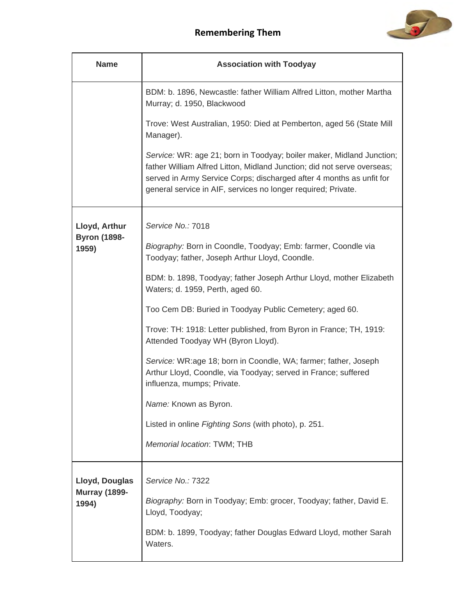

| <b>Name</b>                   | <b>Association with Toodyay</b>                                                                                                                                                                                                                                                           |
|-------------------------------|-------------------------------------------------------------------------------------------------------------------------------------------------------------------------------------------------------------------------------------------------------------------------------------------|
|                               | BDM: b. 1896, Newcastle: father William Alfred Litton, mother Martha<br>Murray; d. 1950, Blackwood                                                                                                                                                                                        |
|                               | Trove: West Australian, 1950: Died at Pemberton, aged 56 (State Mill<br>Manager).                                                                                                                                                                                                         |
|                               | Service: WR: age 21; born in Toodyay; boiler maker, Midland Junction;<br>father William Alfred Litton, Midland Junction; did not serve overseas;<br>served in Army Service Corps; discharged after 4 months as unfit for<br>general service in AIF, services no longer required; Private. |
| Lloyd, Arthur                 | Service No.: 7018                                                                                                                                                                                                                                                                         |
| <b>Byron (1898-</b><br>1959)  | Biography: Born in Coondle, Toodyay; Emb: farmer, Coondle via<br>Toodyay; father, Joseph Arthur Lloyd, Coondle.                                                                                                                                                                           |
|                               | BDM: b. 1898, Toodyay; father Joseph Arthur Lloyd, mother Elizabeth<br>Waters; d. 1959, Perth, aged 60.                                                                                                                                                                                   |
|                               | Too Cem DB: Buried in Toodyay Public Cemetery; aged 60.                                                                                                                                                                                                                                   |
|                               | Trove: TH: 1918: Letter published, from Byron in France; TH, 1919:<br>Attended Toodyay WH (Byron Lloyd).                                                                                                                                                                                  |
|                               | Service: WR:age 18; born in Coondle, WA; farmer; father, Joseph<br>Arthur Lloyd, Coondle, via Toodyay; served in France; suffered<br>influenza, mumps; Private.                                                                                                                           |
|                               | Name: Known as Byron.                                                                                                                                                                                                                                                                     |
|                               | Listed in online Fighting Sons (with photo), p. 251.                                                                                                                                                                                                                                      |
|                               | Memorial location: TWM; THB                                                                                                                                                                                                                                                               |
| Lloyd, Douglas                | Service No.: 7322                                                                                                                                                                                                                                                                         |
| <b>Murray (1899-</b><br>1994) | Biography: Born in Toodyay; Emb: grocer, Toodyay; father, David E.<br>Lloyd, Toodyay;                                                                                                                                                                                                     |
|                               | BDM: b. 1899, Toodyay; father Douglas Edward Lloyd, mother Sarah<br>Waters.                                                                                                                                                                                                               |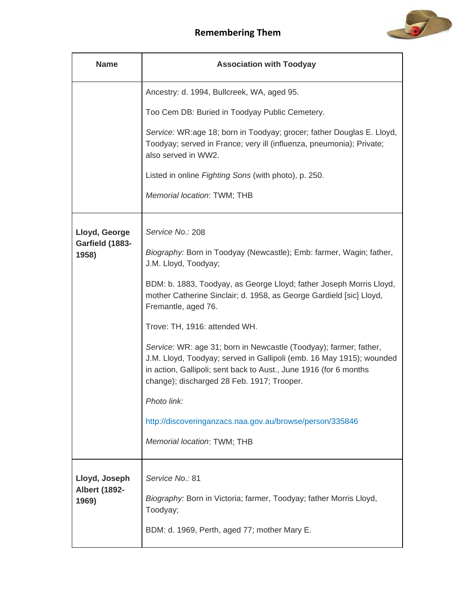

| <b>Name</b>                                    | <b>Association with Toodyay</b>                                                                                                                                                                                                                              |
|------------------------------------------------|--------------------------------------------------------------------------------------------------------------------------------------------------------------------------------------------------------------------------------------------------------------|
|                                                | Ancestry: d. 1994, Bullcreek, WA, aged 95.                                                                                                                                                                                                                   |
|                                                | Too Cem DB: Buried in Toodyay Public Cemetery.                                                                                                                                                                                                               |
|                                                | Service: WR:age 18; born in Toodyay; grocer; father Douglas E. Lloyd,<br>Toodyay; served in France; very ill (influenza, pneumonia); Private;<br>also served in WW2.                                                                                         |
|                                                | Listed in online Fighting Sons (with photo), p. 250.                                                                                                                                                                                                         |
|                                                | Memorial location: TWM; THB                                                                                                                                                                                                                                  |
| Lloyd, George                                  | Service No.: 208                                                                                                                                                                                                                                             |
| Garfield (1883-<br>1958)                       | Biography: Born in Toodyay (Newcastle); Emb: farmer, Wagin; father,<br>J.M. Lloyd, Toodyay;                                                                                                                                                                  |
|                                                | BDM: b. 1883, Toodyay, as George Lloyd; father Joseph Morris Lloyd,<br>mother Catherine Sinclair; d. 1958, as George Gardield [sic] Lloyd,<br>Fremantle, aged 76.                                                                                            |
|                                                | Trove: TH, 1916: attended WH.                                                                                                                                                                                                                                |
|                                                | Service: WR: age 31; born in Newcastle (Toodyay); farmer; father,<br>J.M. Lloyd, Toodyay; served in Gallipoli (emb. 16 May 1915); wounded<br>in action, Gallipoli; sent back to Aust., June 1916 (for 6 months<br>change); discharged 28 Feb. 1917; Trooper. |
|                                                | Photo link:                                                                                                                                                                                                                                                  |
|                                                | http://discoveringanzacs.naa.gov.au/browse/person/335846                                                                                                                                                                                                     |
|                                                | Memorial location: TWM; THB                                                                                                                                                                                                                                  |
| Lloyd, Joseph<br><b>Albert (1892-</b><br>1969) | Service No.: 81<br>Biography: Born in Victoria; farmer, Toodyay; father Morris Lloyd,<br>Toodyay;                                                                                                                                                            |
|                                                | BDM: d. 1969, Perth, aged 77; mother Mary E.                                                                                                                                                                                                                 |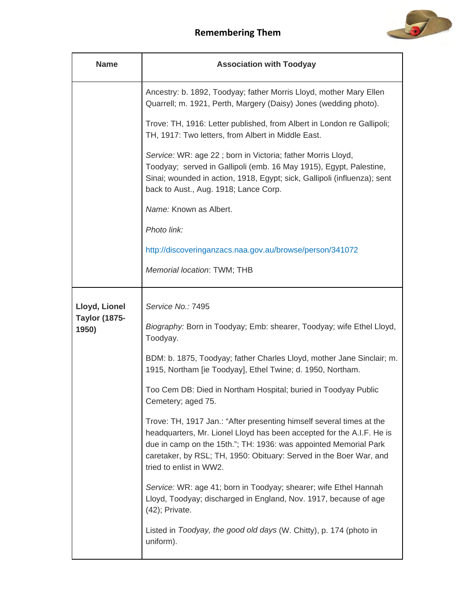

| <b>Name</b>                           | <b>Association with Toodyay</b>                                                                                                                                                                                                                                                                                    |
|---------------------------------------|--------------------------------------------------------------------------------------------------------------------------------------------------------------------------------------------------------------------------------------------------------------------------------------------------------------------|
|                                       | Ancestry: b. 1892, Toodyay; father Morris Lloyd, mother Mary Ellen<br>Quarrell; m. 1921, Perth, Margery (Daisy) Jones (wedding photo).                                                                                                                                                                             |
|                                       | Trove: TH, 1916: Letter published, from Albert in London re Gallipoli;<br>TH, 1917: Two letters, from Albert in Middle East.                                                                                                                                                                                       |
|                                       | Service: WR: age 22; born in Victoria; father Morris Lloyd,<br>Toodyay; served in Gallipoli (emb. 16 May 1915), Egypt, Palestine,<br>Sinai; wounded in action, 1918, Egypt; sick, Gallipoli (influenza); sent<br>back to Aust., Aug. 1918; Lance Corp.                                                             |
|                                       | Name: Known as Albert.                                                                                                                                                                                                                                                                                             |
|                                       | Photo link:                                                                                                                                                                                                                                                                                                        |
|                                       | http://discoveringanzacs.naa.gov.au/browse/person/341072                                                                                                                                                                                                                                                           |
|                                       | Memorial location: TWM; THB                                                                                                                                                                                                                                                                                        |
| Lloyd, Lionel<br><b>Taylor (1875-</b> | Service No.: 7495                                                                                                                                                                                                                                                                                                  |
| 1950)                                 | Biography: Born in Toodyay; Emb: shearer, Toodyay; wife Ethel Lloyd,<br>Toodyay.                                                                                                                                                                                                                                   |
|                                       | BDM: b. 1875, Toodyay; father Charles Lloyd, mother Jane Sinclair; m.<br>1915, Northam [ie Toodyay], Ethel Twine; d. 1950, Northam.                                                                                                                                                                                |
|                                       | Too Cem DB: Died in Northam Hospital; buried in Toodyay Public<br>Cemetery; aged 75.                                                                                                                                                                                                                               |
|                                       | Trove: TH, 1917 Jan.: "After presenting himself several times at the<br>headquarters, Mr. Lionel Lloyd has been accepted for the A.I.F. He is<br>due in camp on the 15th."; TH: 1936: was appointed Memorial Park<br>caretaker, by RSL; TH, 1950: Obituary: Served in the Boer War, and<br>tried to enlist in WW2. |
|                                       | Service: WR: age 41; born in Toodyay; shearer; wife Ethel Hannah<br>Lloyd, Toodyay; discharged in England, Nov. 1917, because of age<br>(42); Private.                                                                                                                                                             |
|                                       | Listed in Toodyay, the good old days (W. Chitty), p. 174 (photo in<br>uniform).                                                                                                                                                                                                                                    |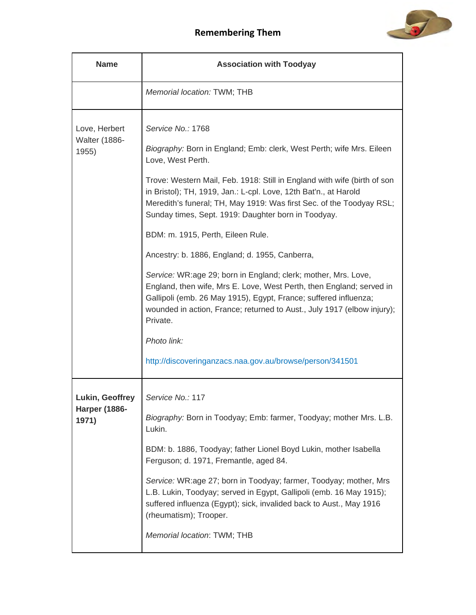

| <b>Name</b>                                      | <b>Association with Toodyay</b>                                                                                                                                                                                                                                                                                                                                                                                                                                                                                                                                                                                                                                                                                                                                                                                                                                      |
|--------------------------------------------------|----------------------------------------------------------------------------------------------------------------------------------------------------------------------------------------------------------------------------------------------------------------------------------------------------------------------------------------------------------------------------------------------------------------------------------------------------------------------------------------------------------------------------------------------------------------------------------------------------------------------------------------------------------------------------------------------------------------------------------------------------------------------------------------------------------------------------------------------------------------------|
|                                                  | Memorial location: TWM; THB                                                                                                                                                                                                                                                                                                                                                                                                                                                                                                                                                                                                                                                                                                                                                                                                                                          |
| Love, Herbert<br><b>Walter (1886-</b><br>1955)   | Service No.: 1768<br>Biography: Born in England; Emb: clerk, West Perth; wife Mrs. Eileen<br>Love, West Perth.<br>Trove: Western Mail, Feb. 1918: Still in England with wife (birth of son<br>in Bristol); TH, 1919, Jan.: L-cpl. Love, 12th Bat'n., at Harold<br>Meredith's funeral; TH, May 1919: Was first Sec. of the Toodyay RSL;<br>Sunday times, Sept. 1919: Daughter born in Toodyay.<br>BDM: m. 1915, Perth, Eileen Rule.<br>Ancestry: b. 1886, England; d. 1955, Canberra,<br>Service: WR:age 29; born in England; clerk; mother, Mrs. Love,<br>England, then wife, Mrs E. Love, West Perth, then England; served in<br>Gallipoli (emb. 26 May 1915), Egypt, France; suffered influenza;<br>wounded in action, France; returned to Aust., July 1917 (elbow injury);<br>Private.<br>Photo link:<br>http://discoveringanzacs.naa.gov.au/browse/person/341501 |
| Lukin, Geoffrey<br><b>Harper (1886-</b><br>1971) | Service No.: 117<br>Biography: Born in Toodyay; Emb: farmer, Toodyay; mother Mrs. L.B.<br>Lukin.<br>BDM: b. 1886, Toodyay; father Lionel Boyd Lukin, mother Isabella<br>Ferguson; d. 1971, Fremantle, aged 84.<br>Service: WR:age 27; born in Toodyay; farmer, Toodyay; mother, Mrs<br>L.B. Lukin, Toodyay; served in Egypt, Gallipoli (emb. 16 May 1915);<br>suffered influenza (Egypt); sick, invalided back to Aust., May 1916<br>(rheumatism); Trooper.<br>Memorial location: TWM; THB                                                                                                                                                                                                                                                                                                                                                                           |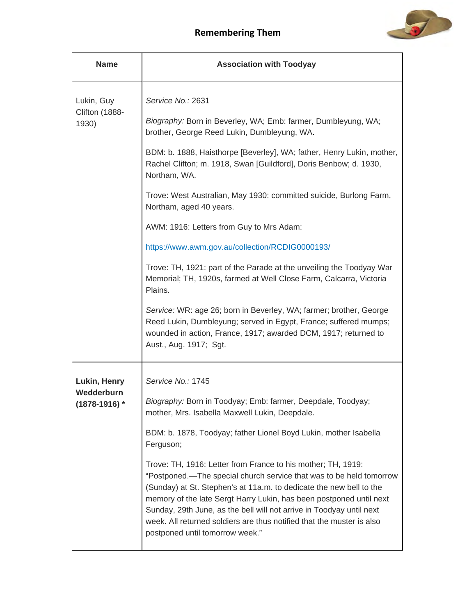

| <b>Name</b>                                     | <b>Association with Toodyay</b>                                                                                                                                                                                                                                                                                                                                                                                                                                       |
|-------------------------------------------------|-----------------------------------------------------------------------------------------------------------------------------------------------------------------------------------------------------------------------------------------------------------------------------------------------------------------------------------------------------------------------------------------------------------------------------------------------------------------------|
| Lukin, Guy                                      | Service No.: 2631                                                                                                                                                                                                                                                                                                                                                                                                                                                     |
| Clifton (1888-<br>1930)                         | Biography: Born in Beverley, WA; Emb: farmer, Dumbleyung, WA;<br>brother, George Reed Lukin, Dumbleyung, WA.                                                                                                                                                                                                                                                                                                                                                          |
|                                                 | BDM: b. 1888, Haisthorpe [Beverley], WA; father, Henry Lukin, mother,<br>Rachel Clifton; m. 1918, Swan [Guildford], Doris Benbow; d. 1930,<br>Northam, WA.                                                                                                                                                                                                                                                                                                            |
|                                                 | Trove: West Australian, May 1930: committed suicide, Burlong Farm,<br>Northam, aged 40 years.                                                                                                                                                                                                                                                                                                                                                                         |
|                                                 | AWM: 1916: Letters from Guy to Mrs Adam:                                                                                                                                                                                                                                                                                                                                                                                                                              |
|                                                 | https://www.awm.gov.au/collection/RCDIG0000193/                                                                                                                                                                                                                                                                                                                                                                                                                       |
|                                                 | Trove: TH, 1921: part of the Parade at the unveiling the Toodyay War<br>Memorial; TH, 1920s, farmed at Well Close Farm, Calcarra, Victoria<br>Plains.                                                                                                                                                                                                                                                                                                                 |
|                                                 | Service: WR: age 26; born in Beverley, WA; farmer; brother, George<br>Reed Lukin, Dumbleyung; served in Egypt, France; suffered mumps;<br>wounded in action, France, 1917; awarded DCM, 1917; returned to<br>Aust., Aug. 1917; Sgt.                                                                                                                                                                                                                                   |
| Lukin, Henry<br>Wedderburn<br>$(1878 - 1916)$ * | Service No.: 1745                                                                                                                                                                                                                                                                                                                                                                                                                                                     |
|                                                 | Biography: Born in Toodyay; Emb: farmer, Deepdale, Toodyay;<br>mother, Mrs. Isabella Maxwell Lukin, Deepdale.                                                                                                                                                                                                                                                                                                                                                         |
|                                                 | BDM: b. 1878, Toodyay; father Lionel Boyd Lukin, mother Isabella<br>Ferguson;                                                                                                                                                                                                                                                                                                                                                                                         |
|                                                 | Trove: TH, 1916: Letter from France to his mother; TH, 1919:<br>"Postponed.-The special church service that was to be held tomorrow<br>(Sunday) at St. Stephen's at 11a.m. to dedicate the new bell to the<br>memory of the late Sergt Harry Lukin, has been postponed until next<br>Sunday, 29th June, as the bell will not arrive in Toodyay until next<br>week. All returned soldiers are thus notified that the muster is also<br>postponed until tomorrow week." |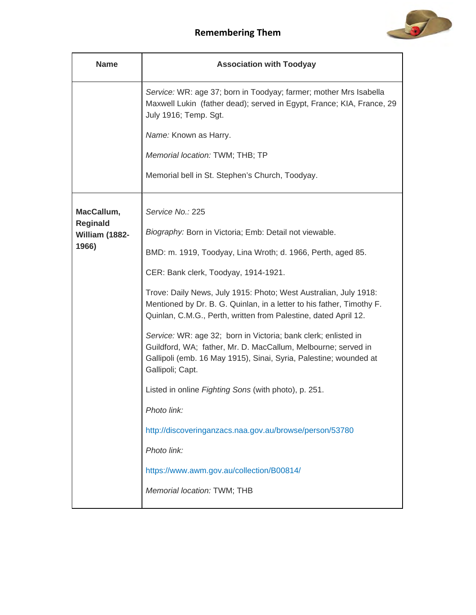

| <b>Name</b>                       | <b>Association with Toodyay</b>                                                                                                                                                                                                                                                    |
|-----------------------------------|------------------------------------------------------------------------------------------------------------------------------------------------------------------------------------------------------------------------------------------------------------------------------------|
|                                   | Service: WR: age 37; born in Toodyay; farmer; mother Mrs Isabella<br>Maxwell Lukin (father dead); served in Egypt, France; KIA, France, 29<br>July 1916; Temp. Sgt.<br>Name: Known as Harry.<br>Memorial location: TWM; THB; TP<br>Memorial bell in St. Stephen's Church, Toodyay. |
|                                   |                                                                                                                                                                                                                                                                                    |
| MacCallum,                        | Service No.: 225                                                                                                                                                                                                                                                                   |
| <b>Reginald</b><br>William (1882- | Biography: Born in Victoria; Emb: Detail not viewable.                                                                                                                                                                                                                             |
| 1966)                             | BMD: m. 1919, Toodyay, Lina Wroth; d. 1966, Perth, aged 85.                                                                                                                                                                                                                        |
|                                   | CER: Bank clerk, Toodyay, 1914-1921.                                                                                                                                                                                                                                               |
|                                   | Trove: Daily News, July 1915: Photo; West Australian, July 1918:<br>Mentioned by Dr. B. G. Quinlan, in a letter to his father, Timothy F.<br>Quinlan, C.M.G., Perth, written from Palestine, dated April 12.                                                                       |
|                                   | Service: WR: age 32; born in Victoria; bank clerk; enlisted in<br>Guildford, WA; father, Mr. D. MacCallum, Melbourne; served in<br>Gallipoli (emb. 16 May 1915), Sinai, Syria, Palestine; wounded at<br>Gallipoli; Capt.                                                           |
|                                   | Listed in online Fighting Sons (with photo), p. 251.                                                                                                                                                                                                                               |
|                                   | Photo link:                                                                                                                                                                                                                                                                        |
|                                   | http://discoveringanzacs.naa.gov.au/browse/person/53780                                                                                                                                                                                                                            |
|                                   | Photo link:                                                                                                                                                                                                                                                                        |
|                                   | https://www.awm.gov.au/collection/B00814/                                                                                                                                                                                                                                          |
|                                   | Memorial location: TWM; THB                                                                                                                                                                                                                                                        |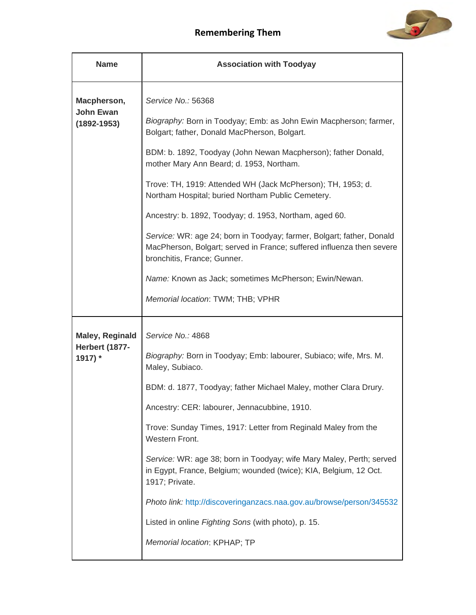

| <b>Name</b>                      | <b>Association with Toodyay</b>                                                                                                                                               |
|----------------------------------|-------------------------------------------------------------------------------------------------------------------------------------------------------------------------------|
| Macpherson,<br><b>John Ewan</b>  | Service No.: 56368                                                                                                                                                            |
| $(1892 - 1953)$                  | Biography: Born in Toodyay; Emb: as John Ewin Macpherson; farmer,<br>Bolgart; father, Donald MacPherson, Bolgart.                                                             |
|                                  | BDM: b. 1892, Toodyay (John Newan Macpherson); father Donald,<br>mother Mary Ann Beard; d. 1953, Northam.                                                                     |
|                                  | Trove: TH, 1919: Attended WH (Jack McPherson); TH, 1953; d.<br>Northam Hospital; buried Northam Public Cemetery.                                                              |
|                                  | Ancestry: b. 1892, Toodyay; d. 1953, Northam, aged 60.                                                                                                                        |
|                                  | Service: WR: age 24; born in Toodyay; farmer, Bolgart; father, Donald<br>MacPherson, Bolgart; served in France; suffered influenza then severe<br>bronchitis, France; Gunner. |
|                                  | Name: Known as Jack; sometimes McPherson; Ewin/Newan.                                                                                                                         |
|                                  | Memorial location: TWM; THB; VPHR                                                                                                                                             |
| <b>Maley, Reginald</b>           | Service No.: 4868                                                                                                                                                             |
| <b>Herbert (1877-</b><br>1917) * | Biography: Born in Toodyay; Emb: labourer, Subiaco; wife, Mrs. M.<br>Maley, Subiaco.                                                                                          |
|                                  | BDM: d. 1877, Toodyay; father Michael Maley, mother Clara Drury.                                                                                                              |
|                                  | Ancestry: CER: labourer, Jennacubbine, 1910.                                                                                                                                  |
|                                  | Trove: Sunday Times, 1917: Letter from Reginald Maley from the<br>Western Front.                                                                                              |
|                                  | Service: WR: age 38; born in Toodyay; wife Mary Maley, Perth; served<br>in Egypt, France, Belgium; wounded (twice); KIA, Belgium, 12 Oct.<br>1917; Private.                   |
|                                  | Photo link: http://discoveringanzacs.naa.gov.au/browse/person/345532                                                                                                          |
|                                  | Listed in online Fighting Sons (with photo), p. 15.                                                                                                                           |
|                                  | Memorial location: KPHAP; TP                                                                                                                                                  |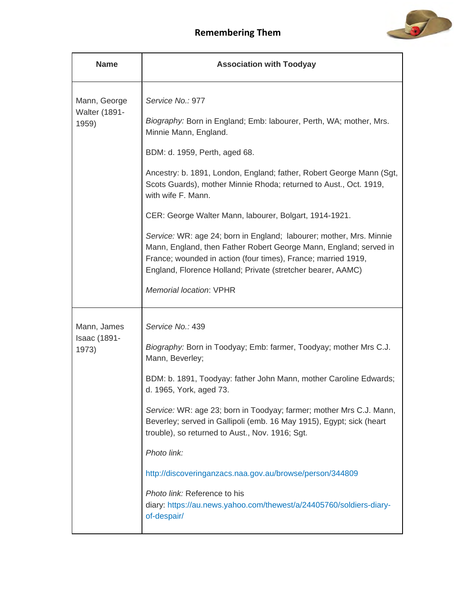

| <b>Name</b>                                   | <b>Association with Toodyay</b>                                                                                                                                                                                                                                                                                                                                                                                                                                                                                                                                                                                                                                                             |
|-----------------------------------------------|---------------------------------------------------------------------------------------------------------------------------------------------------------------------------------------------------------------------------------------------------------------------------------------------------------------------------------------------------------------------------------------------------------------------------------------------------------------------------------------------------------------------------------------------------------------------------------------------------------------------------------------------------------------------------------------------|
| Mann, George<br><b>Walter (1891-</b><br>1959) | Service No.: 977<br>Biography: Born in England; Emb: labourer, Perth, WA; mother, Mrs.<br>Minnie Mann, England.<br>BDM: d. 1959, Perth, aged 68.<br>Ancestry: b. 1891, London, England; father, Robert George Mann (Sgt,<br>Scots Guards), mother Minnie Rhoda; returned to Aust., Oct. 1919,<br>with wife F. Mann.<br>CER: George Walter Mann, labourer, Bolgart, 1914-1921.<br>Service: WR: age 24; born in England; labourer; mother, Mrs. Minnie<br>Mann, England, then Father Robert George Mann, England; served in<br>France; wounded in action (four times), France; married 1919,<br>England, Florence Holland; Private (stretcher bearer, AAMC)<br><b>Memorial location: VPHR</b> |
| Mann, James<br>Isaac (1891-<br>1973)          | Service No.: 439<br>Biography: Born in Toodyay; Emb: farmer, Toodyay; mother Mrs C.J.<br>Mann, Beverley;<br>BDM: b. 1891, Toodyay: father John Mann, mother Caroline Edwards;<br>d. 1965, York, aged 73.<br>Service: WR: age 23; born in Toodyay; farmer; mother Mrs C.J. Mann,<br>Beverley; served in Gallipoli (emb. 16 May 1915), Egypt; sick (heart<br>trouble), so returned to Aust., Nov. 1916; Sgt.<br>Photo link:<br>http://discoveringanzacs.naa.gov.au/browse/person/344809<br>Photo link: Reference to his<br>diary: https://au.news.yahoo.com/thewest/a/24405760/soldiers-diary-<br>of-despair/                                                                                 |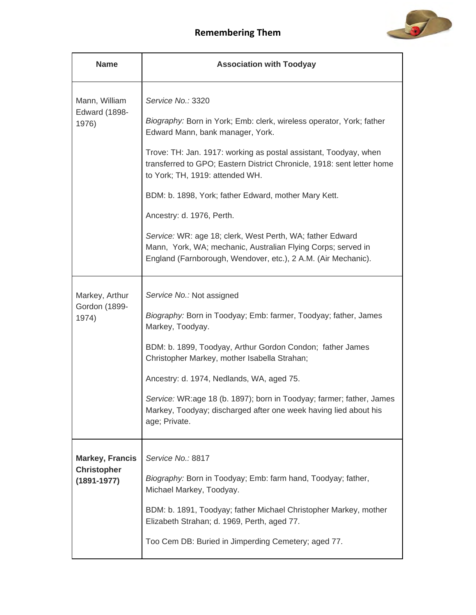

| <b>Name</b>                           | <b>Association with Toodyay</b>                                                                                                                                                            |
|---------------------------------------|--------------------------------------------------------------------------------------------------------------------------------------------------------------------------------------------|
| Mann, William<br><b>Edward (1898-</b> | Service No.: 3320<br>Biography: Born in York; Emb: clerk, wireless operator, York; father                                                                                                  |
| 1976)                                 | Edward Mann, bank manager, York.                                                                                                                                                           |
|                                       | Trove: TH: Jan. 1917: working as postal assistant, Toodyay, when<br>transferred to GPO; Eastern District Chronicle, 1918: sent letter home<br>to York; TH, 1919: attended WH.              |
|                                       | BDM: b. 1898, York; father Edward, mother Mary Kett.                                                                                                                                       |
|                                       | Ancestry: d. 1976, Perth.                                                                                                                                                                  |
|                                       | Service: WR: age 18; clerk, West Perth, WA; father Edward<br>Mann, York, WA; mechanic, Australian Flying Corps; served in<br>England (Farnborough, Wendover, etc.), 2 A.M. (Air Mechanic). |
| Markey, Arthur                        | Service No.: Not assigned                                                                                                                                                                  |
| Gordon (1899-<br>1974)                | Biography: Born in Toodyay; Emb: farmer, Toodyay; father, James<br>Markey, Toodyay.                                                                                                        |
|                                       | BDM: b. 1899, Toodyay, Arthur Gordon Condon; father James<br>Christopher Markey, mother Isabella Strahan;                                                                                  |
|                                       | Ancestry: d. 1974, Nedlands, WA, aged 75.                                                                                                                                                  |
|                                       | Service: WR:age 18 (b. 1897); born in Toodyay; farmer; father, James<br>Markey, Toodyay; discharged after one week having lied about his<br>age; Private.                                  |
| <b>Markey, Francis</b>                | Service No.: 8817                                                                                                                                                                          |
| <b>Christopher</b><br>$(1891 - 1977)$ | Biography: Born in Toodyay; Emb: farm hand, Toodyay; father,<br>Michael Markey, Toodyay.                                                                                                   |
|                                       | BDM: b. 1891, Toodyay; father Michael Christopher Markey, mother<br>Elizabeth Strahan; d. 1969, Perth, aged 77.                                                                            |
|                                       | Too Cem DB: Buried in Jimperding Cemetery; aged 77.                                                                                                                                        |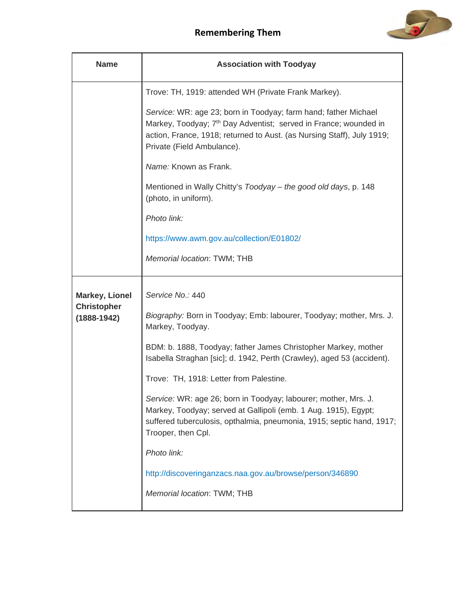

| <b>Name</b>                           | <b>Association with Toodyay</b>                                                                                                                                                                                                                         |
|---------------------------------------|---------------------------------------------------------------------------------------------------------------------------------------------------------------------------------------------------------------------------------------------------------|
|                                       | Trove: TH, 1919: attended WH (Private Frank Markey).                                                                                                                                                                                                    |
|                                       | Service: WR: age 23; born in Toodyay; farm hand; father Michael<br>Markey, Toodyay; 7 <sup>th</sup> Day Adventist; served in France; wounded in<br>action, France, 1918; returned to Aust. (as Nursing Staff), July 1919;<br>Private (Field Ambulance). |
|                                       | Name: Known as Frank.                                                                                                                                                                                                                                   |
|                                       | Mentioned in Wally Chitty's Toodyay - the good old days, p. 148<br>(photo, in uniform).                                                                                                                                                                 |
|                                       | Photo link:                                                                                                                                                                                                                                             |
|                                       | https://www.awm.gov.au/collection/E01802/                                                                                                                                                                                                               |
|                                       | Memorial location: TWM; THB                                                                                                                                                                                                                             |
| <b>Markey, Lionel</b>                 | Service No.: 440                                                                                                                                                                                                                                        |
| <b>Christopher</b><br>$(1888 - 1942)$ | Biography: Born in Toodyay; Emb: labourer, Toodyay; mother, Mrs. J.<br>Markey, Toodyay.                                                                                                                                                                 |
|                                       | BDM: b. 1888, Toodyay; father James Christopher Markey, mother<br>Isabella Straghan [sic]; d. 1942, Perth (Crawley), aged 53 (accident).                                                                                                                |
|                                       | Trove: TH, 1918: Letter from Palestine.                                                                                                                                                                                                                 |
|                                       | Service: WR: age 26; born in Toodyay; labourer; mother, Mrs. J.<br>Markey, Toodyay; served at Gallipoli (emb. 1 Aug. 1915), Egypt;<br>suffered tuberculosis, opthalmia, pneumonia, 1915; septic hand, 1917;<br>Trooper, then Cpl.                       |
|                                       | Photo link:                                                                                                                                                                                                                                             |
|                                       | http://discoveringanzacs.naa.gov.au/browse/person/346890                                                                                                                                                                                                |
|                                       | Memorial location: TWM; THB                                                                                                                                                                                                                             |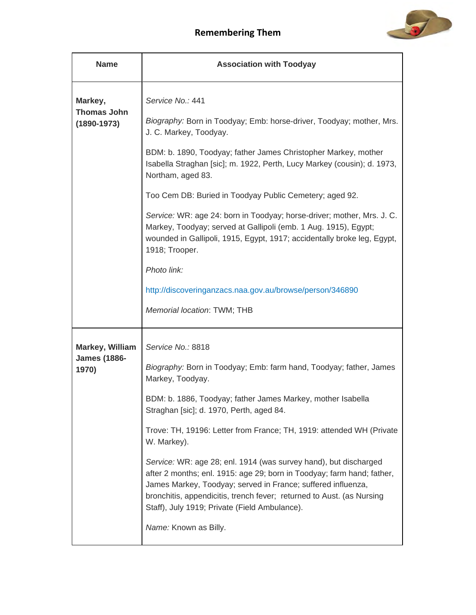

| <b>Name</b>                                      | <b>Association with Toodyay</b>                                                                                                                                                                                                                                                                                                      |
|--------------------------------------------------|--------------------------------------------------------------------------------------------------------------------------------------------------------------------------------------------------------------------------------------------------------------------------------------------------------------------------------------|
| Markey,<br><b>Thomas John</b><br>$(1890 - 1973)$ | Service No.: 441<br>Biography: Born in Toodyay; Emb: horse-driver, Toodyay; mother, Mrs.<br>J. C. Markey, Toodyay.                                                                                                                                                                                                                   |
|                                                  | BDM: b. 1890, Toodyay; father James Christopher Markey, mother<br>Isabella Straghan [sic]; m. 1922, Perth, Lucy Markey (cousin); d. 1973,<br>Northam, aged 83.                                                                                                                                                                       |
|                                                  | Too Cem DB: Buried in Toodyay Public Cemetery; aged 92.                                                                                                                                                                                                                                                                              |
|                                                  | Service: WR: age 24: born in Toodyay; horse-driver; mother, Mrs. J. C.<br>Markey, Toodyay; served at Gallipoli (emb. 1 Aug. 1915), Egypt;<br>wounded in Gallipoli, 1915, Egypt, 1917; accidentally broke leg, Egypt,<br>1918; Trooper.                                                                                               |
|                                                  | Photo link:                                                                                                                                                                                                                                                                                                                          |
|                                                  | http://discoveringanzacs.naa.gov.au/browse/person/346890                                                                                                                                                                                                                                                                             |
|                                                  | Memorial location: TWM; THB                                                                                                                                                                                                                                                                                                          |
| Markey, William<br><b>James (1886-</b>           | Service No.: 8818                                                                                                                                                                                                                                                                                                                    |
| 1970)                                            | Biography: Born in Toodyay; Emb: farm hand, Toodyay; father, James<br>Markey, Toodyay.                                                                                                                                                                                                                                               |
|                                                  | BDM: b. 1886, Toodyay; father James Markey, mother Isabella<br>Straghan [sic]; d. 1970, Perth, aged 84.                                                                                                                                                                                                                              |
|                                                  | Trove: TH, 19196: Letter from France; TH, 1919: attended WH (Private<br>W. Markey).                                                                                                                                                                                                                                                  |
|                                                  | Service: WR: age 28; enl. 1914 (was survey hand), but discharged<br>after 2 months; enl. 1915: age 29; born in Toodyay; farm hand; father,<br>James Markey, Toodyay; served in France; suffered influenza,<br>bronchitis, appendicitis, trench fever; returned to Aust. (as Nursing<br>Staff), July 1919; Private (Field Ambulance). |
|                                                  | Name: Known as Billy.                                                                                                                                                                                                                                                                                                                |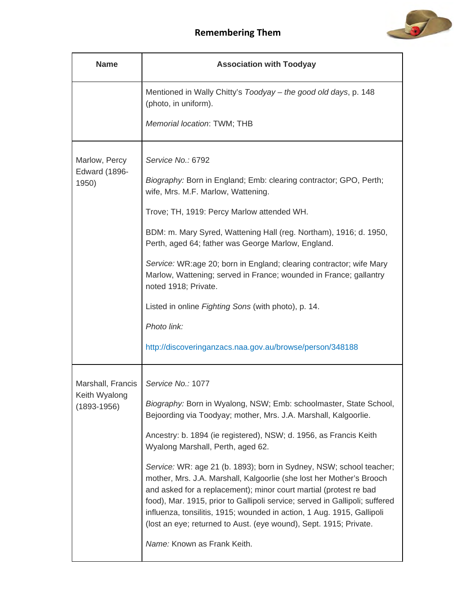

| <b>Name</b>                                           | <b>Association with Toodyay</b>                                                                                                                                                                                                                                                                                                                                                                                                                |
|-------------------------------------------------------|------------------------------------------------------------------------------------------------------------------------------------------------------------------------------------------------------------------------------------------------------------------------------------------------------------------------------------------------------------------------------------------------------------------------------------------------|
|                                                       | Mentioned in Wally Chitty's Toodyay - the good old days, p. 148<br>(photo, in uniform).                                                                                                                                                                                                                                                                                                                                                        |
|                                                       | Memorial location: TWM; THB                                                                                                                                                                                                                                                                                                                                                                                                                    |
| Marlow, Percy<br><b>Edward (1896-</b><br>1950)        | Service No.: 6792                                                                                                                                                                                                                                                                                                                                                                                                                              |
|                                                       | Biography: Born in England; Emb: clearing contractor; GPO, Perth;<br>wife, Mrs. M.F. Marlow, Wattening.                                                                                                                                                                                                                                                                                                                                        |
|                                                       | Trove; TH, 1919: Percy Marlow attended WH.                                                                                                                                                                                                                                                                                                                                                                                                     |
|                                                       | BDM: m. Mary Syred, Wattening Hall (reg. Northam), 1916; d. 1950,<br>Perth, aged 64; father was George Marlow, England.                                                                                                                                                                                                                                                                                                                        |
|                                                       | Service: WR:age 20; born in England; clearing contractor; wife Mary<br>Marlow, Wattening; served in France; wounded in France; gallantry<br>noted 1918; Private.                                                                                                                                                                                                                                                                               |
|                                                       | Listed in online Fighting Sons (with photo), p. 14.                                                                                                                                                                                                                                                                                                                                                                                            |
|                                                       | Photo link:                                                                                                                                                                                                                                                                                                                                                                                                                                    |
|                                                       | http://discoveringanzacs.naa.gov.au/browse/person/348188                                                                                                                                                                                                                                                                                                                                                                                       |
| Marshall, Francis<br>Keith Wyalong<br>$(1893 - 1956)$ | Service No.: 1077                                                                                                                                                                                                                                                                                                                                                                                                                              |
|                                                       | Biography: Born in Wyalong, NSW; Emb: schoolmaster, State School,<br>Bejoording via Toodyay; mother, Mrs. J.A. Marshall, Kalgoorlie.                                                                                                                                                                                                                                                                                                           |
|                                                       | Ancestry: b. 1894 (ie registered), NSW; d. 1956, as Francis Keith<br>Wyalong Marshall, Perth, aged 62.                                                                                                                                                                                                                                                                                                                                         |
|                                                       | Service: WR: age 21 (b. 1893); born in Sydney, NSW; school teacher;<br>mother, Mrs. J.A. Marshall, Kalgoorlie (she lost her Mother's Brooch<br>and asked for a replacement); minor court martial (protest re bad<br>food), Mar. 1915, prior to Gallipoli service; served in Gallipoli; suffered<br>influenza, tonsilitis, 1915; wounded in action, 1 Aug. 1915, Gallipoli<br>(lost an eye; returned to Aust. (eye wound), Sept. 1915; Private. |
|                                                       | Name: Known as Frank Keith.                                                                                                                                                                                                                                                                                                                                                                                                                    |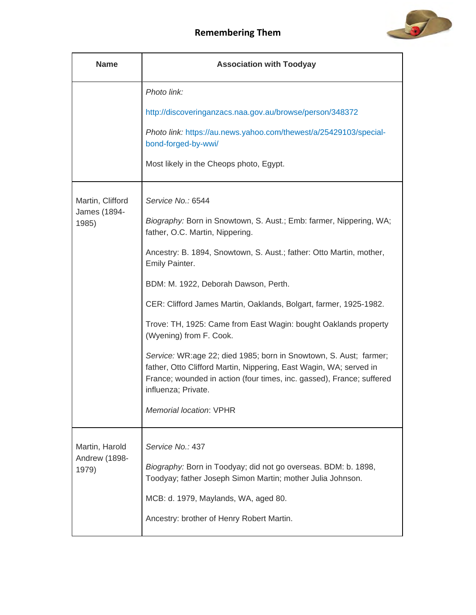

| <b>Name</b>            | <b>Association with Toodyay</b>                                                                                                                                                                                                         |
|------------------------|-----------------------------------------------------------------------------------------------------------------------------------------------------------------------------------------------------------------------------------------|
|                        | Photo link:                                                                                                                                                                                                                             |
|                        | http://discoveringanzacs.naa.gov.au/browse/person/348372                                                                                                                                                                                |
|                        | Photo link: https://au.news.yahoo.com/thewest/a/25429103/special-<br>bond-forged-by-wwi/                                                                                                                                                |
|                        | Most likely in the Cheops photo, Egypt.                                                                                                                                                                                                 |
| Martin, Clifford       | Service No.: 6544                                                                                                                                                                                                                       |
| James (1894-<br>1985)  | Biography: Born in Snowtown, S. Aust.; Emb: farmer, Nippering, WA;<br>father, O.C. Martin, Nippering.                                                                                                                                   |
|                        | Ancestry: B. 1894, Snowtown, S. Aust.; father: Otto Martin, mother,<br>Emily Painter.                                                                                                                                                   |
|                        | BDM: M. 1922, Deborah Dawson, Perth.                                                                                                                                                                                                    |
|                        | CER: Clifford James Martin, Oaklands, Bolgart, farmer, 1925-1982.                                                                                                                                                                       |
|                        | Trove: TH, 1925: Came from East Wagin: bought Oaklands property<br>(Wyening) from F. Cook.                                                                                                                                              |
|                        | Service: WR:age 22; died 1985; born in Snowtown, S. Aust; farmer;<br>father, Otto Clifford Martin, Nippering, East Wagin, WA; served in<br>France; wounded in action (four times, inc. gassed), France; suffered<br>influenza; Private. |
|                        | Memorial location: VPHR                                                                                                                                                                                                                 |
| Martin, Harold         | Service No.: 437                                                                                                                                                                                                                        |
| Andrew (1898-<br>1979) | Biography: Born in Toodyay; did not go overseas. BDM: b. 1898,<br>Toodyay; father Joseph Simon Martin; mother Julia Johnson.                                                                                                            |
|                        | MCB: d. 1979, Maylands, WA, aged 80.                                                                                                                                                                                                    |
|                        | Ancestry: brother of Henry Robert Martin.                                                                                                                                                                                               |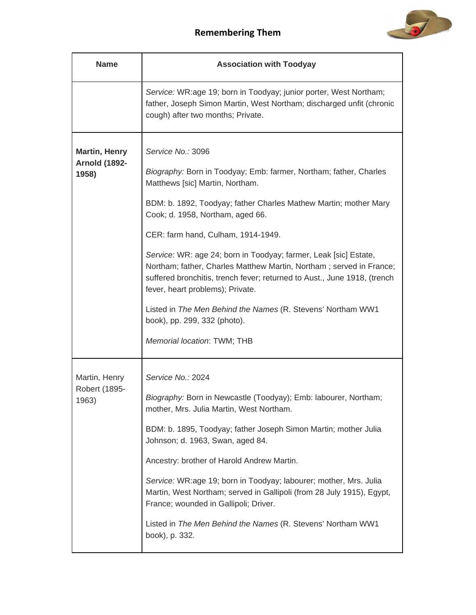

| <b>Name</b>                                           | <b>Association with Toodyay</b>                                                                                                                                                                                                                                                                                                                                                                                                                                                                                                                                                                                                                                  |
|-------------------------------------------------------|------------------------------------------------------------------------------------------------------------------------------------------------------------------------------------------------------------------------------------------------------------------------------------------------------------------------------------------------------------------------------------------------------------------------------------------------------------------------------------------------------------------------------------------------------------------------------------------------------------------------------------------------------------------|
|                                                       | Service: WR:age 19; born in Toodyay; junior porter, West Northam;<br>father, Joseph Simon Martin, West Northam; discharged unfit (chronic<br>cough) after two months; Private.                                                                                                                                                                                                                                                                                                                                                                                                                                                                                   |
| <b>Martin, Henry</b><br><b>Arnold (1892-</b><br>1958) | Service No.: 3096<br>Biography: Born in Toodyay; Emb: farmer, Northam; father, Charles<br>Matthews [sic] Martin, Northam.<br>BDM: b. 1892, Toodyay; father Charles Mathew Martin; mother Mary<br>Cook; d. 1958, Northam, aged 66.<br>CER: farm hand, Culham, 1914-1949.<br>Service: WR: age 24; born in Toodyay; farmer, Leak [sic] Estate,<br>Northam; father, Charles Matthew Martin, Northam; served in France;<br>suffered bronchitis, trench fever; returned to Aust., June 1918, (trench<br>fever, heart problems); Private.<br>Listed in The Men Behind the Names (R. Stevens' Northam WW1<br>book), pp. 299, 332 (photo).<br>Memorial location: TWM; THB |
| Martin, Henry<br>Robert (1895-<br>1963)               | Service No.: 2024<br>Biography: Born in Newcastle (Toodyay); Emb: labourer, Northam;<br>mother, Mrs. Julia Martin, West Northam.<br>BDM: b. 1895, Toodyay; father Joseph Simon Martin; mother Julia<br>Johnson; d. 1963, Swan, aged 84.<br>Ancestry: brother of Harold Andrew Martin.<br>Service: WR:age 19; born in Toodyay; labourer; mother, Mrs. Julia<br>Martin, West Northam; served in Gallipoli (from 28 July 1915), Egypt,<br>France; wounded in Gallipoli; Driver.<br>Listed in The Men Behind the Names (R. Stevens' Northam WW1<br>book), p. 332.                                                                                                    |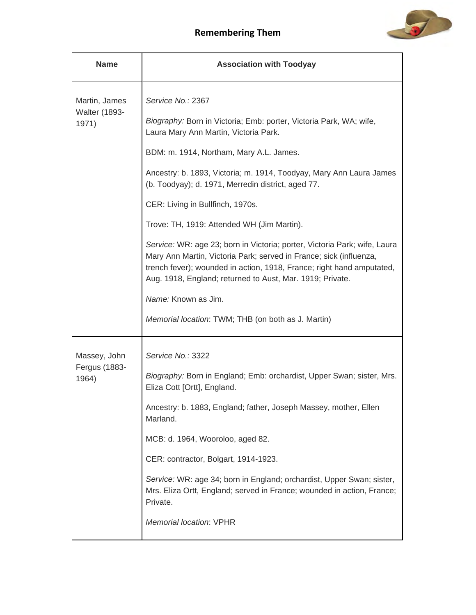

| <b>Name</b>                   | <b>Association with Toodyay</b>                                                                                                                                                                                                                                                       |
|-------------------------------|---------------------------------------------------------------------------------------------------------------------------------------------------------------------------------------------------------------------------------------------------------------------------------------|
| Martin, James                 | Service No.: 2367                                                                                                                                                                                                                                                                     |
| <b>Walter (1893-</b><br>1971) | Biography: Born in Victoria; Emb: porter, Victoria Park, WA; wife,<br>Laura Mary Ann Martin, Victoria Park.                                                                                                                                                                           |
|                               | BDM: m. 1914, Northam, Mary A.L. James.                                                                                                                                                                                                                                               |
|                               | Ancestry: b. 1893, Victoria; m. 1914, Toodyay, Mary Ann Laura James<br>(b. Toodyay); d. 1971, Merredin district, aged 77.                                                                                                                                                             |
|                               | CER: Living in Bullfinch, 1970s.                                                                                                                                                                                                                                                      |
|                               | Trove: TH, 1919: Attended WH (Jim Martin).                                                                                                                                                                                                                                            |
|                               | Service: WR: age 23; born in Victoria; porter, Victoria Park; wife, Laura<br>Mary Ann Martin, Victoria Park; served in France; sick (influenza,<br>trench fever); wounded in action, 1918, France; right hand amputated,<br>Aug. 1918, England; returned to Aust, Mar. 1919; Private. |
|                               | Name: Known as Jim.                                                                                                                                                                                                                                                                   |
|                               | Memorial location: TWM; THB (on both as J. Martin)                                                                                                                                                                                                                                    |
| Massey, John                  | Service No.: 3322                                                                                                                                                                                                                                                                     |
| Fergus (1883-<br>1964)        | Biography: Born in England; Emb: orchardist, Upper Swan; sister, Mrs.<br>Eliza Cott [Ortt], England.                                                                                                                                                                                  |
|                               | Ancestry: b. 1883, England; father, Joseph Massey, mother, Ellen<br>Marland.                                                                                                                                                                                                          |
|                               | MCB: d. 1964, Wooroloo, aged 82.                                                                                                                                                                                                                                                      |
|                               | CER: contractor, Bolgart, 1914-1923.                                                                                                                                                                                                                                                  |
|                               | Service: WR: age 34; born in England; orchardist, Upper Swan; sister,<br>Mrs. Eliza Ortt, England; served in France; wounded in action, France;<br>Private.                                                                                                                           |
|                               | Memorial location: VPHR                                                                                                                                                                                                                                                               |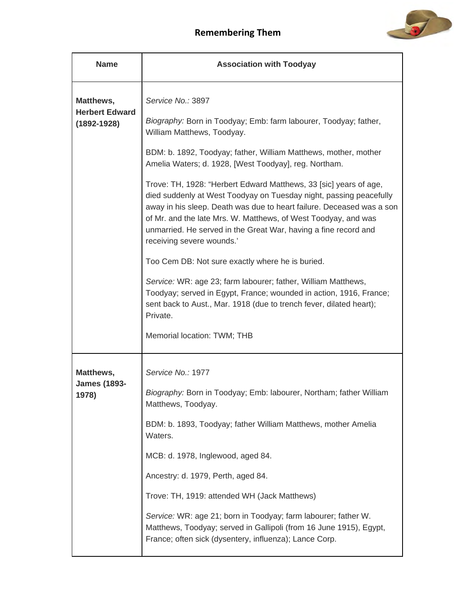

| <b>Name</b>                                           | <b>Association with Toodyay</b>                                                                                                                                                                                                                                                                                                                                                    |
|-------------------------------------------------------|------------------------------------------------------------------------------------------------------------------------------------------------------------------------------------------------------------------------------------------------------------------------------------------------------------------------------------------------------------------------------------|
| Matthews,<br><b>Herbert Edward</b><br>$(1892 - 1928)$ | Service No.: 3897<br>Biography: Born in Toodyay; Emb: farm labourer, Toodyay; father,<br>William Matthews, Toodyay.                                                                                                                                                                                                                                                                |
|                                                       | BDM: b. 1892, Toodyay; father, William Matthews, mother, mother<br>Amelia Waters; d. 1928, [West Toodyay], reg. Northam.                                                                                                                                                                                                                                                           |
|                                                       | Trove: TH, 1928: "Herbert Edward Matthews, 33 [sic] years of age,<br>died suddenly at West Toodyay on Tuesday night, passing peacefully<br>away in his sleep. Death was due to heart failure. Deceased was a son<br>of Mr. and the late Mrs. W. Matthews, of West Toodyay, and was<br>unmarried. He served in the Great War, having a fine record and<br>receiving severe wounds.' |
|                                                       | Too Cem DB: Not sure exactly where he is buried.                                                                                                                                                                                                                                                                                                                                   |
|                                                       | Service: WR: age 23; farm labourer; father, William Matthews,<br>Toodyay; served in Egypt, France; wounded in action, 1916, France;<br>sent back to Aust., Mar. 1918 (due to trench fever, dilated heart);<br>Private.                                                                                                                                                             |
|                                                       | Memorial location: TWM; THB                                                                                                                                                                                                                                                                                                                                                        |
| Matthews,                                             | Service No.: 1977                                                                                                                                                                                                                                                                                                                                                                  |
| <b>James (1893-</b><br>1978)                          | Biography: Born in Toodyay; Emb: labourer, Northam; father William<br>Matthews, Toodyay.                                                                                                                                                                                                                                                                                           |
|                                                       | BDM: b. 1893, Toodyay; father William Matthews, mother Amelia<br>Waters.                                                                                                                                                                                                                                                                                                           |
|                                                       | MCB: d. 1978, Inglewood, aged 84.                                                                                                                                                                                                                                                                                                                                                  |
|                                                       | Ancestry: d. 1979, Perth, aged 84.                                                                                                                                                                                                                                                                                                                                                 |
|                                                       | Trove: TH, 1919: attended WH (Jack Matthews)                                                                                                                                                                                                                                                                                                                                       |
|                                                       | Service: WR: age 21; born in Toodyay; farm labourer; father W.<br>Matthews, Toodyay; served in Gallipoli (from 16 June 1915), Egypt,<br>France; often sick (dysentery, influenza); Lance Corp.                                                                                                                                                                                     |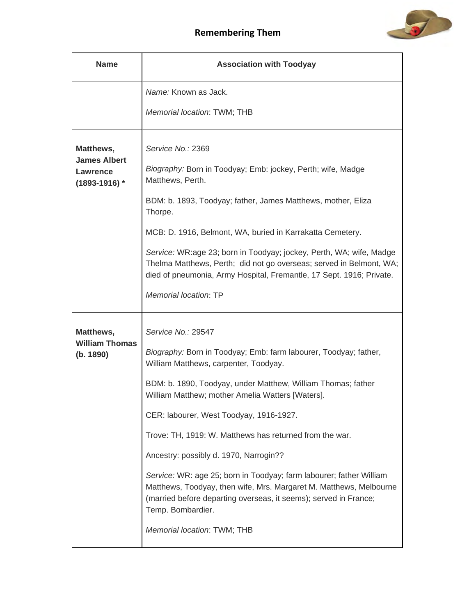

| <b>Name</b>                                                              | <b>Association with Toodyay</b>                                                                                                                                                                                                                                                                                                                                                                                                                                                                                                                                                                                                                                          |
|--------------------------------------------------------------------------|--------------------------------------------------------------------------------------------------------------------------------------------------------------------------------------------------------------------------------------------------------------------------------------------------------------------------------------------------------------------------------------------------------------------------------------------------------------------------------------------------------------------------------------------------------------------------------------------------------------------------------------------------------------------------|
|                                                                          | Name: Known as Jack.                                                                                                                                                                                                                                                                                                                                                                                                                                                                                                                                                                                                                                                     |
|                                                                          | Memorial location: TWM; THB                                                                                                                                                                                                                                                                                                                                                                                                                                                                                                                                                                                                                                              |
| Matthews,<br><b>James Albert</b><br><b>Lawrence</b><br>$(1893 - 1916)$ * | Service No.: 2369<br>Biography: Born in Toodyay; Emb: jockey, Perth; wife, Madge<br>Matthews, Perth.<br>BDM: b. 1893, Toodyay; father, James Matthews, mother, Eliza<br>Thorpe.<br>MCB: D. 1916, Belmont, WA, buried in Karrakatta Cemetery.<br>Service: WR:age 23; born in Toodyay; jockey, Perth, WA; wife, Madge<br>Thelma Matthews, Perth; did not go overseas; served in Belmont, WA;<br>died of pneumonia, Army Hospital, Fremantle, 17 Sept. 1916; Private.<br>Memorial location: TP                                                                                                                                                                              |
| Matthews,<br><b>William Thomas</b><br>(b. 1890)                          | Service No.: 29547<br>Biography: Born in Toodyay; Emb: farm labourer, Toodyay; father,<br>William Matthews, carpenter, Toodyay.<br>BDM: b. 1890, Toodyay, under Matthew, William Thomas; father<br>William Matthew; mother Amelia Watters [Waters].<br>CER: labourer, West Toodyay, 1916-1927.<br>Trove: TH, 1919: W. Matthews has returned from the war.<br>Ancestry: possibly d. 1970, Narrogin??<br>Service: WR: age 25; born in Toodyay; farm labourer; father William<br>Matthews, Toodyay, then wife, Mrs. Margaret M. Matthews, Melbourne<br>(married before departing overseas, it seems); served in France;<br>Temp. Bombardier.<br>Memorial location: TWM; THB |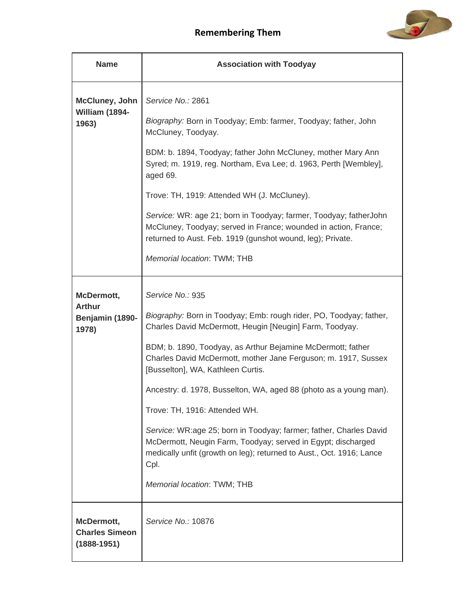

| <b>Name</b>                                             | <b>Association with Toodyay</b>                                                                                                                                                                                                                                                                                                                                                                                                                                                                                                                                                                                                                                                    |
|---------------------------------------------------------|------------------------------------------------------------------------------------------------------------------------------------------------------------------------------------------------------------------------------------------------------------------------------------------------------------------------------------------------------------------------------------------------------------------------------------------------------------------------------------------------------------------------------------------------------------------------------------------------------------------------------------------------------------------------------------|
| <b>McCluney, John</b><br>William (1894-<br>1963)        | Service No.: 2861<br>Biography: Born in Toodyay; Emb: farmer, Toodyay; father, John<br>McCluney, Toodyay.<br>BDM: b. 1894, Toodyay; father John McCluney, mother Mary Ann<br>Syred; m. 1919, reg. Northam, Eva Lee; d. 1963, Perth [Wembley],<br>aged 69.<br>Trove: TH, 1919: Attended WH (J. McCluney).<br>Service: WR: age 21; born in Toodyay; farmer, Toodyay; fatherJohn<br>McCluney, Toodyay; served in France; wounded in action, France;<br>returned to Aust. Feb. 1919 (gunshot wound, leg); Private.<br>Memorial location: TWM; THB                                                                                                                                      |
| McDermott,<br><b>Arthur</b><br>Benjamin (1890-<br>1978) | Service No.: 935<br>Biography: Born in Toodyay; Emb: rough rider, PO, Toodyay; father,<br>Charles David McDermott, Heugin [Neugin] Farm, Toodyay.<br>BDM; b. 1890, Toodyay, as Arthur Bejamine McDermott; father<br>Charles David McDermott, mother Jane Ferguson; m. 1917, Sussex<br>[Busselton], WA, Kathleen Curtis.<br>Ancestry: d. 1978, Busselton, WA, aged 88 (photo as a young man).<br>Trove: TH, 1916: Attended WH.<br>Service: WR:age 25; born in Toodyay; farmer; father, Charles David<br>McDermott, Neugin Farm, Toodyay; served in Egypt; discharged<br>medically unfit (growth on leg); returned to Aust., Oct. 1916; Lance<br>Cpl.<br>Memorial location: TWM; THB |
| McDermott,<br><b>Charles Simeon</b><br>$(1888 - 1951)$  | Service No.: 10876                                                                                                                                                                                                                                                                                                                                                                                                                                                                                                                                                                                                                                                                 |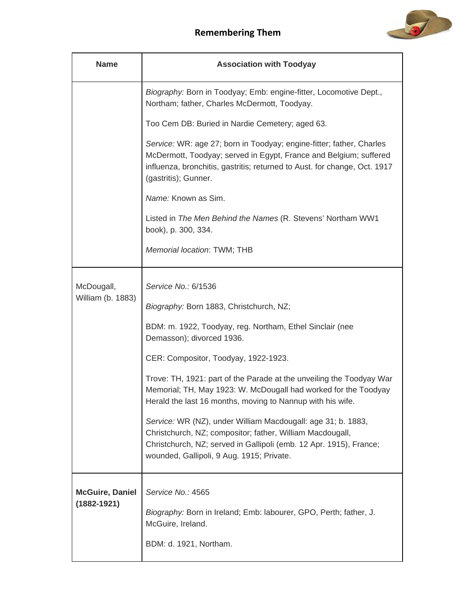

| <b>Name</b>                               | <b>Association with Toodyay</b>                                                                                                                                                                                                                                                                                                                                                                                                                                                                                                                                                                                                                          |
|-------------------------------------------|----------------------------------------------------------------------------------------------------------------------------------------------------------------------------------------------------------------------------------------------------------------------------------------------------------------------------------------------------------------------------------------------------------------------------------------------------------------------------------------------------------------------------------------------------------------------------------------------------------------------------------------------------------|
|                                           | Biography: Born in Toodyay; Emb: engine-fitter, Locomotive Dept.,<br>Northam; father, Charles McDermott, Toodyay.                                                                                                                                                                                                                                                                                                                                                                                                                                                                                                                                        |
|                                           | Too Cem DB: Buried in Nardie Cemetery; aged 63.                                                                                                                                                                                                                                                                                                                                                                                                                                                                                                                                                                                                          |
|                                           | Service: WR: age 27; born in Toodyay; engine-fitter; father, Charles<br>McDermott, Toodyay; served in Egypt, France and Belgium; suffered<br>influenza, bronchitis, gastritis; returned to Aust. for change, Oct. 1917<br>(gastritis); Gunner.                                                                                                                                                                                                                                                                                                                                                                                                           |
|                                           | Name: Known as Sim.                                                                                                                                                                                                                                                                                                                                                                                                                                                                                                                                                                                                                                      |
|                                           | Listed in The Men Behind the Names (R. Stevens' Northam WW1<br>book), p. 300, 334.                                                                                                                                                                                                                                                                                                                                                                                                                                                                                                                                                                       |
|                                           | Memorial location: TWM; THB                                                                                                                                                                                                                                                                                                                                                                                                                                                                                                                                                                                                                              |
| McDougall,<br>William (b. 1883)           | Service No.: 6/1536<br>Biography: Born 1883, Christchurch, NZ;<br>BDM: m. 1922, Toodyay, reg. Northam, Ethel Sinclair (nee<br>Demasson); divorced 1936.<br>CER: Compositor, Toodyay, 1922-1923.<br>Trove: TH, 1921: part of the Parade at the unveiling the Toodyay War<br>Memorial; TH, May 1923: W. McDougall had worked for the Toodyay<br>Herald the last 16 months, moving to Nannup with his wife.<br>Service: WR (NZ), under William Macdougall: age 31; b. 1883,<br>Christchurch, NZ; compositor; father, William Macdougall,<br>Christchurch, NZ; served in Gallipoli (emb. 12 Apr. 1915), France;<br>wounded, Gallipoli, 9 Aug. 1915; Private. |
| <b>McGuire, Daniel</b><br>$(1882 - 1921)$ | Service No.: 4565<br>Biography: Born in Ireland; Emb: labourer, GPO, Perth; father, J.<br>McGuire, Ireland.<br>BDM: d. 1921, Northam.                                                                                                                                                                                                                                                                                                                                                                                                                                                                                                                    |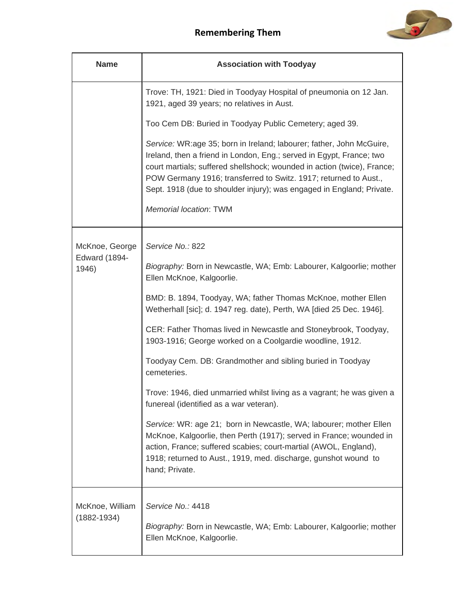

| <b>Name</b>                        | <b>Association with Toodyay</b>                                                                                                                                                                                                                                                                                                                                      |
|------------------------------------|----------------------------------------------------------------------------------------------------------------------------------------------------------------------------------------------------------------------------------------------------------------------------------------------------------------------------------------------------------------------|
|                                    | Trove: TH, 1921: Died in Toodyay Hospital of pneumonia on 12 Jan.<br>1921, aged 39 years; no relatives in Aust.                                                                                                                                                                                                                                                      |
|                                    | Too Cem DB: Buried in Toodyay Public Cemetery; aged 39.                                                                                                                                                                                                                                                                                                              |
|                                    | Service: WR:age 35; born in Ireland; labourer; father, John McGuire,<br>Ireland, then a friend in London, Eng.; served in Egypt, France; two<br>court martials; suffered shellshock; wounded in action (twice), France;<br>POW Germany 1916; transferred to Switz. 1917; returned to Aust.,<br>Sept. 1918 (due to shoulder injury); was engaged in England; Private. |
|                                    | <b>Memorial location: TWM</b>                                                                                                                                                                                                                                                                                                                                        |
| McKnoe, George                     | Service No.: 822                                                                                                                                                                                                                                                                                                                                                     |
| <b>Edward (1894-</b><br>1946)      | Biography: Born in Newcastle, WA; Emb: Labourer, Kalgoorlie; mother<br>Ellen McKnoe, Kalgoorlie.                                                                                                                                                                                                                                                                     |
|                                    | BMD: B. 1894, Toodyay, WA; father Thomas McKnoe, mother Ellen<br>Wetherhall [sic]; d. 1947 reg. date), Perth, WA [died 25 Dec. 1946].                                                                                                                                                                                                                                |
|                                    | CER: Father Thomas lived in Newcastle and Stoneybrook, Toodyay,<br>1903-1916; George worked on a Coolgardie woodline, 1912.                                                                                                                                                                                                                                          |
|                                    | Toodyay Cem. DB: Grandmother and sibling buried in Toodyay<br>cemeteries.                                                                                                                                                                                                                                                                                            |
|                                    | Trove: 1946, died unmarried whilst living as a vagrant; he was given a<br>funereal (identified as a war veteran).                                                                                                                                                                                                                                                    |
|                                    | Service: WR: age 21; born in Newcastle, WA; labourer; mother Ellen<br>McKnoe, Kalgoorlie, then Perth (1917); served in France; wounded in<br>action, France; suffered scabies; court-martial (AWOL, England),<br>1918; returned to Aust., 1919, med. discharge, gunshot wound to<br>hand; Private.                                                                   |
| McKnoe, William<br>$(1882 - 1934)$ | Service No.: 4418<br>Biography: Born in Newcastle, WA; Emb: Labourer, Kalgoorlie; mother<br>Ellen McKnoe, Kalgoorlie.                                                                                                                                                                                                                                                |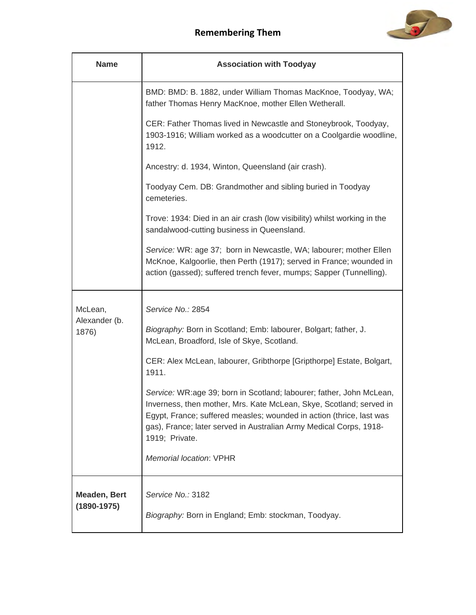

| <b>Name</b>                            | <b>Association with Toodyay</b>                                                                                                                                                                                                                                                                             |
|----------------------------------------|-------------------------------------------------------------------------------------------------------------------------------------------------------------------------------------------------------------------------------------------------------------------------------------------------------------|
|                                        | BMD: BMD: B. 1882, under William Thomas MacKnoe, Toodyay, WA;<br>father Thomas Henry MacKnoe, mother Ellen Wetherall.                                                                                                                                                                                       |
|                                        | CER: Father Thomas lived in Newcastle and Stoneybrook, Toodyay,<br>1903-1916; William worked as a woodcutter on a Coolgardie woodline,<br>1912.                                                                                                                                                             |
|                                        | Ancestry: d. 1934, Winton, Queensland (air crash).                                                                                                                                                                                                                                                          |
|                                        | Toodyay Cem. DB: Grandmother and sibling buried in Toodyay<br>cemeteries.                                                                                                                                                                                                                                   |
|                                        | Trove: 1934: Died in an air crash (low visibility) whilst working in the<br>sandalwood-cutting business in Queensland.                                                                                                                                                                                      |
|                                        | Service: WR: age 37; born in Newcastle, WA; labourer; mother Ellen<br>McKnoe, Kalgoorlie, then Perth (1917); served in France; wounded in<br>action (gassed); suffered trench fever, mumps; Sapper (Tunnelling).                                                                                            |
| McLean,                                | Service No.: 2854                                                                                                                                                                                                                                                                                           |
| Alexander (b.<br>1876)                 | Biography: Born in Scotland; Emb: labourer, Bolgart; father, J.<br>McLean, Broadford, Isle of Skye, Scotland.                                                                                                                                                                                               |
|                                        | CER: Alex McLean, labourer, Gribthorpe [Gripthorpe] Estate, Bolgart,<br>1911.                                                                                                                                                                                                                               |
|                                        | Service: WR:age 39; born in Scotland; labourer; father, John McLean,<br>Inverness, then mother, Mrs. Kate McLean, Skye, Scotland; served in<br>Egypt, France; suffered measles; wounded in action (thrice, last was<br>gas), France; later served in Australian Army Medical Corps, 1918-<br>1919; Private. |
|                                        | Memorial location: VPHR                                                                                                                                                                                                                                                                                     |
| <b>Meaden, Bert</b><br>$(1890 - 1975)$ | Service No.: 3182<br>Biography: Born in England; Emb: stockman, Toodyay.                                                                                                                                                                                                                                    |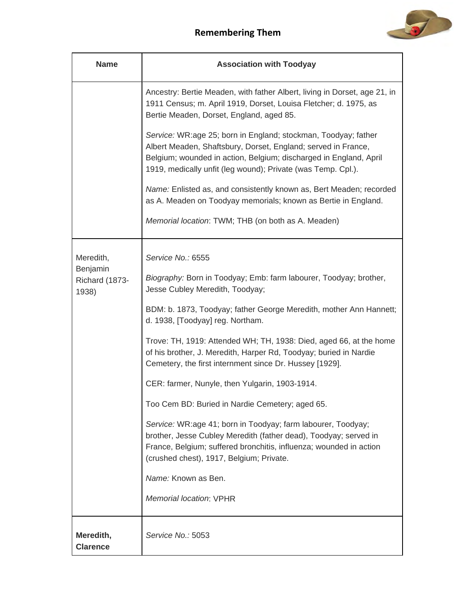

| <b>Name</b>                         | <b>Association with Toodyay</b>                                                                                                                                                                                                                                      |
|-------------------------------------|----------------------------------------------------------------------------------------------------------------------------------------------------------------------------------------------------------------------------------------------------------------------|
|                                     | Ancestry: Bertie Meaden, with father Albert, living in Dorset, age 21, in<br>1911 Census; m. April 1919, Dorset, Louisa Fletcher; d. 1975, as<br>Bertie Meaden, Dorset, England, aged 85.                                                                            |
|                                     | Service: WR:age 25; born in England; stockman, Toodyay; father<br>Albert Meaden, Shaftsbury, Dorset, England; served in France,<br>Belgium; wounded in action, Belgium; discharged in England, April<br>1919, medically unfit (leg wound); Private (was Temp. Cpl.). |
|                                     | Name: Enlisted as, and consistently known as, Bert Meaden; recorded<br>as A. Meaden on Toodyay memorials; known as Bertie in England.                                                                                                                                |
|                                     | Memorial location: TWM; THB (on both as A. Meaden)                                                                                                                                                                                                                   |
| Meredith,                           | Service No.: 6555                                                                                                                                                                                                                                                    |
| Benjamin<br>Richard (1873-<br>1938) | Biography: Born in Toodyay; Emb: farm labourer, Toodyay; brother,<br>Jesse Cubley Meredith, Toodyay;                                                                                                                                                                 |
|                                     | BDM: b. 1873, Toodyay; father George Meredith, mother Ann Hannett;<br>d. 1938, [Toodyay] reg. Northam.                                                                                                                                                               |
|                                     | Trove: TH, 1919: Attended WH; TH, 1938: Died, aged 66, at the home<br>of his brother, J. Meredith, Harper Rd, Toodyay; buried in Nardie<br>Cemetery, the first internment since Dr. Hussey [1929].                                                                   |
|                                     | CER: farmer, Nunyle, then Yulgarin, 1903-1914.                                                                                                                                                                                                                       |
|                                     | Too Cem BD: Buried in Nardie Cemetery; aged 65.                                                                                                                                                                                                                      |
|                                     | Service: WR:age 41; born in Toodyay; farm labourer, Toodyay;<br>brother, Jesse Cubley Meredith (father dead), Toodyay; served in<br>France, Belgium; suffered bronchitis, influenza; wounded in action<br>(crushed chest), 1917, Belgium; Private.                   |
|                                     | Name: Known as Ben.                                                                                                                                                                                                                                                  |
|                                     | <b>Memorial location: VPHR</b>                                                                                                                                                                                                                                       |
| Meredith,<br><b>Clarence</b>        | Service No.: 5053                                                                                                                                                                                                                                                    |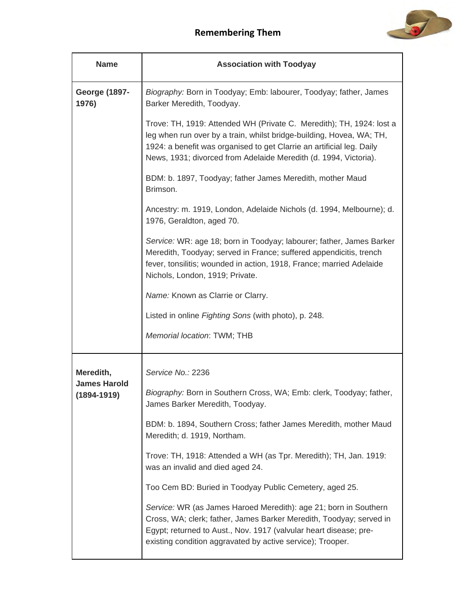

| <b>Name</b>                                         | <b>Association with Toodyay</b>                                                                                                                                                                                                                                                           |
|-----------------------------------------------------|-------------------------------------------------------------------------------------------------------------------------------------------------------------------------------------------------------------------------------------------------------------------------------------------|
| <b>George (1897-</b><br>1976)                       | Biography: Born in Toodyay; Emb: labourer, Toodyay; father, James<br>Barker Meredith, Toodyay.                                                                                                                                                                                            |
|                                                     | Trove: TH, 1919: Attended WH (Private C. Meredith); TH, 1924: lost a<br>leg when run over by a train, whilst bridge-building, Hovea, WA; TH,<br>1924: a benefit was organised to get Clarrie an artificial leg. Daily<br>News, 1931; divorced from Adelaide Meredith (d. 1994, Victoria). |
|                                                     | BDM: b. 1897, Toodyay; father James Meredith, mother Maud<br>Brimson.                                                                                                                                                                                                                     |
|                                                     | Ancestry: m. 1919, London, Adelaide Nichols (d. 1994, Melbourne); d.<br>1976, Geraldton, aged 70.                                                                                                                                                                                         |
|                                                     | Service: WR: age 18; born in Toodyay; labourer; father, James Barker<br>Meredith, Toodyay; served in France; suffered appendicitis, trench<br>fever, tonsilitis; wounded in action, 1918, France; married Adelaide<br>Nichols, London, 1919; Private.                                     |
|                                                     | Name: Known as Clarrie or Clarry.                                                                                                                                                                                                                                                         |
|                                                     | Listed in online Fighting Sons (with photo), p. 248.                                                                                                                                                                                                                                      |
|                                                     | Memorial location: TWM; THB                                                                                                                                                                                                                                                               |
| Meredith,<br><b>James Harold</b><br>$(1894 - 1919)$ | Service No.: 2236                                                                                                                                                                                                                                                                         |
|                                                     | Biography: Born in Southern Cross, WA; Emb: clerk, Toodyay; father,<br>James Barker Meredith, Toodyay.                                                                                                                                                                                    |
|                                                     | BDM: b. 1894, Southern Cross; father James Meredith, mother Maud<br>Meredith; d. 1919, Northam.                                                                                                                                                                                           |
|                                                     | Trove: TH, 1918: Attended a WH (as Tpr. Meredith); TH, Jan. 1919:<br>was an invalid and died aged 24.                                                                                                                                                                                     |
|                                                     | Too Cem BD: Buried in Toodyay Public Cemetery, aged 25.                                                                                                                                                                                                                                   |
|                                                     | Service: WR (as James Haroed Meredith): age 21; born in Southern<br>Cross, WA; clerk; father, James Barker Meredith, Toodyay; served in<br>Egypt; returned to Aust., Nov. 1917 (valvular heart disease; pre-<br>existing condition aggravated by active service); Trooper.                |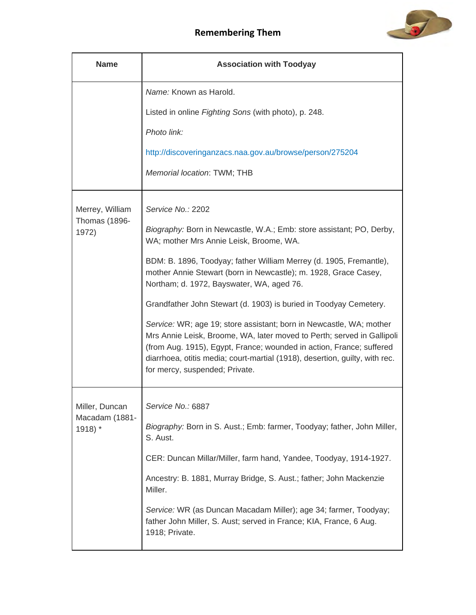

| <b>Name</b>                   | <b>Association with Toodyay</b>                                                                                                                                                                                                                                                                                                        |
|-------------------------------|----------------------------------------------------------------------------------------------------------------------------------------------------------------------------------------------------------------------------------------------------------------------------------------------------------------------------------------|
|                               | Name: Known as Harold.                                                                                                                                                                                                                                                                                                                 |
|                               | Listed in online Fighting Sons (with photo), p. 248.                                                                                                                                                                                                                                                                                   |
|                               | Photo link:                                                                                                                                                                                                                                                                                                                            |
|                               | http://discoveringanzacs.naa.gov.au/browse/person/275204                                                                                                                                                                                                                                                                               |
|                               | Memorial location: TWM; THB                                                                                                                                                                                                                                                                                                            |
| Merrey, William               | Service No.: 2202                                                                                                                                                                                                                                                                                                                      |
| <b>Thomas (1896-</b><br>1972) | Biography: Born in Newcastle, W.A.; Emb: store assistant; PO, Derby,<br>WA; mother Mrs Annie Leisk, Broome, WA.                                                                                                                                                                                                                        |
|                               | BDM: B. 1896, Toodyay; father William Merrey (d. 1905, Fremantle),<br>mother Annie Stewart (born in Newcastle); m. 1928, Grace Casey,<br>Northam; d. 1972, Bayswater, WA, aged 76.                                                                                                                                                     |
|                               | Grandfather John Stewart (d. 1903) is buried in Toodyay Cemetery.                                                                                                                                                                                                                                                                      |
|                               | Service: WR; age 19; store assistant; born in Newcastle, WA; mother<br>Mrs Annie Leisk, Broome, WA, later moved to Perth; served in Gallipoli<br>(from Aug. 1915), Egypt, France; wounded in action, France; suffered<br>diarrhoea, otitis media; court-martial (1918), desertion, guilty, with rec.<br>for mercy, suspended; Private. |
| Miller, Duncan                | Service No.: 6887                                                                                                                                                                                                                                                                                                                      |
| Macadam (1881-<br>1918) *     | Biography: Born in S. Aust.; Emb: farmer, Toodyay; father, John Miller,<br>S. Aust.                                                                                                                                                                                                                                                    |
|                               | CER: Duncan Millar/Miller, farm hand, Yandee, Toodyay, 1914-1927.                                                                                                                                                                                                                                                                      |
|                               | Ancestry: B. 1881, Murray Bridge, S. Aust.; father; John Mackenzie<br>Miller.                                                                                                                                                                                                                                                          |
|                               | Service: WR (as Duncan Macadam Miller); age 34; farmer, Toodyay;<br>father John Miller, S. Aust; served in France; KIA, France, 6 Aug.<br>1918; Private.                                                                                                                                                                               |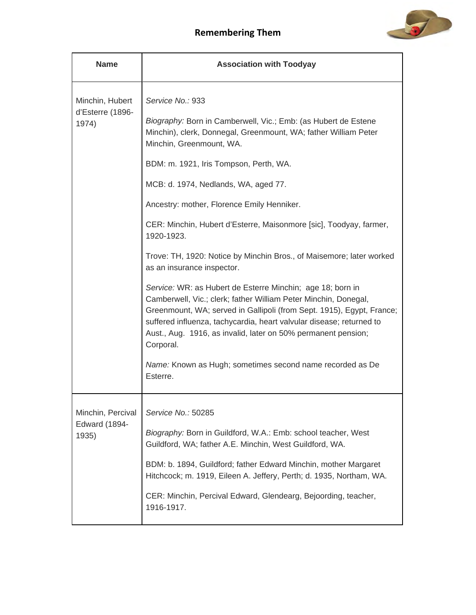

| <b>Name</b>                                        | <b>Association with Toodyay</b>                                                                                                                                                                                                                                                                                                                                                                                                                                                                                                                                                                                                                                                                                                                                                                                                                                                                                                                      |
|----------------------------------------------------|------------------------------------------------------------------------------------------------------------------------------------------------------------------------------------------------------------------------------------------------------------------------------------------------------------------------------------------------------------------------------------------------------------------------------------------------------------------------------------------------------------------------------------------------------------------------------------------------------------------------------------------------------------------------------------------------------------------------------------------------------------------------------------------------------------------------------------------------------------------------------------------------------------------------------------------------------|
| Minchin, Hubert<br>d'Esterre (1896-<br>1974)       | Service No.: 933<br>Biography: Born in Camberwell, Vic.; Emb: (as Hubert de Estene<br>Minchin), clerk, Donnegal, Greenmount, WA; father William Peter<br>Minchin, Greenmount, WA.<br>BDM: m. 1921, Iris Tompson, Perth, WA.<br>MCB: d. 1974, Nedlands, WA, aged 77.<br>Ancestry: mother, Florence Emily Henniker.<br>CER: Minchin, Hubert d'Esterre, Maisonmore [sic], Toodyay, farmer,<br>1920-1923.<br>Trove: TH, 1920: Notice by Minchin Bros., of Maisemore; later worked<br>as an insurance inspector.<br>Service: WR: as Hubert de Esterre Minchin; age 18; born in<br>Camberwell, Vic.; clerk; father William Peter Minchin, Donegal,<br>Greenmount, WA; served in Gallipoli (from Sept. 1915), Egypt, France;<br>suffered influenza, tachycardia, heart valvular disease; returned to<br>Aust., Aug. 1916, as invalid, later on 50% permanent pension;<br>Corporal.<br>Name: Known as Hugh; sometimes second name recorded as De<br>Esterre. |
| Minchin, Percival<br><b>Edward (1894-</b><br>1935) | Service No.: 50285<br>Biography: Born in Guildford, W.A.: Emb: school teacher, West<br>Guildford, WA; father A.E. Minchin, West Guildford, WA.<br>BDM: b. 1894, Guildford; father Edward Minchin, mother Margaret<br>Hitchcock; m. 1919, Eileen A. Jeffery, Perth; d. 1935, Northam, WA.<br>CER: Minchin, Percival Edward, Glendearg, Bejoording, teacher,<br>1916-1917.                                                                                                                                                                                                                                                                                                                                                                                                                                                                                                                                                                             |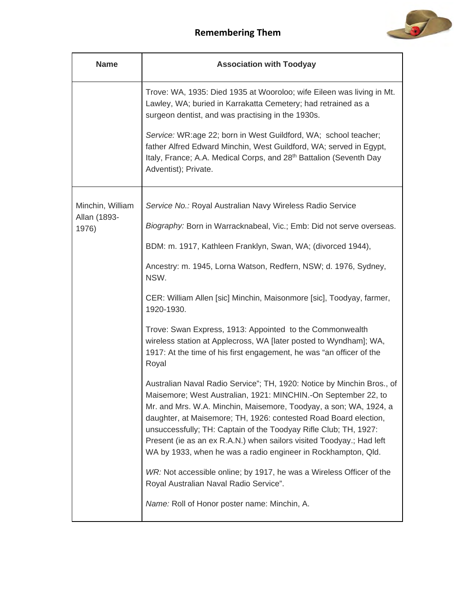

| <b>Name</b>           | <b>Association with Toodyay</b>                                                                                                                                                                                                                                                                                                                                                                                                                                                                |
|-----------------------|------------------------------------------------------------------------------------------------------------------------------------------------------------------------------------------------------------------------------------------------------------------------------------------------------------------------------------------------------------------------------------------------------------------------------------------------------------------------------------------------|
|                       | Trove: WA, 1935: Died 1935 at Wooroloo; wife Eileen was living in Mt.<br>Lawley, WA; buried in Karrakatta Cemetery; had retrained as a<br>surgeon dentist, and was practising in the 1930s.<br>Service: WR:age 22; born in West Guildford, WA; school teacher;                                                                                                                                                                                                                                 |
|                       | father Alfred Edward Minchin, West Guildford, WA; served in Egypt,<br>Italy, France; A.A. Medical Corps, and 28 <sup>th</sup> Battalion (Seventh Day<br>Adventist); Private.                                                                                                                                                                                                                                                                                                                   |
| Minchin, William      | Service No.: Royal Australian Navy Wireless Radio Service                                                                                                                                                                                                                                                                                                                                                                                                                                      |
| Allan (1893-<br>1976) | Biography: Born in Warracknabeal, Vic.; Emb: Did not serve overseas.                                                                                                                                                                                                                                                                                                                                                                                                                           |
|                       | BDM: m. 1917, Kathleen Franklyn, Swan, WA; (divorced 1944),                                                                                                                                                                                                                                                                                                                                                                                                                                    |
|                       | Ancestry: m. 1945, Lorna Watson, Redfern, NSW; d. 1976, Sydney,<br>NSW.                                                                                                                                                                                                                                                                                                                                                                                                                        |
|                       | CER: William Allen [sic] Minchin, Maisonmore [sic], Toodyay, farmer,<br>1920-1930.                                                                                                                                                                                                                                                                                                                                                                                                             |
|                       | Trove: Swan Express, 1913: Appointed to the Commonwealth<br>wireless station at Applecross, WA [later posted to Wyndham]; WA,<br>1917: At the time of his first engagement, he was "an officer of the<br>Royal                                                                                                                                                                                                                                                                                 |
|                       | Australian Naval Radio Service"; TH, 1920: Notice by Minchin Bros., of<br>Maisemore; West Australian, 1921: MINCHIN.-On September 22, to<br>Mr. and Mrs. W.A. Minchin, Maisemore, Toodyay, a son; WA, 1924, a<br>daughter, at Maisemore; TH, 1926: contested Road Board election,<br>unsuccessfully; TH: Captain of the Toodyay Rifle Club; TH, 1927:<br>Present (ie as an ex R.A.N.) when sailors visited Toodyay.; Had left<br>WA by 1933, when he was a radio engineer in Rockhampton, Qld. |
|                       | WR: Not accessible online; by 1917, he was a Wireless Officer of the<br>Royal Australian Naval Radio Service".                                                                                                                                                                                                                                                                                                                                                                                 |
|                       | Name: Roll of Honor poster name: Minchin, A.                                                                                                                                                                                                                                                                                                                                                                                                                                                   |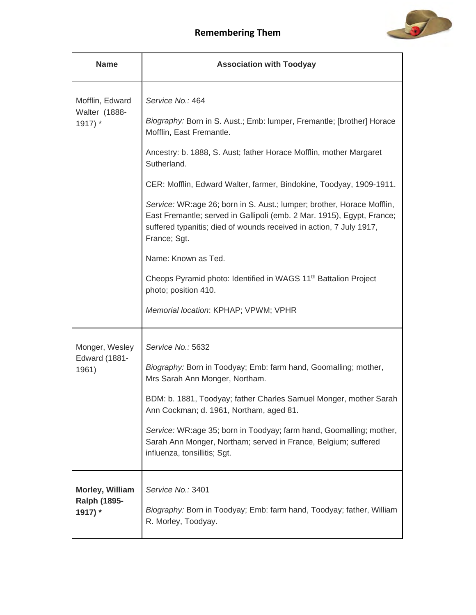

| <b>Name</b>                                       | <b>Association with Toodyay</b>                                                                                                                                                                                                                                                                                                                                                                                                                                                                                                                                                                                                                                                                    |
|---------------------------------------------------|----------------------------------------------------------------------------------------------------------------------------------------------------------------------------------------------------------------------------------------------------------------------------------------------------------------------------------------------------------------------------------------------------------------------------------------------------------------------------------------------------------------------------------------------------------------------------------------------------------------------------------------------------------------------------------------------------|
| Mofflin, Edward<br>Walter (1888-<br>$1917$ *      | Service No.: 464<br>Biography: Born in S. Aust.; Emb: lumper, Fremantle; [brother] Horace<br>Mofflin, East Fremantle.<br>Ancestry: b. 1888, S. Aust; father Horace Mofflin, mother Margaret<br>Sutherland.<br>CER: Mofflin, Edward Walter, farmer, Bindokine, Toodyay, 1909-1911.<br>Service: WR:age 26; born in S. Aust.; lumper; brother, Horace Mofflin,<br>East Fremantle; served in Gallipoli (emb. 2 Mar. 1915), Egypt, France;<br>suffered typanitis; died of wounds received in action, 7 July 1917,<br>France; Sgt.<br>Name: Known as Ted.<br>Cheops Pyramid photo: Identified in WAGS 11 <sup>th</sup> Battalion Project<br>photo; position 410.<br>Memorial location: KPHAP; VPWM; VPHR |
| Monger, Wesley<br><b>Edward (1881-</b><br>1961)   | Service No.: 5632<br>Biography: Born in Toodyay; Emb: farm hand, Goomalling; mother,<br>Mrs Sarah Ann Monger, Northam.<br>BDM: b. 1881, Toodyay; father Charles Samuel Monger, mother Sarah<br>Ann Cockman; d. 1961, Northam, aged 81.<br>Service: WR:age 35; born in Toodyay; farm hand, Goomalling; mother,<br>Sarah Ann Monger, Northam; served in France, Belgium; suffered<br>influenza, tonsillitis; Sgt.                                                                                                                                                                                                                                                                                    |
| Morley, William<br><b>Ralph (1895-</b><br>1917) * | Service No.: 3401<br>Biography: Born in Toodyay; Emb: farm hand, Toodyay; father, William<br>R. Morley, Toodyay.                                                                                                                                                                                                                                                                                                                                                                                                                                                                                                                                                                                   |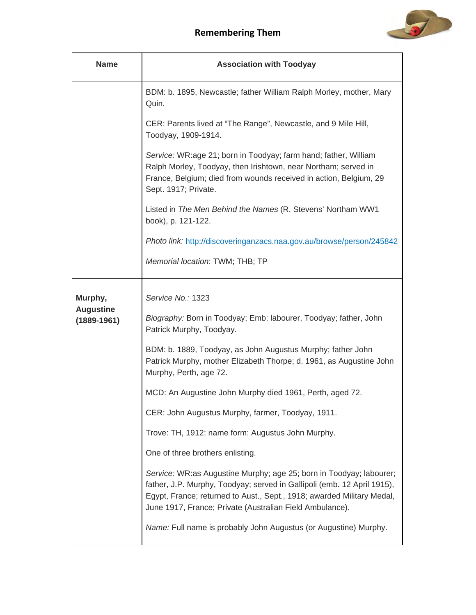

| <b>Name</b>                         | <b>Association with Toodyay</b>                                                                                                                                                                                                                                                      |
|-------------------------------------|--------------------------------------------------------------------------------------------------------------------------------------------------------------------------------------------------------------------------------------------------------------------------------------|
|                                     | BDM: b. 1895, Newcastle; father William Ralph Morley, mother, Mary<br>Quin.                                                                                                                                                                                                          |
|                                     | CER: Parents lived at "The Range", Newcastle, and 9 Mile Hill,<br>Toodyay, 1909-1914.                                                                                                                                                                                                |
|                                     | Service: WR:age 21; born in Toodyay; farm hand; father, William<br>Ralph Morley, Toodyay, then Irishtown, near Northam; served in<br>France, Belgium; died from wounds received in action, Belgium, 29<br>Sept. 1917; Private.                                                       |
|                                     | Listed in The Men Behind the Names (R. Stevens' Northam WW1<br>book), p. 121-122.                                                                                                                                                                                                    |
|                                     | Photo link: http://discoveringanzacs.naa.gov.au/browse/person/245842                                                                                                                                                                                                                 |
|                                     | Memorial location: TWM; THB; TP                                                                                                                                                                                                                                                      |
| Murphy,                             | Service No.: 1323                                                                                                                                                                                                                                                                    |
| <b>Augustine</b><br>$(1889 - 1961)$ | Biography: Born in Toodyay; Emb: labourer, Toodyay; father, John<br>Patrick Murphy, Toodyay.                                                                                                                                                                                         |
|                                     | BDM: b. 1889, Toodyay, as John Augustus Murphy; father John<br>Patrick Murphy, mother Elizabeth Thorpe; d. 1961, as Augustine John<br>Murphy, Perth, age 72.                                                                                                                         |
|                                     | MCD: An Augustine John Murphy died 1961, Perth, aged 72.                                                                                                                                                                                                                             |
|                                     | CER: John Augustus Murphy, farmer, Toodyay, 1911.                                                                                                                                                                                                                                    |
|                                     | Trove: TH, 1912: name form: Augustus John Murphy.                                                                                                                                                                                                                                    |
|                                     | One of three brothers enlisting.                                                                                                                                                                                                                                                     |
|                                     | Service: WR:as Augustine Murphy; age 25; born in Toodyay; labourer;<br>father, J.P. Murphy, Toodyay; served in Gallipoli (emb. 12 April 1915),<br>Egypt, France; returned to Aust., Sept., 1918; awarded Military Medal,<br>June 1917, France; Private (Australian Field Ambulance). |
|                                     | Name: Full name is probably John Augustus (or Augustine) Murphy.                                                                                                                                                                                                                     |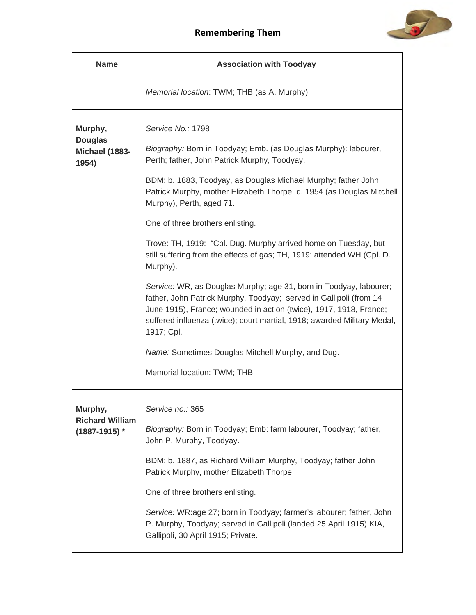

| <b>Name</b>                                            | <b>Association with Toodyay</b>                                                                                                                                                                                                                                                                                                                                                                                                                                                                                                                                                                                                                                                                                                                                                                                                                                                                          |
|--------------------------------------------------------|----------------------------------------------------------------------------------------------------------------------------------------------------------------------------------------------------------------------------------------------------------------------------------------------------------------------------------------------------------------------------------------------------------------------------------------------------------------------------------------------------------------------------------------------------------------------------------------------------------------------------------------------------------------------------------------------------------------------------------------------------------------------------------------------------------------------------------------------------------------------------------------------------------|
|                                                        | Memorial location: TWM; THB (as A. Murphy)                                                                                                                                                                                                                                                                                                                                                                                                                                                                                                                                                                                                                                                                                                                                                                                                                                                               |
| Murphy,<br><b>Douglas</b><br>Michael (1883-<br>1954)   | Service No.: 1798<br>Biography: Born in Toodyay; Emb. (as Douglas Murphy): labourer,<br>Perth; father, John Patrick Murphy, Toodyay.<br>BDM: b. 1883, Toodyay, as Douglas Michael Murphy; father John<br>Patrick Murphy, mother Elizabeth Thorpe; d. 1954 (as Douglas Mitchell<br>Murphy), Perth, aged 71.<br>One of three brothers enlisting.<br>Trove: TH, 1919: "Cpl. Dug. Murphy arrived home on Tuesday, but<br>still suffering from the effects of gas; TH, 1919: attended WH (Cpl. D.<br>Murphy).<br>Service: WR, as Douglas Murphy; age 31, born in Toodyay, labourer;<br>father, John Patrick Murphy, Toodyay; served in Gallipoli (from 14<br>June 1915), France; wounded in action (twice), 1917, 1918, France;<br>suffered influenza (twice); court martial, 1918; awarded Military Medal,<br>1917; Cpl.<br>Name: Sometimes Douglas Mitchell Murphy, and Dug.<br>Memorial location: TWM; THB |
| Murphy,<br><b>Richard William</b><br>$(1887 - 1915)$ * | Service no.: 365<br>Biography: Born in Toodyay; Emb: farm labourer, Toodyay; father,<br>John P. Murphy, Toodyay.<br>BDM: b. 1887, as Richard William Murphy, Toodyay; father John<br>Patrick Murphy, mother Elizabeth Thorpe.<br>One of three brothers enlisting.<br>Service: WR:age 27; born in Toodyay; farmer's labourer; father, John<br>P. Murphy, Toodyay; served in Gallipoli (landed 25 April 1915); KIA,<br>Gallipoli, 30 April 1915; Private.                                                                                                                                                                                                                                                                                                                                                                                                                                                  |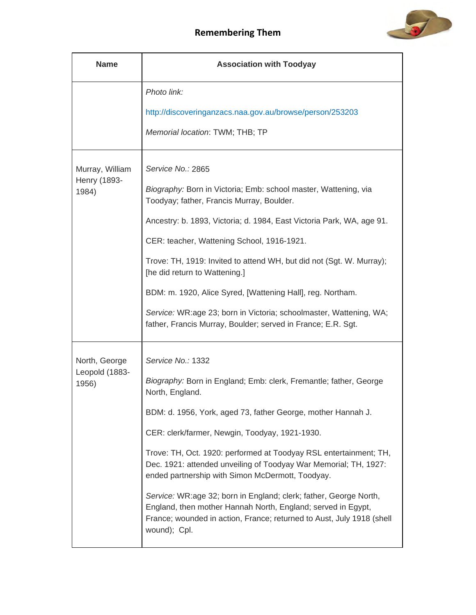

| <b>Name</b>             | <b>Association with Toodyay</b>                                                                                                                                                                                            |
|-------------------------|----------------------------------------------------------------------------------------------------------------------------------------------------------------------------------------------------------------------------|
|                         | Photo link:                                                                                                                                                                                                                |
|                         | http://discoveringanzacs.naa.gov.au/browse/person/253203                                                                                                                                                                   |
|                         | Memorial location: TWM; THB; TP                                                                                                                                                                                            |
| Murray, William         | Service No.: 2865                                                                                                                                                                                                          |
| Henry (1893-<br>1984)   | Biography: Born in Victoria; Emb: school master, Wattening, via<br>Toodyay; father, Francis Murray, Boulder.                                                                                                               |
|                         | Ancestry: b. 1893, Victoria; d. 1984, East Victoria Park, WA, age 91.                                                                                                                                                      |
|                         | CER: teacher, Wattening School, 1916-1921.                                                                                                                                                                                 |
|                         | Trove: TH, 1919: Invited to attend WH, but did not (Sgt. W. Murray);<br>[he did return to Wattening.]                                                                                                                      |
|                         | BDM: m. 1920, Alice Syred, [Wattening Hall], reg. Northam.                                                                                                                                                                 |
|                         | Service: WR:age 23; born in Victoria; schoolmaster, Wattening, WA;<br>father, Francis Murray, Boulder; served in France; E.R. Sgt.                                                                                         |
| North, George           | Service No.: 1332                                                                                                                                                                                                          |
| Leopold (1883-<br>1956) | Biography: Born in England; Emb: clerk, Fremantle; father, George<br>North, England.                                                                                                                                       |
|                         | BDM: d. 1956, York, aged 73, father George, mother Hannah J.                                                                                                                                                               |
|                         | CER: clerk/farmer, Newgin, Toodyay, 1921-1930.                                                                                                                                                                             |
|                         | Trove: TH, Oct. 1920: performed at Toodyay RSL entertainment; TH,<br>Dec. 1921: attended unveiling of Toodyay War Memorial; TH, 1927:<br>ended partnership with Simon McDermott, Toodyay.                                  |
|                         | Service: WR:age 32; born in England; clerk; father, George North,<br>England, then mother Hannah North, England; served in Egypt,<br>France; wounded in action, France; returned to Aust, July 1918 (shell<br>wound); Cpl. |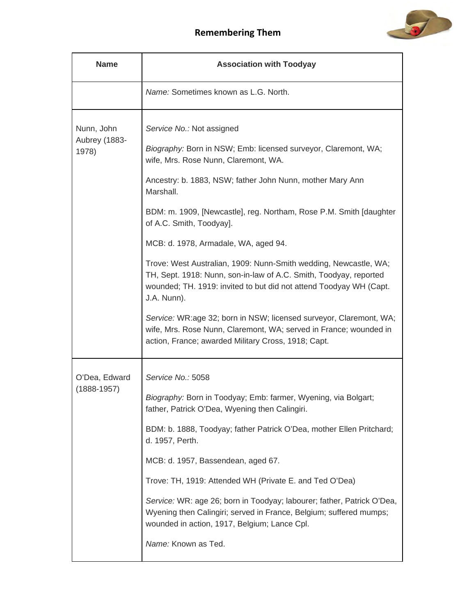



| <b>Name</b>                          | <b>Association with Toodyay</b>                                                                                                                                                                                                                                                                                                                                                                                                                                                                                                                                                                                                                                                                                                                                                         |
|--------------------------------------|-----------------------------------------------------------------------------------------------------------------------------------------------------------------------------------------------------------------------------------------------------------------------------------------------------------------------------------------------------------------------------------------------------------------------------------------------------------------------------------------------------------------------------------------------------------------------------------------------------------------------------------------------------------------------------------------------------------------------------------------------------------------------------------------|
|                                      | Name: Sometimes known as L.G. North.                                                                                                                                                                                                                                                                                                                                                                                                                                                                                                                                                                                                                                                                                                                                                    |
| Nunn, John<br>Aubrey (1883-<br>1978) | Service No.: Not assigned<br>Biography: Born in NSW; Emb: licensed surveyor, Claremont, WA;<br>wife, Mrs. Rose Nunn, Claremont, WA.<br>Ancestry: b. 1883, NSW; father John Nunn, mother Mary Ann<br>Marshall.<br>BDM: m. 1909, [Newcastle], reg. Northam, Rose P.M. Smith [daughter<br>of A.C. Smith, Toodyay].<br>MCB: d. 1978, Armadale, WA, aged 94.<br>Trove: West Australian, 1909: Nunn-Smith wedding, Newcastle, WA;<br>TH, Sept. 1918: Nunn, son-in-law of A.C. Smith, Toodyay, reported<br>wounded; TH. 1919: invited to but did not attend Toodyay WH (Capt.<br>J.A. Nunn).<br>Service: WR:age 32; born in NSW; licensed surveyor, Claremont, WA;<br>wife, Mrs. Rose Nunn, Claremont, WA; served in France; wounded in<br>action, France; awarded Military Cross, 1918; Capt. |
|                                      |                                                                                                                                                                                                                                                                                                                                                                                                                                                                                                                                                                                                                                                                                                                                                                                         |
| O'Dea, Edward<br>$(1888 - 1957)$     | Service No.: 5058<br>Biography: Born in Toodyay; Emb: farmer, Wyening, via Bolgart;<br>father, Patrick O'Dea, Wyening then Calingiri.<br>BDM: b. 1888, Toodyay; father Patrick O'Dea, mother Ellen Pritchard;<br>d. 1957, Perth.<br>MCB: d. 1957, Bassendean, aged 67.<br>Trove: TH, 1919: Attended WH (Private E. and Ted O'Dea)<br>Service: WR: age 26; born in Toodyay; labourer; father, Patrick O'Dea,<br>Wyening then Calingiri; served in France, Belgium; suffered mumps;<br>wounded in action, 1917, Belgium; Lance Cpl.<br>Name: Known as Ted.                                                                                                                                                                                                                                |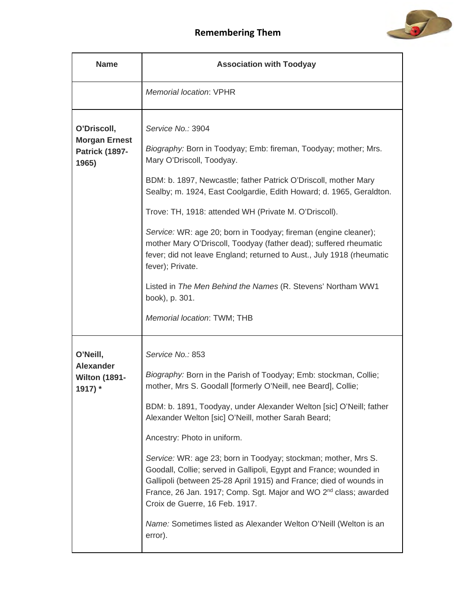

| <b>Name</b>                                                           | <b>Association with Toodyay</b>                                                                                                                                                                                                                                                                                                                                                                                                                                                                                                                                                                                                                                                                                                   |
|-----------------------------------------------------------------------|-----------------------------------------------------------------------------------------------------------------------------------------------------------------------------------------------------------------------------------------------------------------------------------------------------------------------------------------------------------------------------------------------------------------------------------------------------------------------------------------------------------------------------------------------------------------------------------------------------------------------------------------------------------------------------------------------------------------------------------|
|                                                                       | <b>Memorial location: VPHR</b>                                                                                                                                                                                                                                                                                                                                                                                                                                                                                                                                                                                                                                                                                                    |
| O'Driscoll,<br><b>Morgan Ernest</b><br><b>Patrick (1897-</b><br>1965) | Service No.: 3904<br>Biography: Born in Toodyay; Emb: fireman, Toodyay; mother; Mrs.<br>Mary O'Driscoll, Toodyay.<br>BDM: b. 1897, Newcastle; father Patrick O'Driscoll, mother Mary<br>Sealby; m. 1924, East Coolgardie, Edith Howard; d. 1965, Geraldton.<br>Trove: TH, 1918: attended WH (Private M. O'Driscoll).<br>Service: WR: age 20; born in Toodyay; fireman (engine cleaner);<br>mother Mary O'Driscoll, Toodyay (father dead); suffered rheumatic<br>fever; did not leave England; returned to Aust., July 1918 (rheumatic<br>fever); Private.<br>Listed in The Men Behind the Names (R. Stevens' Northam WW1<br>book), p. 301.<br>Memorial location: TWM; THB                                                         |
| O'Neill,<br><b>Alexander</b><br><b>Wilton (1891-</b><br>1917) *       | Service No.: 853<br>Biography: Born in the Parish of Toodyay; Emb: stockman, Collie;<br>mother, Mrs S. Goodall [formerly O'Neill, nee Beard], Collie;<br>BDM: b. 1891, Toodyay, under Alexander Welton [sic] O'Neill; father<br>Alexander Welton [sic] O'Neill, mother Sarah Beard;<br>Ancestry: Photo in uniform.<br>Service: WR: age 23; born in Toodyay; stockman; mother, Mrs S.<br>Goodall, Collie; served in Gallipoli, Egypt and France; wounded in<br>Gallipoli (between 25-28 April 1915) and France; died of wounds in<br>France, 26 Jan. 1917; Comp. Sgt. Major and WO 2 <sup>nd</sup> class; awarded<br>Croix de Guerre, 16 Feb. 1917.<br>Name: Sometimes listed as Alexander Welton O'Neill (Welton is an<br>error). |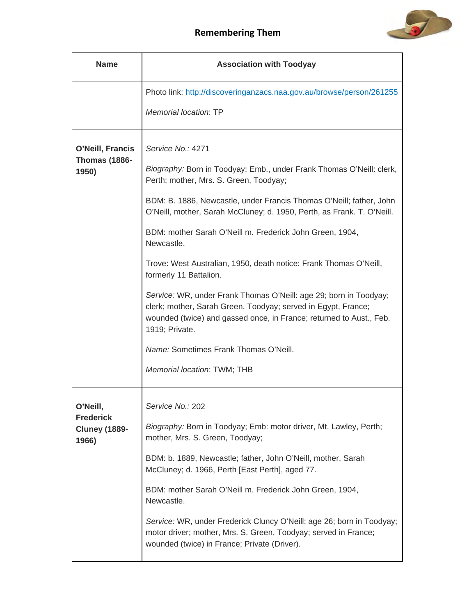

| <b>Name</b>                                                   | <b>Association with Toodyay</b>                                                                                                                                                                                                                                                                                                                                                                                                                                                                                                                                                                                                                                                                                                                                      |
|---------------------------------------------------------------|----------------------------------------------------------------------------------------------------------------------------------------------------------------------------------------------------------------------------------------------------------------------------------------------------------------------------------------------------------------------------------------------------------------------------------------------------------------------------------------------------------------------------------------------------------------------------------------------------------------------------------------------------------------------------------------------------------------------------------------------------------------------|
|                                                               | Photo link: http://discoveringanzacs.naa.gov.au/browse/person/261255<br><b>Memorial location: TP</b>                                                                                                                                                                                                                                                                                                                                                                                                                                                                                                                                                                                                                                                                 |
| O'Neill, Francis<br><b>Thomas (1886-</b><br>1950)             | Service No.: 4271<br>Biography: Born in Toodyay; Emb., under Frank Thomas O'Neill: clerk,<br>Perth; mother, Mrs. S. Green, Toodyay;<br>BDM: B. 1886, Newcastle, under Francis Thomas O'Neill; father, John<br>O'Neill, mother, Sarah McCluney; d. 1950, Perth, as Frank. T. O'Neill.<br>BDM: mother Sarah O'Neill m. Frederick John Green, 1904,<br>Newcastle.<br>Trove: West Australian, 1950, death notice: Frank Thomas O'Neill,<br>formerly 11 Battalion.<br>Service: WR, under Frank Thomas O'Neill: age 29; born in Toodyay;<br>clerk; mother, Sarah Green, Toodyay; served in Egypt, France;<br>wounded (twice) and gassed once, in France; returned to Aust., Feb.<br>1919; Private.<br>Name: Sometimes Frank Thomas O'Neill.<br>Memorial location: TWM; THB |
| O'Neill,<br><b>Frederick</b><br><b>Cluney (1889-</b><br>1966) | Service No.: 202<br>Biography: Born in Toodyay; Emb: motor driver, Mt. Lawley, Perth;<br>mother, Mrs. S. Green, Toodyay;<br>BDM: b. 1889, Newcastle; father, John O'Neill, mother, Sarah<br>McCluney; d. 1966, Perth [East Perth], aged 77.<br>BDM: mother Sarah O'Neill m. Frederick John Green, 1904,<br>Newcastle.<br>Service: WR, under Frederick Cluncy O'Neill; age 26; born in Toodyay;<br>motor driver; mother, Mrs. S. Green, Toodyay; served in France;<br>wounded (twice) in France; Private (Driver).                                                                                                                                                                                                                                                    |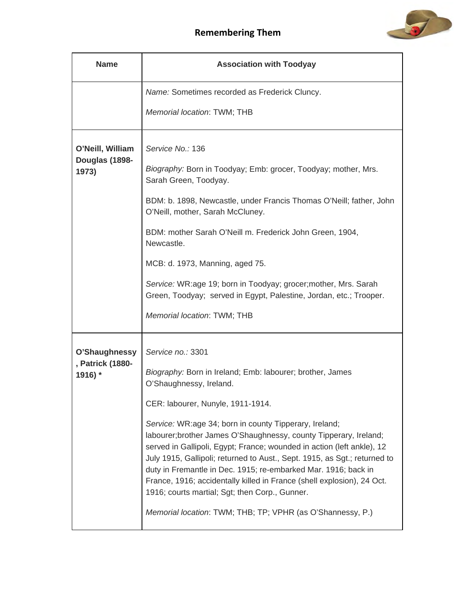



| <b>Name</b>                                  | <b>Association with Toodyay</b>                                                                                                                                                                                                                                                                                                                                                                                                                                                  |
|----------------------------------------------|----------------------------------------------------------------------------------------------------------------------------------------------------------------------------------------------------------------------------------------------------------------------------------------------------------------------------------------------------------------------------------------------------------------------------------------------------------------------------------|
|                                              | Name: Sometimes recorded as Frederick Cluncy.                                                                                                                                                                                                                                                                                                                                                                                                                                    |
|                                              | Memorial location: TWM; THB                                                                                                                                                                                                                                                                                                                                                                                                                                                      |
| O'Neill, William<br>Douglas (1898-<br>1973)  | Service No.: 136<br>Biography: Born in Toodyay; Emb: grocer, Toodyay; mother, Mrs.<br>Sarah Green, Toodyay.                                                                                                                                                                                                                                                                                                                                                                      |
|                                              | BDM: b. 1898, Newcastle, under Francis Thomas O'Neill; father, John<br>O'Neill, mother, Sarah McCluney.                                                                                                                                                                                                                                                                                                                                                                          |
|                                              | BDM: mother Sarah O'Neill m. Frederick John Green, 1904,<br>Newcastle.                                                                                                                                                                                                                                                                                                                                                                                                           |
|                                              | MCB: d. 1973, Manning, aged 75.                                                                                                                                                                                                                                                                                                                                                                                                                                                  |
|                                              | Service: WR:age 19; born in Toodyay; grocer; mother, Mrs. Sarah<br>Green, Toodyay; served in Egypt, Palestine, Jordan, etc.; Trooper.                                                                                                                                                                                                                                                                                                                                            |
|                                              | Memorial location: TWM; THB                                                                                                                                                                                                                                                                                                                                                                                                                                                      |
| O'Shaughnessy<br>, Patrick (1880-<br>1916) * | Service no.: 3301                                                                                                                                                                                                                                                                                                                                                                                                                                                                |
|                                              | Biography: Born in Ireland; Emb: labourer; brother, James<br>O'Shaughnessy, Ireland.                                                                                                                                                                                                                                                                                                                                                                                             |
|                                              | CER: labourer, Nunyle, 1911-1914.                                                                                                                                                                                                                                                                                                                                                                                                                                                |
|                                              | Service: WR:age 34; born in county Tipperary, Ireland;<br>labourer; brother James O'Shaughnessy, county Tipperary, Ireland;<br>served in Gallipoli, Egypt; France; wounded in action (left ankle), 12<br>July 1915, Gallipoli; returned to Aust., Sept. 1915, as Sgt.; returned to<br>duty in Fremantle in Dec. 1915; re-embarked Mar. 1916; back in<br>France, 1916; accidentally killed in France (shell explosion), 24 Oct.<br>1916; courts martial; Sgt; then Corp., Gunner. |
|                                              | Memorial location: TWM; THB; TP; VPHR (as O'Shannessy, P.)                                                                                                                                                                                                                                                                                                                                                                                                                       |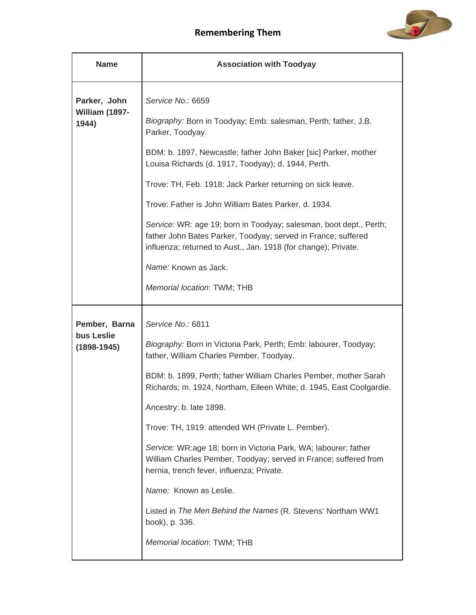

| <b>Name</b>                                    | <b>Association with Toodyay</b>                                                                                                                                                                                                                                                                                                                                                                                                                                                                                                                                                          |
|------------------------------------------------|------------------------------------------------------------------------------------------------------------------------------------------------------------------------------------------------------------------------------------------------------------------------------------------------------------------------------------------------------------------------------------------------------------------------------------------------------------------------------------------------------------------------------------------------------------------------------------------|
| Parker, John<br>William (1897-<br>1944)        | Service No.: 6659<br>Biography: Born in Toodyay; Emb: salesman, Perth; father, J.B.<br>Parker, Toodyay.<br>BDM: b. 1897, Newcastle; father John Baker [sic] Parker, mother<br>Louisa Richards (d. 1917, Toodyay); d. 1944, Perth.<br>Trove: TH, Feb. 1918: Jack Parker returning on sick leave.<br>Trove: Father is John William Bates Parker, d. 1934.<br>Service: WR: age 19; born in Toodyay; salesman, boot dept., Perth;<br>father John Bates Parker, Toodyay; served in France; suffered<br>influenza; returned to Aust., Jan. 1918 (for change); Private.<br>Name: Known as Jack. |
|                                                | Memorial location: TWM; THB                                                                                                                                                                                                                                                                                                                                                                                                                                                                                                                                                              |
| Pember, Barna<br>bus Leslie<br>$(1898 - 1945)$ | Service No.: 6811<br>Biography: Born in Victoria Park, Perth; Emb: labourer, Toodyay;<br>father, William Charles Pember, Toodyay.<br>BDM: b. 1899, Perth; father William Charles Pember, mother Sarah<br>Richards; m. 1924, Northam, Eileen White; d. 1945, East Coolgardie.<br>Ancestry: b. late 1898.<br>Trove: TH, 1919: attended WH (Private L. Pember).<br>Service: WR:age 18; born in Victoria Park, WA; labourer; father<br>William Charles Pember, Toodyay; served in France; suffered from<br>hernia, trench fever, influenza; Private.                                         |
|                                                | Name: Known as Leslie.<br>Listed in The Men Behind the Names (R. Stevens' Northam WW1<br>book), p. 336.<br>Memorial location: TWM; THB                                                                                                                                                                                                                                                                                                                                                                                                                                                   |
|                                                |                                                                                                                                                                                                                                                                                                                                                                                                                                                                                                                                                                                          |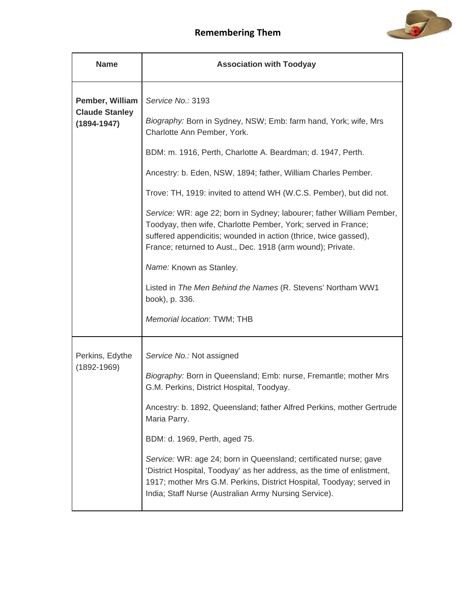

| <b>Name</b>                                                 | <b>Association with Toodyay</b>                                                                                                                                                                                                                                               |
|-------------------------------------------------------------|-------------------------------------------------------------------------------------------------------------------------------------------------------------------------------------------------------------------------------------------------------------------------------|
| Pember, William<br><b>Claude Stanley</b><br>$(1894 - 1947)$ | Service No.: 3193                                                                                                                                                                                                                                                             |
|                                                             | Biography: Born in Sydney, NSW; Emb: farm hand, York; wife, Mrs<br>Charlotte Ann Pember, York.                                                                                                                                                                                |
|                                                             | BDM: m. 1916, Perth, Charlotte A. Beardman; d. 1947, Perth.                                                                                                                                                                                                                   |
|                                                             | Ancestry: b. Eden, NSW, 1894; father, William Charles Pember.                                                                                                                                                                                                                 |
|                                                             | Trove: TH, 1919: invited to attend WH (W.C.S. Pember), but did not.                                                                                                                                                                                                           |
|                                                             | Service: WR: age 22; born in Sydney; labourer; father William Pember,<br>Toodyay, then wife, Charlotte Pember, York; served in France;<br>suffered appendicitis; wounded in action (thrice, twice gassed),<br>France; returned to Aust., Dec. 1918 (arm wound); Private.      |
|                                                             | Name: Known as Stanley.                                                                                                                                                                                                                                                       |
|                                                             | Listed in The Men Behind the Names (R. Stevens' Northam WW1<br>book), p. 336.                                                                                                                                                                                                 |
|                                                             | Memorial location: TWM; THB                                                                                                                                                                                                                                                   |
| Perkins, Edythe                                             | Service No.: Not assigned                                                                                                                                                                                                                                                     |
| $(1892 - 1969)$                                             | Biography: Born in Queensland; Emb: nurse, Fremantle; mother Mrs<br>G.M. Perkins, District Hospital, Toodyay.                                                                                                                                                                 |
|                                                             | Ancestry: b. 1892, Queensland; father Alfred Perkins, mother Gertrude<br>Maria Parry.                                                                                                                                                                                         |
|                                                             | BDM: d. 1969, Perth, aged 75.                                                                                                                                                                                                                                                 |
|                                                             | Service: WR: age 24; born in Queensland; certificated nurse; gave<br>'District Hospital, Toodyay' as her address, as the time of enlistment,<br>1917; mother Mrs G.M. Perkins, District Hospital, Toodyay; served in<br>India; Staff Nurse (Australian Army Nursing Service). |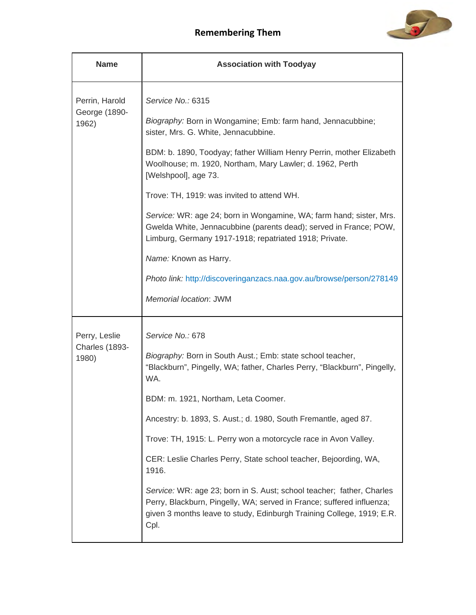

| <b>Name</b>                              | <b>Association with Toodyay</b>                                                                                                                                                                                                 |
|------------------------------------------|---------------------------------------------------------------------------------------------------------------------------------------------------------------------------------------------------------------------------------|
| Perrin, Harold<br>George (1890-<br>1962) | Service No.: 6315                                                                                                                                                                                                               |
|                                          | Biography: Born in Wongamine; Emb: farm hand, Jennacubbine;<br>sister, Mrs. G. White, Jennacubbine.                                                                                                                             |
|                                          | BDM: b. 1890, Toodyay; father William Henry Perrin, mother Elizabeth<br>Woolhouse; m. 1920, Northam, Mary Lawler; d. 1962, Perth<br>[Welshpool], age 73.                                                                        |
|                                          | Trove: TH, 1919: was invited to attend WH.                                                                                                                                                                                      |
|                                          | Service: WR: age 24; born in Wongamine, WA; farm hand; sister, Mrs.<br>Gwelda White, Jennacubbine (parents dead); served in France; POW,<br>Limburg, Germany 1917-1918; repatriated 1918; Private.                              |
|                                          | Name: Known as Harry.                                                                                                                                                                                                           |
|                                          | Photo link: http://discoveringanzacs.naa.gov.au/browse/person/278149                                                                                                                                                            |
|                                          | Memorial location: JWM                                                                                                                                                                                                          |
| Perry, Leslie                            | Service No.: 678                                                                                                                                                                                                                |
| Charles (1893-<br>1980)                  | Biography: Born in South Aust.; Emb: state school teacher,<br>"Blackburn", Pingelly, WA; father, Charles Perry, "Blackburn", Pingelly,<br>WA.                                                                                   |
|                                          | BDM: m. 1921, Northam, Leta Coomer.                                                                                                                                                                                             |
|                                          | Ancestry: b. 1893, S. Aust.; d. 1980, South Fremantle, aged 87.                                                                                                                                                                 |
|                                          | Trove: TH, 1915: L. Perry won a motorcycle race in Avon Valley.                                                                                                                                                                 |
|                                          | CER: Leslie Charles Perry, State school teacher, Bejoording, WA,<br>1916.                                                                                                                                                       |
|                                          | Service: WR: age 23; born in S. Aust; school teacher; father, Charles<br>Perry, Blackburn, Pingelly, WA; served in France; suffered influenza;<br>given 3 months leave to study, Edinburgh Training College, 1919; E.R.<br>Cpl. |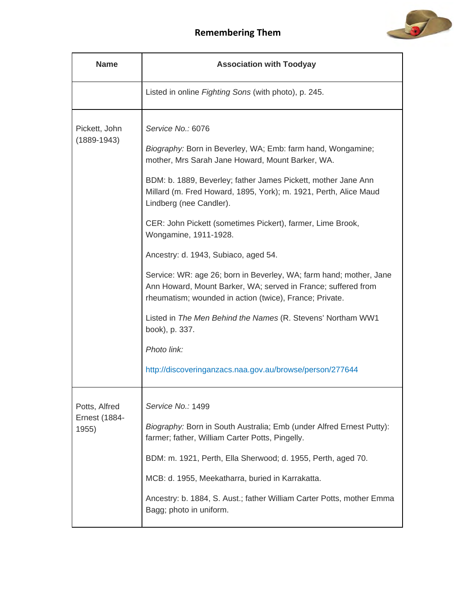

| <b>Name</b>                                    | <b>Association with Toodyay</b>                                                                                                                                                                                                                                                                                                                                                                                                                                                                                                                                                                                                                                                                                                                                                                   |
|------------------------------------------------|---------------------------------------------------------------------------------------------------------------------------------------------------------------------------------------------------------------------------------------------------------------------------------------------------------------------------------------------------------------------------------------------------------------------------------------------------------------------------------------------------------------------------------------------------------------------------------------------------------------------------------------------------------------------------------------------------------------------------------------------------------------------------------------------------|
|                                                | Listed in online Fighting Sons (with photo), p. 245.                                                                                                                                                                                                                                                                                                                                                                                                                                                                                                                                                                                                                                                                                                                                              |
| Pickett, John<br>$(1889 - 1943)$               | Service No.: 6076<br>Biography: Born in Beverley, WA; Emb: farm hand, Wongamine;<br>mother, Mrs Sarah Jane Howard, Mount Barker, WA.<br>BDM: b. 1889, Beverley; father James Pickett, mother Jane Ann<br>Millard (m. Fred Howard, 1895, York); m. 1921, Perth, Alice Maud<br>Lindberg (nee Candler).<br>CER: John Pickett (sometimes Pickert), farmer, Lime Brook,<br>Wongamine, 1911-1928.<br>Ancestry: d. 1943, Subiaco, aged 54.<br>Service: WR: age 26; born in Beverley, WA; farm hand; mother, Jane<br>Ann Howard, Mount Barker, WA; served in France; suffered from<br>rheumatism; wounded in action (twice), France; Private.<br>Listed in The Men Behind the Names (R. Stevens' Northam WW1<br>book), p. 337.<br>Photo link:<br>http://discoveringanzacs.naa.gov.au/browse/person/277644 |
| Potts, Alfred<br><b>Ernest (1884-</b><br>1955) | Service No.: 1499<br>Biography: Born in South Australia; Emb (under Alfred Ernest Putty):<br>farmer; father, William Carter Potts, Pingelly.<br>BDM: m. 1921, Perth, Ella Sherwood; d. 1955, Perth, aged 70.<br>MCB: d. 1955, Meekatharra, buried in Karrakatta.<br>Ancestry: b. 1884, S. Aust.; father William Carter Potts, mother Emma<br>Bagg; photo in uniform.                                                                                                                                                                                                                                                                                                                                                                                                                              |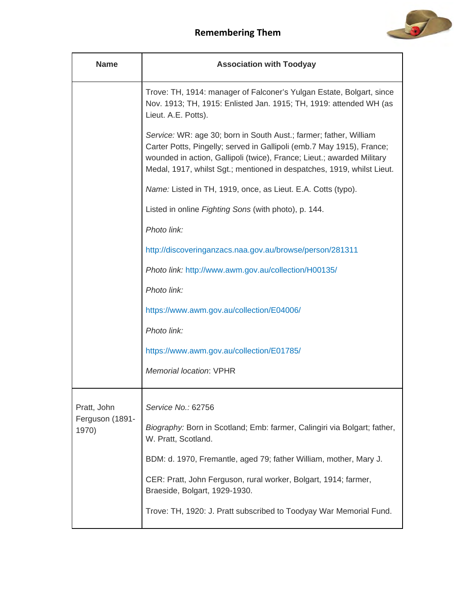

| <b>Name</b>              | <b>Association with Toodyay</b>                                                                                                                                                                                                                                                                |
|--------------------------|------------------------------------------------------------------------------------------------------------------------------------------------------------------------------------------------------------------------------------------------------------------------------------------------|
|                          | Trove: TH, 1914: manager of Falconer's Yulgan Estate, Bolgart, since<br>Nov. 1913; TH, 1915: Enlisted Jan. 1915; TH, 1919: attended WH (as<br>Lieut. A.E. Potts).                                                                                                                              |
|                          | Service: WR: age 30; born in South Aust.; farmer; father, William<br>Carter Potts, Pingelly; served in Gallipoli (emb.7 May 1915), France;<br>wounded in action, Gallipoli (twice), France; Lieut.; awarded Military<br>Medal, 1917, whilst Sgt.; mentioned in despatches, 1919, whilst Lieut. |
|                          | Name: Listed in TH, 1919, once, as Lieut. E.A. Cotts (typo).                                                                                                                                                                                                                                   |
|                          | Listed in online Fighting Sons (with photo), p. 144.                                                                                                                                                                                                                                           |
|                          | Photo link:                                                                                                                                                                                                                                                                                    |
|                          | http://discoveringanzacs.naa.gov.au/browse/person/281311                                                                                                                                                                                                                                       |
|                          | Photo link: http://www.awm.gov.au/collection/H00135/                                                                                                                                                                                                                                           |
|                          | Photo link:                                                                                                                                                                                                                                                                                    |
|                          | https://www.awm.gov.au/collection/E04006/                                                                                                                                                                                                                                                      |
|                          | Photo link:                                                                                                                                                                                                                                                                                    |
|                          | https://www.awm.gov.au/collection/E01785/                                                                                                                                                                                                                                                      |
|                          | <b>Memorial location: VPHR</b>                                                                                                                                                                                                                                                                 |
| Pratt, John              | Service No.: 62756                                                                                                                                                                                                                                                                             |
| Ferguson (1891-<br>1970) | Biography: Born in Scotland; Emb: farmer, Calingiri via Bolgart; father,<br>W. Pratt, Scotland.                                                                                                                                                                                                |
|                          | BDM: d. 1970, Fremantle, aged 79; father William, mother, Mary J.                                                                                                                                                                                                                              |
|                          | CER: Pratt, John Ferguson, rural worker, Bolgart, 1914; farmer,<br>Braeside, Bolgart, 1929-1930.                                                                                                                                                                                               |
|                          | Trove: TH, 1920: J. Pratt subscribed to Toodyay War Memorial Fund.                                                                                                                                                                                                                             |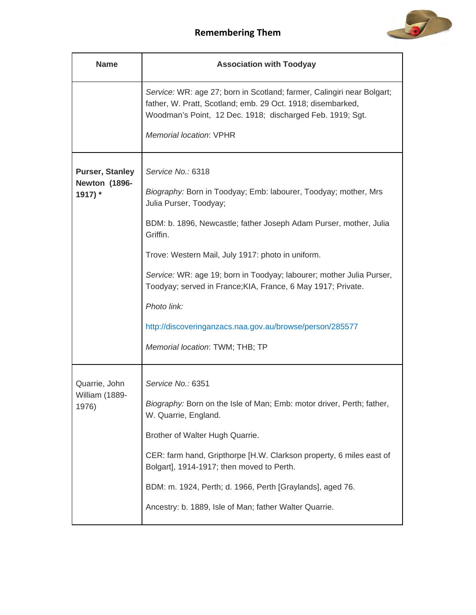

| <b>Name</b>                                               | <b>Association with Toodyay</b>                                                                                                                                                                                                      |
|-----------------------------------------------------------|--------------------------------------------------------------------------------------------------------------------------------------------------------------------------------------------------------------------------------------|
|                                                           | Service: WR: age 27; born in Scotland; farmer, Calingiri near Bolgart;<br>father, W. Pratt, Scotland; emb. 29 Oct. 1918; disembarked,<br>Woodman's Point, 12 Dec. 1918; discharged Feb. 1919; Sgt.<br><b>Memorial location: VPHR</b> |
| <b>Purser, Stanley</b><br><b>Newton (1896-</b><br>1917) * | Service No.: 6318<br>Biography: Born in Toodyay; Emb: labourer, Toodyay; mother, Mrs<br>Julia Purser, Toodyay;                                                                                                                       |
|                                                           | BDM: b. 1896, Newcastle; father Joseph Adam Purser, mother, Julia<br>Griffin.                                                                                                                                                        |
|                                                           | Trove: Western Mail, July 1917: photo in uniform.                                                                                                                                                                                    |
|                                                           | Service: WR: age 19; born in Toodyay; labourer; mother Julia Purser,<br>Toodyay; served in France; KIA, France, 6 May 1917; Private.                                                                                                 |
|                                                           | Photo link:                                                                                                                                                                                                                          |
|                                                           | http://discoveringanzacs.naa.gov.au/browse/person/285577                                                                                                                                                                             |
|                                                           | Memorial location: TWM; THB; TP                                                                                                                                                                                                      |
| Quarrie, John<br>William (1889-<br>1976)                  | Service No.: 6351                                                                                                                                                                                                                    |
|                                                           | Biography: Born on the Isle of Man; Emb: motor driver, Perth; father,<br>W. Quarrie, England.                                                                                                                                        |
|                                                           | Brother of Walter Hugh Quarrie.                                                                                                                                                                                                      |
|                                                           | CER: farm hand, Gripthorpe [H.W. Clarkson property, 6 miles east of<br>Bolgart], 1914-1917; then moved to Perth.                                                                                                                     |
|                                                           | BDM: m. 1924, Perth; d. 1966, Perth [Graylands], aged 76.                                                                                                                                                                            |
|                                                           | Ancestry: b. 1889, Isle of Man; father Walter Quarrie.                                                                                                                                                                               |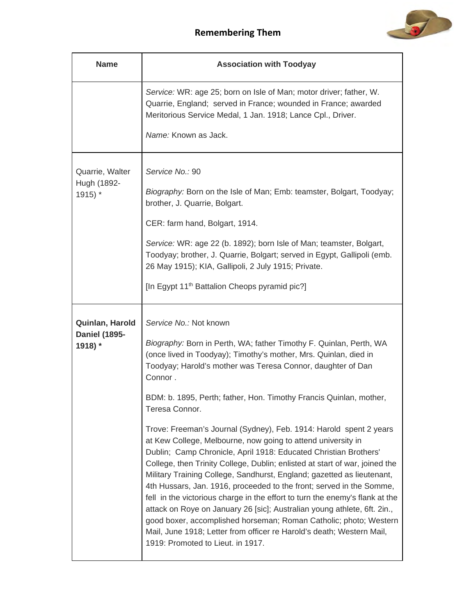

| <b>Name</b>                                        | <b>Association with Toodyay</b>                                                                                                                                                                                                                                                                                                                                                                                                                                                                                                                                                                                                                                                                                                                                                                                                                                                                                                                                                                                                                                                                                              |
|----------------------------------------------------|------------------------------------------------------------------------------------------------------------------------------------------------------------------------------------------------------------------------------------------------------------------------------------------------------------------------------------------------------------------------------------------------------------------------------------------------------------------------------------------------------------------------------------------------------------------------------------------------------------------------------------------------------------------------------------------------------------------------------------------------------------------------------------------------------------------------------------------------------------------------------------------------------------------------------------------------------------------------------------------------------------------------------------------------------------------------------------------------------------------------------|
|                                                    | Service: WR: age 25; born on Isle of Man; motor driver; father, W.<br>Quarrie, England; served in France; wounded in France; awarded<br>Meritorious Service Medal, 1 Jan. 1918; Lance Cpl., Driver.<br>Name: Known as Jack.                                                                                                                                                                                                                                                                                                                                                                                                                                                                                                                                                                                                                                                                                                                                                                                                                                                                                                  |
| Quarrie, Walter<br>Hugh (1892-<br>1915) *          | Service No.: 90<br>Biography: Born on the Isle of Man; Emb: teamster, Bolgart, Toodyay;<br>brother, J. Quarrie, Bolgart.<br>CER: farm hand, Bolgart, 1914.<br>Service: WR: age 22 (b. 1892); born Isle of Man; teamster, Bolgart,<br>Toodyay; brother, J. Quarrie, Bolgart; served in Egypt, Gallipoli (emb.<br>26 May 1915); KIA, Gallipoli, 2 July 1915; Private.<br>[In Egypt 11 <sup>th</sup> Battalion Cheops pyramid pic?]                                                                                                                                                                                                                                                                                                                                                                                                                                                                                                                                                                                                                                                                                             |
| Quinlan, Harold<br><b>Daniel (1895-</b><br>1918) * | Service No.: Not known<br>Biography: Born in Perth, WA; father Timothy F. Quinlan, Perth, WA<br>(once lived in Toodyay); Timothy's mother, Mrs. Quinlan, died in<br>Toodyay; Harold's mother was Teresa Connor, daughter of Dan<br>Connor.<br>BDM: b. 1895, Perth; father, Hon. Timothy Francis Quinlan, mother,<br>Teresa Connor.<br>Trove: Freeman's Journal (Sydney), Feb. 1914: Harold spent 2 years<br>at Kew College, Melbourne, now going to attend university in<br>Dublin; Camp Chronicle, April 1918: Educated Christian Brothers'<br>College, then Trinity College, Dublin; enlisted at start of war, joined the<br>Military Training College, Sandhurst, England; gazetted as lieutenant,<br>4th Hussars, Jan. 1916, proceeded to the front; served in the Somme,<br>fell in the victorious charge in the effort to turn the enemy's flank at the<br>attack on Roye on January 26 [sic]; Australian young athlete, 6ft. 2in.,<br>good boxer, accomplished horseman; Roman Catholic; photo; Western<br>Mail, June 1918; Letter from officer re Harold's death; Western Mail,<br>1919: Promoted to Lieut. in 1917. |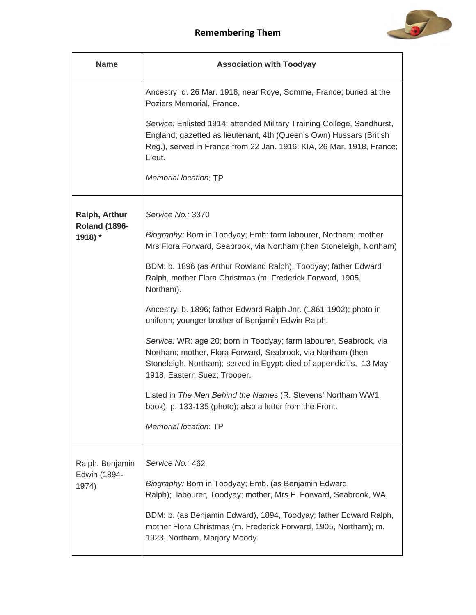

| <b>Name</b>                              | <b>Association with Toodyay</b>                                                                                                                                                                                                                                                                                        |
|------------------------------------------|------------------------------------------------------------------------------------------------------------------------------------------------------------------------------------------------------------------------------------------------------------------------------------------------------------------------|
|                                          | Ancestry: d. 26 Mar. 1918, near Roye, Somme, France; buried at the<br>Poziers Memorial, France.                                                                                                                                                                                                                        |
|                                          | Service: Enlisted 1914; attended Military Training College, Sandhurst,<br>England; gazetted as lieutenant, 4th (Queen's Own) Hussars (British<br>Reg.), served in France from 22 Jan. 1916; KIA, 26 Mar. 1918, France;<br>Lieut.                                                                                       |
|                                          | Memorial location: TP                                                                                                                                                                                                                                                                                                  |
| Ralph, Arthur                            | Service No.: 3370                                                                                                                                                                                                                                                                                                      |
| <b>Roland (1896-</b><br>1918) *          | Biography: Born in Toodyay; Emb: farm labourer, Northam; mother<br>Mrs Flora Forward, Seabrook, via Northam (then Stoneleigh, Northam)                                                                                                                                                                                 |
|                                          | BDM: b. 1896 (as Arthur Rowland Ralph), Toodyay; father Edward<br>Ralph, mother Flora Christmas (m. Frederick Forward, 1905,<br>Northam).                                                                                                                                                                              |
|                                          | Ancestry: b. 1896; father Edward Ralph Jnr. (1861-1902); photo in<br>uniform; younger brother of Benjamin Edwin Ralph.                                                                                                                                                                                                 |
|                                          | Service: WR: age 20; born in Toodyay; farm labourer, Seabrook, via<br>Northam; mother, Flora Forward, Seabrook, via Northam (then<br>Stoneleigh, Northam); served in Egypt; died of appendicitis, 13 May<br>1918, Eastern Suez; Trooper.                                                                               |
|                                          | Listed in The Men Behind the Names (R. Stevens' Northam WW1<br>book), p. 133-135 (photo); also a letter from the Front.                                                                                                                                                                                                |
|                                          | Memorial location: TP                                                                                                                                                                                                                                                                                                  |
| Ralph, Benjamin<br>Edwin (1894-<br>1974) | Service No.: 462<br>Biography: Born in Toodyay; Emb. (as Benjamin Edward<br>Ralph); labourer, Toodyay; mother, Mrs F. Forward, Seabrook, WA.<br>BDM: b. (as Benjamin Edward), 1894, Toodyay; father Edward Ralph,<br>mother Flora Christmas (m. Frederick Forward, 1905, Northam); m.<br>1923, Northam, Marjory Moody. |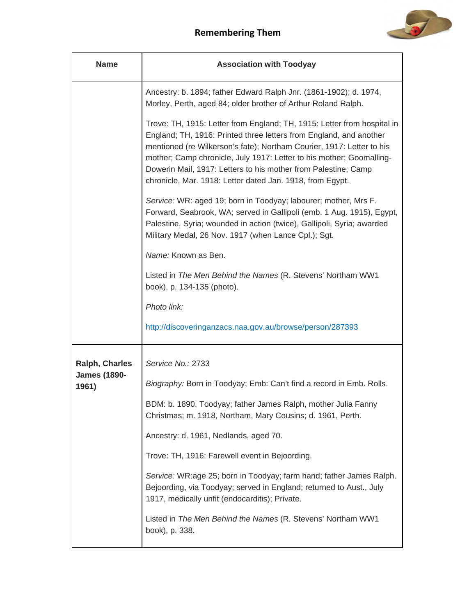

| <b>Name</b>                  | <b>Association with Toodyay</b>                                                                                                                                                                                                                                                                                                                                                                                               |
|------------------------------|-------------------------------------------------------------------------------------------------------------------------------------------------------------------------------------------------------------------------------------------------------------------------------------------------------------------------------------------------------------------------------------------------------------------------------|
|                              | Ancestry: b. 1894; father Edward Ralph Jnr. (1861-1902); d. 1974,<br>Morley, Perth, aged 84; older brother of Arthur Roland Ralph.                                                                                                                                                                                                                                                                                            |
|                              | Trove: TH, 1915: Letter from England; TH, 1915: Letter from hospital in<br>England; TH, 1916: Printed three letters from England, and another<br>mentioned (re Wilkerson's fate); Northam Courier, 1917: Letter to his<br>mother; Camp chronicle, July 1917: Letter to his mother; Goomalling-<br>Dowerin Mail, 1917: Letters to his mother from Palestine; Camp<br>chronicle, Mar. 1918: Letter dated Jan. 1918, from Egypt. |
|                              | Service: WR: aged 19; born in Toodyay; labourer; mother, Mrs F.<br>Forward, Seabrook, WA; served in Gallipoli (emb. 1 Aug. 1915), Egypt,<br>Palestine, Syria; wounded in action (twice), Gallipoli, Syria; awarded<br>Military Medal, 26 Nov. 1917 (when Lance Cpl.); Sgt.                                                                                                                                                    |
|                              | Name: Known as Ben.                                                                                                                                                                                                                                                                                                                                                                                                           |
|                              | Listed in The Men Behind the Names (R. Stevens' Northam WW1<br>book), p. 134-135 (photo).                                                                                                                                                                                                                                                                                                                                     |
|                              | Photo link:                                                                                                                                                                                                                                                                                                                                                                                                                   |
|                              | http://discoveringanzacs.naa.gov.au/browse/person/287393                                                                                                                                                                                                                                                                                                                                                                      |
| <b>Ralph, Charles</b>        | Service No.: 2733                                                                                                                                                                                                                                                                                                                                                                                                             |
| <b>James (1890-</b><br>1961) | Biography: Born in Toodyay; Emb: Can't find a record in Emb. Rolls.                                                                                                                                                                                                                                                                                                                                                           |
|                              | BDM: b. 1890, Toodyay; father James Ralph, mother Julia Fanny<br>Christmas; m. 1918, Northam, Mary Cousins; d. 1961, Perth.                                                                                                                                                                                                                                                                                                   |
|                              | Ancestry: d. 1961, Nedlands, aged 70.                                                                                                                                                                                                                                                                                                                                                                                         |
|                              | Trove: TH, 1916: Farewell event in Bejoording.                                                                                                                                                                                                                                                                                                                                                                                |
|                              | Service: WR:age 25; born in Toodyay; farm hand; father James Ralph.<br>Bejoording, via Toodyay; served in England; returned to Aust., July<br>1917, medically unfit (endocarditis); Private.                                                                                                                                                                                                                                  |
|                              | Listed in The Men Behind the Names (R. Stevens' Northam WW1<br>book), p. 338.                                                                                                                                                                                                                                                                                                                                                 |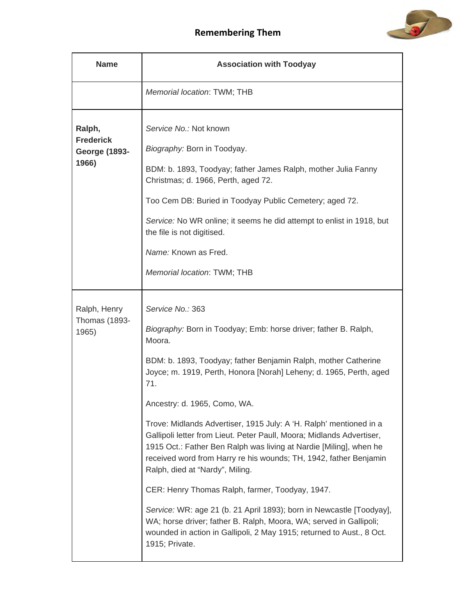

| <b>Name</b>                                                 | <b>Association with Toodyay</b>                                                                                                                                                                                                                                                                                                                                                        |
|-------------------------------------------------------------|----------------------------------------------------------------------------------------------------------------------------------------------------------------------------------------------------------------------------------------------------------------------------------------------------------------------------------------------------------------------------------------|
|                                                             | Memorial location: TWM; THB                                                                                                                                                                                                                                                                                                                                                            |
| Ralph,<br><b>Frederick</b><br><b>George (1893-</b><br>1966) | Service No.: Not known<br>Biography: Born in Toodyay.<br>BDM: b. 1893, Toodyay; father James Ralph, mother Julia Fanny<br>Christmas; d. 1966, Perth, aged 72.<br>Too Cem DB: Buried in Toodyay Public Cemetery; aged 72.<br>Service: No WR online; it seems he did attempt to enlist in 1918, but<br>the file is not digitised.<br>Name: Known as Fred.<br>Memorial location: TWM; THB |
|                                                             |                                                                                                                                                                                                                                                                                                                                                                                        |
| Ralph, Henry<br><b>Thomas (1893-</b><br>1965)               | Service No.: 363<br>Biography: Born in Toodyay; Emb: horse driver; father B. Ralph,<br>Moora.<br>BDM: b. 1893, Toodyay; father Benjamin Ralph, mother Catherine<br>Joyce; m. 1919, Perth, Honora [Norah] Leheny; d. 1965, Perth, aged<br>71.                                                                                                                                           |
|                                                             | Ancestry: d. 1965, Como, WA.                                                                                                                                                                                                                                                                                                                                                           |
|                                                             | Trove: Midlands Advertiser, 1915 July: A 'H. Ralph' mentioned in a<br>Gallipoli letter from Lieut. Peter Paull, Moora; Midlands Advertiser,<br>1915 Oct.: Father Ben Ralph was living at Nardie [Miling], when he<br>received word from Harry re his wounds; TH, 1942, father Benjamin<br>Ralph, died at "Nardy", Miling.                                                              |
|                                                             | CER: Henry Thomas Ralph, farmer, Toodyay, 1947.                                                                                                                                                                                                                                                                                                                                        |
|                                                             | Service: WR: age 21 (b. 21 April 1893); born in Newcastle [Toodyay],<br>WA; horse driver; father B. Ralph, Moora, WA; served in Gallipoli;<br>wounded in action in Gallipoli, 2 May 1915; returned to Aust., 8 Oct.<br>1915; Private.                                                                                                                                                  |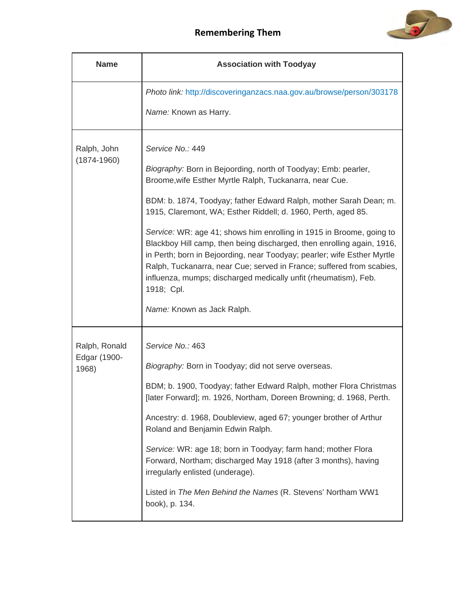

| <b>Name</b>                            | <b>Association with Toodyay</b>                                                                                                                                                                                                                                                                                                                                                                                                                                                                                                                                                                                                                                                                          |
|----------------------------------------|----------------------------------------------------------------------------------------------------------------------------------------------------------------------------------------------------------------------------------------------------------------------------------------------------------------------------------------------------------------------------------------------------------------------------------------------------------------------------------------------------------------------------------------------------------------------------------------------------------------------------------------------------------------------------------------------------------|
|                                        | Photo link: http://discoveringanzacs.naa.gov.au/browse/person/303178<br>Name: Known as Harry.                                                                                                                                                                                                                                                                                                                                                                                                                                                                                                                                                                                                            |
| Ralph, John<br>$(1874 - 1960)$         | Service No.: 449<br>Biography: Born in Bejoording, north of Toodyay; Emb: pearler,<br>Broome, wife Esther Myrtle Ralph, Tuckanarra, near Cue.<br>BDM: b. 1874, Toodyay; father Edward Ralph, mother Sarah Dean; m.<br>1915, Claremont, WA; Esther Riddell; d. 1960, Perth, aged 85.<br>Service: WR: age 41; shows him enrolling in 1915 in Broome, going to<br>Blackboy Hill camp, then being discharged, then enrolling again, 1916,<br>in Perth; born in Bejoording, near Toodyay; pearler; wife Esther Myrtle<br>Ralph, Tuckanarra, near Cue; served in France; suffered from scabies,<br>influenza, mumps; discharged medically unfit (rheumatism), Feb.<br>1918; Cpl.<br>Name: Known as Jack Ralph. |
| Ralph, Ronald<br>Edgar (1900-<br>1968) | Service No.: 463<br>Biography: Born in Toodyay; did not serve overseas.<br>BDM; b. 1900, Toodyay; father Edward Ralph, mother Flora Christmas<br>[later Forward]; m. 1926, Northam, Doreen Browning; d. 1968, Perth.<br>Ancestry: d. 1968, Doubleview, aged 67; younger brother of Arthur<br>Roland and Benjamin Edwin Ralph.<br>Service: WR: age 18; born in Toodyay; farm hand; mother Flora<br>Forward, Northam; discharged May 1918 (after 3 months), having<br>irregularly enlisted (underage).<br>Listed in The Men Behind the Names (R. Stevens' Northam WW1<br>book), p. 134.                                                                                                                    |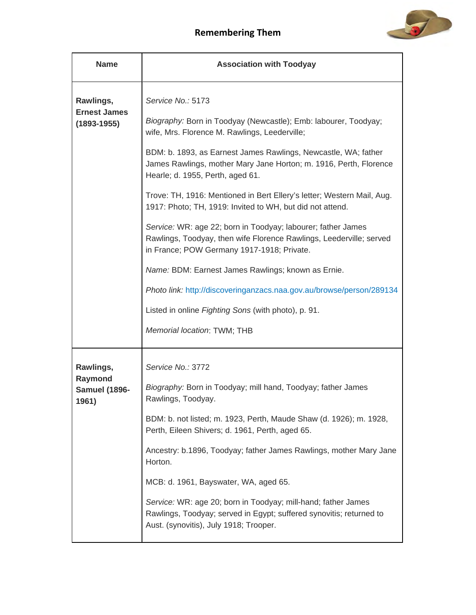

| <b>Name</b>                                         | <b>Association with Toodyay</b>                                                                                                                                                   |
|-----------------------------------------------------|-----------------------------------------------------------------------------------------------------------------------------------------------------------------------------------|
| Rawlings,<br><b>Ernest James</b><br>$(1893 - 1955)$ | Service No.: 5173<br>Biography: Born in Toodyay (Newcastle); Emb: labourer, Toodyay;<br>wife, Mrs. Florence M. Rawlings, Leederville;                                             |
|                                                     | BDM: b. 1893, as Earnest James Rawlings, Newcastle, WA; father<br>James Rawlings, mother Mary Jane Horton; m. 1916, Perth, Florence<br>Hearle; d. 1955, Perth, aged 61.           |
|                                                     | Trove: TH, 1916: Mentioned in Bert Ellery's letter; Western Mail, Aug.<br>1917: Photo; TH, 1919: Invited to WH, but did not attend.                                               |
|                                                     | Service: WR: age 22; born in Toodyay; labourer; father James<br>Rawlings, Toodyay, then wife Florence Rawlings, Leederville; served<br>in France; POW Germany 1917-1918; Private. |
|                                                     | Name: BDM: Earnest James Rawlings; known as Ernie.                                                                                                                                |
|                                                     | Photo link: http://discoveringanzacs.naa.gov.au/browse/person/289134                                                                                                              |
|                                                     | Listed in online Fighting Sons (with photo), p. 91.                                                                                                                               |
|                                                     | Memorial location: TWM; THB                                                                                                                                                       |
| Rawlings,                                           | Service No.: 3772                                                                                                                                                                 |
| Raymond<br><b>Samuel (1896-</b><br>1961)            | Biography: Born in Toodyay; mill hand, Toodyay; father James<br>Rawlings, Toodyay.                                                                                                |
|                                                     | BDM: b. not listed; m. 1923, Perth, Maude Shaw (d. 1926); m. 1928,<br>Perth, Eileen Shivers; d. 1961, Perth, aged 65.                                                             |
|                                                     | Ancestry: b.1896, Toodyay; father James Rawlings, mother Mary Jane<br>Horton.                                                                                                     |
|                                                     | MCB: d. 1961, Bayswater, WA, aged 65.                                                                                                                                             |
|                                                     | Service: WR: age 20; born in Toodyay; mill-hand; father James<br>Rawlings, Toodyay; served in Egypt; suffered synovitis; returned to<br>Aust. (synovitis), July 1918; Trooper.    |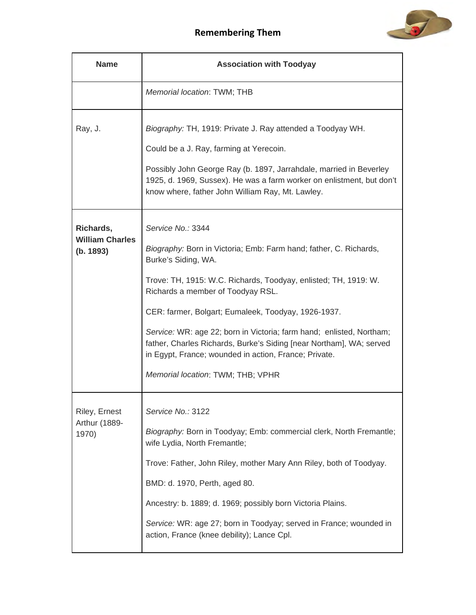

| <b>Name</b>                                      | <b>Association with Toodyay</b>                                                                                                                                                                                                                                                                                                                                                                                                                                                                                           |
|--------------------------------------------------|---------------------------------------------------------------------------------------------------------------------------------------------------------------------------------------------------------------------------------------------------------------------------------------------------------------------------------------------------------------------------------------------------------------------------------------------------------------------------------------------------------------------------|
|                                                  | Memorial location: TWM; THB                                                                                                                                                                                                                                                                                                                                                                                                                                                                                               |
| Ray, J.                                          | Biography: TH, 1919: Private J. Ray attended a Toodyay WH.<br>Could be a J. Ray, farming at Yerecoin.<br>Possibly John George Ray (b. 1897, Jarrahdale, married in Beverley<br>1925, d. 1969, Sussex). He was a farm worker on enlistment, but don't<br>know where, father John William Ray, Mt. Lawley.                                                                                                                                                                                                                  |
| Richards,<br><b>William Charles</b><br>(b. 1893) | Service No.: 3344<br>Biography: Born in Victoria; Emb: Farm hand; father, C. Richards,<br>Burke's Siding, WA.<br>Trove: TH, 1915: W.C. Richards, Toodyay, enlisted; TH, 1919: W.<br>Richards a member of Toodyay RSL.<br>CER: farmer, Bolgart; Eumaleek, Toodyay, 1926-1937.<br>Service: WR: age 22; born in Victoria; farm hand; enlisted, Northam;<br>father, Charles Richards, Burke's Siding [near Northam], WA; served<br>in Egypt, France; wounded in action, France; Private.<br>Memorial location: TWM; THB; VPHR |
| Riley, Ernest<br>Arthur (1889-<br>1970)          | Service No.: 3122<br>Biography: Born in Toodyay; Emb: commercial clerk, North Fremantle;<br>wife Lydia, North Fremantle;<br>Trove: Father, John Riley, mother Mary Ann Riley, both of Toodyay.<br>BMD: d. 1970, Perth, aged 80.<br>Ancestry: b. 1889; d. 1969; possibly born Victoria Plains.<br>Service: WR: age 27; born in Toodyay; served in France; wounded in<br>action, France (knee debility); Lance Cpl.                                                                                                         |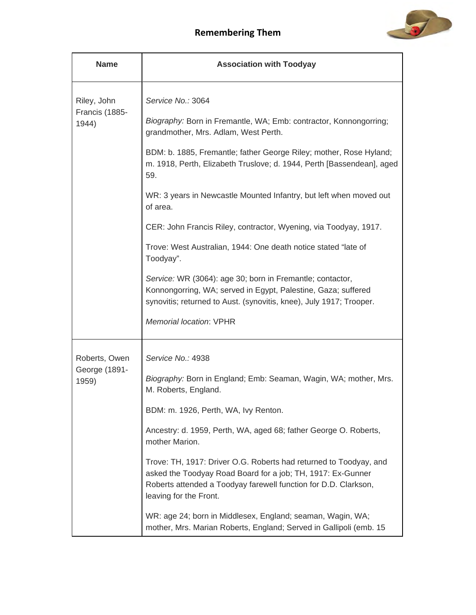

| <b>Name</b>                            | <b>Association with Toodyay</b>                                                                                                                                                                                               |
|----------------------------------------|-------------------------------------------------------------------------------------------------------------------------------------------------------------------------------------------------------------------------------|
| Riley, John<br>Francis (1885-<br>1944) | Service No.: 3064                                                                                                                                                                                                             |
|                                        | Biography: Born in Fremantle, WA; Emb: contractor, Konnongorring;<br>grandmother, Mrs. Adlam, West Perth.                                                                                                                     |
|                                        | BDM: b. 1885, Fremantle; father George Riley; mother, Rose Hyland;<br>m. 1918, Perth, Elizabeth Truslove; d. 1944, Perth [Bassendean], aged<br>59.                                                                            |
|                                        | WR: 3 years in Newcastle Mounted Infantry, but left when moved out<br>of area.                                                                                                                                                |
|                                        | CER: John Francis Riley, contractor, Wyening, via Toodyay, 1917.                                                                                                                                                              |
|                                        | Trove: West Australian, 1944: One death notice stated "late of<br>Toodyay".                                                                                                                                                   |
|                                        | Service: WR (3064): age 30; born in Fremantle; contactor,<br>Konnongorring, WA; served in Egypt, Palestine, Gaza; suffered<br>synovitis; returned to Aust. (synovitis, knee), July 1917; Trooper.                             |
|                                        | <b>Memorial location: VPHR</b>                                                                                                                                                                                                |
| Roberts, Owen                          | Service No.: 4938                                                                                                                                                                                                             |
| George (1891-<br>1959)                 | Biography: Born in England; Emb: Seaman, Wagin, WA; mother, Mrs.<br>M. Roberts, England.                                                                                                                                      |
|                                        | BDM: m. 1926, Perth, WA, Ivy Renton.                                                                                                                                                                                          |
|                                        | Ancestry: d. 1959, Perth, WA, aged 68; father George O. Roberts,<br>mother Marion.                                                                                                                                            |
|                                        | Trove: TH, 1917: Driver O.G. Roberts had returned to Toodyay, and<br>asked the Toodyay Road Board for a job; TH, 1917: Ex-Gunner<br>Roberts attended a Toodyay farewell function for D.D. Clarkson,<br>leaving for the Front. |
|                                        | WR: age 24; born in Middlesex, England; seaman, Wagin, WA;<br>mother, Mrs. Marian Roberts, England; Served in Gallipoli (emb. 15                                                                                              |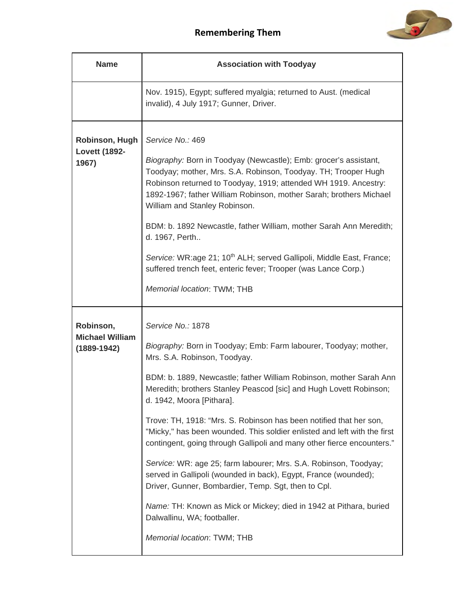

| <b>Name</b>                                            | <b>Association with Toodyay</b>                                                                                                                                                                                                                                                                                                                                                                                                                                                                                                                                                                                                                                                                                                                                                                                                                              |
|--------------------------------------------------------|--------------------------------------------------------------------------------------------------------------------------------------------------------------------------------------------------------------------------------------------------------------------------------------------------------------------------------------------------------------------------------------------------------------------------------------------------------------------------------------------------------------------------------------------------------------------------------------------------------------------------------------------------------------------------------------------------------------------------------------------------------------------------------------------------------------------------------------------------------------|
|                                                        | Nov. 1915), Egypt; suffered myalgia; returned to Aust. (medical<br>invalid), 4 July 1917; Gunner, Driver.                                                                                                                                                                                                                                                                                                                                                                                                                                                                                                                                                                                                                                                                                                                                                    |
| Robinson, Hugh<br><b>Lovett (1892-</b><br>1967)        | Service No.: 469<br>Biography: Born in Toodyay (Newcastle); Emb: grocer's assistant,<br>Toodyay; mother, Mrs. S.A. Robinson, Toodyay. TH; Trooper Hugh<br>Robinson returned to Toodyay, 1919; attended WH 1919. Ancestry:<br>1892-1967; father William Robinson, mother Sarah; brothers Michael<br>William and Stanley Robinson.<br>BDM: b. 1892 Newcastle, father William, mother Sarah Ann Meredith;<br>d. 1967, Perth<br>Service: WR:age 21; 10 <sup>th</sup> ALH; served Gallipoli, Middle East, France;<br>suffered trench feet, enteric fever; Trooper (was Lance Corp.)<br>Memorial location: TWM; THB                                                                                                                                                                                                                                                |
| Robinson,<br><b>Michael William</b><br>$(1889 - 1942)$ | Service No.: 1878<br>Biography: Born in Toodyay; Emb: Farm labourer, Toodyay; mother,<br>Mrs. S.A. Robinson, Toodyay.<br>BDM: b. 1889, Newcastle; father William Robinson, mother Sarah Ann<br>Meredith; brothers Stanley Peascod [sic] and Hugh Lovett Robinson;<br>d. 1942, Moora [Pithara].<br>Trove: TH, 1918: "Mrs. S. Robinson has been notified that her son,<br>"Micky," has been wounded. This soldier enlisted and left with the first<br>contingent, going through Gallipoli and many other fierce encounters."<br>Service: WR: age 25; farm labourer; Mrs. S.A. Robinson, Toodyay;<br>served in Gallipoli (wounded in back), Egypt, France (wounded);<br>Driver, Gunner, Bombardier, Temp. Sgt, then to Cpl.<br>Name: TH: Known as Mick or Mickey; died in 1942 at Pithara, buried<br>Dalwallinu, WA; footballer.<br>Memorial location: TWM; THB |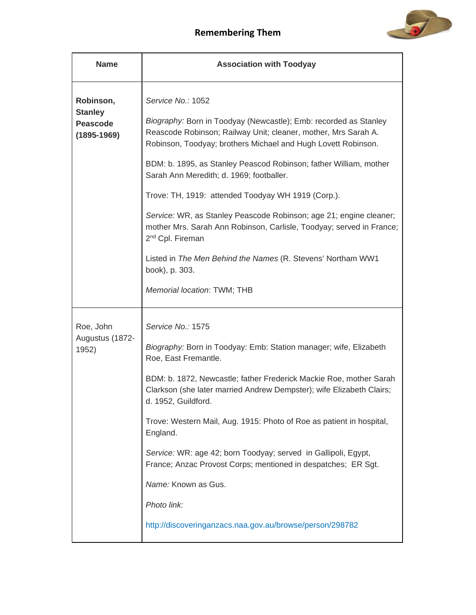

| <b>Name</b>                                                       | <b>Association with Toodyay</b>                                                                                                                                                                                                                                                                                                                                                                                                                                                                                                                                                                                                                                                               |
|-------------------------------------------------------------------|-----------------------------------------------------------------------------------------------------------------------------------------------------------------------------------------------------------------------------------------------------------------------------------------------------------------------------------------------------------------------------------------------------------------------------------------------------------------------------------------------------------------------------------------------------------------------------------------------------------------------------------------------------------------------------------------------|
| Robinson,<br><b>Stanley</b><br><b>Peascode</b><br>$(1895 - 1969)$ | Service No.: 1052<br>Biography: Born in Toodyay (Newcastle); Emb: recorded as Stanley<br>Reascode Robinson; Railway Unit; cleaner, mother, Mrs Sarah A.<br>Robinson, Toodyay; brothers Michael and Hugh Lovett Robinson.<br>BDM: b. 1895, as Stanley Peascod Robinson; father William, mother<br>Sarah Ann Meredith; d. 1969; footballer.<br>Trove: TH, 1919: attended Toodyay WH 1919 (Corp.).<br>Service: WR, as Stanley Peascode Robinson; age 21; engine cleaner;<br>mother Mrs. Sarah Ann Robinson, Carlisle, Toodyay; served in France;<br>2 <sup>nd</sup> Cpl. Fireman<br>Listed in The Men Behind the Names (R. Stevens' Northam WW1<br>book), p. 303.<br>Memorial location: TWM; THB |
| Roe, John<br>Augustus (1872-<br>1952)                             | Service No.: 1575<br>Biography: Born in Toodyay: Emb: Station manager; wife, Elizabeth<br>Roe, East Fremantle.<br>BDM: b. 1872, Newcastle; father Frederick Mackie Roe, mother Sarah<br>Clarkson (she later married Andrew Dempster); wife Elizabeth Clairs;<br>d. 1952, Guildford.<br>Trove: Western Mail, Aug. 1915: Photo of Roe as patient in hospital,<br>England.<br>Service: WR: age 42; born Toodyay; served in Gallipoli, Egypt,<br>France; Anzac Provost Corps; mentioned in despatches; ER Sgt.<br>Name: Known as Gus.<br>Photo link:<br>http://discoveringanzacs.naa.gov.au/browse/person/298782                                                                                  |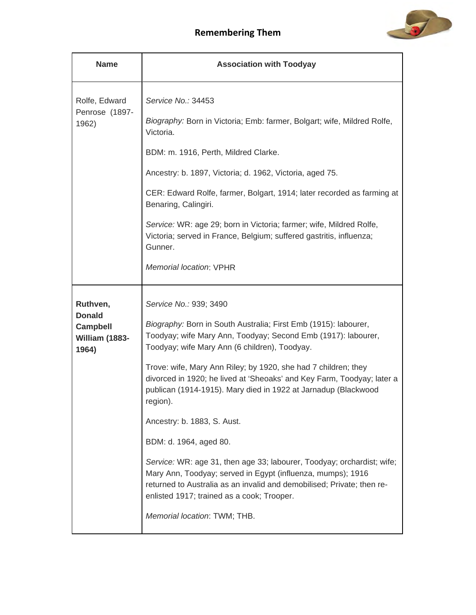

| <b>Name</b>                                                             | <b>Association with Toodyay</b>                                                                                                                                                                                                                                                                                                                                                                                                                                                                                                                                                                                                                                                                                                                                                                 |
|-------------------------------------------------------------------------|-------------------------------------------------------------------------------------------------------------------------------------------------------------------------------------------------------------------------------------------------------------------------------------------------------------------------------------------------------------------------------------------------------------------------------------------------------------------------------------------------------------------------------------------------------------------------------------------------------------------------------------------------------------------------------------------------------------------------------------------------------------------------------------------------|
| Rolfe, Edward<br>Penrose (1897-<br>1962)                                | Service No.: 34453<br>Biography: Born in Victoria; Emb: farmer, Bolgart; wife, Mildred Rolfe,<br>Victoria.<br>BDM: m. 1916, Perth, Mildred Clarke.<br>Ancestry: b. 1897, Victoria; d. 1962, Victoria, aged 75.<br>CER: Edward Rolfe, farmer, Bolgart, 1914; later recorded as farming at<br>Benaring, Calingiri.<br>Service: WR: age 29; born in Victoria; farmer; wife, Mildred Rolfe,<br>Victoria; served in France, Belgium; suffered gastritis, influenza;<br>Gunner.<br><b>Memorial location: VPHR</b>                                                                                                                                                                                                                                                                                     |
| Ruthven,<br><b>Donald</b><br><b>Campbell</b><br>William (1883-<br>1964) | Service No.: 939; 3490<br>Biography: Born in South Australia; First Emb (1915): labourer,<br>Toodyay; wife Mary Ann, Toodyay; Second Emb (1917): labourer,<br>Toodyay; wife Mary Ann (6 children), Toodyay.<br>Trove: wife, Mary Ann Riley; by 1920, she had 7 children; they<br>divorced in 1920; he lived at 'Sheoaks' and Key Farm, Toodyay; later a<br>publican (1914-1915). Mary died in 1922 at Jarnadup (Blackwood<br>region).<br>Ancestry: b. 1883, S. Aust.<br>BDM: d. 1964, aged 80.<br>Service: WR: age 31, then age 33; labourer, Toodyay; orchardist; wife;<br>Mary Ann, Toodyay; served in Egypt (influenza, mumps); 1916<br>returned to Australia as an invalid and demobilised; Private; then re-<br>enlisted 1917; trained as a cook; Trooper.<br>Memorial location: TWM; THB. |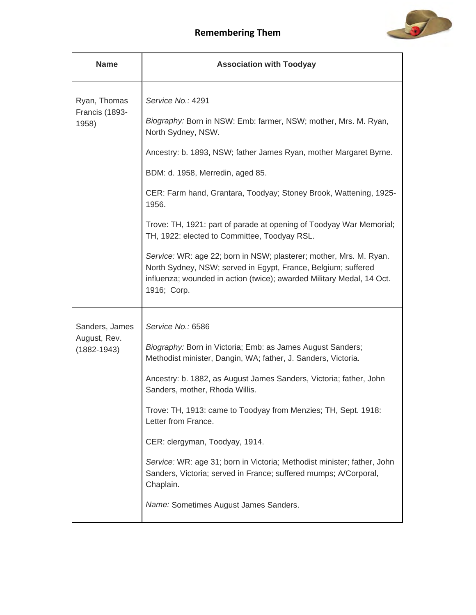

| <b>Name</b>                                       | <b>Association with Toodyay</b>                                                                                                                                                                                                                                                                                                                                                                                                                                                                                                                                                                                                                         |
|---------------------------------------------------|---------------------------------------------------------------------------------------------------------------------------------------------------------------------------------------------------------------------------------------------------------------------------------------------------------------------------------------------------------------------------------------------------------------------------------------------------------------------------------------------------------------------------------------------------------------------------------------------------------------------------------------------------------|
| Ryan, Thomas<br>Francis (1893-<br>1958)           | Service No.: 4291<br>Biography: Born in NSW: Emb: farmer, NSW; mother, Mrs. M. Ryan,<br>North Sydney, NSW.<br>Ancestry: b. 1893, NSW; father James Ryan, mother Margaret Byrne.<br>BDM: d. 1958, Merredin, aged 85.<br>CER: Farm hand, Grantara, Toodyay; Stoney Brook, Wattening, 1925-<br>1956.<br>Trove: TH, 1921: part of parade at opening of Toodyay War Memorial;<br>TH, 1922: elected to Committee, Toodyay RSL.<br>Service: WR: age 22; born in NSW; plasterer; mother, Mrs. M. Ryan.<br>North Sydney, NSW; served in Egypt, France, Belgium; suffered<br>influenza; wounded in action (twice); awarded Military Medal, 14 Oct.<br>1916; Corp. |
| Sanders, James<br>August, Rev.<br>$(1882 - 1943)$ | Service No.: 6586<br>Biography: Born in Victoria; Emb: as James August Sanders;<br>Methodist minister, Dangin, WA; father, J. Sanders, Victoria.<br>Ancestry: b. 1882, as August James Sanders, Victoria; father, John<br>Sanders, mother, Rhoda Willis.<br>Trove: TH, 1913: came to Toodyay from Menzies; TH, Sept. 1918:<br>Letter from France.<br>CER: clergyman, Toodyay, 1914.<br>Service: WR: age 31; born in Victoria; Methodist minister; father, John<br>Sanders, Victoria; served in France; suffered mumps; A/Corporal,<br>Chaplain.<br>Name: Sometimes August James Sanders.                                                                |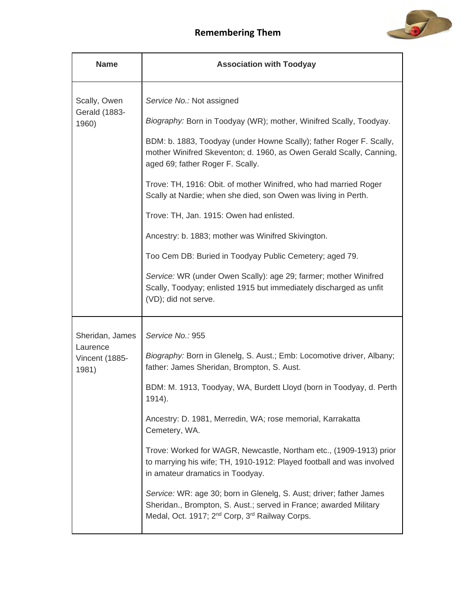

| <b>Name</b>                         | <b>Association with Toodyay</b>                                                                                                                                                                                    |
|-------------------------------------|--------------------------------------------------------------------------------------------------------------------------------------------------------------------------------------------------------------------|
| Scally, Owen                        | Service No.: Not assigned                                                                                                                                                                                          |
| <b>Gerald (1883-</b><br>1960)       | Biography: Born in Toodyay (WR); mother, Winifred Scally, Toodyay.                                                                                                                                                 |
|                                     | BDM: b. 1883, Toodyay (under Howne Scally); father Roger F. Scally,<br>mother Winifred Skeventon; d. 1960, as Owen Gerald Scally, Canning,<br>aged 69; father Roger F. Scally.                                     |
|                                     | Trove: TH, 1916: Obit. of mother Winifred, who had married Roger<br>Scally at Nardie; when she died, son Owen was living in Perth.                                                                                 |
|                                     | Trove: TH, Jan. 1915: Owen had enlisted.                                                                                                                                                                           |
|                                     | Ancestry: b. 1883; mother was Winifred Skivington.                                                                                                                                                                 |
|                                     | Too Cem DB: Buried in Toodyay Public Cemetery; aged 79.                                                                                                                                                            |
|                                     | Service: WR (under Owen Scally): age 29; farmer; mother Winifred<br>Scally, Toodyay; enlisted 1915 but immediately discharged as unfit<br>(VD); did not serve.                                                     |
| Sheridan, James                     | Service No.: 955                                                                                                                                                                                                   |
| Laurence<br>Vincent (1885-<br>1981) | Biography: Born in Glenelg, S. Aust.; Emb: Locomotive driver, Albany;<br>father: James Sheridan, Brompton, S. Aust.                                                                                                |
|                                     | BDM: M. 1913, Toodyay, WA, Burdett Lloyd (born in Toodyay, d. Perth<br>1914).                                                                                                                                      |
|                                     | Ancestry: D. 1981, Merredin, WA; rose memorial, Karrakatta<br>Cemetery, WA.                                                                                                                                        |
|                                     | Trove: Worked for WAGR, Newcastle, Northam etc., (1909-1913) prior<br>to marrying his wife; TH, 1910-1912: Played football and was involved<br>in amateur dramatics in Toodyay.                                    |
|                                     | Service: WR: age 30; born in Glenelg, S. Aust; driver; father James<br>Sheridan., Brompton, S. Aust.; served in France; awarded Military<br>Medal, Oct. 1917; 2 <sup>nd</sup> Corp, 3 <sup>rd</sup> Railway Corps. |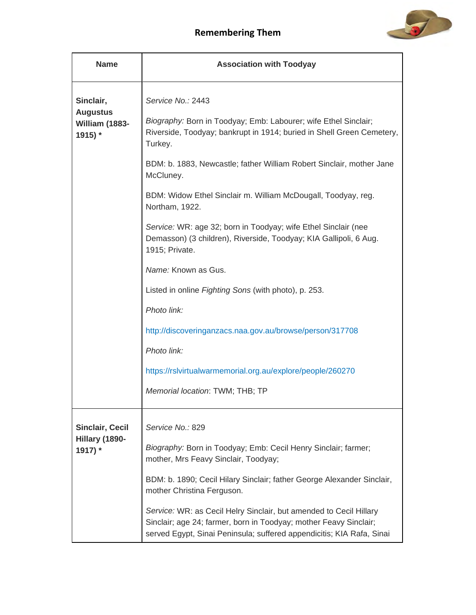

| <b>Name</b>                                               | <b>Association with Toodyay</b>                                                                                                                                                                                                                                                                                                                                                                                                                                                                                                                                                                                                                                                                                                                  |
|-----------------------------------------------------------|--------------------------------------------------------------------------------------------------------------------------------------------------------------------------------------------------------------------------------------------------------------------------------------------------------------------------------------------------------------------------------------------------------------------------------------------------------------------------------------------------------------------------------------------------------------------------------------------------------------------------------------------------------------------------------------------------------------------------------------------------|
| Sinclair,<br><b>Augustus</b><br>William (1883-<br>1915) * | Service No.: 2443<br>Biography: Born in Toodyay; Emb: Labourer; wife Ethel Sinclair;<br>Riverside, Toodyay; bankrupt in 1914; buried in Shell Green Cemetery,<br>Turkey.<br>BDM: b. 1883, Newcastle; father William Robert Sinclair, mother Jane<br>McCluney.<br>BDM: Widow Ethel Sinclair m. William McDougall, Toodyay, reg.<br>Northam, 1922.<br>Service: WR: age 32; born in Toodyay; wife Ethel Sinclair (nee<br>Demasson) (3 children), Riverside, Toodyay; KIA Gallipoli, 6 Aug.<br>1915; Private.<br>Name: Known as Gus.<br>Listed in online Fighting Sons (with photo), p. 253.<br>Photo link:<br>http://discoveringanzacs.naa.gov.au/browse/person/317708<br>Photo link:<br>https://rslvirtualwarmemorial.org.au/explore/people/260270 |
|                                                           | Memorial location: TWM; THB; TP                                                                                                                                                                                                                                                                                                                                                                                                                                                                                                                                                                                                                                                                                                                  |
| <b>Sinclair, Cecil</b><br>Hillary (1890-<br>1917) *       | Service No.: 829<br>Biography: Born in Toodyay; Emb: Cecil Henry Sinclair; farmer;<br>mother, Mrs Feavy Sinclair, Toodyay;<br>BDM: b. 1890; Cecil Hilary Sinclair; father George Alexander Sinclair,<br>mother Christina Ferguson.<br>Service: WR: as Cecil Helry Sinclair, but amended to Cecil Hillary<br>Sinclair; age 24; farmer, born in Toodyay; mother Feavy Sinclair;<br>served Egypt, Sinai Peninsula; suffered appendicitis; KIA Rafa, Sinai                                                                                                                                                                                                                                                                                           |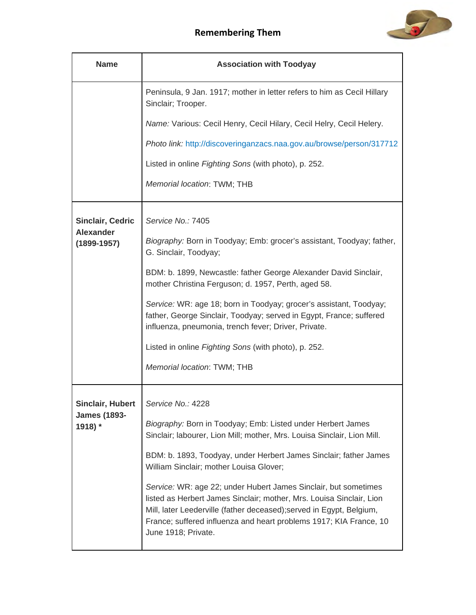

| <b>Name</b>                                               | <b>Association with Toodyay</b>                                                                                                                                                                                                                                                                              |
|-----------------------------------------------------------|--------------------------------------------------------------------------------------------------------------------------------------------------------------------------------------------------------------------------------------------------------------------------------------------------------------|
|                                                           | Peninsula, 9 Jan. 1917; mother in letter refers to him as Cecil Hillary<br>Sinclair; Trooper.                                                                                                                                                                                                                |
|                                                           | Name: Various: Cecil Henry, Cecil Hilary, Cecil Helry, Cecil Helery.                                                                                                                                                                                                                                         |
|                                                           | Photo link: http://discoveringanzacs.naa.gov.au/browse/person/317712                                                                                                                                                                                                                                         |
|                                                           | Listed in online Fighting Sons (with photo), p. 252.                                                                                                                                                                                                                                                         |
|                                                           | Memorial location: TWM; THB                                                                                                                                                                                                                                                                                  |
| <b>Sinclair, Cedric</b>                                   | Service No.: 7405                                                                                                                                                                                                                                                                                            |
| <b>Alexander</b><br>$(1899 - 1957)$                       | Biography: Born in Toodyay; Emb: grocer's assistant, Toodyay; father,<br>G. Sinclair, Toodyay;                                                                                                                                                                                                               |
|                                                           | BDM: b. 1899, Newcastle: father George Alexander David Sinclair,<br>mother Christina Ferguson; d. 1957, Perth, aged 58.                                                                                                                                                                                      |
|                                                           | Service: WR: age 18; born in Toodyay; grocer's assistant, Toodyay;<br>father, George Sinclair, Toodyay; served in Egypt, France; suffered<br>influenza, pneumonia, trench fever; Driver, Private.                                                                                                            |
|                                                           | Listed in online Fighting Sons (with photo), p. 252.                                                                                                                                                                                                                                                         |
|                                                           | Memorial location: TWM; THB                                                                                                                                                                                                                                                                                  |
| <b>Sinclair, Hubert</b><br><b>James (1893-</b><br>1918) * | Service No.: 4228                                                                                                                                                                                                                                                                                            |
|                                                           | Biography: Born in Toodyay; Emb: Listed under Herbert James<br>Sinclair; labourer, Lion Mill; mother, Mrs. Louisa Sinclair, Lion Mill.                                                                                                                                                                       |
|                                                           | BDM: b. 1893, Toodyay, under Herbert James Sinclair; father James<br>William Sinclair; mother Louisa Glover;                                                                                                                                                                                                 |
|                                                           | Service: WR: age 22; under Hubert James Sinclair, but sometimes<br>listed as Herbert James Sinclair; mother, Mrs. Louisa Sinclair, Lion<br>Mill, later Leederville (father deceased); served in Egypt, Belgium,<br>France; suffered influenza and heart problems 1917; KIA France, 10<br>June 1918; Private. |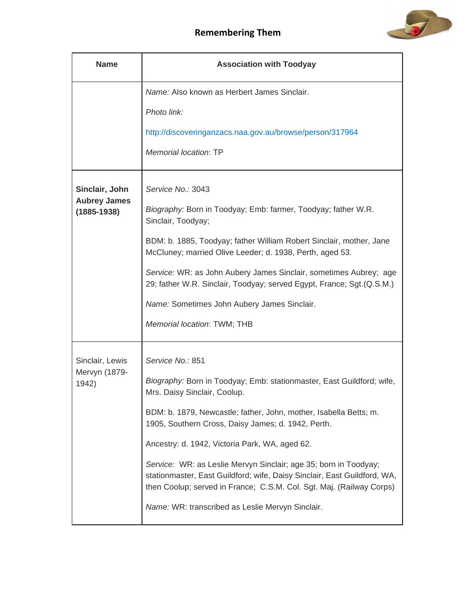

| <b>Name</b>                               | <b>Association with Toodyay</b>                                                                                                                                                                                      |
|-------------------------------------------|----------------------------------------------------------------------------------------------------------------------------------------------------------------------------------------------------------------------|
|                                           | Name: Also known as Herbert James Sinclair.                                                                                                                                                                          |
|                                           | Photo link:                                                                                                                                                                                                          |
|                                           | http://discoveringanzacs.naa.gov.au/browse/person/317964                                                                                                                                                             |
|                                           | <b>Memorial location: TP</b>                                                                                                                                                                                         |
| Sinclair, John                            | Service No.: 3043                                                                                                                                                                                                    |
| <b>Aubrey James</b><br>$(1885 - 1938)$    | Biography: Born in Toodyay; Emb: farmer, Toodyay; father W.R.<br>Sinclair, Toodyay;                                                                                                                                  |
|                                           | BDM: b. 1885, Toodyay; father William Robert Sinclair, mother, Jane<br>McCluney; married Olive Leeder; d. 1938, Perth, aged 53.                                                                                      |
|                                           | Service: WR: as John Aubery James Sinclair, sometimes Aubrey; age<br>29; father W.R. Sinclair, Toodyay; served Egypt, France; Sgt. (Q.S.M.)                                                                          |
|                                           | Name: Sometimes John Aubery James Sinclair.                                                                                                                                                                          |
|                                           | Memorial location: TWM; THB                                                                                                                                                                                          |
| Sinclair, Lewis<br>Mervyn (1879-<br>1942) | Service No.: 851                                                                                                                                                                                                     |
|                                           | Biography: Born in Toodyay; Emb: stationmaster, East Guildford; wife,<br>Mrs. Daisy Sinclair, Coolup.                                                                                                                |
|                                           | BDM: b. 1879, Newcastle; father, John, mother, Isabella Betts; m.<br>1905, Southern Cross, Daisy James; d. 1942, Perth.                                                                                              |
|                                           | Ancestry: d. 1942, Victoria Park, WA, aged 62.                                                                                                                                                                       |
|                                           | Service: WR: as Leslie Mervyn Sinclair; age 35; born in Toodyay;<br>stationmaster, East Guildford; wife, Daisy Sinclair, East Guildford, WA,<br>then Coolup; served in France; C.S.M. Col. Sgt. Maj. (Railway Corps) |
|                                           | Name: WR: transcribed as Leslie Mervyn Sinclair.                                                                                                                                                                     |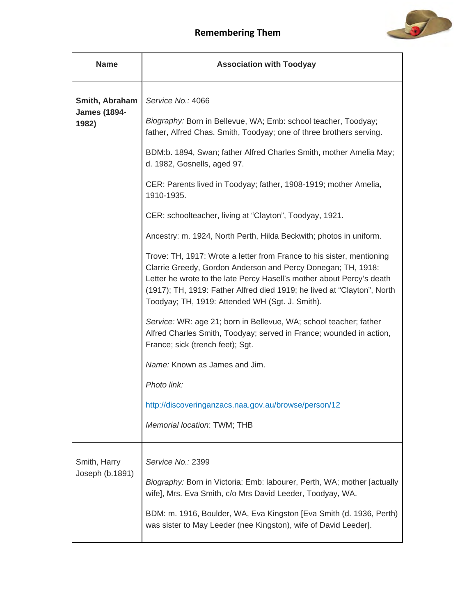

| <b>Name</b>                                    | <b>Association with Toodyay</b>                                                                                                                                                                                                                                                                                                              |
|------------------------------------------------|----------------------------------------------------------------------------------------------------------------------------------------------------------------------------------------------------------------------------------------------------------------------------------------------------------------------------------------------|
| Smith, Abraham<br><b>James (1894-</b><br>1982) | Service No.: 4066                                                                                                                                                                                                                                                                                                                            |
|                                                | Biography: Born in Bellevue, WA; Emb: school teacher, Toodyay;<br>father, Alfred Chas. Smith, Toodyay; one of three brothers serving.                                                                                                                                                                                                        |
|                                                | BDM:b. 1894, Swan; father Alfred Charles Smith, mother Amelia May;<br>d. 1982, Gosnells, aged 97.                                                                                                                                                                                                                                            |
|                                                | CER: Parents lived in Toodyay; father, 1908-1919; mother Amelia,<br>1910-1935.                                                                                                                                                                                                                                                               |
|                                                | CER: schoolteacher, living at "Clayton", Toodyay, 1921.                                                                                                                                                                                                                                                                                      |
|                                                | Ancestry: m. 1924, North Perth, Hilda Beckwith; photos in uniform.                                                                                                                                                                                                                                                                           |
|                                                | Trove: TH, 1917: Wrote a letter from France to his sister, mentioning<br>Clarrie Greedy, Gordon Anderson and Percy Donegan; TH, 1918:<br>Letter he wrote to the late Percy Hasell's mother about Percy's death<br>(1917); TH, 1919: Father Alfred died 1919; he lived at "Clayton", North<br>Toodyay; TH, 1919: Attended WH (Sgt. J. Smith). |
|                                                | Service: WR: age 21; born in Bellevue, WA; school teacher; father<br>Alfred Charles Smith, Toodyay; served in France; wounded in action,<br>France; sick (trench feet); Sgt.                                                                                                                                                                 |
|                                                | Name: Known as James and Jim.                                                                                                                                                                                                                                                                                                                |
|                                                | Photo link:                                                                                                                                                                                                                                                                                                                                  |
|                                                | http://discoveringanzacs.naa.gov.au/browse/person/12                                                                                                                                                                                                                                                                                         |
|                                                | Memorial location: TWM; THB                                                                                                                                                                                                                                                                                                                  |
| Smith, Harry<br>Joseph (b.1891)                | Service No.: 2399                                                                                                                                                                                                                                                                                                                            |
|                                                | Biography: Born in Victoria: Emb: labourer, Perth, WA; mother [actually<br>wife], Mrs. Eva Smith, c/o Mrs David Leeder, Toodyay, WA.                                                                                                                                                                                                         |
|                                                | BDM: m. 1916, Boulder, WA, Eva Kingston [Eva Smith (d. 1936, Perth)<br>was sister to May Leeder (nee Kingston), wife of David Leeder].                                                                                                                                                                                                       |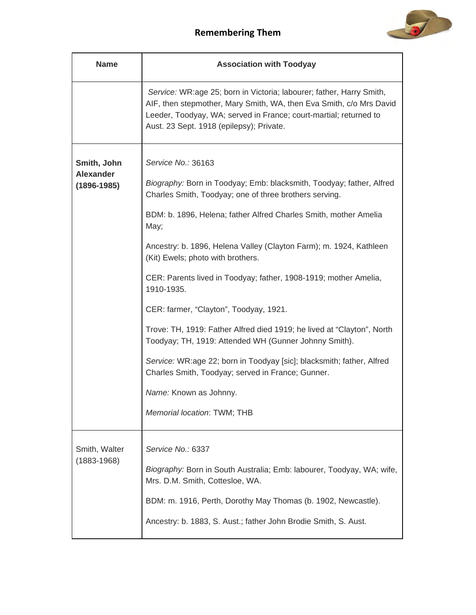

| <b>Name</b>                                        | <b>Association with Toodyay</b>                                                                                                                                                                                                                                                                                                                                                                                                                                                                                                                                                                                                                                                                                                                                                                   |
|----------------------------------------------------|---------------------------------------------------------------------------------------------------------------------------------------------------------------------------------------------------------------------------------------------------------------------------------------------------------------------------------------------------------------------------------------------------------------------------------------------------------------------------------------------------------------------------------------------------------------------------------------------------------------------------------------------------------------------------------------------------------------------------------------------------------------------------------------------------|
|                                                    | Service: WR:age 25; born in Victoria; labourer; father, Harry Smith,<br>AIF, then stepmother, Mary Smith, WA, then Eva Smith, c/o Mrs David<br>Leeder, Toodyay, WA; served in France; court-martial; returned to<br>Aust. 23 Sept. 1918 (epilepsy); Private.                                                                                                                                                                                                                                                                                                                                                                                                                                                                                                                                      |
| Smith, John<br><b>Alexander</b><br>$(1896 - 1985)$ | Service No.: 36163<br>Biography: Born in Toodyay; Emb: blacksmith, Toodyay; father, Alfred<br>Charles Smith, Toodyay; one of three brothers serving.<br>BDM: b. 1896, Helena; father Alfred Charles Smith, mother Amelia<br>May;<br>Ancestry: b. 1896, Helena Valley (Clayton Farm); m. 1924, Kathleen<br>(Kit) Ewels; photo with brothers.<br>CER: Parents lived in Toodyay; father, 1908-1919; mother Amelia,<br>1910-1935.<br>CER: farmer, "Clayton", Toodyay, 1921.<br>Trove: TH, 1919: Father Alfred died 1919; he lived at "Clayton", North<br>Toodyay; TH, 1919: Attended WH (Gunner Johnny Smith).<br>Service: WR:age 22; born in Toodyay [sic]; blacksmith; father, Alfred<br>Charles Smith, Toodyay; served in France; Gunner.<br>Name: Known as Johnny.<br>Memorial location: TWM; THB |
| Smith, Walter<br>$(1883 - 1968)$                   | Service No.: 6337<br>Biography: Born in South Australia; Emb: labourer, Toodyay, WA; wife,<br>Mrs. D.M. Smith, Cottesloe, WA.<br>BDM: m. 1916, Perth, Dorothy May Thomas (b. 1902, Newcastle).<br>Ancestry: b. 1883, S. Aust.; father John Brodie Smith, S. Aust.                                                                                                                                                                                                                                                                                                                                                                                                                                                                                                                                 |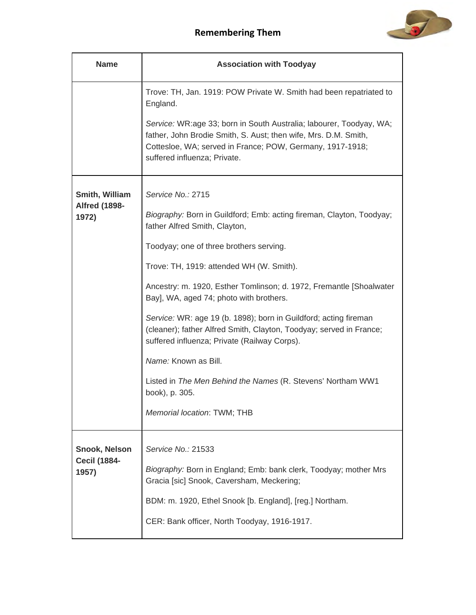

| <b>Name</b>                   | <b>Association with Toodyay</b>                                                                                                                                                                                                     |
|-------------------------------|-------------------------------------------------------------------------------------------------------------------------------------------------------------------------------------------------------------------------------------|
|                               | Trove: TH, Jan. 1919: POW Private W. Smith had been repatriated to<br>England.                                                                                                                                                      |
|                               | Service: WR:age 33; born in South Australia; labourer, Toodyay, WA;<br>father, John Brodie Smith, S. Aust; then wife, Mrs. D.M. Smith,<br>Cottesloe, WA; served in France; POW, Germany, 1917-1918;<br>suffered influenza; Private. |
| Smith, William                | Service No.: 2715                                                                                                                                                                                                                   |
| <b>Alfred (1898-</b><br>1972) | Biography: Born in Guildford; Emb: acting fireman, Clayton, Toodyay;<br>father Alfred Smith, Clayton,                                                                                                                               |
|                               | Toodyay; one of three brothers serving.                                                                                                                                                                                             |
|                               | Trove: TH, 1919: attended WH (W. Smith).                                                                                                                                                                                            |
|                               | Ancestry: m. 1920, Esther Tomlinson; d. 1972, Fremantle [Shoalwater<br>Bay], WA, aged 74; photo with brothers.                                                                                                                      |
|                               | Service: WR: age 19 (b. 1898); born in Guildford; acting fireman<br>(cleaner); father Alfred Smith, Clayton, Toodyay; served in France;<br>suffered influenza; Private (Railway Corps).                                             |
|                               | Name: Known as Bill.                                                                                                                                                                                                                |
|                               | Listed in The Men Behind the Names (R. Stevens' Northam WW1<br>book), p. 305.                                                                                                                                                       |
|                               | Memorial location: TWM; THB                                                                                                                                                                                                         |
| <b>Snook, Nelson</b>          | Service No.: 21533                                                                                                                                                                                                                  |
| <b>Cecil (1884-</b><br>1957)  | Biography: Born in England; Emb: bank clerk, Toodyay; mother Mrs<br>Gracia [sic] Snook, Caversham, Meckering;                                                                                                                       |
|                               | BDM: m. 1920, Ethel Snook [b. England], [reg.] Northam.                                                                                                                                                                             |
|                               | CER: Bank officer, North Toodyay, 1916-1917.                                                                                                                                                                                        |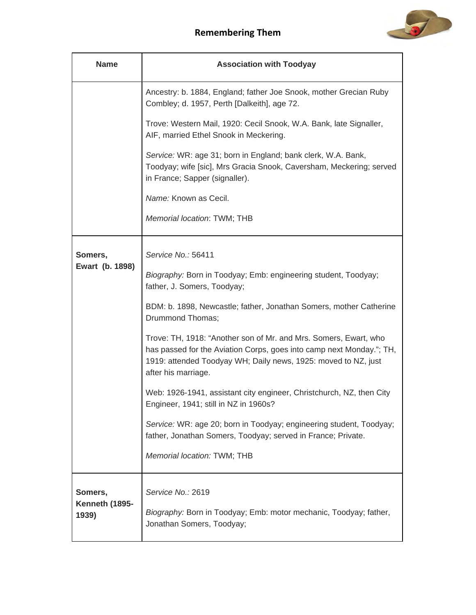

| <b>Name</b>                        | <b>Association with Toodyay</b>                                                                                                                                                                                                   |
|------------------------------------|-----------------------------------------------------------------------------------------------------------------------------------------------------------------------------------------------------------------------------------|
|                                    | Ancestry: b. 1884, England; father Joe Snook, mother Grecian Ruby<br>Combley; d. 1957, Perth [Dalkeith], age 72.                                                                                                                  |
|                                    | Trove: Western Mail, 1920: Cecil Snook, W.A. Bank, late Signaller,<br>AIF, married Ethel Snook in Meckering.                                                                                                                      |
|                                    | Service: WR: age 31; born in England; bank clerk, W.A. Bank,<br>Toodyay; wife [sic], Mrs Gracia Snook, Caversham, Meckering; served<br>in France; Sapper (signaller).                                                             |
|                                    | Name: Known as Cecil.                                                                                                                                                                                                             |
|                                    | Memorial location: TWM; THB                                                                                                                                                                                                       |
| Somers,<br>Ewart (b. 1898)         | Service No.: 56411                                                                                                                                                                                                                |
|                                    | Biography: Born in Toodyay; Emb: engineering student, Toodyay;<br>father, J. Somers, Toodyay;                                                                                                                                     |
|                                    | BDM: b. 1898, Newcastle; father, Jonathan Somers, mother Catherine<br>Drummond Thomas;                                                                                                                                            |
|                                    | Trove: TH, 1918: "Another son of Mr. and Mrs. Somers, Ewart, who<br>has passed for the Aviation Corps, goes into camp next Monday."; TH,<br>1919: attended Toodyay WH; Daily news, 1925: moved to NZ, just<br>after his marriage. |
|                                    | Web: 1926-1941, assistant city engineer, Christchurch, NZ, then City<br>Engineer, 1941; still in NZ in 1960s?                                                                                                                     |
|                                    | Service: WR: age 20; born in Toodyay; engineering student, Toodyay;<br>father, Jonathan Somers, Toodyay; served in France; Private.                                                                                               |
|                                    | Memorial location: TWM; THB                                                                                                                                                                                                       |
| Somers,<br>Kenneth (1895-<br>1939) | Service No.: 2619                                                                                                                                                                                                                 |
|                                    | Biography: Born in Toodyay; Emb: motor mechanic, Toodyay; father,<br>Jonathan Somers, Toodyay;                                                                                                                                    |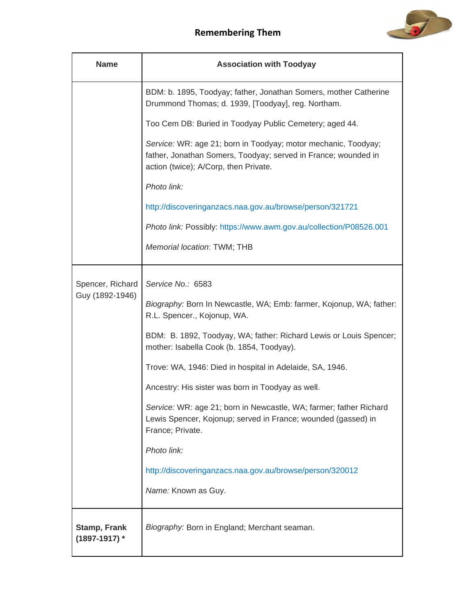

| <b>Name</b>                            | <b>Association with Toodyay</b>                                                                                                                                           |
|----------------------------------------|---------------------------------------------------------------------------------------------------------------------------------------------------------------------------|
|                                        | BDM: b. 1895, Toodyay; father, Jonathan Somers, mother Catherine<br>Drummond Thomas; d. 1939, [Toodyay], reg. Northam.                                                    |
|                                        | Too Cem DB: Buried in Toodyay Public Cemetery; aged 44.                                                                                                                   |
|                                        | Service: WR: age 21; born in Toodyay; motor mechanic, Toodyay;<br>father, Jonathan Somers, Toodyay; served in France; wounded in<br>action (twice); A/Corp, then Private. |
|                                        | Photo link:                                                                                                                                                               |
|                                        | http://discoveringanzacs.naa.gov.au/browse/person/321721                                                                                                                  |
|                                        | Photo link: Possibly: https://www.awm.gov.au/collection/P08526.001                                                                                                        |
|                                        | Memorial location: TWM; THB                                                                                                                                               |
|                                        |                                                                                                                                                                           |
| Spencer, Richard<br>Guy (1892-1946)    | Service No.: 6583                                                                                                                                                         |
|                                        | Biography: Born In Newcastle, WA; Emb: farmer, Kojonup, WA; father:<br>R.L. Spencer., Kojonup, WA.                                                                        |
|                                        | BDM: B. 1892, Toodyay, WA; father: Richard Lewis or Louis Spencer;<br>mother: Isabella Cook (b. 1854, Toodyay).                                                           |
|                                        | Trove: WA, 1946: Died in hospital in Adelaide, SA, 1946.                                                                                                                  |
|                                        | Ancestry: His sister was born in Toodyay as well.                                                                                                                         |
|                                        | Service: WR: age 21; born in Newcastle, WA; farmer; father Richard<br>Lewis Spencer, Kojonup; served in France; wounded (gassed) in<br>France; Private.                   |
|                                        | Photo link:                                                                                                                                                               |
|                                        | http://discoveringanzacs.naa.gov.au/browse/person/320012                                                                                                                  |
|                                        | Name: Known as Guy.                                                                                                                                                       |
| <b>Stamp, Frank</b><br>$(1897-1917)$ * | Biography: Born in England; Merchant seaman.                                                                                                                              |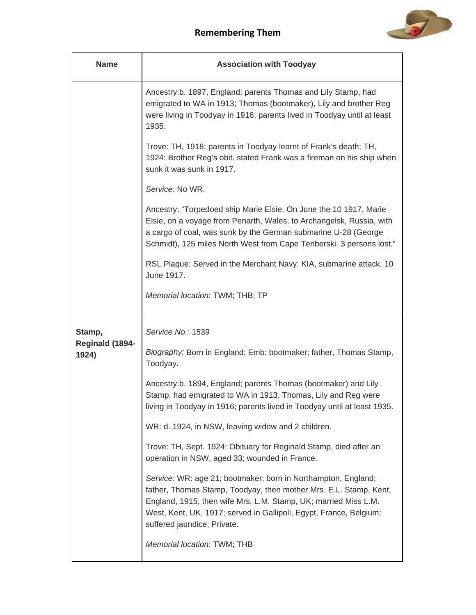

| <b>Name</b>              | <b>Association with Toodyay</b>                                                                                                                                                                                                                                                                            |
|--------------------------|------------------------------------------------------------------------------------------------------------------------------------------------------------------------------------------------------------------------------------------------------------------------------------------------------------|
|                          | Ancestry:b. 1897, England; parents Thomas and Lily Stamp, had<br>emigrated to WA in 1913; Thomas (bootmaker), Lily and brother Reg<br>were living in Toodyay in 1916; parents lived in Toodyay until at least<br>1935.                                                                                     |
|                          | Trove: TH, 1918: parents in Toodyay learnt of Frank's death; TH,<br>1924: Brother Reg's obit. stated Frank was a fireman on his ship when<br>sunk it was sunk in 1917.                                                                                                                                     |
|                          | Service: No WR.                                                                                                                                                                                                                                                                                            |
|                          | Ancestry: "Torpedoed ship Marie Elsie. On June the 10 1917, Marie<br>Elsie, on a voyage from Penarth, Wales, to Archangelsk, Russia, with<br>a cargo of coal, was sunk by the German submarine U-28 (George<br>Schmidt), 125 miles North West from Cape Teriberski. 3 persons lost."                       |
|                          | RSL Plaque: Served in the Merchant Navy; KIA, submarine attack, 10<br>June 1917.                                                                                                                                                                                                                           |
|                          | Memorial location: TWM; THB; TP                                                                                                                                                                                                                                                                            |
| Stamp,                   | Service No.: 1539                                                                                                                                                                                                                                                                                          |
| Reginald (1894-<br>1924) | Biography: Born in England; Emb: bootmaker; father, Thomas Stamp,<br>Toodyay.                                                                                                                                                                                                                              |
|                          | Ancestry:b. 1894, England; parents Thomas (bootmaker) and Lily<br>Stamp, had emigrated to WA in 1913; Thomas, Lily and Reg were<br>living in Toodyay in 1916; parents lived in Toodyay until at least 1935.                                                                                                |
|                          | WR: d. 1924, in NSW, leaving widow and 2 children.                                                                                                                                                                                                                                                         |
|                          | Trove: TH, Sept. 1924: Obituary for Reginald Stamp, died after an<br>operation in NSW, aged 33; wounded in France.                                                                                                                                                                                         |
|                          | Service: WR: age 21; bootmaker; born in Northampton, England;<br>father, Thomas Stamp, Toodyay, then mother Mrs. E.L. Stamp, Kent,<br>England, 1915, then wife Mrs. L.M. Stamp, UK; married Miss L.M.<br>West, Kent, UK, 1917; served in Gallipoli, Egypt, France, Belgium;<br>suffered jaundice; Private. |
|                          | Memorial location: TWM; THB                                                                                                                                                                                                                                                                                |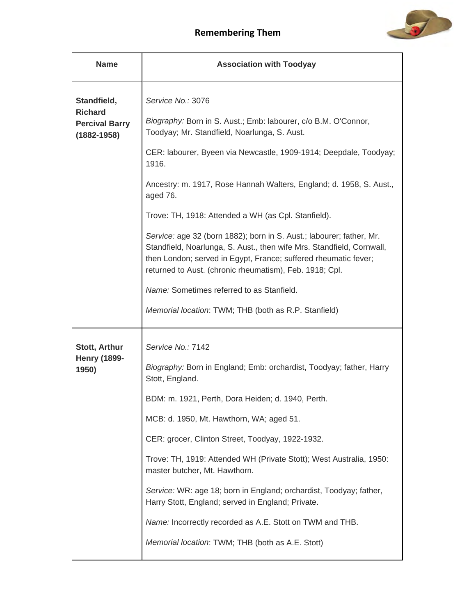

| <b>Name</b>                                            | <b>Association with Toodyay</b>                                                                                                                                                                                                                                             |
|--------------------------------------------------------|-----------------------------------------------------------------------------------------------------------------------------------------------------------------------------------------------------------------------------------------------------------------------------|
| Standfield,<br><b>Richard</b><br><b>Percival Barry</b> | Service No.: 3076<br>Biography: Born in S. Aust.; Emb: labourer, c/o B.M. O'Connor,                                                                                                                                                                                         |
| $(1882 - 1958)$                                        | Toodyay; Mr. Standfield, Noarlunga, S. Aust.                                                                                                                                                                                                                                |
|                                                        | CER: labourer, Byeen via Newcastle, 1909-1914; Deepdale, Toodyay;<br>1916.                                                                                                                                                                                                  |
|                                                        | Ancestry: m. 1917, Rose Hannah Walters, England; d. 1958, S. Aust.,<br>aged 76.                                                                                                                                                                                             |
|                                                        | Trove: TH, 1918: Attended a WH (as Cpl. Stanfield).                                                                                                                                                                                                                         |
|                                                        | Service: age 32 (born 1882); born in S. Aust.; labourer; father, Mr.<br>Standfield, Noarlunga, S. Aust., then wife Mrs. Standfield, Cornwall,<br>then London; served in Egypt, France; suffered rheumatic fever;<br>returned to Aust. (chronic rheumatism), Feb. 1918; Cpl. |
|                                                        | <i>Name:</i> Sometimes referred to as Stanfield.                                                                                                                                                                                                                            |
|                                                        | Memorial location: TWM; THB (both as R.P. Stanfield)                                                                                                                                                                                                                        |
| <b>Stott, Arthur</b>                                   | Service No.: 7142                                                                                                                                                                                                                                                           |
| <b>Henry (1899-</b><br>1950)                           | Biography: Born in England; Emb: orchardist, Toodyay; father, Harry<br>Stott, England.                                                                                                                                                                                      |
|                                                        | BDM: m. 1921, Perth, Dora Heiden; d. 1940, Perth.                                                                                                                                                                                                                           |
|                                                        | MCB: d. 1950, Mt. Hawthorn, WA; aged 51.                                                                                                                                                                                                                                    |
|                                                        | CER: grocer, Clinton Street, Toodyay, 1922-1932.                                                                                                                                                                                                                            |
|                                                        | Trove: TH, 1919: Attended WH (Private Stott); West Australia, 1950:<br>master butcher, Mt. Hawthorn.                                                                                                                                                                        |
|                                                        | Service: WR: age 18; born in England; orchardist, Toodyay; father,<br>Harry Stott, England; served in England; Private.                                                                                                                                                     |
|                                                        | Name: Incorrectly recorded as A.E. Stott on TWM and THB.                                                                                                                                                                                                                    |
|                                                        | Memorial location: TWM; THB (both as A.E. Stott)                                                                                                                                                                                                                            |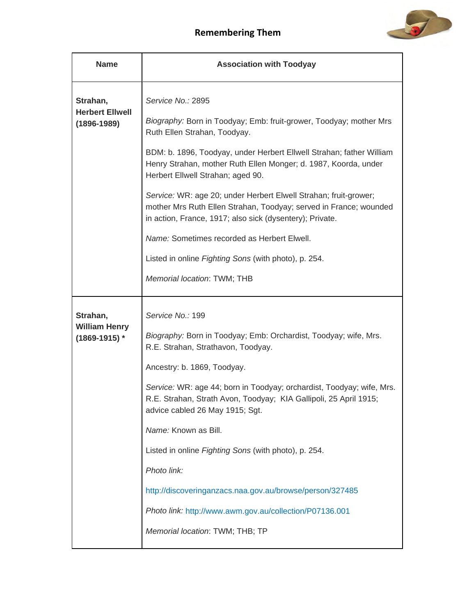

| <b>Name</b>                                           | <b>Association with Toodyay</b>                                                                                                                                                                   |
|-------------------------------------------------------|---------------------------------------------------------------------------------------------------------------------------------------------------------------------------------------------------|
| Strahan,<br><b>Herbert Ellwell</b><br>$(1896 - 1989)$ | Service No.: 2895<br>Biography: Born in Toodyay; Emb: fruit-grower, Toodyay; mother Mrs<br>Ruth Ellen Strahan, Toodyay.                                                                           |
|                                                       | BDM: b. 1896, Toodyay, under Herbert Ellwell Strahan; father William<br>Henry Strahan, mother Ruth Ellen Monger; d. 1987, Koorda, under<br>Herbert Ellwell Strahan; aged 90.                      |
|                                                       | Service: WR: age 20; under Herbert Elwell Strahan; fruit-grower;<br>mother Mrs Ruth Ellen Strahan, Toodyay; served in France; wounded<br>in action, France, 1917; also sick (dysentery); Private. |
|                                                       | Name: Sometimes recorded as Herbert Elwell.                                                                                                                                                       |
|                                                       | Listed in online Fighting Sons (with photo), p. 254.                                                                                                                                              |
|                                                       | Memorial location: TWM; THB                                                                                                                                                                       |
| Strahan,                                              | Service No.: 199                                                                                                                                                                                  |
| <b>William Henry</b><br>$(1869 - 1915)$ *             | Biography: Born in Toodyay; Emb: Orchardist, Toodyay; wife, Mrs.<br>R.E. Strahan, Strathavon, Toodyay.                                                                                            |
|                                                       | Ancestry: b. 1869, Toodyay.                                                                                                                                                                       |
|                                                       | Service: WR: age 44; born in Toodyay; orchardist, Toodyay; wife, Mrs.<br>R.E. Strahan, Strath Avon, Toodyay; KIA Gallipoli, 25 April 1915;<br>advice cabled 26 May 1915; Sgt.                     |
|                                                       | Name: Known as Bill.                                                                                                                                                                              |
|                                                       | Listed in online Fighting Sons (with photo), p. 254.                                                                                                                                              |
|                                                       | Photo link:                                                                                                                                                                                       |
|                                                       | http://discoveringanzacs.naa.gov.au/browse/person/327485                                                                                                                                          |
|                                                       | Photo link: http://www.awm.gov.au/collection/P07136.001                                                                                                                                           |
|                                                       | Memorial location: TWM; THB; TP                                                                                                                                                                   |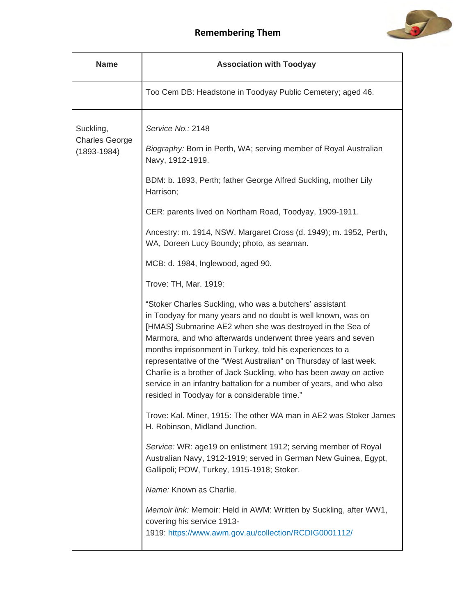



| <b>Name</b>                                           | <b>Association with Toodyay</b>                                                                                                                                                                                                                                                                                                                                                                                                                                                                                                                                                                                                                                                                                                                                                                                                                                                                                                                                                                                                                                                                                                                                                                                                                                                                                      |
|-------------------------------------------------------|----------------------------------------------------------------------------------------------------------------------------------------------------------------------------------------------------------------------------------------------------------------------------------------------------------------------------------------------------------------------------------------------------------------------------------------------------------------------------------------------------------------------------------------------------------------------------------------------------------------------------------------------------------------------------------------------------------------------------------------------------------------------------------------------------------------------------------------------------------------------------------------------------------------------------------------------------------------------------------------------------------------------------------------------------------------------------------------------------------------------------------------------------------------------------------------------------------------------------------------------------------------------------------------------------------------------|
|                                                       | Too Cem DB: Headstone in Toodyay Public Cemetery; aged 46.                                                                                                                                                                                                                                                                                                                                                                                                                                                                                                                                                                                                                                                                                                                                                                                                                                                                                                                                                                                                                                                                                                                                                                                                                                                           |
| Suckling,<br><b>Charles George</b><br>$(1893 - 1984)$ | Service No.: 2148<br>Biography: Born in Perth, WA; serving member of Royal Australian<br>Navy, 1912-1919.<br>BDM: b. 1893, Perth; father George Alfred Suckling, mother Lily<br>Harrison;<br>CER: parents lived on Northam Road, Toodyay, 1909-1911.<br>Ancestry: m. 1914, NSW, Margaret Cross (d. 1949); m. 1952, Perth,<br>WA, Doreen Lucy Boundy; photo, as seaman.<br>MCB: d. 1984, Inglewood, aged 90.<br>Trove: TH, Mar. 1919:<br>"Stoker Charles Suckling, who was a butchers' assistant<br>in Toodyay for many years and no doubt is well known, was on<br>[HMAS] Submarine AE2 when she was destroyed in the Sea of<br>Marmora, and who afterwards underwent three years and seven<br>months imprisonment in Turkey, told his experiences to a<br>representative of the "West Australian" on Thursday of last week.<br>Charlie is a brother of Jack Suckling, who has been away on active<br>service in an infantry battalion for a number of years, and who also<br>resided in Toodyay for a considerable time."<br>Trove: Kal. Miner, 1915: The other WA man in AE2 was Stoker James<br>H. Robinson, Midland Junction.<br>Service: WR: age19 on enlistment 1912; serving member of Royal<br>Australian Navy, 1912-1919; served in German New Guinea, Egypt,<br>Gallipoli; POW, Turkey, 1915-1918; Stoker. |
|                                                       | Name: Known as Charlie.<br>Memoir link: Memoir: Held in AWM: Written by Suckling, after WW1,<br>covering his service 1913-<br>1919: https://www.awm.gov.au/collection/RCDIG0001112/                                                                                                                                                                                                                                                                                                                                                                                                                                                                                                                                                                                                                                                                                                                                                                                                                                                                                                                                                                                                                                                                                                                                  |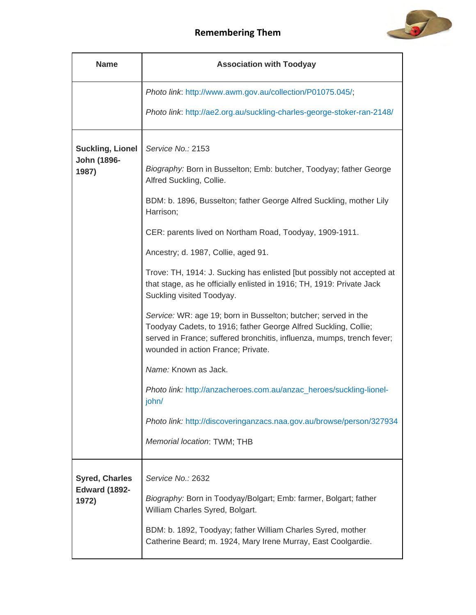

| <b>Name</b>                                            | <b>Association with Toodyay</b>                                                                                                                                                                                                                                                                                                                                                                                                                                                                                                                                                                                                                                                                                                                                                                                                                                                                                                |
|--------------------------------------------------------|--------------------------------------------------------------------------------------------------------------------------------------------------------------------------------------------------------------------------------------------------------------------------------------------------------------------------------------------------------------------------------------------------------------------------------------------------------------------------------------------------------------------------------------------------------------------------------------------------------------------------------------------------------------------------------------------------------------------------------------------------------------------------------------------------------------------------------------------------------------------------------------------------------------------------------|
|                                                        | Photo link: http://www.awm.gov.au/collection/P01075.045/;                                                                                                                                                                                                                                                                                                                                                                                                                                                                                                                                                                                                                                                                                                                                                                                                                                                                      |
|                                                        | Photo link: http://ae2.org.au/suckling-charles-george-stoker-ran-2148/                                                                                                                                                                                                                                                                                                                                                                                                                                                                                                                                                                                                                                                                                                                                                                                                                                                         |
| <b>Suckling, Lionel</b><br>John (1896-<br>1987)        | Service No.: 2153<br>Biography: Born in Busselton; Emb: butcher, Toodyay; father George<br>Alfred Suckling, Collie.<br>BDM: b. 1896, Busselton; father George Alfred Suckling, mother Lily<br>Harrison;<br>CER: parents lived on Northam Road, Toodyay, 1909-1911.<br>Ancestry; d. 1987, Collie, aged 91.<br>Trove: TH, 1914: J. Sucking has enlisted [but possibly not accepted at<br>that stage, as he officially enlisted in 1916; TH, 1919: Private Jack<br>Suckling visited Toodyay.<br>Service: WR: age 19; born in Busselton; butcher; served in the<br>Toodyay Cadets, to 1916; father George Alfred Suckling, Collie;<br>served in France; suffered bronchitis, influenza, mumps, trench fever;<br>wounded in action France; Private.<br>Name: Known as Jack.<br>Photo link: http://anzacheroes.com.au/anzac_heroes/suckling-lionel-<br>john/<br>Photo link: http://discoveringanzacs.naa.gov.au/browse/person/327934 |
|                                                        | Memorial location: TWM; THB                                                                                                                                                                                                                                                                                                                                                                                                                                                                                                                                                                                                                                                                                                                                                                                                                                                                                                    |
| <b>Syred, Charles</b><br><b>Edward (1892-</b><br>1972) | Service No.: 2632<br>Biography: Born in Toodyay/Bolgart; Emb: farmer, Bolgart; father<br>William Charles Syred, Bolgart.<br>BDM: b. 1892, Toodyay; father William Charles Syred, mother                                                                                                                                                                                                                                                                                                                                                                                                                                                                                                                                                                                                                                                                                                                                        |
|                                                        | Catherine Beard; m. 1924, Mary Irene Murray, East Coolgardie.                                                                                                                                                                                                                                                                                                                                                                                                                                                                                                                                                                                                                                                                                                                                                                                                                                                                  |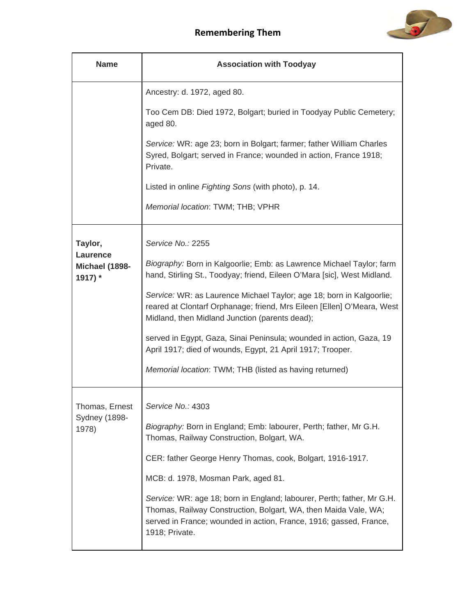

| <b>Name</b>                                      | <b>Association with Toodyay</b>                                                                                                                                                                                                   |
|--------------------------------------------------|-----------------------------------------------------------------------------------------------------------------------------------------------------------------------------------------------------------------------------------|
|                                                  | Ancestry: d. 1972, aged 80.                                                                                                                                                                                                       |
|                                                  | Too Cem DB: Died 1972, Bolgart; buried in Toodyay Public Cemetery;<br>aged 80.                                                                                                                                                    |
|                                                  | Service: WR: age 23; born in Bolgart; farmer; father William Charles<br>Syred, Bolgart; served in France; wounded in action, France 1918;<br>Private.                                                                             |
|                                                  | Listed in online Fighting Sons (with photo), p. 14.                                                                                                                                                                               |
|                                                  | Memorial location: TWM; THB; VPHR                                                                                                                                                                                                 |
| Taylor,<br>Laurence<br>Michael (1898-<br>1917) * | Service No.: 2255                                                                                                                                                                                                                 |
|                                                  | Biography: Born in Kalgoorlie; Emb: as Lawrence Michael Taylor; farm<br>hand, Stirling St., Toodyay; friend, Eileen O'Mara [sic], West Midland.                                                                                   |
|                                                  | Service: WR: as Laurence Michael Taylor; age 18; born in Kalgoorlie;<br>reared at Clontarf Orphanage; friend, Mrs Eileen [Ellen] O'Meara, West<br>Midland, then Midland Junction (parents dead);                                  |
|                                                  | served in Egypt, Gaza, Sinai Peninsula; wounded in action, Gaza, 19<br>April 1917; died of wounds, Egypt, 21 April 1917; Trooper.                                                                                                 |
|                                                  | Memorial location: TWM; THB (listed as having returned)                                                                                                                                                                           |
| Thomas, Ernest                                   | Service No.: 4303                                                                                                                                                                                                                 |
| <b>Sydney (1898-</b><br>1978)                    | Biography: Born in England; Emb: labourer, Perth; father, Mr G.H.<br>Thomas, Railway Construction, Bolgart, WA.                                                                                                                   |
|                                                  | CER: father George Henry Thomas, cook, Bolgart, 1916-1917.                                                                                                                                                                        |
|                                                  | MCB: d. 1978, Mosman Park, aged 81.                                                                                                                                                                                               |
|                                                  | Service: WR: age 18; born in England; labourer, Perth; father, Mr G.H.<br>Thomas, Railway Construction, Bolgart, WA, then Maida Vale, WA;<br>served in France; wounded in action, France, 1916; gassed, France,<br>1918; Private. |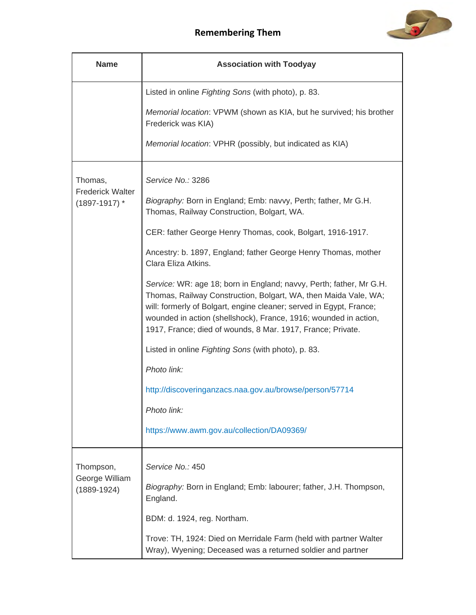

| <b>Name</b>                                  | <b>Association with Toodyay</b>                                                                                                                                                                                                                                                                                                                  |
|----------------------------------------------|--------------------------------------------------------------------------------------------------------------------------------------------------------------------------------------------------------------------------------------------------------------------------------------------------------------------------------------------------|
|                                              | Listed in online Fighting Sons (with photo), p. 83.                                                                                                                                                                                                                                                                                              |
|                                              | Memorial location: VPWM (shown as KIA, but he survived; his brother<br>Frederick was KIA)                                                                                                                                                                                                                                                        |
|                                              | Memorial location: VPHR (possibly, but indicated as KIA)                                                                                                                                                                                                                                                                                         |
| Thomas,                                      | Service No.: 3286                                                                                                                                                                                                                                                                                                                                |
| <b>Frederick Walter</b><br>$(1897 - 1917)$ * | Biography: Born in England; Emb: navvy, Perth; father, Mr G.H.<br>Thomas, Railway Construction, Bolgart, WA.                                                                                                                                                                                                                                     |
|                                              | CER: father George Henry Thomas, cook, Bolgart, 1916-1917.                                                                                                                                                                                                                                                                                       |
|                                              | Ancestry: b. 1897, England; father George Henry Thomas, mother<br>Clara Eliza Atkins.                                                                                                                                                                                                                                                            |
|                                              | Service: WR: age 18; born in England; navvy, Perth; father, Mr G.H.<br>Thomas, Railway Construction, Bolgart, WA, then Maida Vale, WA;<br>will: formerly of Bolgart, engine cleaner; served in Egypt, France;<br>wounded in action (shellshock), France, 1916; wounded in action,<br>1917, France; died of wounds, 8 Mar. 1917, France; Private. |
|                                              | Listed in online Fighting Sons (with photo), p. 83.                                                                                                                                                                                                                                                                                              |
|                                              | Photo link:                                                                                                                                                                                                                                                                                                                                      |
|                                              | http://discoveringanzacs.naa.gov.au/browse/person/57714                                                                                                                                                                                                                                                                                          |
|                                              | Photo link:                                                                                                                                                                                                                                                                                                                                      |
|                                              | https://www.awm.gov.au/collection/DA09369/                                                                                                                                                                                                                                                                                                       |
| Thompson,                                    | Service No.: 450                                                                                                                                                                                                                                                                                                                                 |
| George William<br>$(1889 - 1924)$            | Biography: Born in England; Emb: labourer; father, J.H. Thompson,<br>England.                                                                                                                                                                                                                                                                    |
|                                              | BDM: d. 1924, reg. Northam.                                                                                                                                                                                                                                                                                                                      |
|                                              | Trove: TH, 1924: Died on Merridale Farm (held with partner Walter<br>Wray), Wyening; Deceased was a returned soldier and partner                                                                                                                                                                                                                 |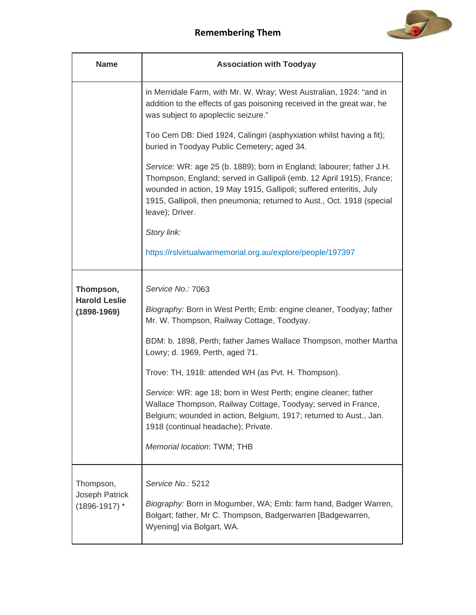

| <b>Name</b>                                          | <b>Association with Toodyay</b>                                                                                                                                                                                                                                                                                                                                                                                                                                                                                                                                                       |
|------------------------------------------------------|---------------------------------------------------------------------------------------------------------------------------------------------------------------------------------------------------------------------------------------------------------------------------------------------------------------------------------------------------------------------------------------------------------------------------------------------------------------------------------------------------------------------------------------------------------------------------------------|
|                                                      | in Merridale Farm, with Mr. W. Wray; West Australian, 1924: "and in<br>addition to the effects of gas poisoning received in the great war, he<br>was subject to apoplectic seizure."                                                                                                                                                                                                                                                                                                                                                                                                  |
|                                                      | Too Cem DB: Died 1924, Calingiri (asphyxiation whilst having a fit);<br>buried in Toodyay Public Cemetery; aged 34.                                                                                                                                                                                                                                                                                                                                                                                                                                                                   |
|                                                      | Service: WR: age 25 (b. 1889); born in England; labourer; father J.H.<br>Thompson, England; served in Gallipoli (emb. 12 April 1915), France;<br>wounded in action, 19 May 1915, Gallipoli; suffered enteritis, July<br>1915, Gallipoli, then pneumonia; returned to Aust., Oct. 1918 (special<br>leave); Driver.                                                                                                                                                                                                                                                                     |
|                                                      | Story link:                                                                                                                                                                                                                                                                                                                                                                                                                                                                                                                                                                           |
|                                                      | https://rslvirtualwarmemorial.org.au/explore/people/197397                                                                                                                                                                                                                                                                                                                                                                                                                                                                                                                            |
| Thompson,<br><b>Harold Leslie</b><br>$(1898 - 1969)$ | Service No.: 7063<br>Biography: Born in West Perth; Emb: engine cleaner, Toodyay; father<br>Mr. W. Thompson, Railway Cottage, Toodyay.<br>BDM: b. 1898, Perth; father James Wallace Thompson, mother Martha<br>Lowry; d. 1969, Perth, aged 71.<br>Trove: TH, 1918: attended WH (as Pvt. H. Thompson).<br>Service: WR: age 18; born in West Perth; engine cleaner; father<br>Wallace Thompson, Railway Cottage, Toodyay; served in France,<br>Belgium; wounded in action, Belgium, 1917; returned to Aust., Jan.<br>1918 (continual headache); Private.<br>Memorial location: TWM; THB |
| Thompson,<br>Joseph Patrick<br>$(1896 - 1917)$ *     | Service No.: 5212<br>Biography: Born in Mogumber, WA; Emb: farm hand, Badger Warren,<br>Bolgart; father, Mr C. Thompson, Badgerwarren [Badgewarren,<br>Wyening] via Bolgart, WA.                                                                                                                                                                                                                                                                                                                                                                                                      |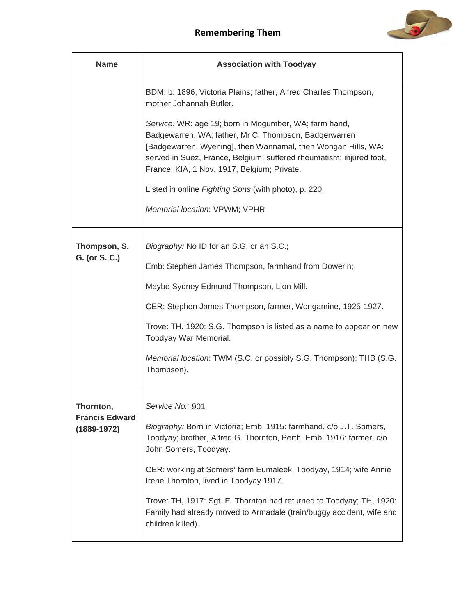

| <b>Name</b>                              | <b>Association with Toodyay</b>                                                                                                                                                                                                                                                                       |
|------------------------------------------|-------------------------------------------------------------------------------------------------------------------------------------------------------------------------------------------------------------------------------------------------------------------------------------------------------|
|                                          | BDM: b. 1896, Victoria Plains; father, Alfred Charles Thompson,<br>mother Johannah Butler.                                                                                                                                                                                                            |
|                                          | Service: WR: age 19; born in Mogumber, WA; farm hand,<br>Badgewarren, WA; father, Mr C. Thompson, Badgerwarren<br>[Badgewarren, Wyening], then Wannamal, then Wongan Hills, WA;<br>served in Suez, France, Belgium; suffered rheumatism; injured foot,<br>France; KIA, 1 Nov. 1917, Belgium; Private. |
|                                          | Listed in online Fighting Sons (with photo), p. 220.                                                                                                                                                                                                                                                  |
|                                          | Memorial location: VPWM; VPHR                                                                                                                                                                                                                                                                         |
| Thompson, S.                             | Biography: No ID for an S.G. or an S.C.;                                                                                                                                                                                                                                                              |
| G. (or S. C.)                            | Emb: Stephen James Thompson, farmhand from Dowerin;                                                                                                                                                                                                                                                   |
|                                          | Maybe Sydney Edmund Thompson, Lion Mill.                                                                                                                                                                                                                                                              |
|                                          | CER: Stephen James Thompson, farmer, Wongamine, 1925-1927.                                                                                                                                                                                                                                            |
|                                          | Trove: TH, 1920: S.G. Thompson is listed as a name to appear on new<br>Toodyay War Memorial.                                                                                                                                                                                                          |
|                                          | Memorial location: TWM (S.C. or possibly S.G. Thompson); THB (S.G.<br>Thompson).                                                                                                                                                                                                                      |
| Thornton,                                | Service No.: 901                                                                                                                                                                                                                                                                                      |
| <b>Francis Edward</b><br>$(1889 - 1972)$ | Biography: Born in Victoria; Emb. 1915: farmhand, c/o J.T. Somers,<br>Toodyay; brother, Alfred G. Thornton, Perth; Emb. 1916: farmer, c/o<br>John Somers, Toodyay.                                                                                                                                    |
|                                          | CER: working at Somers' farm Eumaleek, Toodyay, 1914; wife Annie<br>Irene Thornton, lived in Toodyay 1917.                                                                                                                                                                                            |
|                                          | Trove: TH, 1917: Sgt. E. Thornton had returned to Toodyay; TH, 1920:<br>Family had already moved to Armadale (train/buggy accident, wife and<br>children killed).                                                                                                                                     |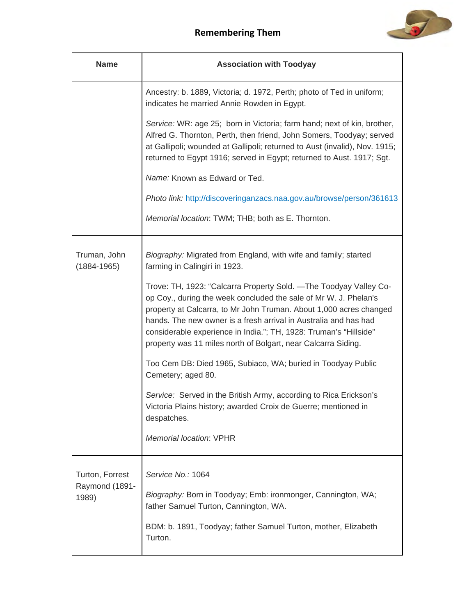

| <b>Name</b>                                | <b>Association with Toodyay</b>                                                                                                                                                                                                                                                                                                                                                                                                                                                                                                                                                                                                                                                                                                                                                                   |
|--------------------------------------------|---------------------------------------------------------------------------------------------------------------------------------------------------------------------------------------------------------------------------------------------------------------------------------------------------------------------------------------------------------------------------------------------------------------------------------------------------------------------------------------------------------------------------------------------------------------------------------------------------------------------------------------------------------------------------------------------------------------------------------------------------------------------------------------------------|
|                                            | Ancestry: b. 1889, Victoria; d. 1972, Perth; photo of Ted in uniform;<br>indicates he married Annie Rowden in Egypt.                                                                                                                                                                                                                                                                                                                                                                                                                                                                                                                                                                                                                                                                              |
|                                            | Service: WR: age 25; born in Victoria; farm hand; next of kin, brother,<br>Alfred G. Thornton, Perth, then friend, John Somers, Toodyay; served<br>at Gallipoli; wounded at Gallipoli; returned to Aust (invalid), Nov. 1915;<br>returned to Egypt 1916; served in Egypt; returned to Aust. 1917; Sgt.                                                                                                                                                                                                                                                                                                                                                                                                                                                                                            |
|                                            | Name: Known as Edward or Ted.                                                                                                                                                                                                                                                                                                                                                                                                                                                                                                                                                                                                                                                                                                                                                                     |
|                                            | Photo link: http://discoveringanzacs.naa.gov.au/browse/person/361613                                                                                                                                                                                                                                                                                                                                                                                                                                                                                                                                                                                                                                                                                                                              |
|                                            | Memorial location: TWM; THB; both as E. Thornton.                                                                                                                                                                                                                                                                                                                                                                                                                                                                                                                                                                                                                                                                                                                                                 |
| Truman, John<br>$(1884 - 1965)$            | Biography: Migrated from England, with wife and family; started<br>farming in Calingiri in 1923.<br>Trove: TH, 1923: "Calcarra Property Sold. - The Toodyay Valley Co-<br>op Coy., during the week concluded the sale of Mr W. J. Phelan's<br>property at Calcarra, to Mr John Truman. About 1,000 acres changed<br>hands. The new owner is a fresh arrival in Australia and has had<br>considerable experience in India."; TH, 1928: Truman's "Hillside"<br>property was 11 miles north of Bolgart, near Calcarra Siding.<br>Too Cem DB: Died 1965, Subiaco, WA; buried in Toodyay Public<br>Cemetery; aged 80.<br>Service: Served in the British Army, according to Rica Erickson's<br>Victoria Plains history; awarded Croix de Guerre; mentioned in<br>despatches.<br>Memorial location: VPHR |
| Turton, Forrest<br>Raymond (1891-<br>1989) | Service No.: 1064<br>Biography: Born in Toodyay; Emb: ironmonger, Cannington, WA;<br>father Samuel Turton, Cannington, WA.<br>BDM: b. 1891, Toodyay; father Samuel Turton, mother, Elizabeth<br>Turton.                                                                                                                                                                                                                                                                                                                                                                                                                                                                                                                                                                                           |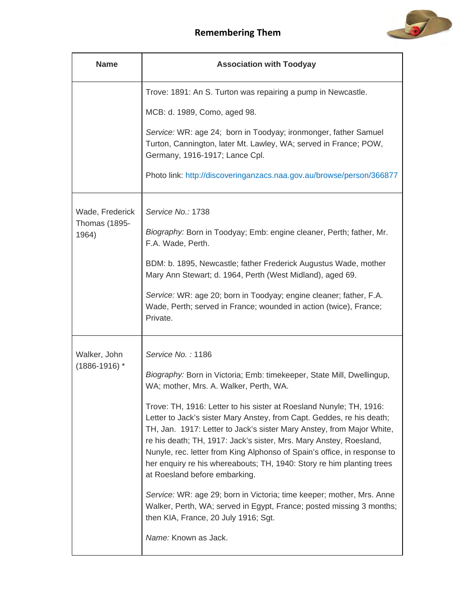

| <b>Name</b>                   | <b>Association with Toodyay</b>                                                                                                                                                                                                                                                                                                                                                                                                                                                   |
|-------------------------------|-----------------------------------------------------------------------------------------------------------------------------------------------------------------------------------------------------------------------------------------------------------------------------------------------------------------------------------------------------------------------------------------------------------------------------------------------------------------------------------|
|                               | Trove: 1891: An S. Turton was repairing a pump in Newcastle.                                                                                                                                                                                                                                                                                                                                                                                                                      |
|                               | MCB: d. 1989, Como, aged 98.                                                                                                                                                                                                                                                                                                                                                                                                                                                      |
|                               | Service: WR: age 24; born in Toodyay; ironmonger, father Samuel<br>Turton, Cannington, later Mt. Lawley, WA; served in France; POW,<br>Germany, 1916-1917; Lance Cpl.                                                                                                                                                                                                                                                                                                             |
|                               | Photo link: http://discoveringanzacs.naa.gov.au/browse/person/366877                                                                                                                                                                                                                                                                                                                                                                                                              |
| Wade, Frederick               | Service No.: 1738                                                                                                                                                                                                                                                                                                                                                                                                                                                                 |
| <b>Thomas (1895-</b><br>1964) | Biography: Born in Toodyay; Emb: engine cleaner, Perth; father, Mr.<br>F.A. Wade, Perth.                                                                                                                                                                                                                                                                                                                                                                                          |
|                               | BDM: b. 1895, Newcastle; father Frederick Augustus Wade, mother<br>Mary Ann Stewart; d. 1964, Perth (West Midland), aged 69.                                                                                                                                                                                                                                                                                                                                                      |
|                               | Service: WR: age 20; born in Toodyay; engine cleaner; father, F.A.<br>Wade, Perth; served in France; wounded in action (twice), France;<br>Private.                                                                                                                                                                                                                                                                                                                               |
| Walker, John                  | Service No.: 1186                                                                                                                                                                                                                                                                                                                                                                                                                                                                 |
| $(1886 - 1916)$ *             | Biography: Born in Victoria; Emb: timekeeper, State Mill, Dwellingup,<br>WA; mother, Mrs. A. Walker, Perth, WA.                                                                                                                                                                                                                                                                                                                                                                   |
|                               | Trove: TH, 1916: Letter to his sister at Roesland Nunyle; TH, 1916:<br>Letter to Jack's sister Mary Anstey, from Capt. Geddes, re his death;<br>TH, Jan. 1917: Letter to Jack's sister Mary Anstey, from Major White,<br>re his death; TH, 1917: Jack's sister, Mrs. Mary Anstey, Roesland,<br>Nunyle, rec. letter from King Alphonso of Spain's office, in response to<br>her enquiry re his whereabouts; TH, 1940: Story re him planting trees<br>at Roesland before embarking. |
|                               | Service: WR: age 29; born in Victoria; time keeper; mother, Mrs. Anne<br>Walker, Perth, WA; served in Egypt, France; posted missing 3 months;<br>then KIA, France, 20 July 1916; Sgt.                                                                                                                                                                                                                                                                                             |
|                               | Name: Known as Jack.                                                                                                                                                                                                                                                                                                                                                                                                                                                              |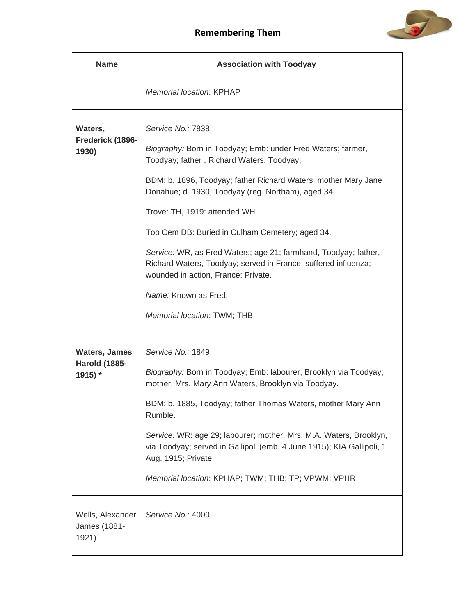

| <b>Name</b>                                             | <b>Association with Toodyay</b>                                                                                                                                                                                                                                                                                                                                                                                                                                                                                                                                              |
|---------------------------------------------------------|------------------------------------------------------------------------------------------------------------------------------------------------------------------------------------------------------------------------------------------------------------------------------------------------------------------------------------------------------------------------------------------------------------------------------------------------------------------------------------------------------------------------------------------------------------------------------|
|                                                         | <b>Memorial location: KPHAP</b>                                                                                                                                                                                                                                                                                                                                                                                                                                                                                                                                              |
| Waters,<br>Frederick (1896-<br>1930)                    | Service No.: 7838<br>Biography: Born in Toodyay; Emb: under Fred Waters; farmer,<br>Toodyay; father, Richard Waters, Toodyay;<br>BDM: b. 1896, Toodyay; father Richard Waters, mother Mary Jane<br>Donahue; d. 1930, Toodyay (reg. Northam), aged 34;<br>Trove: TH, 1919: attended WH.<br>Too Cem DB: Buried in Culham Cemetery; aged 34.<br>Service: WR, as Fred Waters; age 21; farmhand, Toodyay; father,<br>Richard Waters, Toodyay; served in France; suffered influenza;<br>wounded in action, France; Private.<br>Name: Known as Fred.<br>Memorial location: TWM; THB |
| <b>Waters, James</b><br><b>Harold (1885-</b><br>1915) * | Service No.: 1849<br>Biography: Born in Toodyay; Emb: labourer, Brooklyn via Toodyay;<br>mother, Mrs. Mary Ann Waters, Brooklyn via Toodyay.<br>BDM: b. 1885, Toodyay; father Thomas Waters, mother Mary Ann<br>Rumble.<br>Service: WR: age 29; labourer; mother, Mrs. M.A. Waters, Brooklyn,<br>via Toodyay; served in Gallipoli (emb. 4 June 1915); KIA Gallipoli, 1<br>Aug. 1915; Private.<br>Memorial location: KPHAP; TWM; THB; TP; VPWM; VPHR                                                                                                                          |
| Wells, Alexander<br>James (1881-<br>1921)               | Service No.: 4000                                                                                                                                                                                                                                                                                                                                                                                                                                                                                                                                                            |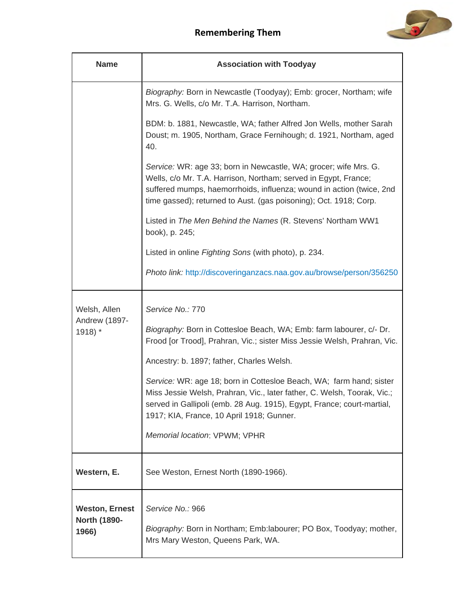

| <b>Name</b>                                    | <b>Association with Toodyay</b>                                                                                                                                                                                                                                                  |
|------------------------------------------------|----------------------------------------------------------------------------------------------------------------------------------------------------------------------------------------------------------------------------------------------------------------------------------|
|                                                | Biography: Born in Newcastle (Toodyay); Emb: grocer, Northam; wife<br>Mrs. G. Wells, c/o Mr. T.A. Harrison, Northam.                                                                                                                                                             |
|                                                | BDM: b. 1881, Newcastle, WA; father Alfred Jon Wells, mother Sarah<br>Doust; m. 1905, Northam, Grace Fernihough; d. 1921, Northam, aged<br>40.                                                                                                                                   |
|                                                | Service: WR: age 33; born in Newcastle, WA; grocer; wife Mrs. G.<br>Wells, c/o Mr. T.A. Harrison, Northam; served in Egypt, France;<br>suffered mumps, haemorrhoids, influenza; wound in action (twice, 2nd<br>time gassed); returned to Aust. (gas poisoning); Oct. 1918; Corp. |
|                                                | Listed in The Men Behind the Names (R. Stevens' Northam WW1<br>book), p. 245;                                                                                                                                                                                                    |
|                                                | Listed in online Fighting Sons (with photo), p. 234.                                                                                                                                                                                                                             |
|                                                | Photo link: http://discoveringanzacs.naa.gov.au/browse/person/356250                                                                                                                                                                                                             |
| Welsh, Allen<br>Andrew (1897-                  | Service No.: 770                                                                                                                                                                                                                                                                 |
| 1918) *                                        | Biography: Born in Cottesloe Beach, WA; Emb: farm labourer, c/- Dr.<br>Frood [or Trood], Prahran, Vic.; sister Miss Jessie Welsh, Prahran, Vic.                                                                                                                                  |
|                                                | Ancestry: b. 1897; father, Charles Welsh.                                                                                                                                                                                                                                        |
|                                                | Service: WR: age 18; born in Cottesloe Beach, WA; farm hand; sister<br>Miss Jessie Welsh, Prahran, Vic., later father, C. Welsh, Toorak, Vic.;<br>served in Gallipoli (emb. 28 Aug. 1915), Egypt, France; court-martial,<br>1917; KIA, France, 10 April 1918; Gunner.            |
|                                                | Memorial location: VPWM; VPHR                                                                                                                                                                                                                                                    |
| Western, E.                                    | See Weston, Ernest North (1890-1966).                                                                                                                                                                                                                                            |
| <b>Weston, Ernest</b><br>North (1890-<br>1966) | Service No.: 966<br>Biography: Born in Northam; Emb: labourer; PO Box, Toodyay; mother,<br>Mrs Mary Weston, Queens Park, WA.                                                                                                                                                     |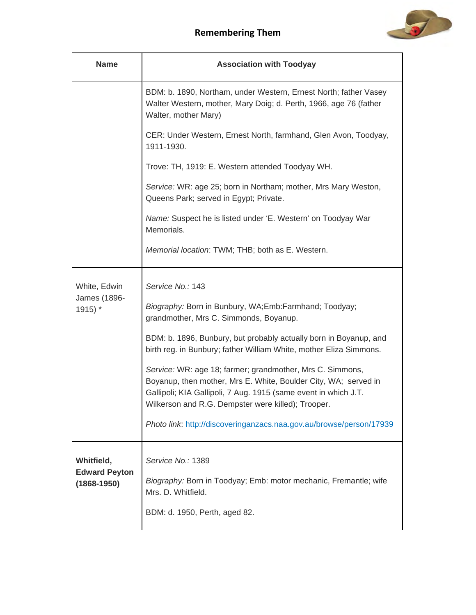

| <b>Name</b>                                           | <b>Association with Toodyay</b>                                                                                                                                                                                                                                                                                              |
|-------------------------------------------------------|------------------------------------------------------------------------------------------------------------------------------------------------------------------------------------------------------------------------------------------------------------------------------------------------------------------------------|
|                                                       | BDM: b. 1890, Northam, under Western, Ernest North; father Vasey<br>Walter Western, mother, Mary Doig; d. Perth, 1966, age 76 (father<br>Walter, mother Mary)                                                                                                                                                                |
|                                                       | CER: Under Western, Ernest North, farmhand, Glen Avon, Toodyay,<br>1911-1930.                                                                                                                                                                                                                                                |
|                                                       | Trove: TH, 1919: E. Western attended Toodyay WH.                                                                                                                                                                                                                                                                             |
|                                                       | Service: WR: age 25; born in Northam; mother, Mrs Mary Weston,<br>Queens Park; served in Egypt; Private.                                                                                                                                                                                                                     |
|                                                       | Name: Suspect he is listed under 'E. Western' on Toodyay War<br>Memorials.                                                                                                                                                                                                                                                   |
|                                                       | Memorial location: TWM; THB; both as E. Western.                                                                                                                                                                                                                                                                             |
| White, Edwin<br>James (1896-<br>$1915$ <sup>*</sup>   | Service No.: 143<br>Biography: Born in Bunbury, WA;Emb:Farmhand; Toodyay;<br>grandmother, Mrs C. Simmonds, Boyanup.<br>BDM: b. 1896, Bunbury, but probably actually born in Boyanup, and<br>birth reg. in Bunbury; father William White, mother Eliza Simmons.                                                               |
|                                                       | Service: WR: age 18; farmer; grandmother, Mrs C. Simmons,<br>Boyanup, then mother, Mrs E. White, Boulder City, WA; served in<br>Gallipoli; KIA Gallipoli, 7 Aug. 1915 (same event in which J.T.<br>Wilkerson and R.G. Dempster were killed); Trooper.<br>Photo link: http://discoveringanzacs.naa.gov.au/browse/person/17939 |
| Whitfield,<br><b>Edward Peyton</b><br>$(1868 - 1950)$ | Service No.: 1389<br>Biography: Born in Toodyay; Emb: motor mechanic, Fremantle; wife<br>Mrs. D. Whitfield.<br>BDM: d. 1950, Perth, aged 82.                                                                                                                                                                                 |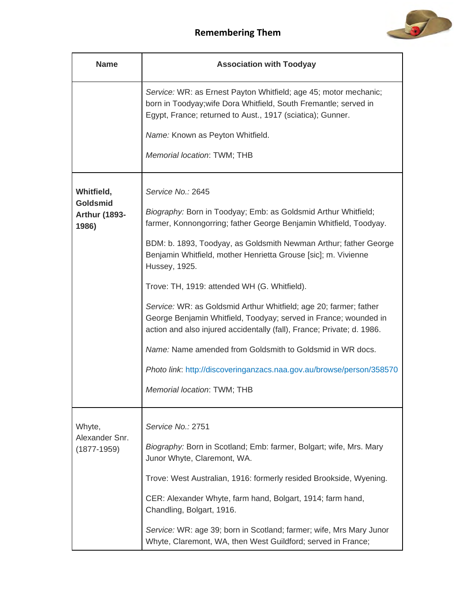

| <b>Name</b>                                      | <b>Association with Toodyay</b>                                                                                                                                                                                 |
|--------------------------------------------------|-----------------------------------------------------------------------------------------------------------------------------------------------------------------------------------------------------------------|
|                                                  | Service: WR: as Ernest Payton Whitfield; age 45; motor mechanic;<br>born in Toodyay; wife Dora Whitfield, South Fremantle; served in<br>Egypt, France; returned to Aust., 1917 (sciatica); Gunner.              |
|                                                  | Name: Known as Peyton Whitfield.                                                                                                                                                                                |
|                                                  | Memorial location: TWM; THB                                                                                                                                                                                     |
| Whitfield,                                       | Service No.: 2645                                                                                                                                                                                               |
| <b>Goldsmid</b><br><b>Arthur (1893-</b><br>1986) | Biography: Born in Toodyay; Emb: as Goldsmid Arthur Whitfield;<br>farmer, Konnongorring; father George Benjamin Whitfield, Toodyay.                                                                             |
|                                                  | BDM: b. 1893, Toodyay, as Goldsmith Newman Arthur; father George<br>Benjamin Whitfield, mother Henrietta Grouse [sic]; m. Vivienne<br>Hussey, 1925.                                                             |
|                                                  | Trove: TH, 1919: attended WH (G. Whitfield).                                                                                                                                                                    |
|                                                  | Service: WR: as Goldsmid Arthur Whitfield; age 20; farmer; father<br>George Benjamin Whitfield, Toodyay; served in France; wounded in<br>action and also injured accidentally (fall), France; Private; d. 1986. |
|                                                  | Name: Name amended from Goldsmith to Goldsmid in WR docs.                                                                                                                                                       |
|                                                  | Photo link: http://discoveringanzacs.naa.gov.au/browse/person/358570                                                                                                                                            |
|                                                  | Memorial location: TWM; THB                                                                                                                                                                                     |
| Whyte,<br>Alexander Snr.<br>$(1877 - 1959)$      | Service No.: 2751                                                                                                                                                                                               |
|                                                  | Biography: Born in Scotland; Emb: farmer, Bolgart; wife, Mrs. Mary<br>Junor Whyte, Claremont, WA.                                                                                                               |
|                                                  | Trove: West Australian, 1916: formerly resided Brookside, Wyening.                                                                                                                                              |
|                                                  | CER: Alexander Whyte, farm hand, Bolgart, 1914; farm hand,<br>Chandling, Bolgart, 1916.                                                                                                                         |
|                                                  | Service: WR: age 39; born in Scotland; farmer; wife, Mrs Mary Junor<br>Whyte, Claremont, WA, then West Guildford; served in France;                                                                             |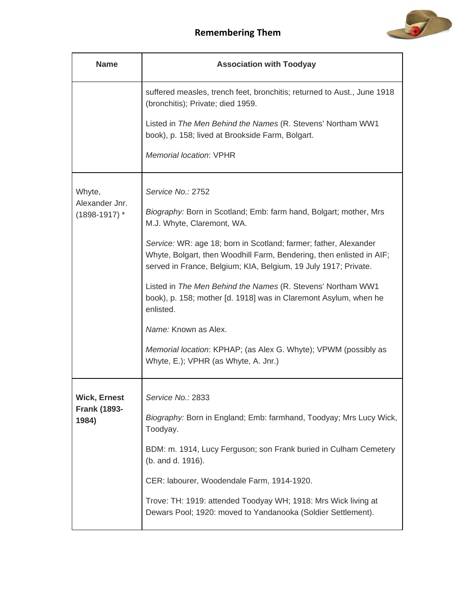

| <b>Name</b>                                         | <b>Association with Toodyay</b>                                                                                                                                                                             |
|-----------------------------------------------------|-------------------------------------------------------------------------------------------------------------------------------------------------------------------------------------------------------------|
|                                                     | suffered measles, trench feet, bronchitis; returned to Aust., June 1918<br>(bronchitis); Private; died 1959.                                                                                                |
|                                                     | Listed in The Men Behind the Names (R. Stevens' Northam WW1<br>book), p. 158; lived at Brookside Farm, Bolgart.                                                                                             |
|                                                     | Memorial location: VPHR                                                                                                                                                                                     |
| Whyte,<br>Alexander Jnr.<br>$(1898-1917)$ *         | Service No.: 2752                                                                                                                                                                                           |
|                                                     | Biography: Born in Scotland; Emb: farm hand, Bolgart; mother, Mrs<br>M.J. Whyte, Claremont, WA.                                                                                                             |
|                                                     | Service: WR: age 18; born in Scotland; farmer; father, Alexander<br>Whyte, Bolgart, then Woodhill Farm, Bendering, then enlisted in AIF;<br>served in France, Belgium; KIA, Belgium, 19 July 1917; Private. |
|                                                     | Listed in The Men Behind the Names (R. Stevens' Northam WW1<br>book), p. 158; mother [d. 1918] was in Claremont Asylum, when he<br>enlisted.                                                                |
|                                                     | Name: Known as Alex.                                                                                                                                                                                        |
|                                                     | Memorial location: KPHAP; (as Alex G. Whyte); VPWM (possibly as<br>Whyte, E.); VPHR (as Whyte, A. Jnr.)                                                                                                     |
| <b>Wick, Ernest</b><br><b>Frank (1893-</b><br>1984) | Service No.: 2833                                                                                                                                                                                           |
|                                                     | Biography: Born in England; Emb: farmhand, Toodyay; Mrs Lucy Wick,<br>Toodyay.                                                                                                                              |
|                                                     | BDM: m. 1914, Lucy Ferguson; son Frank buried in Culham Cemetery<br>(b. and d. 1916).                                                                                                                       |
|                                                     | CER: labourer, Woodendale Farm, 1914-1920.                                                                                                                                                                  |
|                                                     | Trove: TH: 1919: attended Toodyay WH; 1918: Mrs Wick living at<br>Dewars Pool; 1920: moved to Yandanooka (Soldier Settlement).                                                                              |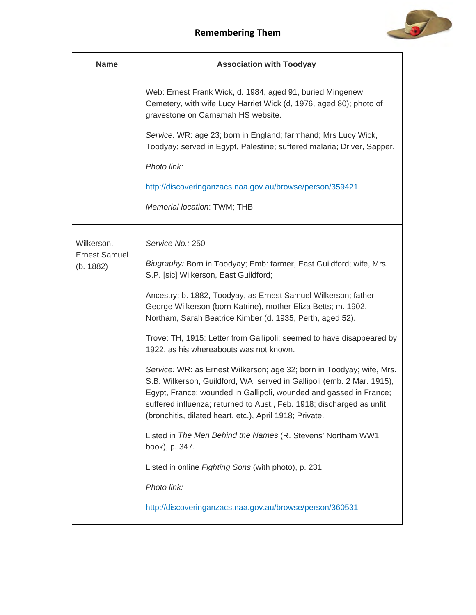

| <b>Name</b>                       | <b>Association with Toodyay</b>                                                                                                                                                                                                                                                                                                                           |
|-----------------------------------|-----------------------------------------------------------------------------------------------------------------------------------------------------------------------------------------------------------------------------------------------------------------------------------------------------------------------------------------------------------|
|                                   | Web: Ernest Frank Wick, d. 1984, aged 91, buried Mingenew<br>Cemetery, with wife Lucy Harriet Wick (d, 1976, aged 80); photo of<br>gravestone on Carnamah HS website.                                                                                                                                                                                     |
|                                   | Service: WR: age 23; born in England; farmhand; Mrs Lucy Wick,<br>Toodyay; served in Egypt, Palestine; suffered malaria; Driver, Sapper.                                                                                                                                                                                                                  |
|                                   | Photo link:                                                                                                                                                                                                                                                                                                                                               |
|                                   | http://discoveringanzacs.naa.gov.au/browse/person/359421                                                                                                                                                                                                                                                                                                  |
|                                   | Memorial location: TWM; THB                                                                                                                                                                                                                                                                                                                               |
| Wilkerson,                        | Service No.: 250                                                                                                                                                                                                                                                                                                                                          |
| <b>Ernest Samuel</b><br>(b. 1882) | Biography: Born in Toodyay; Emb: farmer, East Guildford; wife, Mrs.<br>S.P. [sic] Wilkerson, East Guildford;                                                                                                                                                                                                                                              |
|                                   | Ancestry: b. 1882, Toodyay, as Ernest Samuel Wilkerson; father<br>George Wilkerson (born Katrine), mother Eliza Betts; m. 1902,<br>Northam, Sarah Beatrice Kimber (d. 1935, Perth, aged 52).                                                                                                                                                              |
|                                   | Trove: TH, 1915: Letter from Gallipoli; seemed to have disappeared by<br>1922, as his whereabouts was not known.                                                                                                                                                                                                                                          |
|                                   | Service: WR: as Ernest Wilkerson; age 32; born in Toodyay; wife, Mrs.<br>S.B. Wilkerson, Guildford, WA; served in Gallipoli (emb. 2 Mar. 1915),<br>Egypt, France; wounded in Gallipoli, wounded and gassed in France;<br>suffered influenza; returned to Aust., Feb. 1918; discharged as unfit<br>(bronchitis, dilated heart, etc.), April 1918; Private. |
|                                   | Listed in The Men Behind the Names (R. Stevens' Northam WW1<br>book), p. 347.                                                                                                                                                                                                                                                                             |
|                                   | Listed in online Fighting Sons (with photo), p. 231.                                                                                                                                                                                                                                                                                                      |
|                                   | Photo link:                                                                                                                                                                                                                                                                                                                                               |
|                                   | http://discoveringanzacs.naa.gov.au/browse/person/360531                                                                                                                                                                                                                                                                                                  |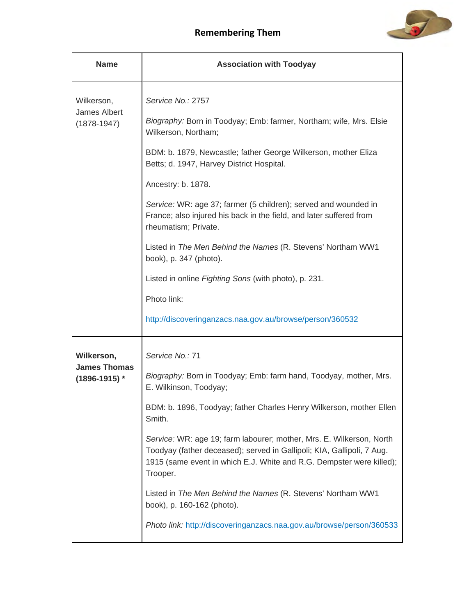

| <b>Name</b>                                          | <b>Association with Toodyay</b>                                                                                                                                                                                                    |
|------------------------------------------------------|------------------------------------------------------------------------------------------------------------------------------------------------------------------------------------------------------------------------------------|
| Wilkerson,<br><b>James Albert</b><br>$(1878 - 1947)$ | Service No.: 2757                                                                                                                                                                                                                  |
|                                                      | Biography: Born in Toodyay; Emb: farmer, Northam; wife, Mrs. Elsie<br>Wilkerson, Northam;                                                                                                                                          |
|                                                      | BDM: b. 1879, Newcastle; father George Wilkerson, mother Eliza<br>Betts; d. 1947, Harvey District Hospital.                                                                                                                        |
|                                                      | Ancestry: b. 1878.                                                                                                                                                                                                                 |
|                                                      | Service: WR: age 37; farmer (5 children); served and wounded in<br>France; also injured his back in the field, and later suffered from<br>rheumatism; Private.                                                                     |
|                                                      | Listed in The Men Behind the Names (R. Stevens' Northam WW1<br>book), p. 347 (photo).                                                                                                                                              |
|                                                      | Listed in online Fighting Sons (with photo), p. 231.                                                                                                                                                                               |
|                                                      | Photo link:                                                                                                                                                                                                                        |
|                                                      | http://discoveringanzacs.naa.gov.au/browse/person/360532                                                                                                                                                                           |
| Wilkerson,                                           | Service No.: 71                                                                                                                                                                                                                    |
| <b>James Thomas</b><br>$(1896-1915)$ *               | Biography: Born in Toodyay; Emb: farm hand, Toodyay, mother, Mrs.<br>E. Wilkinson, Toodyay;                                                                                                                                        |
|                                                      | BDM: b. 1896, Toodyay; father Charles Henry Wilkerson, mother Ellen<br>Smith.                                                                                                                                                      |
|                                                      | Service: WR: age 19; farm labourer; mother, Mrs. E. Wilkerson, North<br>Toodyay (father deceased); served in Gallipoli; KIA, Gallipoli, 7 Aug.<br>1915 (same event in which E.J. White and R.G. Dempster were killed);<br>Trooper. |
|                                                      | Listed in The Men Behind the Names (R. Stevens' Northam WW1<br>book), p. 160-162 (photo).                                                                                                                                          |
|                                                      | Photo link: http://discoveringanzacs.naa.gov.au/browse/person/360533                                                                                                                                                               |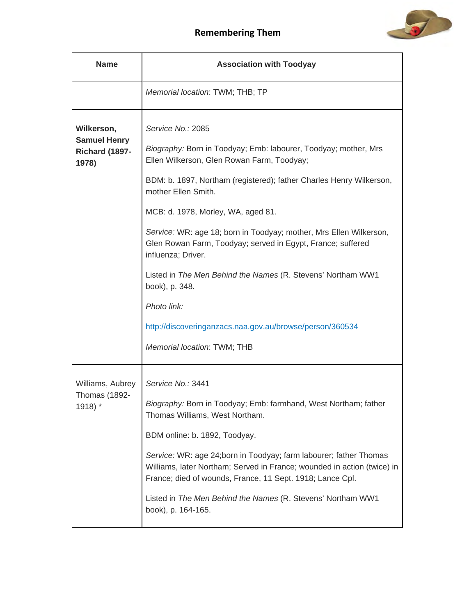

| <b>Name</b>                                                         | <b>Association with Toodyay</b>                                                                                                                                                                                                                                                                                                                                                                                                                                                                                                                                                                                              |
|---------------------------------------------------------------------|------------------------------------------------------------------------------------------------------------------------------------------------------------------------------------------------------------------------------------------------------------------------------------------------------------------------------------------------------------------------------------------------------------------------------------------------------------------------------------------------------------------------------------------------------------------------------------------------------------------------------|
|                                                                     | Memorial location: TWM; THB; TP                                                                                                                                                                                                                                                                                                                                                                                                                                                                                                                                                                                              |
| Wilkerson,<br><b>Samuel Henry</b><br><b>Richard (1897-</b><br>1978) | Service No.: 2085<br>Biography: Born in Toodyay; Emb: labourer, Toodyay; mother, Mrs<br>Ellen Wilkerson, Glen Rowan Farm, Toodyay;<br>BDM: b. 1897, Northam (registered); father Charles Henry Wilkerson,<br>mother Ellen Smith.<br>MCB: d. 1978, Morley, WA, aged 81.<br>Service: WR: age 18; born in Toodyay; mother, Mrs Ellen Wilkerson,<br>Glen Rowan Farm, Toodyay; served in Egypt, France; suffered<br>influenza; Driver.<br>Listed in The Men Behind the Names (R. Stevens' Northam WW1<br>book), p. 348.<br>Photo link:<br>http://discoveringanzacs.naa.gov.au/browse/person/360534<br>Memorial location: TWM; THB |
| Williams, Aubrey<br><b>Thomas (1892-</b><br>1918) *                 | Service No.: 3441<br>Biography: Born in Toodyay; Emb: farmhand, West Northam; father<br>Thomas Williams, West Northam.<br>BDM online: b. 1892, Toodyay.<br>Service: WR: age 24;born in Toodyay; farm labourer; father Thomas<br>Williams, later Northam; Served in France; wounded in action (twice) in<br>France; died of wounds, France, 11 Sept. 1918; Lance Cpl.<br>Listed in The Men Behind the Names (R. Stevens' Northam WW1<br>book), p. 164-165.                                                                                                                                                                    |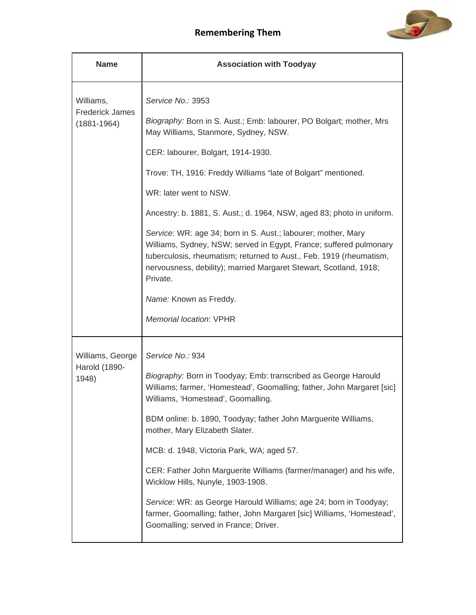

| <b>Name</b>                                            | <b>Association with Toodyay</b>                                                                                                                                                                                                                                                             |
|--------------------------------------------------------|---------------------------------------------------------------------------------------------------------------------------------------------------------------------------------------------------------------------------------------------------------------------------------------------|
| Williams,<br><b>Frederick James</b><br>$(1881 - 1964)$ | Service No.: 3953                                                                                                                                                                                                                                                                           |
|                                                        | Biography: Born in S. Aust.; Emb: labourer, PO Bolgart; mother, Mrs<br>May Williams, Stanmore, Sydney, NSW.                                                                                                                                                                                 |
|                                                        | CER: labourer, Bolgart, 1914-1930.                                                                                                                                                                                                                                                          |
|                                                        | Trove: TH, 1916: Freddy Williams "late of Bolgart" mentioned.                                                                                                                                                                                                                               |
|                                                        | WR: later went to NSW.                                                                                                                                                                                                                                                                      |
|                                                        | Ancestry: b. 1881, S. Aust.; d. 1964, NSW, aged 83; photo in uniform.                                                                                                                                                                                                                       |
|                                                        | Service: WR: age 34; born in S. Aust.; labourer; mother, Mary<br>Williams, Sydney, NSW; served in Egypt, France; suffered pulmonary<br>tuberculosis, rheumatism; returned to Aust., Feb. 1919 (rheumatism,<br>nervousness, debility); married Margaret Stewart, Scotland, 1918;<br>Private. |
|                                                        | Name: Known as Freddy.                                                                                                                                                                                                                                                                      |
|                                                        | <b>Memorial location: VPHR</b>                                                                                                                                                                                                                                                              |
| Williams, George                                       | Service No.: 934                                                                                                                                                                                                                                                                            |
| Harold (1890-<br>1948)                                 | Biography: Born in Toodyay; Emb: transcribed as George Harould<br>Williams; farmer, 'Homestead', Goomalling; father, John Margaret [sic]<br>Williams, 'Homestead', Goomalling.                                                                                                              |
|                                                        | BDM online: b. 1890, Toodyay; father John Marguerite Williams,<br>mother, Mary Elizabeth Slater.                                                                                                                                                                                            |
|                                                        | MCB: d. 1948, Victoria Park, WA; aged 57.                                                                                                                                                                                                                                                   |
|                                                        | CER: Father John Marguerite Williams (farmer/manager) and his wife,<br>Wicklow Hills, Nunyle, 1903-1908.                                                                                                                                                                                    |
|                                                        | Service: WR: as George Harould Williams; age 24; born in Toodyay;<br>farmer, Goomalling; father, John Margaret [sic] Williams, 'Homestead',<br>Goomalling; served in France; Driver.                                                                                                        |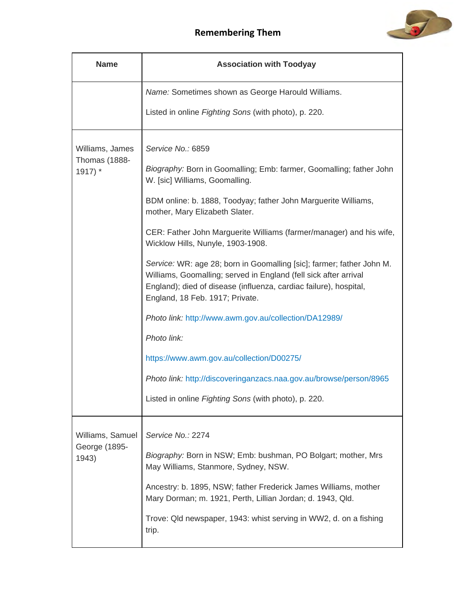

| <b>Name</b>                                         | <b>Association with Toodyay</b>                                                                                                                                                                                                                                                                                                                                                                                                                                                                                                                                                                                                                          |
|-----------------------------------------------------|----------------------------------------------------------------------------------------------------------------------------------------------------------------------------------------------------------------------------------------------------------------------------------------------------------------------------------------------------------------------------------------------------------------------------------------------------------------------------------------------------------------------------------------------------------------------------------------------------------------------------------------------------------|
|                                                     | Name: Sometimes shown as George Harould Williams.                                                                                                                                                                                                                                                                                                                                                                                                                                                                                                                                                                                                        |
|                                                     | Listed in online Fighting Sons (with photo), p. 220.                                                                                                                                                                                                                                                                                                                                                                                                                                                                                                                                                                                                     |
| Williams, James<br><b>Thomas (1888-</b><br>$1917$ * | Service No.: 6859<br>Biography: Born in Goomalling; Emb: farmer, Goomalling; father John<br>W. [sic] Williams, Goomalling.<br>BDM online: b. 1888, Toodyay; father John Marguerite Williams,<br>mother, Mary Elizabeth Slater.<br>CER: Father John Marguerite Williams (farmer/manager) and his wife,<br>Wicklow Hills, Nunyle, 1903-1908.<br>Service: WR: age 28; born in Goomalling [sic]; farmer; father John M.<br>Williams, Goomalling; served in England (fell sick after arrival<br>England); died of disease (influenza, cardiac failure), hospital,<br>England, 18 Feb. 1917; Private.<br>Photo link: http://www.awm.gov.au/collection/DA12989/ |
|                                                     | Photo link:                                                                                                                                                                                                                                                                                                                                                                                                                                                                                                                                                                                                                                              |
|                                                     | https://www.awm.gov.au/collection/D00275/                                                                                                                                                                                                                                                                                                                                                                                                                                                                                                                                                                                                                |
|                                                     | Photo link: http://discoveringanzacs.naa.gov.au/browse/person/8965                                                                                                                                                                                                                                                                                                                                                                                                                                                                                                                                                                                       |
|                                                     | Listed in online Fighting Sons (with photo), p. 220.                                                                                                                                                                                                                                                                                                                                                                                                                                                                                                                                                                                                     |
| Williams, Samuel<br>George (1895-<br>1943)          | Service No.: 2274<br>Biography: Born in NSW; Emb: bushman, PO Bolgart; mother, Mrs<br>May Williams, Stanmore, Sydney, NSW.<br>Ancestry: b. 1895, NSW; father Frederick James Williams, mother<br>Mary Dorman; m. 1921, Perth, Lillian Jordan; d. 1943, Qld.<br>Trove: Qld newspaper, 1943: whist serving in WW2, d. on a fishing<br>trip.                                                                                                                                                                                                                                                                                                                |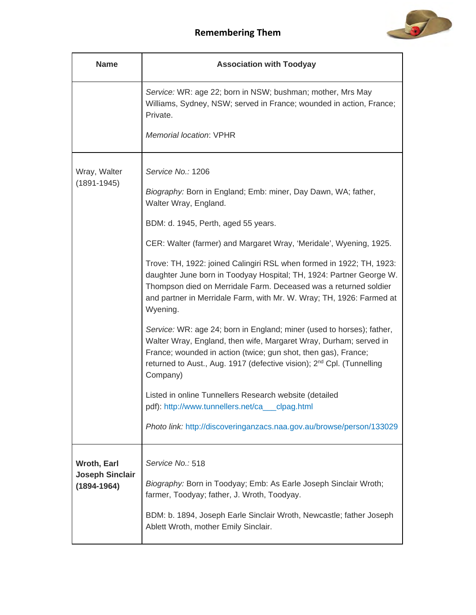

| <b>Name</b>                               | <b>Association with Toodyay</b>                                                                                                                                                                                                                                                                               |
|-------------------------------------------|---------------------------------------------------------------------------------------------------------------------------------------------------------------------------------------------------------------------------------------------------------------------------------------------------------------|
|                                           | Service: WR: age 22; born in NSW; bushman; mother, Mrs May<br>Williams, Sydney, NSW; served in France; wounded in action, France;<br>Private.                                                                                                                                                                 |
|                                           | <b>Memorial location: VPHR</b>                                                                                                                                                                                                                                                                                |
| Wray, Walter<br>$(1891 - 1945)$           | Service No.: 1206                                                                                                                                                                                                                                                                                             |
|                                           | Biography: Born in England; Emb: miner, Day Dawn, WA; father,<br>Walter Wray, England.                                                                                                                                                                                                                        |
|                                           | BDM: d. 1945, Perth, aged 55 years.                                                                                                                                                                                                                                                                           |
|                                           | CER: Walter (farmer) and Margaret Wray, 'Meridale', Wyening, 1925.                                                                                                                                                                                                                                            |
|                                           | Trove: TH, 1922: joined Calingiri RSL when formed in 1922; TH, 1923:<br>daughter June born in Toodyay Hospital; TH, 1924: Partner George W.<br>Thompson died on Merridale Farm. Deceased was a returned soldier<br>and partner in Merridale Farm, with Mr. W. Wray; TH, 1926: Farmed at<br>Wyening.           |
|                                           | Service: WR: age 24; born in England; miner (used to horses); father,<br>Walter Wray, England, then wife, Margaret Wray, Durham; served in<br>France; wounded in action (twice; gun shot, then gas), France;<br>returned to Aust., Aug. 1917 (defective vision); 2 <sup>nd</sup> Cpl. (Tunnelling<br>Company) |
|                                           | Listed in online Tunnellers Research website (detailed<br>pdf): http://www.tunnellers.net/ca__clpag.html                                                                                                                                                                                                      |
|                                           | Photo link: http://discoveringanzacs.naa.gov.au/browse/person/133029                                                                                                                                                                                                                                          |
| <b>Wroth, Earl</b>                        | Service No.: 518                                                                                                                                                                                                                                                                                              |
| <b>Joseph Sinclair</b><br>$(1894 - 1964)$ | Biography: Born in Toodyay; Emb: As Earle Joseph Sinclair Wroth;<br>farmer, Toodyay; father, J. Wroth, Toodyay.                                                                                                                                                                                               |
|                                           | BDM: b. 1894, Joseph Earle Sinclair Wroth, Newcastle; father Joseph<br>Ablett Wroth, mother Emily Sinclair.                                                                                                                                                                                                   |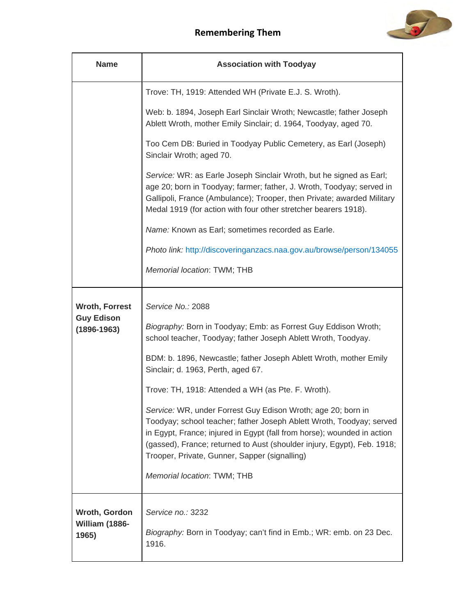

| <b>Name</b>                                                   | <b>Association with Toodyay</b>                                                                                                                                                                                                                                                                                                                                                                                                                                                                                                                                                                                                                                                                     |
|---------------------------------------------------------------|-----------------------------------------------------------------------------------------------------------------------------------------------------------------------------------------------------------------------------------------------------------------------------------------------------------------------------------------------------------------------------------------------------------------------------------------------------------------------------------------------------------------------------------------------------------------------------------------------------------------------------------------------------------------------------------------------------|
|                                                               | Trove: TH, 1919: Attended WH (Private E.J. S. Wroth).                                                                                                                                                                                                                                                                                                                                                                                                                                                                                                                                                                                                                                               |
|                                                               | Web: b. 1894, Joseph Earl Sinclair Wroth; Newcastle; father Joseph<br>Ablett Wroth, mother Emily Sinclair; d. 1964, Toodyay, aged 70.                                                                                                                                                                                                                                                                                                                                                                                                                                                                                                                                                               |
|                                                               | Too Cem DB: Buried in Toodyay Public Cemetery, as Earl (Joseph)<br>Sinclair Wroth; aged 70.                                                                                                                                                                                                                                                                                                                                                                                                                                                                                                                                                                                                         |
|                                                               | Service: WR: as Earle Joseph Sinclair Wroth, but he signed as Earl;<br>age 20; born in Toodyay; farmer; father, J. Wroth, Toodyay; served in<br>Gallipoli, France (Ambulance); Trooper, then Private; awarded Military<br>Medal 1919 (for action with four other stretcher bearers 1918).                                                                                                                                                                                                                                                                                                                                                                                                           |
|                                                               | Name: Known as Earl; sometimes recorded as Earle.                                                                                                                                                                                                                                                                                                                                                                                                                                                                                                                                                                                                                                                   |
|                                                               | Photo link: http://discoveringanzacs.naa.gov.au/browse/person/134055                                                                                                                                                                                                                                                                                                                                                                                                                                                                                                                                                                                                                                |
|                                                               | Memorial location: TWM; THB                                                                                                                                                                                                                                                                                                                                                                                                                                                                                                                                                                                                                                                                         |
| <b>Wroth, Forrest</b><br><b>Guy Edison</b><br>$(1896 - 1963)$ | Service No.: 2088<br>Biography: Born in Toodyay; Emb: as Forrest Guy Eddison Wroth;<br>school teacher, Toodyay; father Joseph Ablett Wroth, Toodyay.<br>BDM: b. 1896, Newcastle; father Joseph Ablett Wroth, mother Emily<br>Sinclair; d. 1963, Perth, aged 67.<br>Trove: TH, 1918: Attended a WH (as Pte. F. Wroth).<br>Service: WR, under Forrest Guy Edison Wroth; age 20; born in<br>Toodyay; school teacher; father Joseph Ablett Wroth, Toodyay; served<br>in Egypt, France; injured in Egypt (fall from horse); wounded in action<br>(gassed), France; returned to Aust (shoulder injury, Egypt), Feb. 1918;<br>Trooper, Private, Gunner, Sapper (signalling)<br>Memorial location: TWM; THB |
| Wroth, Gordon<br>William (1886-<br>1965)                      | Service no.: 3232<br>Biography: Born in Toodyay; can't find in Emb.; WR: emb. on 23 Dec.<br>1916.                                                                                                                                                                                                                                                                                                                                                                                                                                                                                                                                                                                                   |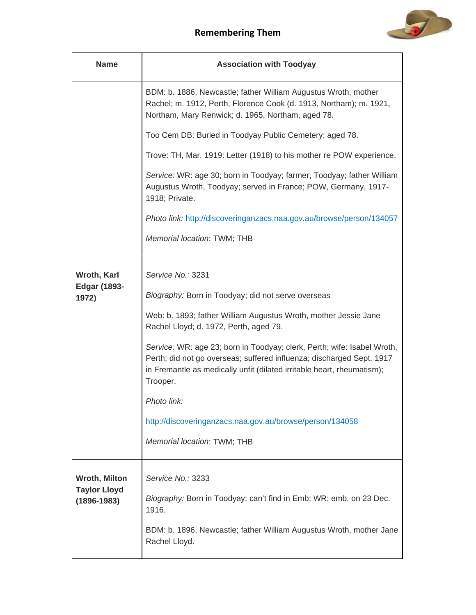

| <b>Name</b>                                 | <b>Association with Toodyay</b>                                                                                                                                                                                                                                                                                                                                                                                                                                                                                                          |
|---------------------------------------------|------------------------------------------------------------------------------------------------------------------------------------------------------------------------------------------------------------------------------------------------------------------------------------------------------------------------------------------------------------------------------------------------------------------------------------------------------------------------------------------------------------------------------------------|
|                                             | BDM: b. 1886, Newcastle; father William Augustus Wroth, mother<br>Rachel; m. 1912, Perth, Florence Cook (d. 1913, Northam); m. 1921,<br>Northam, Mary Renwick; d. 1965, Northam, aged 78.                                                                                                                                                                                                                                                                                                                                                |
|                                             | Too Cem DB: Buried in Toodyay Public Cemetery; aged 78.                                                                                                                                                                                                                                                                                                                                                                                                                                                                                  |
|                                             | Trove: TH, Mar. 1919: Letter (1918) to his mother re POW experience.                                                                                                                                                                                                                                                                                                                                                                                                                                                                     |
|                                             | Service: WR: age 30; born in Toodyay; farmer, Toodyay; father William<br>Augustus Wroth, Toodyay; served in France; POW, Germany, 1917-<br>1918; Private.                                                                                                                                                                                                                                                                                                                                                                                |
|                                             | Photo link: http://discoveringanzacs.naa.gov.au/browse/person/134057                                                                                                                                                                                                                                                                                                                                                                                                                                                                     |
|                                             | Memorial location: TWM; THB                                                                                                                                                                                                                                                                                                                                                                                                                                                                                                              |
| Wroth, Karl<br><b>Edgar (1893-</b><br>1972) | Service No.: 3231<br>Biography: Born in Toodyay; did not serve overseas<br>Web: b. 1893; father William Augustus Wroth, mother Jessie Jane<br>Rachel Lloyd; d. 1972, Perth, aged 79.<br>Service: WR: age 23; born in Toodyay; clerk, Perth; wife: Isabel Wroth,<br>Perth; did not go overseas; suffered influenza; discharged Sept. 1917<br>in Fremantle as medically unfit (dilated irritable heart, rheumatism);<br>Trooper.<br>Photo link:<br>http://discoveringanzacs.naa.gov.au/browse/person/134058<br>Memorial location: TWM; THB |
|                                             |                                                                                                                                                                                                                                                                                                                                                                                                                                                                                                                                          |
| <b>Wroth, Milton</b><br><b>Taylor Lloyd</b> | Service No.: 3233                                                                                                                                                                                                                                                                                                                                                                                                                                                                                                                        |
| $(1896 - 1983)$                             | Biography: Born in Toodyay; can't find in Emb; WR: emb. on 23 Dec.<br>1916.                                                                                                                                                                                                                                                                                                                                                                                                                                                              |
|                                             | BDM: b. 1896, Newcastle; father William Augustus Wroth, mother Jane<br>Rachel Lloyd.                                                                                                                                                                                                                                                                                                                                                                                                                                                     |